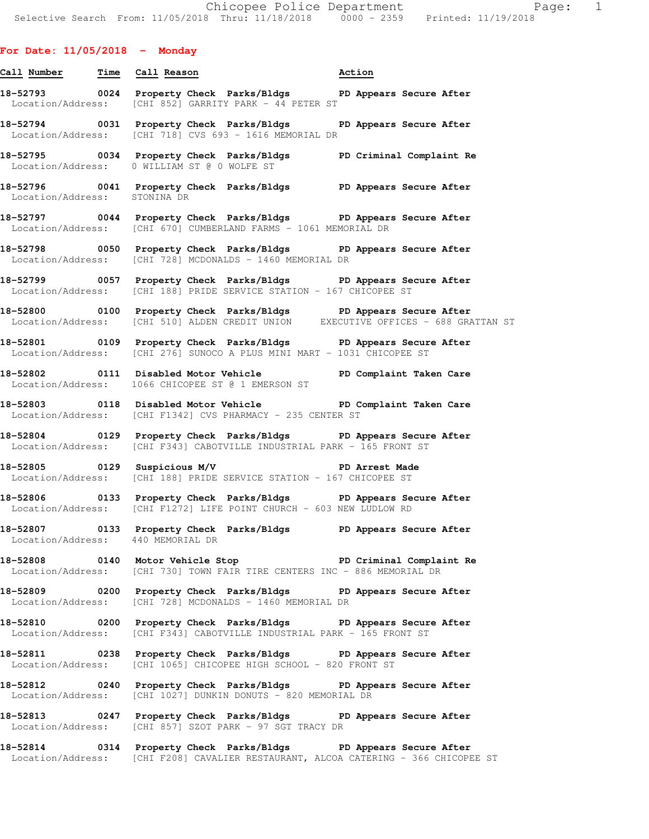# **For Date: 11/05/2018 - Monday**

**18-52794 0031 Property Check Parks/Bldgs PD Appears Secure After**  Location/Address: [CHI 718] CVS 693 - 1616 MEMORIAL DR **18-52795 0034 Property Check Parks/Bldgs PD Criminal Complaint Re**  Location/Address: 0 WILLIAM ST @ 0 WOLFE ST **18-52796 0041 Property Check Parks/Bldgs PD Appears Secure After**  Location/Address: STONINA DR **18-52797 0044 Property Check Parks/Bldgs PD Appears Secure After**  Location/Address: [CHI 670] CUMBERLAND FARMS - 1061 MEMORIAL DR **18-52798 0050 Property Check Parks/Bldgs PD Appears Secure After**  Location/Address: [CHI 728] MCDONALDS - 1460 MEMORIAL DR

**18-52793 0024 Property Check Parks/Bldgs PD Appears Secure After** 

**Call Number Time Call Reason Action** 

Location/Address: [CHI 852] GARRITY PARK - 44 PETER ST

**18-52799 0057 Property Check Parks/Bldgs PD Appears Secure After**  Location/Address: [CHI 188] PRIDE SERVICE STATION - 167 CHICOPEE ST

**18-52800 0100 Property Check Parks/Bldgs PD Appears Secure After**  Location/Address: [CHI 510] ALDEN CREDIT UNION EXECUTIVE OFFICES - 688 GRATTAN ST

**18-52801 0109 Property Check Parks/Bldgs PD Appears Secure After**  Location/Address: [CHI 276] SUNOCO A PLUS MINI MART - 1031 CHICOPEE ST

**18-52802 0111 Disabled Motor Vehicle PD Complaint Taken Care**  Location/Address: 1066 CHICOPEE ST @ 1 EMERSON ST

**18-52803 0118 Disabled Motor Vehicle PD Complaint Taken Care**  Location/Address: [CHI F1342] CVS PHARMACY - 235 CENTER ST

**18-52804 0129 Property Check Parks/Bldgs PD Appears Secure After**  Location/Address: [CHI F343] CABOTVILLE INDUSTRIAL PARK - 165 FRONT ST

**18-52805 0129 Suspicious M/V PD Arrest Made**  Location/Address: [CHI 188] PRIDE SERVICE STATION - 167 CHICOPEE ST

**18-52806 0133 Property Check Parks/Bldgs PD Appears Secure After**  Location/Address: [CHI F1272] LIFE POINT CHURCH - 603 NEW LUDLOW RD

**18-52807 0133 Property Check Parks/Bldgs PD Appears Secure After**  Location/Address: 440 MEMORIAL DR

**18-52808 0140 Motor Vehicle Stop PD Criminal Complaint Re**  Location/Address: [CHI 730] TOWN FAIR TIRE CENTERS INC - 886 MEMORIAL DR

**18-52809 0200 Property Check Parks/Bldgs PD Appears Secure After**  Location/Address: [CHI 728] MCDONALDS - 1460 MEMORIAL DR

**18-52810 0200 Property Check Parks/Bldgs PD Appears Secure After**  Location/Address: [CHI F343] CABOTVILLE INDUSTRIAL PARK - 165 FRONT ST

**18-52811 0238 Property Check Parks/Bldgs PD Appears Secure After**  Location/Address: [CHI 1065] CHICOPEE HIGH SCHOOL - 820 FRONT ST

**18-52812 0240 Property Check Parks/Bldgs PD Appears Secure After**  Location/Address: [CHI 1027] DUNKIN DONUTS - 820 MEMORIAL DR

**18-52813 0247 Property Check Parks/Bldgs PD Appears Secure After**  Location/Address: [CHI 857] SZOT PARK - 97 SGT TRACY DR

**18-52814 0314 Property Check Parks/Bldgs PD Appears Secure After**  Location/Address: [CHI F208] CAVALIER RESTAURANT, ALCOA CATERING - 366 CHICOPEE ST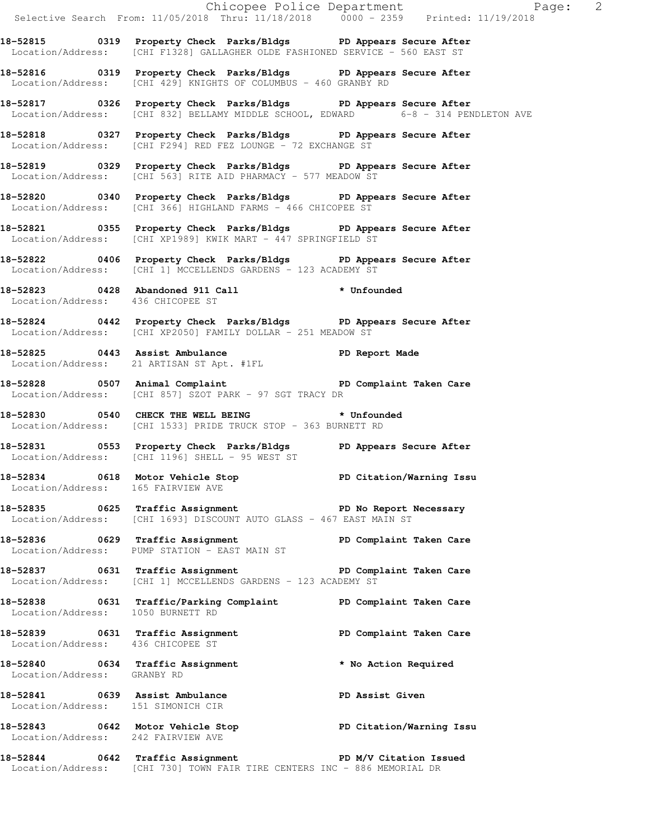|                                                                      |                                                                                                                                                       | Chicopee Police Department Page: 2<br>Selective Search From: $11/05/2018$ Thru: $11/18/2018$ 0000 - 2359 Printed: $11/19/2018$ |
|----------------------------------------------------------------------|-------------------------------------------------------------------------------------------------------------------------------------------------------|--------------------------------------------------------------------------------------------------------------------------------|
|                                                                      | 18-52815 0319 Property Check Parks/Bldgs PD Appears Secure After<br>Location/Address: [CHI F1328] GALLAGHER OLDE FASHIONED SERVICE - 560 EAST ST      |                                                                                                                                |
|                                                                      | 18-52816 0319 Property Check Parks/Bldgs PD Appears Secure After<br>Location/Address: [CHI 429] KNIGHTS OF COLUMBUS - 460 GRANBY RD                   |                                                                                                                                |
|                                                                      | 18-52817 0326 Property Check Parks/Bldgs PD Appears Secure After<br>Location/Address: [CHI 832] BELLAMY MIDDLE SCHOOL, EDWARD 6-8 - 314 PENDLETON AVE |                                                                                                                                |
|                                                                      | 18-52818 0327 Property Check Parks/Bldgs PD Appears Secure After<br>Location/Address: [CHI F294] RED FEZ LOUNGE - 72 EXCHANGE ST                      |                                                                                                                                |
|                                                                      | 18-52819 0329 Property Check Parks/Bldgs PD Appears Secure After<br>Location/Address: [CHI 563] RITE AID PHARMACY - 577 MEADOW ST                     |                                                                                                                                |
|                                                                      | 18-52820 0340 Property Check Parks/Bldgs PD Appears Secure After<br>Location/Address: [CHI 366] HIGHLAND FARMS - 466 CHICOPEE ST                      |                                                                                                                                |
|                                                                      | 18-52821 0355 Property Check Parks/Bldgs PD Appears Secure After<br>Location/Address: [CHI XP1989] KWIK MART - 447 SPRINGFIELD ST                     |                                                                                                                                |
|                                                                      | 18-52822 0406 Property Check Parks/Bldgs PD Appears Secure After<br>Location/Address: [CHI 1] MCCELLENDS GARDENS - 123 ACADEMY ST                     |                                                                                                                                |
| Location/Address: 436 CHICOPEE ST                                    | 18-52823 0428 Abandoned 911 Call * Unfounded                                                                                                          |                                                                                                                                |
|                                                                      | 18-52824 0442 Property Check Parks/Bldgs PD Appears Secure After<br>Location/Address: [CHI XP2050] FAMILY DOLLAR - 251 MEADOW ST                      |                                                                                                                                |
|                                                                      | 18-52825 0443 Assist Ambulance PD Report Made<br>Location/Address: 21 ARTISAN ST Apt. #1FL                                                            |                                                                                                                                |
|                                                                      | 18-52828 0507 Animal Complaint 18-52828 0507 Animal Complaint<br>Location/Address: [CHI 857] SZOT PARK - 97 SGT TRACY DR                              |                                                                                                                                |
|                                                                      | 18-52830 0540 CHECK THE WELL BEING * Unfounded<br>Location/Address: [CHI 1533] PRIDE TRUCK STOP - 363 BURNETT RD                                      |                                                                                                                                |
|                                                                      | 18-52831 0553 Property Check Parks/Bldgs PD Appears Secure After<br>Location/Address: [CHI 1196] SHELL - 95 WEST ST                                   |                                                                                                                                |
| Location/Address: 165 FAIRVIEW AVE                                   | 18-52834 0618 Motor Vehicle Stop 50 PD Citation/Warning Issu                                                                                          |                                                                                                                                |
|                                                                      | 18-52835 0625 Traffic Assignment The PD No Report Necessary<br>Location/Address: [CHI 1693] DISCOUNT AUTO GLASS - 467 EAST MAIN ST                    |                                                                                                                                |
|                                                                      | 18-52836 0629 Traffic Assignment PD Complaint Taken Care<br>Location/Address: PUMP STATION - EAST MAIN ST                                             |                                                                                                                                |
|                                                                      | 18-52837 0631 Traffic Assignment PD Complaint Taken Care<br>Location/Address: [CHI 1] MCCELLENDS GARDENS - 123 ACADEMY ST                             |                                                                                                                                |
| Location/Address: 1050 BURNETT RD                                    | 18-52838 0631 Traffic/Parking Complaint PD Complaint Taken Care                                                                                       |                                                                                                                                |
| Location/Address: 436 CHICOPEE ST                                    | 18-52839 0631 Traffic Assignment                                                                                                                      | PD Complaint Taken Care                                                                                                        |
| Location/Address: GRANBY RD                                          | 18-52840 0634 Traffic Assignment * No Action Required                                                                                                 |                                                                                                                                |
| 18-52841 0639 Assist Ambulance<br>Location/Address: 151 SIMONICH CIR |                                                                                                                                                       | PD Assist Given                                                                                                                |
| Location/Address: 242 FAIRVIEW AVE                                   | 18-52843 0642 Motor Vehicle Stop North PD Citation/Warning Issu                                                                                       |                                                                                                                                |
|                                                                      | 18-52844 0642 Traffic Assignment New PD M/V Citation Issued<br>Location/Address: [CHI 730] TOWN FAIR TIRE CENTERS INC - 886 MEMORIAL DR               |                                                                                                                                |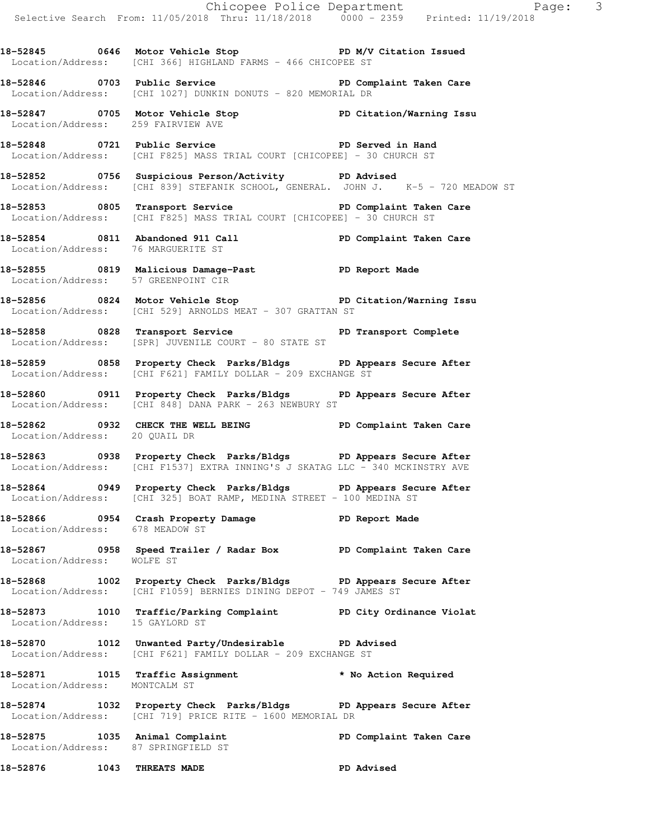- Chicopee Police Department Page: 3 Selective Search From: 11/05/2018 Thru: 11/18/2018 0000 - 2359 Printed: 11/19/2018 18-52845 0646 Motor Vehicle Stop **PD M/V Citation Issued**  Location/Address: [CHI 366] HIGHLAND FARMS - 466 CHICOPEE ST **18-52846 0703 Public Service PD Complaint Taken Care**  Location/Address: [CHI 1027] DUNKIN DONUTS - 820 MEMORIAL DR **18-52847 0705 Motor Vehicle Stop PD Citation/Warning Issu**  Location/Address: 259 FAIRVIEW AVE **18-52848 0721 Public Service PD Served in Hand**  Location/Address: [CHI F825] MASS TRIAL COURT [CHICOPEE] - 30 CHURCH ST **18-52852 0756 Suspicious Person/Activity PD Advised**  Location/Address: [CHI 839] STEFANIK SCHOOL, GENERAL. JOHN J.
	- 18-52853 0805 Transport Service **PED Complaint Taken Care** Location/Address: [CHI F825] MASS TRIAL COURT [CHICOPEE] - 30 CHURCH ST
	- **18-52854 0811 Abandoned 911 Call PD Complaint Taken Care**  Location/Address: 76 MARGUERITE ST
	- **18-52855 0819 Malicious Damage-Past PD Report Made**  Location/Address: 57 GREENPOINT CIR
	- **18-52856 0824 Motor Vehicle Stop PD Citation/Warning Issu**  Location/Address: [CHI 529] ARNOLDS MEAT - 307 GRATTAN ST
	- **18-52858 0828 Transport Service PD Transport Complete**  Location/Address: [SPR] JUVENILE COURT - 80 STATE ST
	- **18-52859 0858 Property Check Parks/Bldgs PD Appears Secure After**  Location/Address: [CHI F621] FAMILY DOLLAR - 209 EXCHANGE ST
	- **18-52860 0911 Property Check Parks/Bldgs PD Appears Secure After**  Location/Address: [CHI 848] DANA PARK - 263 NEWBURY ST
	- **18-52862 0932 CHECK THE WELL BEING PD Complaint Taken Care**  Location/Address: 20 QUAIL DR
	- **18-52863 0938 Property Check Parks/Bldgs PD Appears Secure After**  Location/Address: [CHI F1537] EXTRA INNING'S J SKATAG LLC - 340 MCKINSTRY AVE
	- **18-52864 0949 Property Check Parks/Bldgs PD Appears Secure After**  Location/Address: [CHI 325] BOAT RAMP, MEDINA STREET - 100 MEDINA ST
	- **18-52866 0954 Crash Property Damage PD Report Made**  Location/Address: 678 MEADOW ST
	- **18-52867 0958 Speed Trailer / Radar Box PD Complaint Taken Care**  Location/Address: WOLFE ST
	- **18-52868 1002 Property Check Parks/Bldgs PD Appears Secure After**  Location/Address: [CHI F1059] BERNIES DINING DEPOT - 749 JAMES ST
	- **18-52873 1010 Traffic/Parking Complaint PD City Ordinance Violat**  Location/Address: 15 GAYLORD ST
	- **18-52870 1012 Unwanted Party/Undesirable PD Advised**  Location/Address: [CHI F621] FAMILY DOLLAR - 209 EXCHANGE ST
	- **18-52871 1015 Traffic Assignment \* No Action Required**  Location/Address: MONTCALM ST
	- **18-52874 1032 Property Check Parks/Bldgs PD Appears Secure After**  Location/Address: [CHI 719] PRICE RITE - 1600 MEMORIAL DR
	- **18-52875 1035 Animal Complaint PD Complaint Taken Care**  Location/Address: 87 SPRINGFIELD ST
- **18-52876 1043 THREATS MADE PD Advised**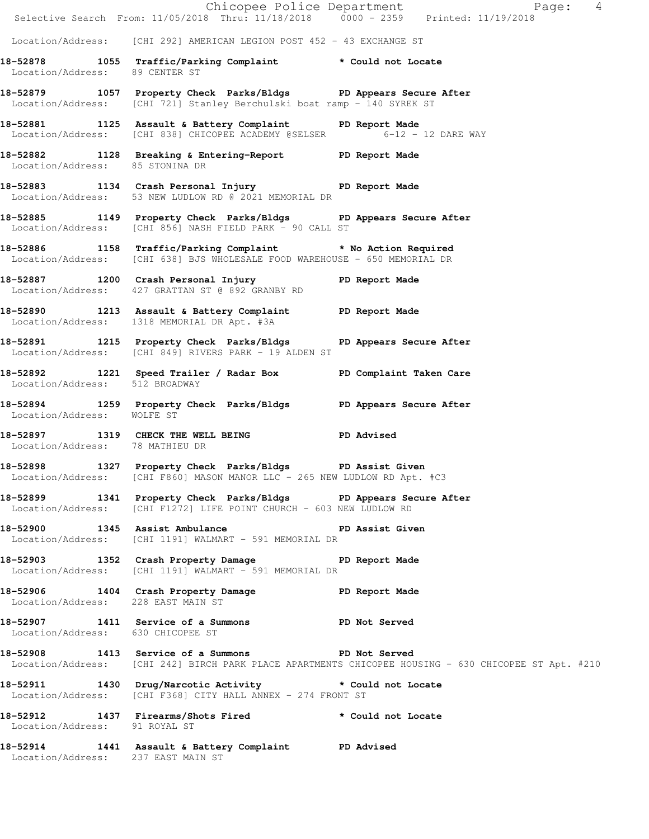|                                   | Selective Search From: 11/05/2018 Thru: 11/18/2018 0000 - 2359 Printed: 11/19/2018                                                          | Chicopee Police Department<br>Page: 4                                                                |
|-----------------------------------|---------------------------------------------------------------------------------------------------------------------------------------------|------------------------------------------------------------------------------------------------------|
|                                   | Location/Address: [CHI 292] AMERICAN LEGION POST 452 - 43 EXCHANGE ST                                                                       |                                                                                                      |
| Location/Address: 89 CENTER ST    | 18-52878 1055 Traffic/Parking Complaint * Could not Locate                                                                                  |                                                                                                      |
|                                   | 18-52879 1057 Property Check Parks/Bldgs PD Appears Secure After<br>Location/Address: [CHI 721] Stanley Berchulski boat ramp - 140 SYREK ST |                                                                                                      |
|                                   | 18-52881 1125 Assault & Battery Complaint PD Report Made<br>Location/Address: [CHI 838] CHICOPEE ACADEMY @SELSER 6-12 - 12 DARE WAY         |                                                                                                      |
| Location/Address: 85 STONINA DR   | 18-52882 1128 Breaking & Entering-Report PD Report Made                                                                                     |                                                                                                      |
|                                   | 18-52883 1134 Crash Personal Injury 18-52883<br>Location/Address: 53 NEW LUDLOW RD @ 2021 MEMORIAL DR                                       |                                                                                                      |
|                                   | 18-52885 1149 Property Check Parks/Bldgs PD Appears Secure After<br>Location/Address: [CHI 856] NASH FIELD PARK - 90 CALL ST                |                                                                                                      |
|                                   | 18-52886 1158 Traffic/Parking Complaint * No Action Required<br>Location/Address: [CHI 638] BJS WHOLESALE FOOD WAREHOUSE - 650 MEMORIAL DR  |                                                                                                      |
|                                   | 18-52887 1200 Crash Personal Injury 18-52887<br>Location/Address: 427 GRATTAN ST @ 892 GRANBY RD                                            |                                                                                                      |
|                                   | 18-52890 1213 Assault & Battery Complaint PD Report Made<br>Location/Address: 1318 MEMORIAL DR Apt. #3A                                     |                                                                                                      |
|                                   | 18-52891 1215 Property Check Parks/Bldgs PD Appears Secure After<br>Location/Address: [CHI 849] RIVERS PARK - 19 ALDEN ST                   |                                                                                                      |
| Location/Address: 512 BROADWAY    | 18-52892 1221 Speed Trailer / Radar Box PD Complaint Taken Care                                                                             |                                                                                                      |
| Location/Address: WOLFE ST        | 18-52894 1259 Property Check Parks/Bldgs PD Appears Secure After                                                                            |                                                                                                      |
| Location/Address: 78 MATHIEU DR   | 18-52897 1319 CHECK THE WELL BEING PD Advised                                                                                               |                                                                                                      |
|                                   | 18-52898 1327 Property Check Parks/Bldgs PD Assist Given<br>Location/Address: [CHI F860] MASON MANOR LLC - 265 NEW LUDLOW RD Apt. #C3       |                                                                                                      |
|                                   | 18-52899 1341 Property Check Parks/Bldgs PD Appears Secure After<br>Location/Address: [CHI F1272] LIFE POINT CHURCH - 603 NEW LUDLOW RD     |                                                                                                      |
|                                   | 18-52900 1345 Assist Ambulance No PD Assist Given<br>Location/Address: [CHI 1191] WALMART - 591 MEMORIAL DR                                 |                                                                                                      |
|                                   | 18-52903 1352 Crash Property Damage PD Report Made<br>Location/Address: [CHI 1191] WALMART - 591 MEMORIAL DR                                |                                                                                                      |
|                                   | 18-52906 1404 Crash Property Damage PD Report Made Location/Address: 228 EAST MAIN ST                                                       |                                                                                                      |
| Location/Address: 630 CHICOPEE ST | 18-52907 1411 Service of a Summons PD Not Served                                                                                            |                                                                                                      |
|                                   | 18-52908 1413 Service of a Summons PD Not Served                                                                                            | Location/Address: [CHI 242] BIRCH PARK PLACE APARTMENTS CHICOPEE HOUSING - 630 CHICOPEE ST Apt. #210 |
|                                   | 18-52911 1430 Drug/Narcotic Activity * Could not Locate<br>Location/Address: [CHI F368] CITY HALL ANNEX - 274 FRONT ST                      |                                                                                                      |
| Location/Address: 91 ROYAL ST     | 18-52912 1437 Firearms/Shots Fired * Could not Locate                                                                                       |                                                                                                      |
|                                   | 18-52914 1441 Assault & Battery Complaint PD Advised<br>Location/Address: 237 EAST MAIN ST                                                  |                                                                                                      |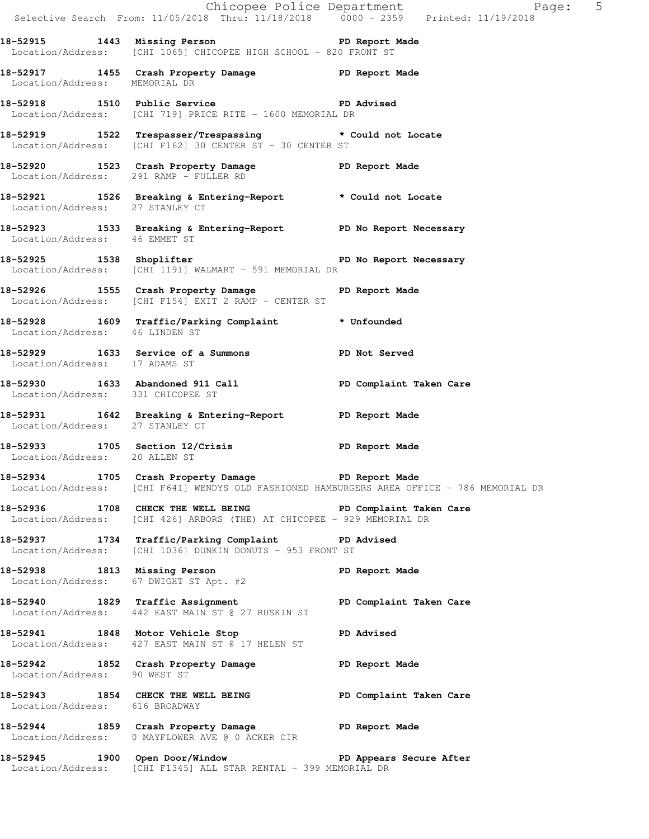|                                   | Selective Search From: $11/05/2018$ Thru: $11/18/2018$ 0000 - 2359 Printed: $11/19/2018$                                             | Chicopee Police Department<br>Page: 5                                                      |
|-----------------------------------|--------------------------------------------------------------------------------------------------------------------------------------|--------------------------------------------------------------------------------------------|
|                                   | 18-52915 1443 Missing Person Neport Made<br>Location/Address: [CHI 1065] CHICOPEE HIGH SCHOOL - 820 FRONT ST                         |                                                                                            |
| Location/Address: MEMORIAL DR     | 18-52917 1455 Crash Property Damage PD Report Made                                                                                   |                                                                                            |
|                                   | 18-52918 1510 Public Service 20 PD Advised<br>Location/Address: [CHI 719] PRICE RITE - 1600 MEMORIAL DR                              |                                                                                            |
|                                   | 18-52919 1522 Trespasser/Trespassing * Could not Locate<br>Location/Address: [CHI F162] 30 CENTER ST - 30 CENTER ST                  |                                                                                            |
|                                   | 18-52920 1523 Crash Property Damage PD Report Made<br>Location/Address: 291 RAMP - FULLER RD                                         |                                                                                            |
|                                   | 18-52921 1526 Breaking & Entering-Report * Could not Locate Location/Address: 27 STANLEY CT                                          |                                                                                            |
|                                   | 18-52923 1533 Breaking & Entering-Report PD No Report Necessary<br>Location/Address: 46 EMMET ST                                     |                                                                                            |
|                                   | Location/Address: [CHI 1191] WALMART - 591 MEMORIAL DR                                                                               |                                                                                            |
|                                   | 18-52926 1555 Crash Property Damage Naport Made<br>Location/Address: [CHI F154] EXIT 2 RAMP - CENTER ST                              |                                                                                            |
| Location/Address: 46 LINDEN ST    | 18-52928 1609 Traffic/Parking Complaint * Unfounded                                                                                  |                                                                                            |
| Location/Address: 17 ADAMS ST     | 18-52929 1633 Service of a Summons PD Not Served                                                                                     |                                                                                            |
| Location/Address: 331 CHICOPEE ST | 18-52930 1633 Abandoned 911 Call 200 PD Complaint Taken Care                                                                         |                                                                                            |
| Location/Address: 27 STANLEY CT   | 18-52931 1642 Breaking & Entering-Report 10 PD Report Made                                                                           |                                                                                            |
| Location/Address: 20 ALLEN ST     | 18-52933 1705 Section 12/Crisis TD Report Made                                                                                       |                                                                                            |
|                                   | 18-52934 1705 Crash Property Damage PD Report Made                                                                                   | Location/Address: [CHI F641] WENDYS OLD FASHIONED HAMBURGERS AREA OFFICE - 786 MEMORIAL DR |
|                                   | 18-52936 1708 CHECK THE WELL BEING PD Complaint Taken Care<br>Location/Address: [CHI 426] ARBORS (THE) AT CHICOPEE - 929 MEMORIAL DR |                                                                                            |
|                                   | 18-52937 1734 Traffic/Parking Complaint PD Advised<br>Location/Address: [CHI 1036] DUNKIN DONUTS - 953 FRONT ST                      |                                                                                            |
|                                   | 18-52938 1813 Missing Person PD Report Made<br>Location/Address: 67 DWIGHT ST Apt. #2                                                |                                                                                            |
|                                   | 18-52940 1829 Traffic Assignment New PD Complaint Taken Care<br>Location/Address: 442 EAST MAIN ST @ 27 RUSKIN ST                    |                                                                                            |
|                                   | 18-52941 1848 Motor Vehicle Stop North PD Advised<br>Location/Address: 427 EAST MAIN ST @ 17 HELEN ST                                |                                                                                            |
| Location/Address: 90 WEST ST      | 18-52942 1852 Crash Property Damage PD Report Made                                                                                   |                                                                                            |
| Location/Address: 616 BROADWAY    | 18-52943 1854 CHECK THE WELL BEING PD Complaint Taken Care                                                                           |                                                                                            |
|                                   | 18-52944 1859 Crash Property Damage The PD Report Made<br>Location/Address: 0 MAYFLOWER AVE @ 0 ACKER CIR                            |                                                                                            |
|                                   | 18-52945 1900 Open Door/Window No PD Appears Secure After<br>Location/Address: [CHI F1345] ALL STAR RENTAL - 399 MEMORIAL DR         |                                                                                            |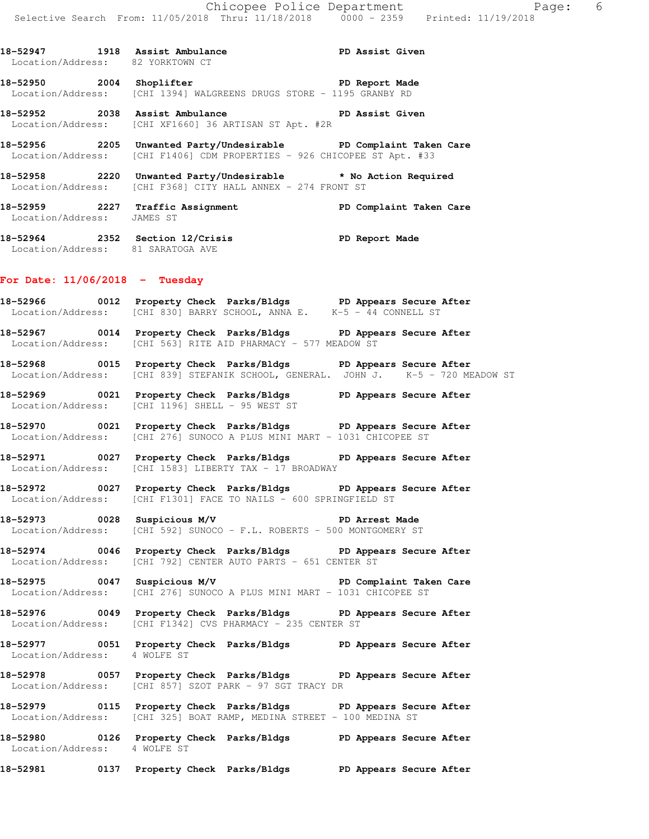18-52947 1918 Assist Ambulance **PD Assist Given** Location/Address: 82 YORKTOWN CT

**18-52950 2004 Shoplifter PD Report Made**  Location/Address: [CHI 1394] WALGREENS DRUGS STORE - 1195 GRANBY RD

**18-52952 2038 Assist Ambulance PD Assist Given**  Location/Address: [CHI XF1660] 36 ARTISAN ST Apt. #2R

**18-52956 2205 Unwanted Party/Undesirable PD Complaint Taken Care**  Location/Address: [CHI F1406] CDM PROPERTIES - 926 CHICOPEE ST Apt. #33

**18-52958 2220 Unwanted Party/Undesirable \* No Action Required**  Location/Address: [CHI F368] CITY HALL ANNEX - 274 FRONT ST

**18-52959 2227 Traffic Assignment PD Complaint Taken Care**  Location/Address: JAMES ST

**18-52964 2352 Section 12/Crisis PD Report Made**  Location/Address: 81 SARATOGA AVE

#### **For Date: 11/06/2018 - Tuesday**

**18-52966 0012 Property Check Parks/Bldgs PD Appears Secure After**  Location/Address: [CHI 830] BARRY SCHOOL, ANNA E. K-5 - 44 CONNELL ST

**18-52967 0014 Property Check Parks/Bldgs PD Appears Secure After**  Location/Address: [CHI 563] RITE AID PHARMACY - 577 MEADOW ST

**18-52968 0015 Property Check Parks/Bldgs PD Appears Secure After**  Location/Address: [CHI 839] STEFANIK SCHOOL, GENERAL. JOHN J. K-5 - 720 MEADOW ST

**18-52969 0021 Property Check Parks/Bldgs PD Appears Secure After**  Location/Address: [CHI 1196] SHELL - 95 WEST ST

**18-52970 0021 Property Check Parks/Bldgs PD Appears Secure After**  Location/Address: [CHI 276] SUNOCO A PLUS MINI MART - 1031 CHICOPEE ST

**18-52971 0027 Property Check Parks/Bldgs PD Appears Secure After**  Location/Address: [CHI 1583] LIBERTY TAX - 17 BROADWAY

**18-52972 0027 Property Check Parks/Bldgs PD Appears Secure After**  Location/Address: [CHI F1301] FACE TO NAILS - 600 SPRINGFIELD ST

**18-52973 0028 Suspicious M/V PD Arrest Made**  Location/Address: [CHI 592] SUNOCO - F.L. ROBERTS - 500 MONTGOMERY ST

**18-52974 0046 Property Check Parks/Bldgs PD Appears Secure After**  Location/Address: [CHI 792] CENTER AUTO PARTS - 651 CENTER ST

**18-52975 0047 Suspicious M/V PD Complaint Taken Care**  Location/Address: [CHI 276] SUNOCO A PLUS MINI MART - 1031 CHICOPEE ST

**18-52976 0049 Property Check Parks/Bldgs PD Appears Secure After**  Location/Address: [CHI F1342] CVS PHARMACY - 235 CENTER ST

**18-52977 0051 Property Check Parks/Bldgs PD Appears Secure After**  Location/Address: 4 WOLFE ST

**18-52978 0057 Property Check Parks/Bldgs PD Appears Secure After**  Location/Address: [CHI 857] SZOT PARK - 97 SGT TRACY DR

**18-52979 0115 Property Check Parks/Bldgs PD Appears Secure After**  Location/Address: [CHI 325] BOAT RAMP, MEDINA STREET - 100 MEDINA ST

**18-52980 0126 Property Check Parks/Bldgs PD Appears Secure After**  Location/Address: 4 WOLFE ST

**18-52981 0137 Property Check Parks/Bldgs PD Appears Secure After**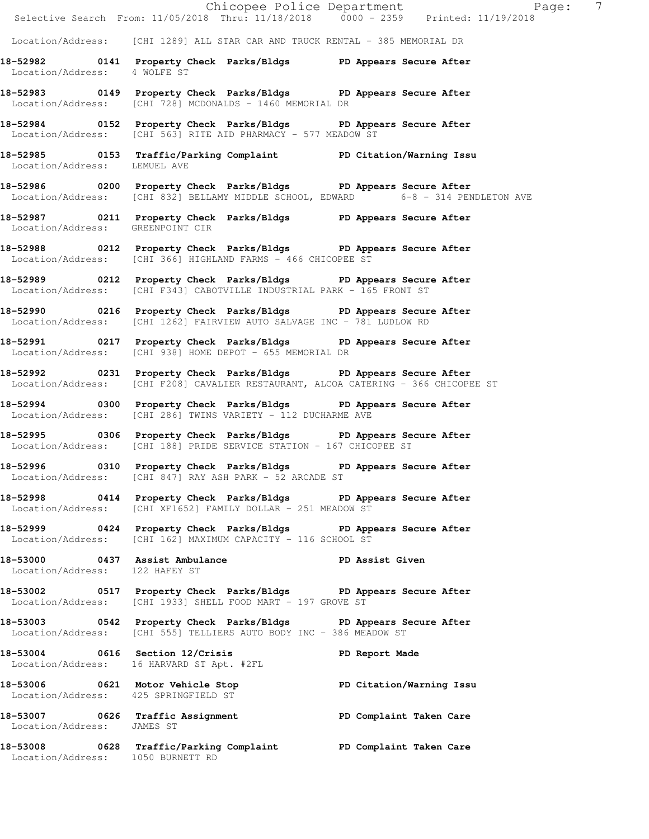|                                      | Chicopee Police Department<br>$\overline{7}$<br>Page:<br>Selective Search From: $11/05/2018$ Thru: $11/18/2018$ 0000 - 2359 Printed: $11/19/2018$      |  |
|--------------------------------------|--------------------------------------------------------------------------------------------------------------------------------------------------------|--|
|                                      | Location/Address: [CHI 1289] ALL STAR CAR AND TRUCK RENTAL - 385 MEMORIAL DR                                                                           |  |
| Location/Address: 4 WOLFE ST         | 18-52982 0141 Property Check Parks/Bldgs PD Appears Secure After                                                                                       |  |
|                                      | 18-52983 0149 Property Check Parks/Bldgs PD Appears Secure After<br>Location/Address: [CHI 728] MCDONALDS - 1460 MEMORIAL DR                           |  |
|                                      | 18-52984 0152 Property Check Parks/Bldgs PD Appears Secure After<br>Location/Address: [CHI 563] RITE AID PHARMACY - 577 MEADOW ST                      |  |
| Location/Address: LEMUEL AVE         | 18-52985 0153 Traffic/Parking Complaint PD Citation/Warning Issu                                                                                       |  |
|                                      | 18-52986 0200 Property Check Parks/Bldgs PD Appears Secure After<br>Location/Address: [CHI 832] BELLAMY MIDDLE SCHOOL, EDWARD 6-8 - 314 PENDLETON AVE  |  |
| Location/Address: GREENPOINT CIR     | 18-52987 0211 Property Check Parks/Bldgs PD Appears Secure After                                                                                       |  |
|                                      | 18-52988 0212 Property Check Parks/Bldgs PD Appears Secure After<br>Location/Address: [CHI 366] HIGHLAND FARMS - 466 CHICOPEE ST                       |  |
|                                      | 18-52989 0212 Property Check Parks/Bldgs PD Appears Secure After<br>Location/Address: [CHI F343] CABOTVILLE INDUSTRIAL PARK - 165 FRONT ST             |  |
|                                      | 18-52990 0216 Property Check Parks/Bldgs PD Appears Secure After<br>Location/Address: [CHI 1262] FAIRVIEW AUTO SALVAGE INC - 781 LUDLOW RD             |  |
|                                      | 18-52991 0217 Property Check Parks/Bldgs PD Appears Secure After<br>Location/Address: [CHI 938] HOME DEPOT - 655 MEMORIAL DR                           |  |
|                                      | 18-52992 0231 Property Check Parks/Bldgs PD Appears Secure After<br>Location/Address: [CHI F208] CAVALIER RESTAURANT, ALCOA CATERING - 366 CHICOPEE ST |  |
|                                      | 18-52994 0300 Property Check Parks/Bldgs PD Appears Secure After<br>Location/Address: [CHI 286] TWINS VARIETY - 112 DUCHARME AVE                       |  |
|                                      | 18-52995 0306 Property Check Parks/Bldgs PD Appears Secure After<br>Location/Address: [CHI 188] PRIDE SERVICE STATION - 167 CHICOPEE ST                |  |
|                                      | 18-52996 0310 Property Check Parks/Bldgs PD Appears Secure After<br>Location/Address: [CHI 847] RAY ASH PARK - 52 ARCADE ST                            |  |
|                                      | 18-52998 0414 Property Check Parks/Bldgs PD Appears Secure After<br>Location/Address: [CHI XF1652] FAMILY DOLLAR - 251 MEADOW ST                       |  |
|                                      | 18-52999 0424 Property Check Parks/Bldgs PD Appears Secure After<br>Location/Address: [CHI 162] MAXIMUM CAPACITY - 116 SCHOOL ST                       |  |
| Location/Address: 122 HAFEY ST       | 18-53000 0437 Assist Ambulance New PD Assist Given                                                                                                     |  |
|                                      | 18-53002 0517 Property Check Parks/Bldgs PD Appears Secure After<br>Location/Address: [CHI 1933] SHELL FOOD MART - 197 GROVE ST                        |  |
|                                      | 18-53003 0542 Property Check Parks/Bldgs PD Appears Secure After<br>Location/Address: [CHI 555] TELLIERS AUTO BODY INC - 386 MEADOW ST                 |  |
|                                      | 18-53004 0616 Section 12/Crisis<br>PD Report Made<br>Location/Address: 16 HARVARD ST Apt. #2FL                                                         |  |
| Location/Address: 425 SPRINGFIELD ST | 18-53006 0621 Motor Vehicle Stop PD Citation/Warning Issu<br>Location/Address: 425 SPRINCEIEID ST                                                      |  |
| Location/Address: JAMES ST           | 18-53007 0626 Traffic Assignment New PD Complaint Taken Care                                                                                           |  |
| Location/Address: 1050 BURNETT RD    | 18-53008 0628 Traffic/Parking Complaint PD Complaint Taken Care                                                                                        |  |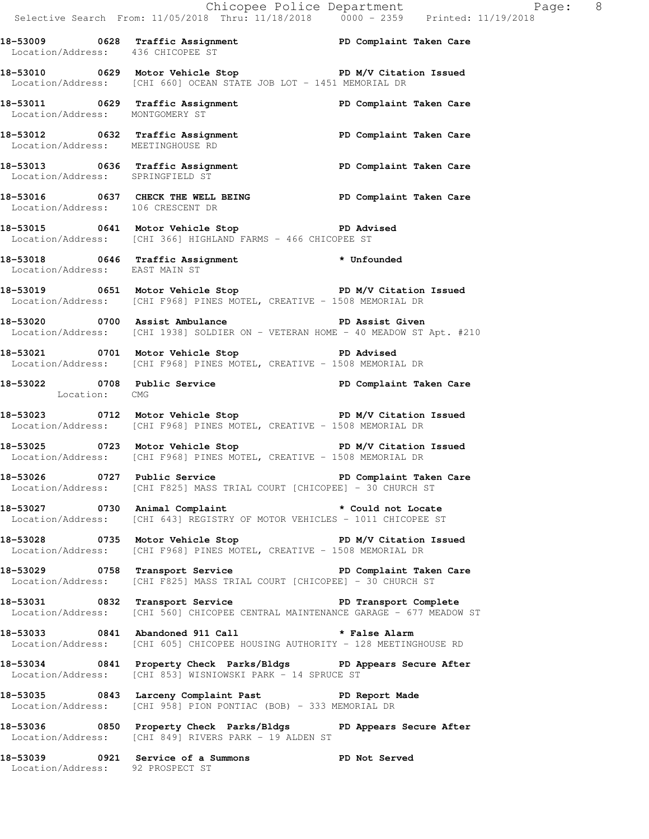|                                   | Chicopee Police Department                                                                                                                                                                                                 |                        |
|-----------------------------------|----------------------------------------------------------------------------------------------------------------------------------------------------------------------------------------------------------------------------|------------------------|
|                                   | Selective Search From: 11/05/2018 Thru: 11/18/2018  0000 - 2359  Printed: 11/19/2018<br>18-53009 0628 Traffic Assignment PD Complaint Taken Care<br>Location/Address: 436 CHICOPEE ST<br>Location/Address: 436 CHICOPEE ST |                        |
|                                   | 18-53010 0629 Motor Vehicle Stop North PD M/V Citation Issued<br>Location/Address: [CHI 660] OCEAN STATE JOB LOT - 1451 MEMORIAL DR                                                                                        |                        |
|                                   | 18-53011 0629 Traffic Assignment PD Complaint Taken Care<br>Location/Address: MONTGOMERY ST                                                                                                                                |                        |
| Location/Address: MEETINGHOUSE RD | 18-53012 0632 Traffic Assignment New PD Complaint Taken Care                                                                                                                                                               |                        |
| Location/Address: SPRINGFIELD ST  | 18-53013 0636 Traffic Assignment New PD Complaint Taken Care                                                                                                                                                               |                        |
| Location/Address: 106 CRESCENT DR | 18-53016 0637 CHECK THE WELL BEING PD Complaint Taken Care                                                                                                                                                                 |                        |
|                                   | 18-53015 0641 Motor Vehicle Stop 30 PD Advised<br>Location/Address: [CHI 366] HIGHLAND FARMS - 466 CHICOPEE ST                                                                                                             |                        |
| Location/Address: EAST MAIN ST    | 18-53018 0646 Traffic Assignment * Unfounded                                                                                                                                                                               |                        |
|                                   | 18-53019 0651 Motor Vehicle Stop N/V Citation Issued<br>Location/Address: [CHI F968] PINES MOTEL, CREATIVE - 1508 MEMORIAL DR                                                                                              |                        |
|                                   | 18-53020 0700 Assist Ambulance New PD Assist Given<br>Location/Address: [CHI 1938] SOLDIER ON - VETERAN HOME - 40 MEADOW ST Apt. #210                                                                                      |                        |
|                                   | 18-53021 0701 Motor Vehicle Stop PD Advised<br>Location/Address: [CHI F968] PINES MOTEL, CREATIVE - 1508 MEMORIAL DR                                                                                                       |                        |
| Location: CMG                     | 18-53022 0708 Public Service 20 PD Complaint Taken Care                                                                                                                                                                    |                        |
|                                   | 18-53023 0712 Motor Vehicle Stop N/V Citation Issued<br>Location/Address: [CHI F968] PINES MOTEL, CREATIVE - 1508 MEMORIAL DR                                                                                              |                        |
|                                   | 18-53025 0723 Motor Vehicle Stop 50 PD M/V Citation Issued<br>Location/Address: [CHI F968] PINES MOTEL, CREATIVE - 1508 MEMORIAL DR                                                                                        |                        |
|                                   | Location/Address: [CHI F825] MASS TRIAL COURT [CHICOPEE] - 30 CHURCH ST                                                                                                                                                    |                        |
|                                   | 18-53027 0730 Animal Complaint * Could not Locate<br>Location/Address: [CHI 643] REGISTRY OF MOTOR VEHICLES - 1011 CHICOPEE ST                                                                                             |                        |
|                                   | 18-53028 0735 Motor Vehicle Stop<br>Location/Address: [CHI F968] PINES MOTEL, CREATIVE - 1508 MEMORIAL DR                                                                                                                  | PD M/V Citation Issued |
|                                   | 18-53029 0758 Transport Service New PD Complaint Taken Care<br>Location/Address: [CHI F825] MASS TRIAL COURT [CHICOPEE] - 30 CHURCH ST                                                                                     |                        |
|                                   | 18-53031 0832 Transport Service New PD Transport Complete<br>Location/Address: [CHI 560] CHICOPEE CENTRAL MAINTENANCE GARAGE - 677 MEADOW ST                                                                               |                        |
|                                   | 18-53033 0841 Abandoned 911 Call <b>*</b> False Alarm<br>Location/Address: [CHI 605] CHICOPEE HOUSING AUTHORITY - 128 MEETINGHOUSE RD                                                                                      |                        |
| Location/Address:                 | 18-53034 0841 Property Check Parks/Bldgs PD Appears Secure After<br>[CHI 853] WISNIOWSKI PARK - 14 SPRUCE ST                                                                                                               |                        |
|                                   | 18-53035 0843 Larceny Complaint Past PD Report Made<br>Location/Address: [CHI 958] PION PONTIAC (BOB) - 333 MEMORIAL DR                                                                                                    |                        |
|                                   | 18-53036 0850 Property Check Parks/Bldgs PD Appears Secure After                                                                                                                                                           |                        |

Location/Address: [CHI 849] RIVERS PARK - 19 ALDEN ST **18-53039 0921 Service of a Summons PD Not Served** 

Location/Address: 92 PROSPECT ST

Page:  $8$ <br>018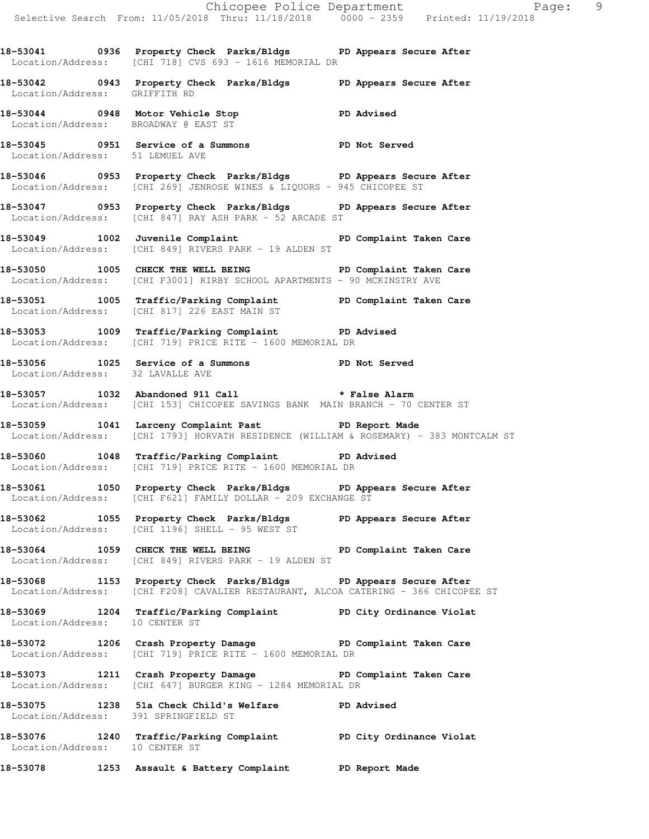**18-53041 0936 Property Check Parks/Bldgs PD Appears Secure After**  Location/Address: [CHI 718] CVS 693 - 1616 MEMORIAL DR

**18-53042 0943 Property Check Parks/Bldgs PD Appears Secure After**  Location/Address: GRIFFITH RD

**18-53044 0948 Motor Vehicle Stop PD Advised**  Location/Address: BROADWAY @ EAST ST

**18-53045 0951 Service of a Summons PD Not Served**  Location/Address: 51 LEMUEL AVE

**18-53046 0953 Property Check Parks/Bldgs PD Appears Secure After**  Location/Address: [CHI 269] JENROSE WINES & LIQUORS - 945 CHICOPEE ST

**18-53047 0953 Property Check Parks/Bldgs PD Appears Secure After**  Location/Address: [CHI 847] RAY ASH PARK - 52 ARCADE ST

**18-53049 1002 Juvenile Complaint PD Complaint Taken Care**  Location/Address: [CHI 849] RIVERS PARK - 19 ALDEN ST

**18-53050 1005 CHECK THE WELL BEING PD Complaint Taken Care**  Location/Address: [CHI F3001] KIRBY SCHOOL APARTMENTS - 90 MCKINSTRY AVE

**18-53051 1005 Traffic/Parking Complaint PD Complaint Taken Care**  Location/Address: [CHI 817] 226 EAST MAIN ST

**18-53053 1009 Traffic/Parking Complaint PD Advised**  Location/Address: [CHI 719] PRICE RITE - 1600 MEMORIAL DR

**18-53056 1025 Service of a Summons PD Not Served**  Location/Address: 32 LAVALLE AVE

**18-53057 1032 Abandoned 911 Call \* False Alarm**  Location/Address: [CHI 153] CHICOPEE SAVINGS BANK MAIN BRANCH - 70 CENTER ST

18-53059 1041 Larceny Complaint Past **PD** Report Made Location/Address: [CHI 1793] HORVATH RESIDENCE (WILLIAM & ROSEMARY) - 383 MONTCALM ST

**18-53060 1048 Traffic/Parking Complaint PD Advised**  Location/Address: [CHI 719] PRICE RITE - 1600 MEMORIAL DR

**18-53061 1050 Property Check Parks/Bldgs PD Appears Secure After**  Location/Address: [CHI F621] FAMILY DOLLAR - 209 EXCHANGE ST

**18-53062 1055 Property Check Parks/Bldgs PD Appears Secure After**  Location/Address: [CHI 1196] SHELL - 95 WEST ST

**18-53064 1059 CHECK THE WELL BEING PD Complaint Taken Care**  Location/Address: [CHI 849] RIVERS PARK - 19 ALDEN ST

**18-53068 1153 Property Check Parks/Bldgs PD Appears Secure After**  Location/Address: [CHI F208] CAVALIER RESTAURANT, ALCOA CATERING - 366 CHICOPEE ST

**18-53069 1204 Traffic/Parking Complaint PD City Ordinance Violat**  Location/Address: 10 CENTER ST

**18-53072 1206 Crash Property Damage PD Complaint Taken Care**  Location/Address: [CHI 719] PRICE RITE - 1600 MEMORIAL DR

18-53073 1211 Crash Property Damage **PD Complaint Taken Care** Location/Address: [CHI 647] BURGER KING - 1284 MEMORIAL DR

**18-53075 1238 51a Check Child's Welfare PD Advised**  Location/Address: 391 SPRINGFIELD ST

**18-53076 1240 Traffic/Parking Complaint PD City Ordinance Violat**  Location/Address: 10 CENTER ST

**18-53078 1253 Assault & Battery Complaint PD Report Made**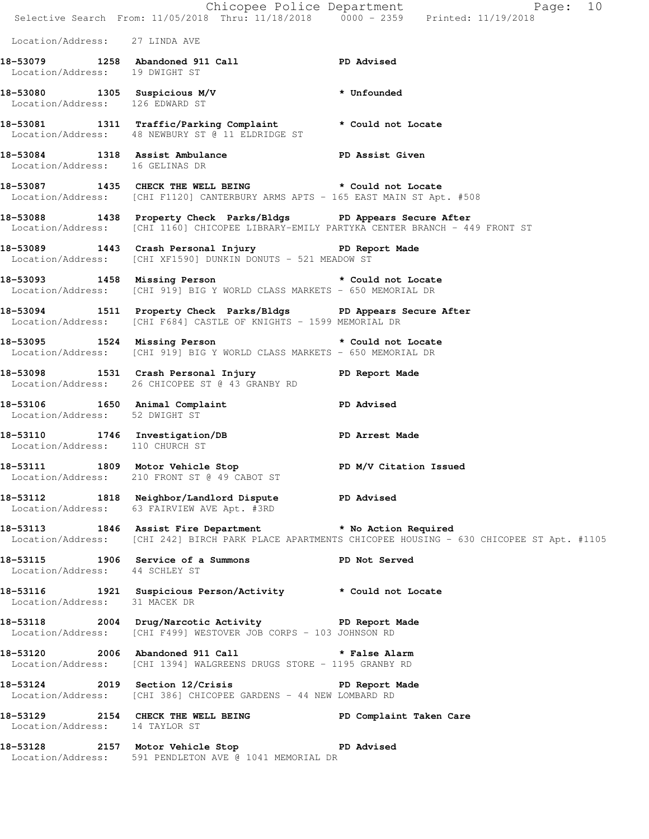|                                 | Chicopee Police Department<br>Selective Search From: 11/05/2018 Thru: 11/18/2018 0000 - 2359 Printed: 11/19/2018                                                                                      | Page: 10                                                                                              |
|---------------------------------|-------------------------------------------------------------------------------------------------------------------------------------------------------------------------------------------------------|-------------------------------------------------------------------------------------------------------|
| Location/Address: 27 LINDA AVE  |                                                                                                                                                                                                       |                                                                                                       |
| Location/Address: 19 DWIGHT ST  | 18-53079 1258 Abandoned 911 Call <b>PD</b> Advised                                                                                                                                                    |                                                                                                       |
| Location/Address: 126 EDWARD ST | 18-53080 1305 Suspicious M/V * Unfounded                                                                                                                                                              |                                                                                                       |
|                                 | 18-53081 1311 Traffic/Parking Complaint * Could not Locate<br>Location/Address: 48 NEWBURY ST @ 11 ELDRIDGE ST                                                                                        |                                                                                                       |
| Location/Address: 16 GELINAS DR | 18-53084 1318 Assist Ambulance New PD Assist Given                                                                                                                                                    |                                                                                                       |
|                                 | 18-53087 1435 CHECK THE WELL BEING * Could not Locate<br>Location/Address: [CHI F1120] CANTERBURY ARMS APTS - 165 EAST MAIN ST Apt. #508                                                              |                                                                                                       |
|                                 | 18-53088 1438 Property Check Parks/Bldgs PD Appears Secure After<br>Location/Address: [CHI 1160] CHICOPEE LIBRARY-EMILY PARTYKA CENTER BRANCH - 449 FRONT ST                                          |                                                                                                       |
|                                 | 18-53089 1443 Crash Personal Injury 18-53089<br>Location/Address: [CHI XF1590] DUNKIN DONUTS - 521 MEADOW ST                                                                                          |                                                                                                       |
|                                 | 18-53093 1458 Missing Person <b>but a set of the STAR SET AT A STAR</b> SOLID METAL AND METAL<br>Location/Address: [CHI 919] BIG Y WORLD CLASS MARKETS - 650 MEMORIAL DR                              |                                                                                                       |
|                                 | 18-53094 1511 Property Check Parks/Bldgs PD Appears Secure After<br>Location/Address: [CHI F684] CASTLE OF KNIGHTS - 1599 MEMORIAL DR                                                                 |                                                                                                       |
|                                 | 18-53095 1524 Missing Person <b>1524</b> Missing Person <b>1524</b> Missing Person 1524 Missing Person 1524 Missing Person<br>Location/Address: [CHI 919] BIG Y WORLD CLASS MARKETS - 650 MEMORIAL DR |                                                                                                       |
|                                 | 18-53098 1531 Crash Personal Injury 18-53098 PD Report Made<br>Location/Address: 26 CHICOPEE ST @ 43 GRANBY RD                                                                                        |                                                                                                       |
| Location/Address: 52 DWIGHT ST  | 18-53106 1650 Animal Complaint PD Advised                                                                                                                                                             |                                                                                                       |
| Location/Address: 110 CHURCH ST | 18-53110 1746 Investigation/DB PD Arrest Made                                                                                                                                                         |                                                                                                       |
|                                 | 18-53111 1809 Motor Vehicle Stop 50 PD M/V Citation Issued<br>Location/Address: 210 FRONT ST @ 49 CABOT ST                                                                                            |                                                                                                       |
|                                 | 18-53112 1818 Neighbor/Landlord Dispute PD Advised<br>Location/Address: 63 FAIRVIEW AVE Apt. #3RD                                                                                                     |                                                                                                       |
|                                 | 18-53113 1846 Assist Fire Department * No Action Required                                                                                                                                             | Location/Address: [CHI 242] BIRCH PARK PLACE APARTMENTS CHICOPEE HOUSING - 630 CHICOPEE ST Apt. #1105 |
| Location/Address: 44 SCHLEY ST  | 18-53115 1906 Service of a Summons PD Not Served                                                                                                                                                      |                                                                                                       |
|                                 | 18-53116   1921   Suspicious Person/Activity   * Could not Locate Location/Address: 31 MACEK DR                                                                                                       |                                                                                                       |
|                                 | 18-53118 2004 Drug/Narcotic Activity PD Report Made<br>Location/Address: [CHI F499] WESTOVER JOB CORPS - 103 JOHNSON RD                                                                               |                                                                                                       |
|                                 | 18-53120 2006 Abandoned 911 Call 2008 * False Alarm<br>Location/Address: [CHI 1394] WALGREENS DRUGS STORE - 1195 GRANBY RD                                                                            |                                                                                                       |
|                                 | 18-53124 2019 Section 12/Crisis PD Report Made<br>Location/Address: [CHI 386] CHICOPEE GARDENS - 44 NEW LOMBARD RD                                                                                    |                                                                                                       |
| Location/Address: 14 TAYLOR ST  | 18-53129 2154 CHECK THE WELL BEING PD Complaint Taken Care                                                                                                                                            |                                                                                                       |
|                                 | 18-53128 2157 Motor Vehicle Stop PD Advised<br>Location/Address: 591 PENDLETON AVE @ 1041 MEMORIAL DR                                                                                                 |                                                                                                       |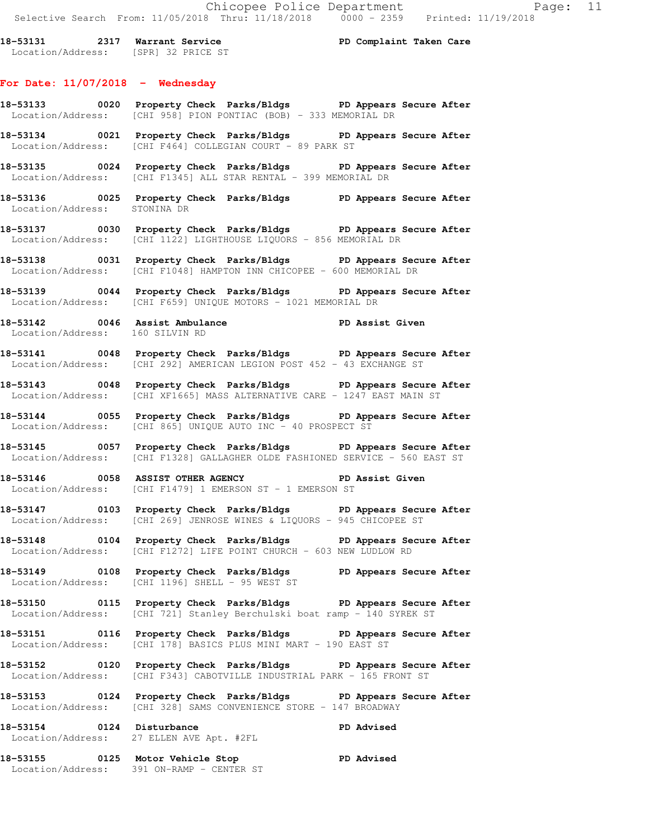**18-53131 2317 Warrant Service PD Complaint Taken Care**  Location/Address: [SPR] 32 PRICE ST

## **For Date: 11/07/2018 - Wednesday**

- **18-53133 0020 Property Check Parks/Bldgs PD Appears Secure After**  Location/Address: [CHI 958] PION PONTIAC (BOB) - 333 MEMORIAL DR
- **18-53134 0021 Property Check Parks/Bldgs PD Appears Secure After**  Location/Address: [CHI F464] COLLEGIAN COURT - 89 PARK ST
- **18-53135 0024 Property Check Parks/Bldgs PD Appears Secure After**  Location/Address: [CHI F1345] ALL STAR RENTAL - 399 MEMORIAL DR
- **18-53136 0025 Property Check Parks/Bldgs PD Appears Secure After**  Location/Address: STONINA DR
- **18-53137 0030 Property Check Parks/Bldgs PD Appears Secure After**  Location/Address: [CHI 1122] LIGHTHOUSE LIQUORS - 856 MEMORIAL DR
- **18-53138 0031 Property Check Parks/Bldgs PD Appears Secure After**  Location/Address: [CHI F1048] HAMPTON INN CHICOPEE - 600 MEMORIAL DR
- **18-53139 0044 Property Check Parks/Bldgs PD Appears Secure After**  Location/Address: [CHI F659] UNIQUE MOTORS - 1021 MEMORIAL DR
- **18-53142 0046 Assist Ambulance PD Assist Given**  Location/Address: 160 SILVIN RD
- **18-53141 0048 Property Check Parks/Bldgs PD Appears Secure After**  Location/Address: [CHI 292] AMERICAN LEGION POST 452 - 43 EXCHANGE ST
- **18-53143 0048 Property Check Parks/Bldgs PD Appears Secure After**  Location/Address: [CHI XF1665] MASS ALTERNATIVE CARE - 1247 EAST MAIN ST
- **18-53144 0055 Property Check Parks/Bldgs PD Appears Secure After**  Location/Address: [CHI 865] UNIQUE AUTO INC - 40 PROSPECT ST
- **18-53145 0057 Property Check Parks/Bldgs PD Appears Secure After**  Location/Address: [CHI F1328] GALLAGHER OLDE FASHIONED SERVICE - 560 EAST ST
- **18-53146 0058 ASSIST OTHER AGENCY PD Assist Given**  Location/Address: [CHI F1479] 1 EMERSON ST - 1 EMERSON ST
- **18-53147 0103 Property Check Parks/Bldgs PD Appears Secure After**  Location/Address: [CHI 269] JENROSE WINES & LIQUORS - 945 CHICOPEE ST
- **18-53148 0104 Property Check Parks/Bldgs PD Appears Secure After**  Location/Address: [CHI F1272] LIFE POINT CHURCH - 603 NEW LUDLOW RD
- **18-53149 0108 Property Check Parks/Bldgs PD Appears Secure After**  Location/Address: [CHI 1196] SHELL - 95 WEST ST
- **18-53150 0115 Property Check Parks/Bldgs PD Appears Secure After**  Location/Address: [CHI 721] Stanley Berchulski boat ramp - 140 SYREK ST
- **18-53151 0116 Property Check Parks/Bldgs PD Appears Secure After**  Location/Address: [CHI 178] BASICS PLUS MINI MART - 190 EAST ST
- **18-53152 0120 Property Check Parks/Bldgs PD Appears Secure After**  Location/Address: [CHI F343] CABOTVILLE INDUSTRIAL PARK - 165 FRONT ST
- **18-53153 0124 Property Check Parks/Bldgs PD Appears Secure After**  Location/Address: [CHI 328] SAMS CONVENIENCE STORE - 147 BROADWAY
- 18-53154 0124 Disturbance **PD** Advised Location/Address: 27 ELLEN AVE Apt. #2FL
- **18-53155 0125 Motor Vehicle Stop PD Advised**  Location/Address: 391 ON-RAMP - CENTER ST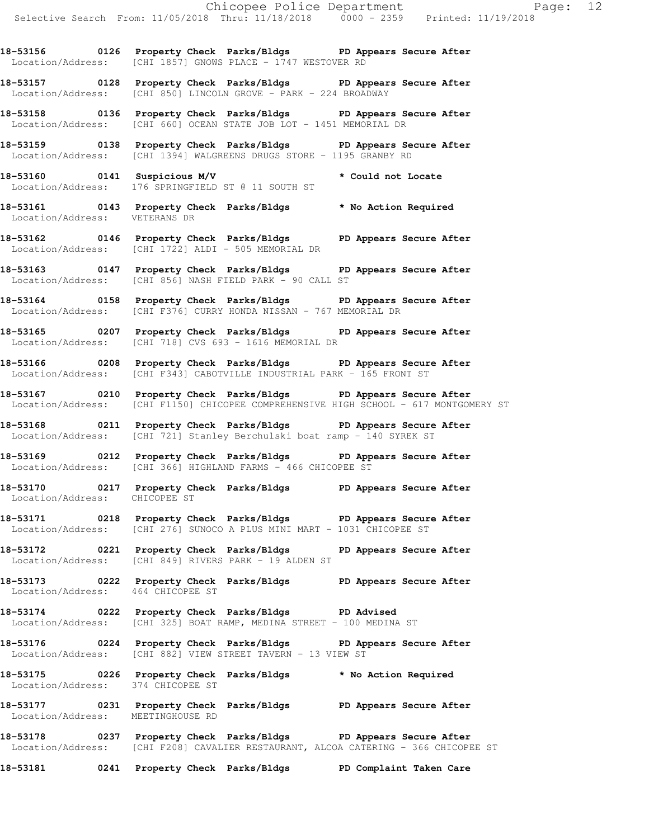**18-53156 0126 Property Check Parks/Bldgs PD Appears Secure After**  Location/Address: [CHI 1857] GNOWS PLACE - 1747 WESTOVER RD

**18-53157 0128 Property Check Parks/Bldgs PD Appears Secure After**  Location/Address: [CHI 850] LINCOLN GROVE - PARK - 224 BROADWAY

**18-53158 0136 Property Check Parks/Bldgs PD Appears Secure After**  Location/Address: [CHI 660] OCEAN STATE JOB LOT - 1451 MEMORIAL DR

**18-53159 0138 Property Check Parks/Bldgs PD Appears Secure After**  Location/Address: [CHI 1394] WALGREENS DRUGS STORE - 1195 GRANBY RD

**18-53160 0141 Suspicious M/V \* Could not Locate**  Location/Address: 176 SPRINGFIELD ST @ 11 SOUTH ST

**18-53161 0143 Property Check Parks/Bldgs \* No Action Required**  Location/Address: VETERANS DR

**18-53162 0146 Property Check Parks/Bldgs PD Appears Secure After**  Location/Address: [CHI 1722] ALDI - 505 MEMORIAL DR

**18-53163 0147 Property Check Parks/Bldgs PD Appears Secure After**  Location/Address: [CHI 856] NASH FIELD PARK - 90 CALL ST

**18-53164 0158 Property Check Parks/Bldgs PD Appears Secure After**  Location/Address: [CHI F376] CURRY HONDA NISSAN - 767 MEMORIAL DR

**18-53165 0207 Property Check Parks/Bldgs PD Appears Secure After**  Location/Address: [CHI 718] CVS 693 - 1616 MEMORIAL DR

**18-53166 0208 Property Check Parks/Bldgs PD Appears Secure After**  Location/Address: [CHI F343] CABOTVILLE INDUSTRIAL PARK - 165 FRONT ST

**18-53167 0210 Property Check Parks/Bldgs PD Appears Secure After**  Location/Address: [CHI F1150] CHICOPEE COMPREHENSIVE HIGH SCHOOL - 617 MONTGOMERY ST

**18-53168 0211 Property Check Parks/Bldgs PD Appears Secure After**  Location/Address: [CHI 721] Stanley Berchulski boat ramp - 140 SYREK ST

**18-53169 0212 Property Check Parks/Bldgs PD Appears Secure After**  Location/Address: [CHI 366] HIGHLAND FARMS - 466 CHICOPEE ST

**18-53170 0217 Property Check Parks/Bldgs PD Appears Secure After**  Location/Address: CHICOPEE ST

**18-53171 0218 Property Check Parks/Bldgs PD Appears Secure After**  Location/Address: [CHI 276] SUNOCO A PLUS MINI MART - 1031 CHICOPEE ST

**18-53172 0221 Property Check Parks/Bldgs PD Appears Secure After**  Location/Address: [CHI 849] RIVERS PARK - 19 ALDEN ST

**18-53173 0222 Property Check Parks/Bldgs PD Appears Secure After**  Location/Address: 464 CHICOPEE ST

**18-53174 0222 Property Check Parks/Bldgs PD Advised**  Location/Address: [CHI 325] BOAT RAMP, MEDINA STREET - 100 MEDINA ST

**18-53176 0224 Property Check Parks/Bldgs PD Appears Secure After**  Location/Address: [CHI 882] VIEW STREET TAVERN - 13 VIEW ST

**18-53175 0226 Property Check Parks/Bldgs \* No Action Required**  Location/Address: 374 CHICOPEE ST

**18-53177 0231 Property Check Parks/Bldgs PD Appears Secure After**  Location/Address: MEETINGHOUSE RD

**18-53178 0237 Property Check Parks/Bldgs PD Appears Secure After**  Location/Address: [CHI F208] CAVALIER RESTAURANT, ALCOA CATERING - 366 CHICOPEE ST

**18-53181 0241 Property Check Parks/Bldgs PD Complaint Taken Care**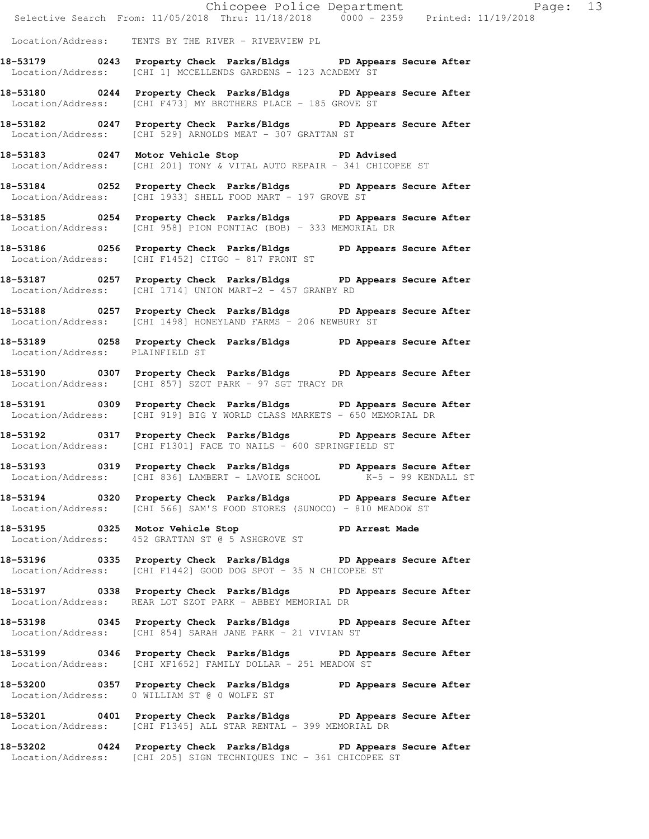Chicopee Police Department Page: 13 Selective Search From: 11/05/2018 Thru: 11/18/2018 0000 - 2359 Printed: 11/19/2018 Location/Address: TENTS BY THE RIVER - RIVERVIEW PL **18-53179 0243 Property Check Parks/Bldgs PD Appears Secure After**  Location/Address: [CHI 1] MCCELLENDS GARDENS - 123 ACADEMY ST **18-53180 0244 Property Check Parks/Bldgs PD Appears Secure After**  Location/Address: [CHI F473] MY BROTHERS PLACE - 185 GROVE ST **18-53182 0247 Property Check Parks/Bldgs PD Appears Secure After**  Location/Address: [CHI 529] ARNOLDS MEAT - 307 GRATTAN ST **18-53183 0247 Motor Vehicle Stop PD Advised**  Location/Address: [CHI 201] TONY & VITAL AUTO REPAIR - 341 CHICOPEE ST **18-53184 0252 Property Check Parks/Bldgs PD Appears Secure After**  Location/Address: [CHI 1933] SHELL FOOD MART - 197 GROVE ST **18-53185 0254 Property Check Parks/Bldgs PD Appears Secure After**  Location/Address: [CHI 958] PION PONTIAC (BOB) - 333 MEMORIAL DR **18-53186 0256 Property Check Parks/Bldgs PD Appears Secure After**  Location/Address: [CHI F1452] CITGO - 817 FRONT ST **18-53187 0257 Property Check Parks/Bldgs PD Appears Secure After**  Location/Address: [CHI 1714] UNION MART-2 - 457 GRANBY RD **18-53188 0257 Property Check Parks/Bldgs PD Appears Secure After**  Location/Address: [CHI 1498] HONEYLAND FARMS - 206 NEWBURY ST **18-53189 0258 Property Check Parks/Bldgs PD Appears Secure After**  Location/Address: PLAINFIELD ST **18-53190 0307 Property Check Parks/Bldgs PD Appears Secure After**  Location/Address: [CHI 857] SZOT PARK - 97 SGT TRACY DR **18-53191 0309 Property Check Parks/Bldgs PD Appears Secure After**  Location/Address: [CHI 919] BIG Y WORLD CLASS MARKETS - 650 MEMORIAL DR **18-53192 0317 Property Check Parks/Bldgs PD Appears Secure After**  Location/Address: [CHI F1301] FACE TO NAILS - 600 SPRINGFIELD ST **18-53193 0319 Property Check Parks/Bldgs PD Appears Secure After**  Location/Address: [CHI 836] LAMBERT - LAVOIE SCHOOL K-5 - 99 KENDALL ST **18-53194 0320 Property Check Parks/Bldgs PD Appears Secure After**  Location/Address: [CHI 566] SAM'S FOOD STORES (SUNOCO) - 810 MEADOW ST **18-53195 0325 Motor Vehicle Stop PD Arrest Made**  Location/Address: 452 GRATTAN ST @ 5 ASHGROVE ST **18-53196 0335 Property Check Parks/Bldgs PD Appears Secure After**  Location/Address: [CHI F1442] GOOD DOG SPOT - 35 N CHICOPEE ST **18-53197 0338 Property Check Parks/Bldgs PD Appears Secure After**  Location/Address: REAR LOT SZOT PARK - ABBEY MEMORIAL DR **18-53198 0345 Property Check Parks/Bldgs PD Appears Secure After**  Location/Address: [CHI 854] SARAH JANE PARK - 21 VIVIAN ST **18-53199 0346 Property Check Parks/Bldgs PD Appears Secure After**  Location/Address: [CHI XF1652] FAMILY DOLLAR - 251 MEADOW ST **18-53200 0357 Property Check Parks/Bldgs PD Appears Secure After**  Location/Address: 0 WILLIAM ST @ 0 WOLFE ST **18-53201 0401 Property Check Parks/Bldgs PD Appears Secure After**  Location/Address: [CHI F1345] ALL STAR RENTAL - 399 MEMORIAL DR **18-53202 0424 Property Check Parks/Bldgs PD Appears Secure After**  Location/Address: [CHI 205] SIGN TECHNIQUES INC - 361 CHICOPEE ST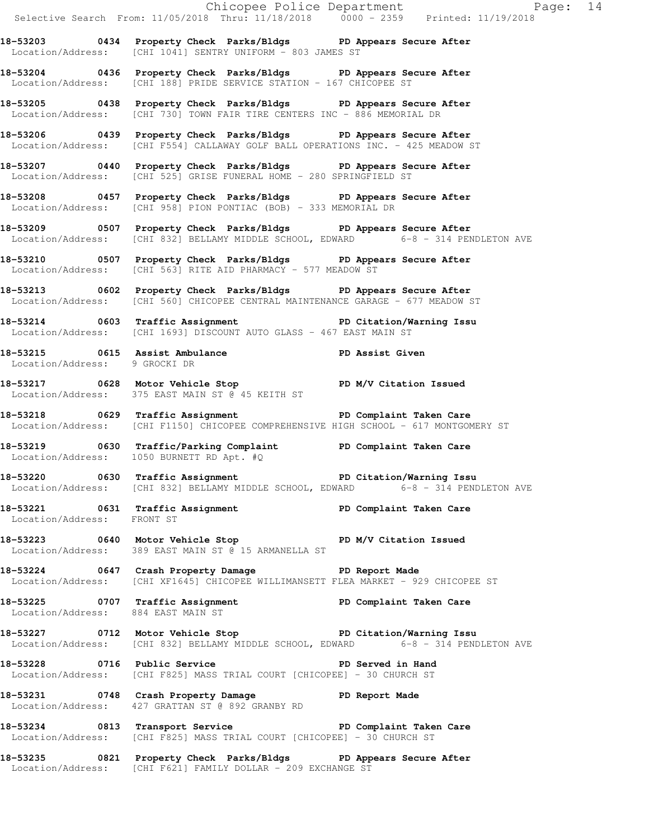Chicopee Police Department Fage: 14 Selective Search From: 11/05/2018 Thru: 11/18/2018 0000 - 2359 Printed: 11/19/2018 **18-53203 0434 Property Check Parks/Bldgs PD Appears Secure After**  Location/Address: [CHI 1041] SENTRY UNIFORM - 803 JAMES ST **18-53204 0436 Property Check Parks/Bldgs PD Appears Secure After**  Location/Address: [CHI 188] PRIDE SERVICE STATION - 167 CHICOPEE ST **18-53205 0438 Property Check Parks/Bldgs PD Appears Secure After**  Location/Address: [CHI 730] TOWN FAIR TIRE CENTERS INC - 886 MEMORIAL DR **18-53206 0439 Property Check Parks/Bldgs PD Appears Secure After**  Location/Address: [CHI F554] CALLAWAY GOLF BALL OPERATIONS INC. - 425 MEADOW ST **18-53207 0440 Property Check Parks/Bldgs PD Appears Secure After**  Location/Address: [CHI 525] GRISE FUNERAL HOME - 280 SPRINGFIELD ST **18-53208 0457 Property Check Parks/Bldgs PD Appears Secure After**  Location/Address: [CHI 958] PION PONTIAC (BOB) - 333 MEMORIAL DR **18-53209 0507 Property Check Parks/Bldgs PD Appears Secure After**  Location/Address: [CHI 832] BELLAMY MIDDLE SCHOOL, EDWARD 6-8 - 314 PENDLETON AVE **18-53210 0507 Property Check Parks/Bldgs PD Appears Secure After**  Location/Address: [CHI 563] RITE AID PHARMACY - 577 MEADOW ST **18-53213 0602 Property Check Parks/Bldgs PD Appears Secure After**  Location/Address: [CHI 560] CHICOPEE CENTRAL MAINTENANCE GARAGE - 677 MEADOW ST **18-53214 0603 Traffic Assignment PD Citation/Warning Issu**  Location/Address: [CHI 1693] DISCOUNT AUTO GLASS - 467 EAST MAIN ST 18-53215 0615 Assist Ambulance **PD Assist Given**  Location/Address: 9 GROCKI DR 18-53217 0628 Motor Vehicle Stop PD M/V Citation Issued Location/Address: 375 EAST MAIN ST @ 45 KEITH ST **18-53218 0629 Traffic Assignment PD Complaint Taken Care**  Location/Address: [CHI F1150] CHICOPEE COMPREHENSIVE HIGH SCHOOL - 617 MONTGOMERY ST **18-53219 0630 Traffic/Parking Complaint PD Complaint Taken Care**  Location/Address: 1050 BURNETT RD Apt. #Q **18-53220 0630 Traffic Assignment PD Citation/Warning Issu**  Location/Address: [CHI 832] BELLAMY MIDDLE SCHOOL, EDWARD 6-8 - 314 PENDLETON AVE **18-53221 0631 Traffic Assignment PD Complaint Taken Care**  Location/Address: FRONT ST **18-53223 0640 Motor Vehicle Stop PD M/V Citation Issued**  Location/Address: 389 EAST MAIN ST @ 15 ARMANELLA ST **18-53224 0647 Crash Property Damage PD Report Made**  Location/Address: [CHI XF1645] CHICOPEE WILLIMANSETT FLEA MARKET - 929 CHICOPEE ST **18-53225 0707 Traffic Assignment PD Complaint Taken Care**  Location/Address: 884 EAST MAIN ST **18-53227 0712 Motor Vehicle Stop PD Citation/Warning Issu**  Location/Address: [CHI 832] BELLAMY MIDDLE SCHOOL, EDWARD 6-8 - 314 PENDLETON AVE **18-53228 0716 Public Service PD Served in Hand**  Location/Address: [CHI F825] MASS TRIAL COURT [CHICOPEE] - 30 CHURCH ST **18-53231 0748 Crash Property Damage PD Report Made**  Location/Address: 427 GRATTAN ST @ 892 GRANBY RD **18-53234 0813 Transport Service PD Complaint Taken Care**  Location/Address: [CHI F825] MASS TRIAL COURT [CHICOPEE] - 30 CHURCH ST **18-53235 0821 Property Check Parks/Bldgs PD Appears Secure After**  Location/Address: [CHI F621] FAMILY DOLLAR - 209 EXCHANGE ST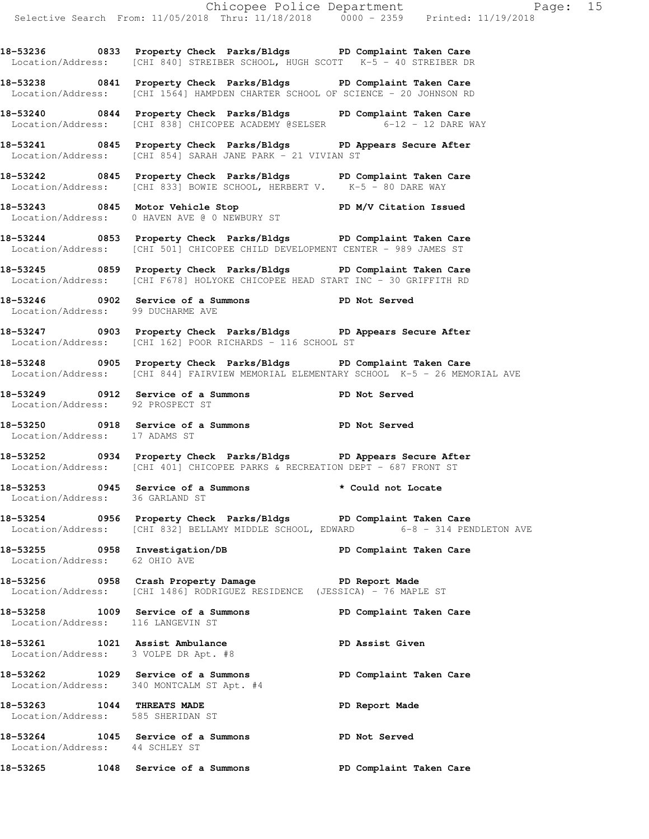**18-53236 0833 Property Check Parks/Bldgs PD Complaint Taken Care**  Location/Address: [CHI 840] STREIBER SCHOOL, HUGH SCOTT K-5 - 40 STREIBER DR

**18-53238 0841 Property Check Parks/Bldgs PD Complaint Taken Care**  Location/Address: [CHI 1564] HAMPDEN CHARTER SCHOOL OF SCIENCE - 20 JOHNSON RD

**18-53240 0844 Property Check Parks/Bldgs PD Complaint Taken Care**  Location/Address: [CHI 838] CHICOPEE ACADEMY @SELSER 6-12 - 12 DARE WAY

**18-53241 0845 Property Check Parks/Bldgs PD Appears Secure After**  Location/Address: [CHI 854] SARAH JANE PARK - 21 VIVIAN ST

**18-53242 0845 Property Check Parks/Bldgs PD Complaint Taken Care**  Location/Address: [CHI 833] BOWIE SCHOOL, HERBERT V. K-5 - 80 DARE WAY

**18-53243 0845 Motor Vehicle Stop PD M/V Citation Issued**  Location/Address: 0 HAVEN AVE @ 0 NEWBURY ST

**18-53244 0853 Property Check Parks/Bldgs PD Complaint Taken Care**  Location/Address: [CHI 501] CHICOPEE CHILD DEVELOPMENT CENTER - 989 JAMES ST

**18-53245 0859 Property Check Parks/Bldgs PD Complaint Taken Care**  Location/Address: [CHI F678] HOLYOKE CHICOPEE HEAD START INC - 30 GRIFFITH RD

**18-53246 0902 Service of a Summons PD Not Served**  Location/Address: 99 DUCHARME AVE

**18-53247 0903 Property Check Parks/Bldgs PD Appears Secure After**  Location/Address: [CHI 162] POOR RICHARDS - 116 SCHOOL ST

**18-53248 0905 Property Check Parks/Bldgs PD Complaint Taken Care**  Location/Address: [CHI 844] FAIRVIEW MEMORIAL ELEMENTARY SCHOOL K-5 - 26 MEMORIAL AVE

**18-53249 0912 Service of a Summons PD Not Served**  Location/Address: 92 PROSPECT ST

**18-53250 0918 Service of a Summons PD Not Served**  Location/Address: 17 ADAMS ST

**18-53252 0934 Property Check Parks/Bldgs PD Appears Secure After**  Location/Address: [CHI 401] CHICOPEE PARKS & RECREATION DEPT - 687 FRONT ST

**18-53253 0945 Service of a Summons \* Could not Locate**  Location/Address: 36 GARLAND ST

**18-53254 0956 Property Check Parks/Bldgs PD Complaint Taken Care**  Location/Address: [CHI 832] BELLAMY MIDDLE SCHOOL, EDWARD 6-8 - 314 PENDLETON AVE

**18-53255 0958 Investigation/DB PD Complaint Taken Care**  Location/Address: 62 OHIO AVE

**18-53256 0958 Crash Property Damage PD Report Made**  Location/Address: [CHI 1486] RODRIGUEZ RESIDENCE (JESSICA) - 76 MAPLE ST

**18-53258 1009 Service of a Summons PD Complaint Taken Care**  Location/Address: 116 LANGEVIN ST

**18-53261 1021 Assist Ambulance PD Assist Given**  Location/Address: 3 VOLPE DR Apt. #8

**18-53262 1029 Service of a Summons PD Complaint Taken Care**  Location/Address: 340 MONTCALM ST Apt. #4

18-53263 1044 THREATS MADE **PD** Report Made Location/Address: 585 SHERIDAN ST

**18-53264 1045 Service of a Summons PD Not Served**  Location/Address: 44 SCHLEY ST

**18-53265 1048 Service of a Summons PD Complaint Taken Care**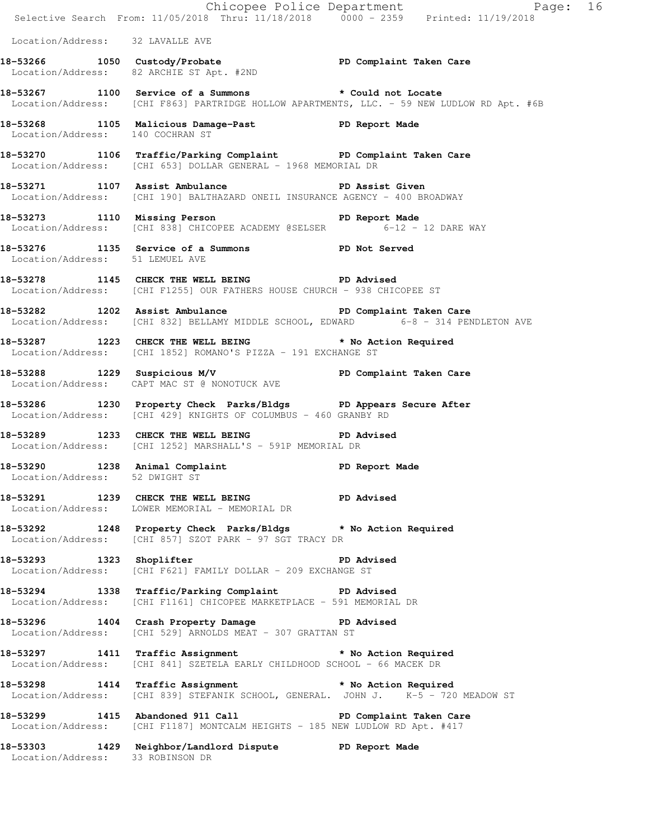|                                  |                                                                                                                                                 | Chicopee Police Department<br>Selective Search From: 11/05/2018 Thru: 11/18/2018 0000 - 2359 Printed: 11/19/2018 |
|----------------------------------|-------------------------------------------------------------------------------------------------------------------------------------------------|------------------------------------------------------------------------------------------------------------------|
| Location/Address: 32 LAVALLE AVE |                                                                                                                                                 |                                                                                                                  |
|                                  | 18-53266 1050 Custody/Probate PD Complaint Taken Care<br>Location/Address: 82 ARCHIE ST Apt. #2ND                                               |                                                                                                                  |
|                                  | 18-53267 1100 Service of a Summons * Could not Locate                                                                                           | Location/Address: [CHI F863] PARTRIDGE HOLLOW APARTMENTS, LLC. - 59 NEW LUDLOW RD Apt. #6B                       |
|                                  | 18-53268 1105 Malicious Damage-Past PD Report Made<br>Tocation/Address: 140 COCHRAN ST                                                          |                                                                                                                  |
|                                  | 18-53270 1106 Traffic/Parking Complaint PD Complaint Taken Care<br>Location/Address: [CHI 653] DOLLAR GENERAL - 1968 MEMORIAL DR                |                                                                                                                  |
|                                  | 18-53271 1107 Assist Ambulance New PD Assist Given<br>Location/Address: [CHI 190] BALTHAZARD ONEIL INSURANCE AGENCY - 400 BROADWAY              |                                                                                                                  |
|                                  | 18-53273 1110 Missing Person PD Report Made<br>Location/Address: [CHI 838] CHICOPEE ACADEMY @SELSER 6-12 - 12 DARE WAY                          |                                                                                                                  |
| Location/Address: 51 LEMUEL AVE  | 18-53276 1135 Service of a Summons PD Not Served                                                                                                |                                                                                                                  |
|                                  | 18-53278 1145 CHECK THE WELL BEING PD Advised<br>Location/Address: [CHI F1255] OUR FATHERS HOUSE CHURCH - 938 CHICOPEE ST                       |                                                                                                                  |
|                                  | 18-53282 1202 Assist Ambulance New PD Complaint Taken Care<br>Location/Address: [CHI 832] BELLAMY MIDDLE SCHOOL, EDWARD 6-8 - 314 PENDLETON AVE |                                                                                                                  |
|                                  | 18-53287 1223 CHECK THE WELL BEING * No Action Required<br>Location/Address: [CHI 1852] ROMANO'S PIZZA - 191 EXCHANGE ST                        |                                                                                                                  |
|                                  | 18-53288 1229 Suspicious M/V PD Complaint Taken Care<br>Location/Address: CAPT MAC ST @ NONOTUCK AVE                                            |                                                                                                                  |
|                                  | 18-53286 1230 Property Check Parks/Bldgs PD Appears Secure After<br>Location/Address: [CHI 429] KNIGHTS OF COLUMBUS - 460 GRANBY RD             |                                                                                                                  |
|                                  | 18-53289 1233 CHECK THE WELL BEING<br>Location/Address: [CHI 1252] MARSHALL'S - 591P MEMORIAL DR                                                | <b>PD Advised</b>                                                                                                |
| Location/Address: 52 DWIGHT ST   | 18-53290 1238 Animal Complaint PD Report Made                                                                                                   |                                                                                                                  |
|                                  | 18-53291 1239 CHECK THE WELL BEING PD Advised<br>Location/Address: LOWER MEMORIAL - MEMORIAL DR                                                 |                                                                                                                  |
|                                  | 18-53292 1248 Property Check Parks/Bldgs * No Action Required<br>Location/Address: [CHI 857] SZOT PARK - 97 SGT TRACY DR                        |                                                                                                                  |
| 18-53293 1323 Shoplifter         | Location/Address: [CHI F621] FAMILY DOLLAR - 209 EXCHANGE ST                                                                                    | PD Advised                                                                                                       |
|                                  | 18-53294 1338 Traffic/Parking Complaint PD Advised<br>Location/Address: [CHI F1161] CHICOPEE MARKETPLACE - 591 MEMORIAL DR                      |                                                                                                                  |
|                                  | 18-53296 1404 Crash Property Damage PD Advised<br>Location/Address: [CHI 529] ARNOLDS MEAT - 307 GRATTAN ST                                     |                                                                                                                  |
|                                  | 18-53297 1411 Traffic Assignment * No Action Required<br>Location/Address: [CHI 841] SZETELA EARLY CHILDHOOD SCHOOL - 66 MACEK DR               |                                                                                                                  |
|                                  | 18-53298 1414 Traffic Assignment * No Action Required<br>Location/Address: [CHI 839] STEFANIK SCHOOL, GENERAL. JOHN J. K-5 - 720 MEADOW ST      |                                                                                                                  |
|                                  | 18-53299 1415 Abandoned 911 Call New PD Complaint Taken Care<br>Location/Address: [CHI F1187] MONTCALM HEIGHTS - 185 NEW LUDLOW RD Apt. #417    |                                                                                                                  |
| Location/Address: 33 ROBINSON DR | 18-53303 1429 Neighbor/Landlord Dispute PD Report Made                                                                                          |                                                                                                                  |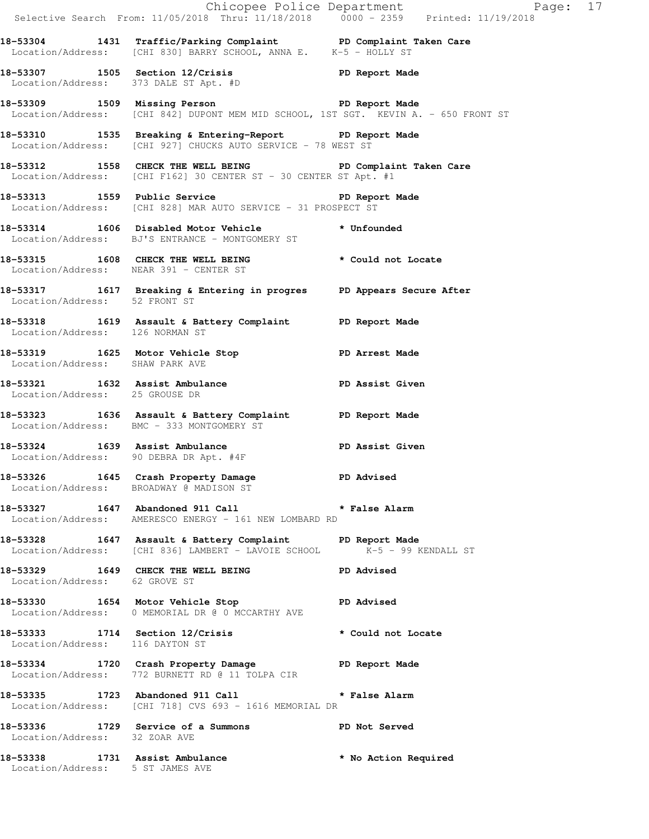|                                                                    |                                                                                                                                     | Chicopee Police Department<br>Selective Search From: 11/05/2018 Thru: 11/18/2018 0000 - 2359 Printed: 11/19/2018 |  |
|--------------------------------------------------------------------|-------------------------------------------------------------------------------------------------------------------------------------|------------------------------------------------------------------------------------------------------------------|--|
|                                                                    | 18-53304 1431 Traffic/Parking Complaint PD Complaint Taken Care<br>Location/Address: [CHI 830] BARRY SCHOOL, ANNA E. K-5 - HOLLY ST |                                                                                                                  |  |
|                                                                    | 18-53307 1505 Section 12/Crisis 20 PD Report Made<br>Location/Address: 373 DALE ST Apt. #D                                          |                                                                                                                  |  |
|                                                                    | 18-53309 1509 Missing Person PD Report Made<br>Location/Address: [CHI 842] DUPONT MEM MID SCHOOL, 1ST SGT. KEVIN A. - 650 FRONT ST  |                                                                                                                  |  |
|                                                                    | 18-53310 1535 Breaking & Entering-Report PD Report Made<br>Location/Address: [CHI 927] CHUCKS AUTO SERVICE - 78 WEST ST             |                                                                                                                  |  |
|                                                                    | 18-53312 1558 CHECK THE WELL BEING PD Complaint Taken Care<br>Location/Address: [CHI F162] 30 CENTER ST - 30 CENTER ST Apt. #1      |                                                                                                                  |  |
|                                                                    | 18-53313 1559 Public Service 20 PD Report Made<br>Location/Address: [CHI 828] MAR AUTO SERVICE - 31 PROSPECT ST                     |                                                                                                                  |  |
|                                                                    | 18-53314 1606 Disabled Motor Vehicle * Unfounded<br>Location/Address: BJ'S ENTRANCE - MONTGOMERY ST                                 |                                                                                                                  |  |
|                                                                    | 18-53315 1608 CHECK THE WELL BEING * Could not Locate<br>Location/Address: NEAR 391 - CENTER ST                                     |                                                                                                                  |  |
| Location/Address: 52 FRONT ST                                      | 18-53317 1617 Breaking & Entering in progres PD Appears Secure After                                                                |                                                                                                                  |  |
| Location/Address: 126 NORMAN ST                                    | 18-53318 1619 Assault & Battery Complaint PD Report Made                                                                            |                                                                                                                  |  |
| Location/Address: SHAW PARK AVE                                    | 18-53319 1625 Motor Vehicle Stop 18-53319                                                                                           |                                                                                                                  |  |
| Location/Address: 25 GROUSE DR                                     | 18-53321 1632 Assist Ambulance New PD Assist Given                                                                                  |                                                                                                                  |  |
|                                                                    | 18-53323 1636 Assault & Battery Complaint PD Report Made<br>Location/Address: BMC - 333 MONTGOMERY ST                               |                                                                                                                  |  |
|                                                                    | 18-53324 1639 Assist Ambulance<br>Location/Address: 90 DEBRA DR Apt. #4F                                                            | PD Assist Given                                                                                                  |  |
|                                                                    | 18-53326 1645 Crash Property Damage PD Advised<br>Location/Address: BROADWAY @ MADISON ST                                           |                                                                                                                  |  |
|                                                                    | 18-53327 1647 Abandoned 911 Call <b>*</b> False Alarm<br>Location/Address: AMERESCO ENERGY - 161 NEW LOMBARD RD                     |                                                                                                                  |  |
|                                                                    | 18-53328 1647 Assault & Battery Complaint PD Report Made<br>Location/Address: [CHI 836] LAMBERT - LAVOIE SCHOOL K-5 - 99 KENDALL ST |                                                                                                                  |  |
| Location/Address: 62 GROVE ST                                      | 18-53329 1649 CHECK THE WELL BEING PD Advised                                                                                       |                                                                                                                  |  |
|                                                                    | 18-53330 1654 Motor Vehicle Stop 50 PD Advised<br>Location/Address: 0 MEMORIAL DR @ 0 MCCARTHY AVE                                  |                                                                                                                  |  |
| Location/Address: 116 DAYTON ST                                    | 18-53333 1714 Section 12/Crisis * Could not Locate                                                                                  |                                                                                                                  |  |
|                                                                    | 18-53334 1720 Crash Property Damage PD Report Made<br>Location/Address: 772 BURNETT RD @ 11 TOLPA CIR                               |                                                                                                                  |  |
|                                                                    | 18-53335 1723 Abandoned 911 Call <b>*</b> False Alarm<br>Location/Address: [CHI 718] CVS 693 - 1616 MEMORIAL DR                     |                                                                                                                  |  |
|                                                                    | 18-53336 1729 Service of a Summons PD Not Served<br>Location/Address: 32 ZOAR AVE                                                   |                                                                                                                  |  |
| 18-53338 1731 Assist Ambulance<br>Location/Address: 5 ST JAMES AVE |                                                                                                                                     | * No Action Required                                                                                             |  |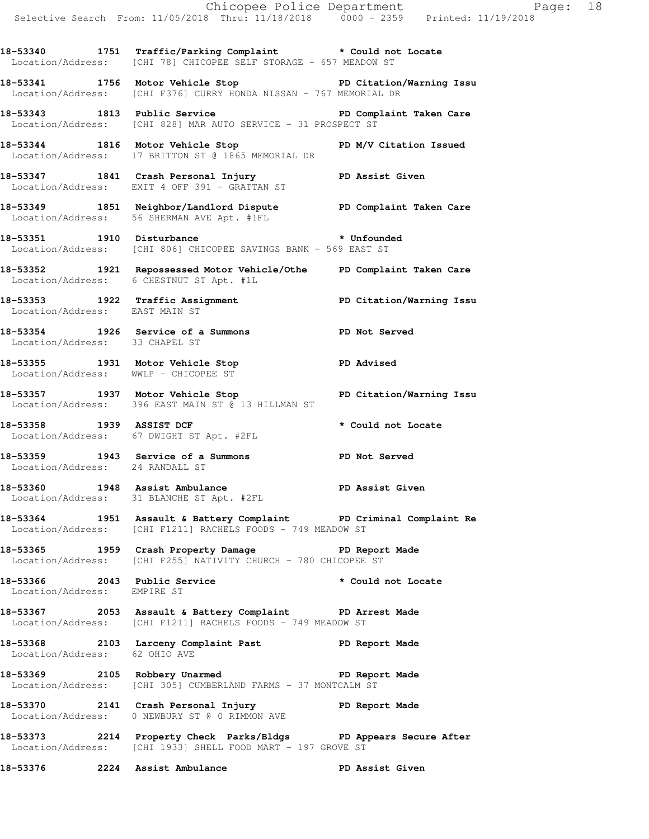**18-53340 1751 Traffic/Parking Complaint \* Could not Locate**  Location/Address: [CHI 78] CHICOPEE SELF STORAGE - 657 MEADOW ST

**18-53341 1756 Motor Vehicle Stop PD Citation/Warning Issu**  Location/Address: [CHI F376] CURRY HONDA NISSAN - 767 MEMORIAL DR

**18-53343 1813 Public Service PD Complaint Taken Care**  Location/Address: [CHI 828] MAR AUTO SERVICE - 31 PROSPECT ST

**18-53344 1816 Motor Vehicle Stop PD M/V Citation Issued**  Location/Address: 17 BRITTON ST @ 1865 MEMORIAL DR

**18-53347 1841 Crash Personal Injury PD Assist Given**  Location/Address: EXIT 4 OFF 391 - GRATTAN ST

**18-53349 1851 Neighbor/Landlord Dispute PD Complaint Taken Care**  Location/Address: 56 SHERMAN AVE Apt. #1FL

**18-53351 1910 Disturbance \* Unfounded**  Location/Address: [CHI 806] CHICOPEE SAVINGS BANK - 569 EAST ST

**18-53352 1921 Repossessed Motor Vehicle/Othe PD Complaint Taken Care**  Location/Address: 6 CHESTNUT ST Apt. #1L

**18-53353 1922 Traffic Assignment PD Citation/Warning Issu**  Location/Address: EAST MAIN ST

**18-53354 1926 Service of a Summons PD Not Served**  Location/Address: 33 CHAPEL ST

**18-53355 1931 Motor Vehicle Stop PD Advised**  Location/Address: WWLP - CHICOPEE ST

**18-53357 1937 Motor Vehicle Stop PD Citation/Warning Issu**  Location/Address: 396 EAST MAIN ST @ 13 HILLMAN ST

**18-53358 1939 ASSIST DCF \* Could not Locate**  Location/Address: 67 DWIGHT ST Apt. #2FL

**18-53359 1943 Service of a Summons PD Not Served**  Location/Address: 24 RANDALL ST

18-53360 1948 Assist Ambulance **PD Assist Given** Location/Address: 31 BLANCHE ST Apt. #2FL

**18-53364 1951 Assault & Battery Complaint PD Criminal Complaint Re**  Location/Address: [CHI F1211] RACHELS FOODS - 749 MEADOW ST

**18-53365 1959 Crash Property Damage PD Report Made**  Location/Address: [CHI F255] NATIVITY CHURCH - 780 CHICOPEE ST

**18-53366 2043 Public Service \* Could not Locate**  Location/Address: EMPIRE ST

**18-53367 2053 Assault & Battery Complaint PD Arrest Made**  Location/Address: [CHI F1211] RACHELS FOODS - 749 MEADOW ST

**18-53368 2103 Larceny Complaint Past PD Report Made**  Location/Address: 62 OHIO AVE

**18-53369 2105 Robbery Unarmed PD Report Made**  Location/Address: [CHI 305] CUMBERLAND FARMS - 37 MONTCALM ST

**18-53370 2141 Crash Personal Injury PD Report Made**  Location/Address: 0 NEWBURY ST @ 0 RIMMON AVE

**18-53373 2214 Property Check Parks/Bldgs PD Appears Secure After**  Location/Address: [CHI 1933] SHELL FOOD MART - 197 GROVE ST

**18-53376 2224 Assist Ambulance PD Assist Given**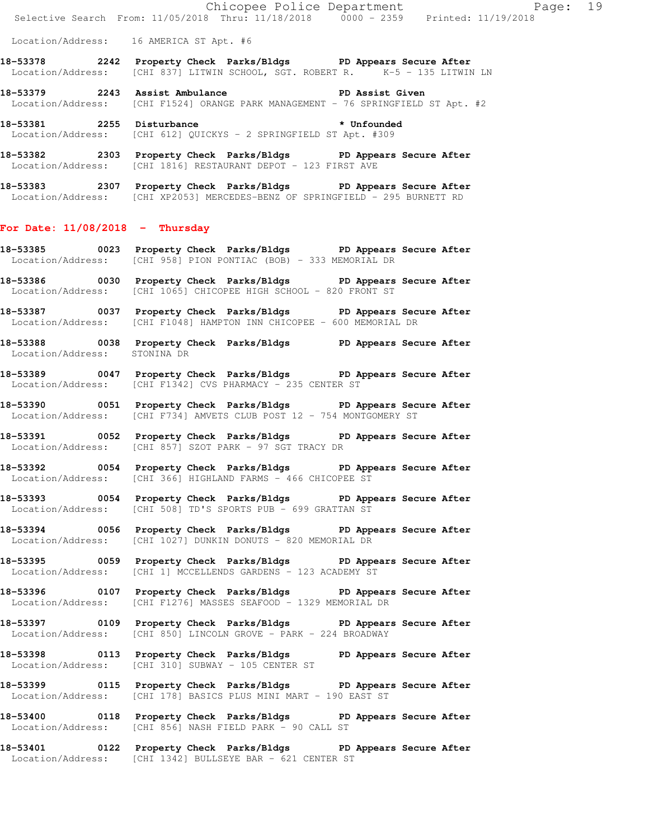Location/Address: 16 AMERICA ST Apt. #6

- **18-53378 2242 Property Check Parks/Bldgs PD Appears Secure After**  Location/Address: [CHI 837] LITWIN SCHOOL, SGT. ROBERT R. K-5 - 135 LITWIN LN
- **18-53379 2243 Assist Ambulance PD Assist Given**  Location/Address: [CHI F1524] ORANGE PARK MANAGEMENT - 76 SPRINGFIELD ST Apt. #2

18-53381 2255 Disturbance **\*** Unfounded Location/Address: [CHI 612] QUICKYS - 2 SPRINGFIELD ST Apt. #309

- **18-53382 2303 Property Check Parks/Bldgs PD Appears Secure After**  Location/Address: [CHI 1816] RESTAURANT DEPOT - 123 FIRST AVE
- **18-53383 2307 Property Check Parks/Bldgs PD Appears Secure After**  Location/Address: [CHI XP2053] MERCEDES-BENZ OF SPRINGFIELD - 295 BURNETT RD

#### **For Date: 11/08/2018 - Thursday**

- **18-53385 0023 Property Check Parks/Bldgs PD Appears Secure After**  Location/Address: [CHI 958] PION PONTIAC (BOB) - 333 MEMORIAL DR
- **18-53386 0030 Property Check Parks/Bldgs PD Appears Secure After**  Location/Address: [CHI 1065] CHICOPEE HIGH SCHOOL - 820 FRONT ST
- **18-53387 0037 Property Check Parks/Bldgs PD Appears Secure After**  Location/Address: [CHI F1048] HAMPTON INN CHICOPEE - 600 MEMORIAL DR
- **18-53388 0038 Property Check Parks/Bldgs PD Appears Secure After**  Location/Address: STONINA DR
- **18-53389 0047 Property Check Parks/Bldgs PD Appears Secure After**  Location/Address: [CHI F1342] CVS PHARMACY - 235 CENTER ST
- **18-53390 0051 Property Check Parks/Bldgs PD Appears Secure After**  Location/Address: [CHI F734] AMVETS CLUB POST 12 - 754 MONTGOMERY ST
- **18-53391 0052 Property Check Parks/Bldgs PD Appears Secure After**  Location/Address: [CHI 857] SZOT PARK - 97 SGT TRACY DR
- **18-53392 0054 Property Check Parks/Bldgs PD Appears Secure After**  Location/Address: [CHI 366] HIGHLAND FARMS - 466 CHICOPEE ST
- **18-53393 0054 Property Check Parks/Bldgs PD Appears Secure After**  Location/Address: [CHI 508] TD'S SPORTS PUB - 699 GRATTAN ST
- **18-53394 0056 Property Check Parks/Bldgs PD Appears Secure After**  Location/Address: [CHI 1027] DUNKIN DONUTS - 820 MEMORIAL DR
- **18-53395 0059 Property Check Parks/Bldgs PD Appears Secure After**  Location/Address: [CHI 1] MCCELLENDS GARDENS - 123 ACADEMY ST
- **18-53396 0107 Property Check Parks/Bldgs PD Appears Secure After**  Location/Address: [CHI F1276] MASSES SEAFOOD - 1329 MEMORIAL DR
- **18-53397 0109 Property Check Parks/Bldgs PD Appears Secure After**  Location/Address: [CHI 850] LINCOLN GROVE - PARK - 224 BROADWAY
- **18-53398 0113 Property Check Parks/Bldgs PD Appears Secure After**  Location/Address: [CHI 310] SUBWAY - 105 CENTER ST
- **18-53399 0115 Property Check Parks/Bldgs PD Appears Secure After**  Location/Address: [CHI 178] BASICS PLUS MINI MART - 190 EAST ST
- **18-53400 0118 Property Check Parks/Bldgs PD Appears Secure After**  Location/Address: [CHI 856] NASH FIELD PARK - 90 CALL ST
- **18-53401 0122 Property Check Parks/Bldgs PD Appears Secure After**  Location/Address: [CHI 1342] BULLSEYE BAR - 621 CENTER ST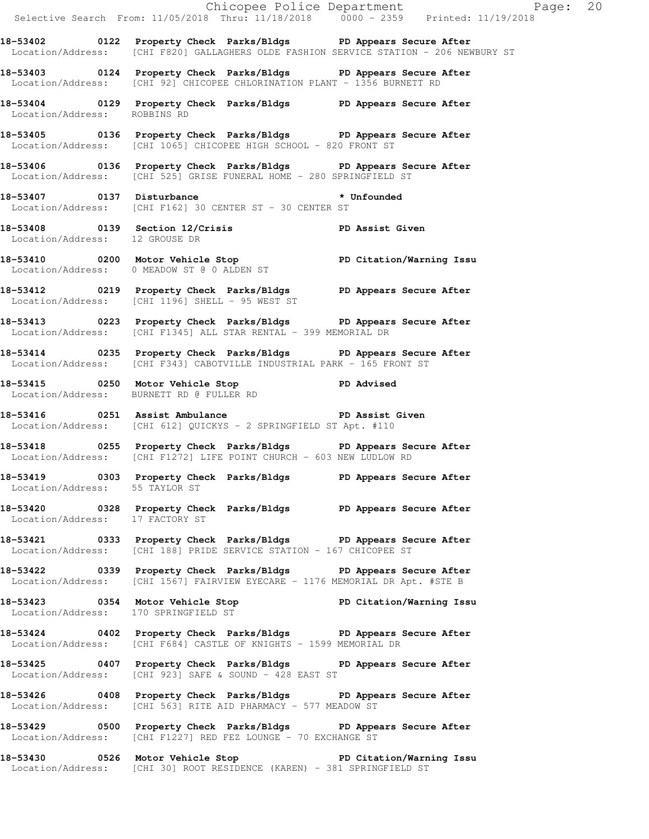| l.                              |                                                 | Chicopee Police Department<br>Selective Search From: 11/05/2018 Thru: 11/18/2018 0000 - 2359 Printed: 11/19/2018                                          |                 |  |
|---------------------------------|-------------------------------------------------|-----------------------------------------------------------------------------------------------------------------------------------------------------------|-----------------|--|
|                                 |                                                 | 18-53402 0122 Property Check Parks/Bldgs PD Appears Secure After<br>Location/Address: [CHI F820] GALLAGHERS OLDE FASHION SERVICE STATION - 206 NEWBURY ST |                 |  |
|                                 |                                                 | 18-53403 0124 Property Check Parks/Bldgs PD Appears Secure After<br>Location/Address: [CHI 92] CHICOPEE CHLORINATION PLANT - 1356 BURNETT RD              |                 |  |
|                                 |                                                 | 18-53404 0129 Property Check Parks/Bldgs PD Appears Secure After<br>Location/Address: ROBBINS RD                                                          |                 |  |
|                                 |                                                 | 18-53405 0136 Property Check Parks/Bldgs PD Appears Secure After<br>Location/Address: [CHI 1065] CHICOPEE HIGH SCHOOL - 820 FRONT ST                      |                 |  |
|                                 |                                                 | 18-53406 0136 Property Check Parks/Bldgs PD Appears Secure After<br>Location/Address: [CHI 525] GRISE FUNERAL HOME - 280 SPRINGFIELD ST                   |                 |  |
|                                 |                                                 | 18-53407   0137   Disturbance   * Unfounded<br>Location/Address: [CHI F162] 30 CENTER ST - 30 CENTER ST                                                   |                 |  |
| Location/Address: 12 GROUSE DR  |                                                 | 18-53408 0139 Section 12/Crisis                                                                                                                           | PD Assist Given |  |
|                                 | Location/Address: 0 MEADOW ST @ 0 ALDEN ST      | 18-53410 0200 Motor Vehicle Stop North PD Citation/Warning Issu                                                                                           |                 |  |
|                                 | Location/Address: [CHI 1196] SHELL - 95 WEST ST | 18-53412 0219 Property Check Parks/Bldgs PD Appears Secure After                                                                                          |                 |  |
|                                 |                                                 | 18-53413 0223 Property Check Parks/Bldgs PD Appears Secure After<br>Location/Address: [CHI F1345] ALL STAR RENTAL - 399 MEMORIAL DR                       |                 |  |
|                                 |                                                 | 18-53414 0235 Property Check Parks/Bldgs PD Appears Secure After<br>Location/Address: [CHI F343] CABOTVILLE INDUSTRIAL PARK - 165 FRONT ST                |                 |  |
|                                 | Location/Address: BURNETT RD @ FULLER RD        | 18-53415 0250 Motor Vehicle Stop PD Advised                                                                                                               |                 |  |
|                                 |                                                 | 18-53416 0251 Assist Ambulance New PD Assist Given<br>Location/Address: [CHI 612] QUICKYS - 2 SPRINGFIELD ST Apt. #110                                    |                 |  |
|                                 |                                                 | 18-53418 0255 Property Check Parks/Bldgs PD Appears Secure After<br>Location/Address: [CHI F1272] LIFE POINT CHURCH - 603 NEW LUDLOW RD                   |                 |  |
| Location/Address: 55 TAYLOR ST  |                                                 | 18-53419 		 0303 Property Check Parks/Bldgs 		 PD Appears Secure After                                                                                    |                 |  |
| Location/Address: 17 FACTORY ST |                                                 | 18-53420 0328 Property Check Parks/Bldgs PD Appears Secure After                                                                                          |                 |  |
|                                 |                                                 | 18-53421 0333 Property Check Parks/Bldgs PD Appears Secure After<br>Location/Address: [CHI 188] PRIDE SERVICE STATION - 167 CHICOPEE ST                   |                 |  |
|                                 |                                                 | 18-53422 0339 Property Check Parks/Bldgs PD Appears Secure After<br>Location/Address: [CHI 1567] FAIRVIEW EYECARE - 1176 MEMORIAL DR Apt. #STE B          |                 |  |
|                                 | Location/Address: 170 SPRINGFIELD ST            | 18-53423 0354 Motor Vehicle Stop North PD Citation/Warning Issu                                                                                           |                 |  |
|                                 |                                                 | 18-53424 0402 Property Check Parks/Bldgs PD Appears Secure After<br>Location/Address: [CHI F684] CASTLE OF KNIGHTS - 1599 MEMORIAL DR                     |                 |  |
|                                 |                                                 | 18-53425 0407 Property Check Parks/Bldgs PD Appears Secure After<br>Location/Address: [CHI 923] SAFE & SOUND - $428$ EAST ST                              |                 |  |
|                                 |                                                 | 18-53426 0408 Property Check Parks/Bldgs PD Appears Secure After<br>Location/Address: [CHI 563] RITE AID PHARMACY - 577 MEADOW ST                         |                 |  |
|                                 |                                                 | 18-53429 0500 Property Check Parks/Bldgs PD Appears Secure After<br>Location/Address: [CHI F1227] RED FEZ LOUNGE - 70 EXCHANGE ST                         |                 |  |
|                                 |                                                 | 18-53430 0526 Motor Vehicle Stop North PD Citation/Warning Issu<br>Location/Address: [CHI 30] ROOT RESIDENCE (KAREN) - 381 SPRINGFIELD ST                 |                 |  |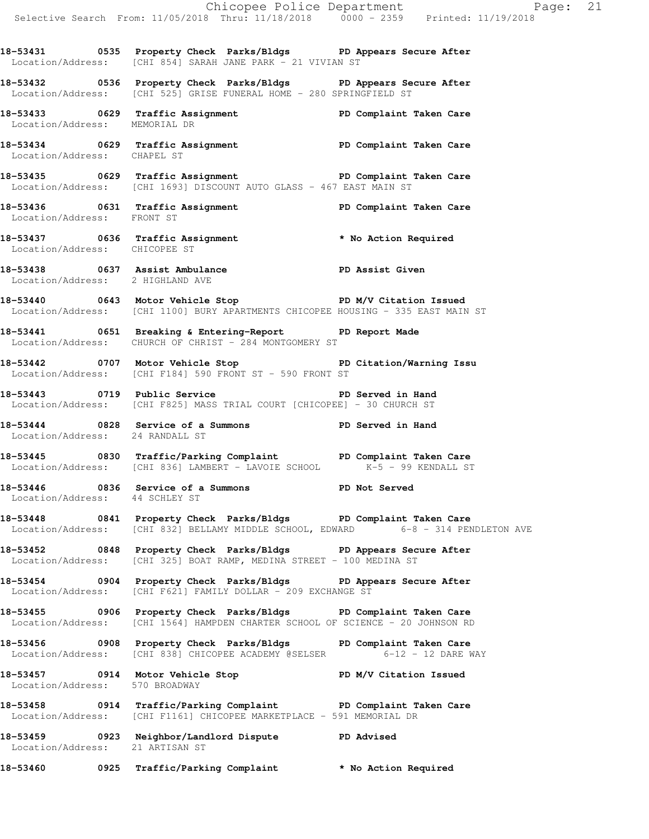**18-53431 0535 Property Check Parks/Bldgs PD Appears Secure After**  Location/Address: [CHI 854] SARAH JANE PARK - 21 VIVIAN ST

**18-53432 0536 Property Check Parks/Bldgs PD Appears Secure After**  Location/Address: [CHI 525] GRISE FUNERAL HOME - 280 SPRINGFIELD ST

**18-53433 0629 Traffic Assignment PD Complaint Taken Care**  Location/Address: MEMORIAL DR

**18-53434 0629 Traffic Assignment PD Complaint Taken Care**  Location/Address: CHAPEL ST

**18-53435 0629 Traffic Assignment PD Complaint Taken Care**  Location/Address: [CHI 1693] DISCOUNT AUTO GLASS - 467 EAST MAIN ST

**18-53436 0631 Traffic Assignment PD Complaint Taken Care**  Location/Address: FRONT ST

**18-53437 0636 Traffic Assignment \* No Action Required**  Location/Address: CHICOPEE ST

**18-53438 0637 Assist Ambulance PD Assist Given**  Location/Address: 2 HIGHLAND AVE

**18-53440 0643 Motor Vehicle Stop PD M/V Citation Issued**  Location/Address: [CHI 1100] BURY APARTMENTS CHICOPEE HOUSING - 335 EAST MAIN ST

**18-53441 0651 Breaking & Entering-Report PD Report Made**  Location/Address: CHURCH OF CHRIST - 284 MONTGOMERY ST

**18-53442 0707 Motor Vehicle Stop PD Citation/Warning Issu**  Location/Address: [CHI F184] 590 FRONT ST - 590 FRONT ST

**18-53443 0719 Public Service PD Served in Hand**  Location/Address: [CHI F825] MASS TRIAL COURT [CHICOPEE] - 30 CHURCH ST

**18-53444 0828 Service of a Summons PD Served in Hand**  Location/Address: 24 RANDALL ST

**18-53445 0830 Traffic/Parking Complaint PD Complaint Taken Care**  Location/Address: [CHI 836] LAMBERT - LAVOIE SCHOOL K-5 - 99 KENDALL ST

**18-53446 0836 Service of a Summons PD Not Served**  Location/Address: 44 SCHLEY ST

**18-53448 0841 Property Check Parks/Bldgs PD Complaint Taken Care**  Location/Address: [CHI 832] BELLAMY MIDDLE SCHOOL, EDWARD 6-8 - 314 PENDLETON AVE

**18-53452 0848 Property Check Parks/Bldgs PD Appears Secure After**  Location/Address: [CHI 325] BOAT RAMP, MEDINA STREET - 100 MEDINA ST

**18-53454 0904 Property Check Parks/Bldgs PD Appears Secure After**  Location/Address: [CHI F621] FAMILY DOLLAR - 209 EXCHANGE ST

**18-53455 0906 Property Check Parks/Bldgs PD Complaint Taken Care**  Location/Address: [CHI 1564] HAMPDEN CHARTER SCHOOL OF SCIENCE - 20 JOHNSON RD

**18-53456 0908 Property Check Parks/Bldgs PD Complaint Taken Care Location/Address:** [CHI 838] CHICOPEE ACADEMY @SELSER 6-12 - 12 DARE WAY Location/Address: [CHI 838] CHICOPEE ACADEMY @SELSER

**18-53457 0914 Motor Vehicle Stop PD M/V Citation Issued**  Location/Address: 570 BROADWAY

**18-53458 0914 Traffic/Parking Complaint PD Complaint Taken Care**  Location/Address: [CHI F1161] CHICOPEE MARKETPLACE - 591 MEMORIAL DR

**18-53459 0923 Neighbor/Landlord Dispute PD Advised**  Location/Address: 21 ARTISAN ST

**18-53460 0925 Traffic/Parking Complaint \* No Action Required**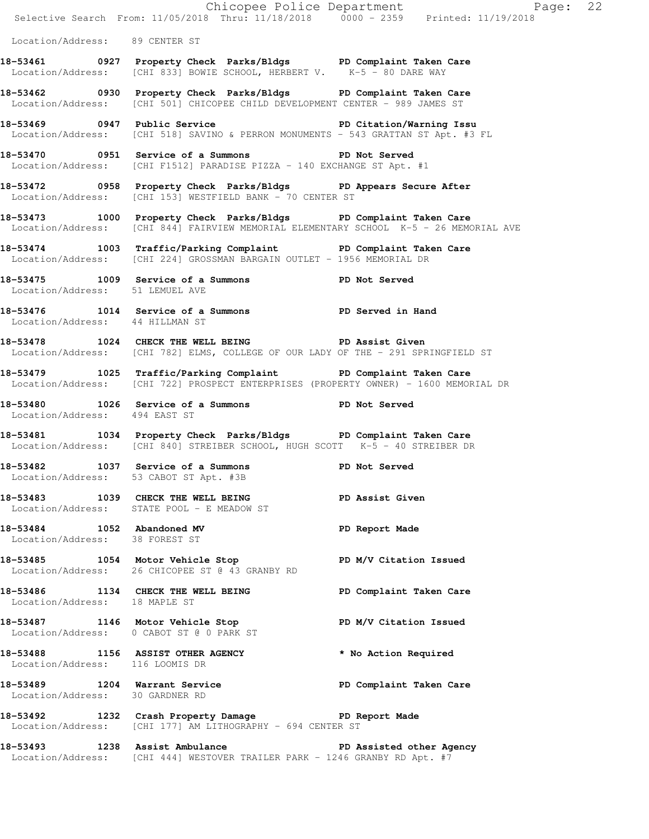|                                                              | Chicopee Police Department<br>Selective Search From: 11/05/2018 Thru: 11/18/2018 0000 - 2359 Printed: 11/19/2018                                          | Page: 22               |
|--------------------------------------------------------------|-----------------------------------------------------------------------------------------------------------------------------------------------------------|------------------------|
| Location/Address: 89 CENTER ST                               |                                                                                                                                                           |                        |
|                                                              | 18-53461 0927 Property Check Parks/Bldgs PD Complaint Taken Care<br>Location/Address: [CHI 833] BOWIE SCHOOL, HERBERT V. K-5 - 80 DARE WAY                |                        |
|                                                              | 18-53462 0930 Property Check Parks/Bldgs PD Complaint Taken Care<br>Location/Address: [CHI 501] CHICOPEE CHILD DEVELOPMENT CENTER - 989 JAMES ST          |                        |
|                                                              | 18-53469 0947 Public Service 20 PD Citation/Warning Issu<br>Location/Address: [CHI 518] SAVINO & PERRON MONUMENTS - 543 GRATTAN ST Apt. #3 FL             |                        |
|                                                              | 18-53470 0951 Service of a Summons PD Not Served<br>Location/Address: [CHI F1512] PARADISE PIZZA - 140 EXCHANGE ST Apt. #1                                |                        |
|                                                              | 18-53472 0958 Property Check Parks/Bldgs PD Appears Secure After<br>Location/Address: [CHI 153] WESTFIELD BANK - 70 CENTER ST                             |                        |
|                                                              | 18-53473 1000 Property Check Parks/Bldgs PD Complaint Taken Care<br>Location/Address: [CHI 844] FAIRVIEW MEMORIAL ELEMENTARY SCHOOL K-5 - 26 MEMORIAL AVE |                        |
|                                                              | 18-53474 1003 Traffic/Parking Complaint PD Complaint Taken Care<br>Location/Address: [CHI 224] GROSSMAN BARGAIN OUTLET - 1956 MEMORIAL DR                 |                        |
| Location/Address: 51 LEMUEL AVE                              | 18-53475 1009 Service of a Summons PD Not Served                                                                                                          |                        |
| Location/Address: 44 HILLMAN ST                              | 18-53476 1014 Service of a Summons PD Served in Hand                                                                                                      |                        |
|                                                              | 18-53478 1024 CHECK THE WELL BEING PD Assist Given<br>Location/Address: [CHI 782] ELMS, COLLEGE OF OUR LADY OF THE - 291 SPRINGFIELD ST                   |                        |
|                                                              | 18-53479 1025 Traffic/Parking Complaint PD Complaint Taken Care<br>Location/Address: [CHI 722] PROSPECT ENTERPRISES (PROPERTY OWNER) - 1600 MEMORIAL DR   |                        |
| Location/Address: 494 EAST ST                                | 18-53480 1026 Service of a Summons PD Not Served                                                                                                          |                        |
|                                                              | 18-53481 1034 Property Check Parks/Bldgs PD Complaint Taken Care<br>Location/Address: [CHI 840] STREIBER SCHOOL, HUGH SCOTT K-5 - 40 STREIBER DR          |                        |
|                                                              | 18-53482 1037 Service of a Summons<br>Location/Address: 53 CABOT ST Apt. #3B                                                                              | <b>PD</b> Not Served   |
|                                                              | 18-53483 1039 CHECK THE WELL BEING PD Assist Given<br>Location/Address: STATE POOL - E MEADOW ST                                                          |                        |
| 18-53484 1052 Abandoned MV<br>Location/Address: 38 FOREST ST |                                                                                                                                                           | PD Report Made         |
|                                                              | 18-53485 1054 Motor Vehicle Stop PD M/V Citation Issued<br>Location/Address: 26 CHICOPEE ST @ 43 GRANBY RD                                                |                        |
|                                                              | 18-53486 1134 CHECK THE WELL BEING PD Complaint Taken Care<br>Location/Address: 18 MAPLE ST                                                               |                        |
|                                                              | 18-53487 1146 Motor Vehicle Stop<br>Location/Address: 0 CABOT ST @ 0 PARK ST                                                                              | PD M/V Citation Issued |
| Location/Address: 116 LOOMIS DR                              | 18-53488 1156 ASSIST OTHER AGENCY                                                                                                                         | * No Action Required   |
| Location/Address: 30 GARDNER RD                              | 18-53489 1204 Warrant Service New PD Complaint Taken Care                                                                                                 |                        |
|                                                              | 18-53492 1232 Crash Property Damage PD Report Made<br>Location/Address: [CHI 177] AM LITHOGRAPHY - 694 CENTER ST                                          |                        |
|                                                              | 18-53493 1238 Assist Ambulance New PD Assisted other Agency<br>Location/Address: [CHI 444] WESTOVER TRAILER PARK - 1246 GRANBY RD Apt. #7                 |                        |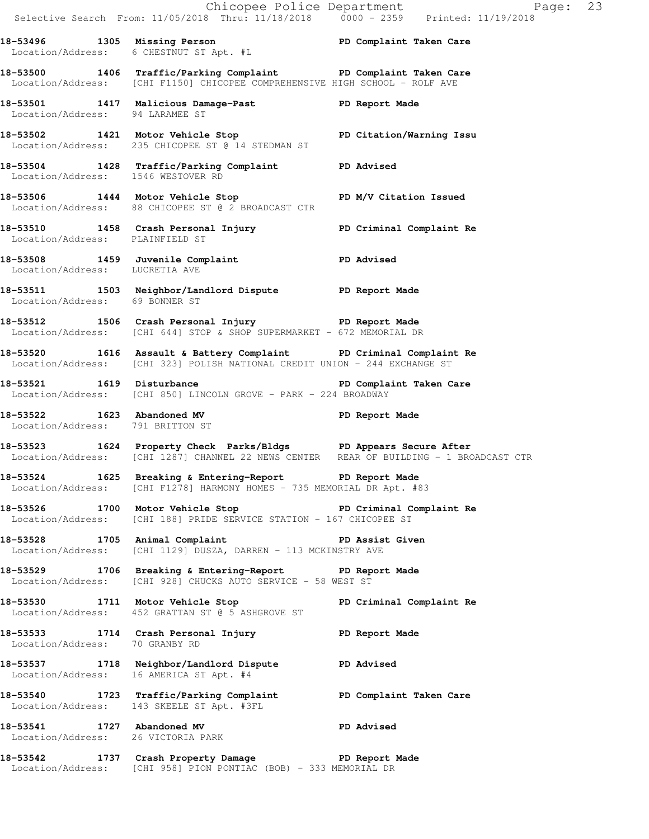Chicopee Police Department Page: 23 Selective Search From: 11/05/2018 Thru: 11/18/2018 0000 - 2359 Printed: 11/19/2018 **18-53496 1305 Missing Person PD Complaint Taken Care**  Location/Address: 6 CHESTNUT ST Apt. #L **18-53500 1406 Traffic/Parking Complaint PD Complaint Taken Care**  Location/Address: [CHI F1150] CHICOPEE COMPREHENSIVE HIGH SCHOOL - ROLF AVE **18-53501 1417 Malicious Damage-Past PD Report Made**  Location/Address: 94 LARAMEE ST **18-53502 1421 Motor Vehicle Stop PD Citation/Warning Issu**  Location/Address: 235 CHICOPEE ST @ 14 STEDMAN ST **18-53504 1428 Traffic/Parking Complaint PD Advised**  Location/Address: 1546 WESTOVER RD 18-53506 1444 Motor Vehicle Stop **PD M/V Citation Issued**  Location/Address: 88 CHICOPEE ST @ 2 BROADCAST CTR **18-53510 1458 Crash Personal Injury PD Criminal Complaint Re**  Location/Address: PLAINFIELD ST **18-53508 1459 Juvenile Complaint PD Advised**  Location/Address: LUCRETIA AVE **18-53511 1503 Neighbor/Landlord Dispute PD Report Made**  Location/Address: 69 BONNER ST **18-53512 1506 Crash Personal Injury PD Report Made**  Location/Address: [CHI 644] STOP & SHOP SUPERMARKET - 672 MEMORIAL DR **18-53520 1616 Assault & Battery Complaint PD Criminal Complaint Re**  Location/Address: [CHI 323] POLISH NATIONAL CREDIT UNION - 244 EXCHANGE ST 18-53521 1619 Disturbance **PD Complaint Taken Care** Location/Address: [CHI 850] LINCOLN GROVE - PARK - 224 BROADWAY **18-53522 1623 Abandoned MV PD Report Made**  Location/Address: 791 BRITTON ST **18-53523 1624 Property Check Parks/Bldgs PD Appears Secure After**  Location/Address: [CHI 1287] CHANNEL 22 NEWS CENTER REAR OF BUILDING - 1 BROADCAST CTR **18-53524 1625 Breaking & Entering-Report PD Report Made**  Location/Address: [CHI F1278] HARMONY HOMES - 735 MEMORIAL DR Apt. #83 18-53526 1700 Motor Vehicle Stop **PD Criminal Complaint Re**  Location/Address: [CHI 188] PRIDE SERVICE STATION - 167 CHICOPEE ST **18-53528 1705 Animal Complaint PD Assist Given**  Location/Address: [CHI 1129] DUSZA, DARREN - 113 MCKINSTRY AVE **18-53529 1706 Breaking & Entering-Report PD Report Made**  Location/Address: [CHI 928] CHUCKS AUTO SERVICE - 58 WEST ST **18-53530 1711 Motor Vehicle Stop PD Criminal Complaint Re**  Location/Address: 452 GRATTAN ST @ 5 ASHGROVE ST **18-53533 1714 Crash Personal Injury PD Report Made**  Location/Address: 70 GRANBY RD **18-53537 1718 Neighbor/Landlord Dispute PD Advised**  Location/Address: 16 AMERICA ST Apt. #4 **18-53540 1723 Traffic/Parking Complaint PD Complaint Taken Care**  Location/Address: 143 SKEELE ST Apt. #3FL **18-53541 1727 Abandoned MV PD Advised**  Location/Address: 26 VICTORIA PARK **18-53542 1737 Crash Property Damage PD Report Made** 

Location/Address: [CHI 958] PION PONTIAC (BOB) - 333 MEMORIAL DR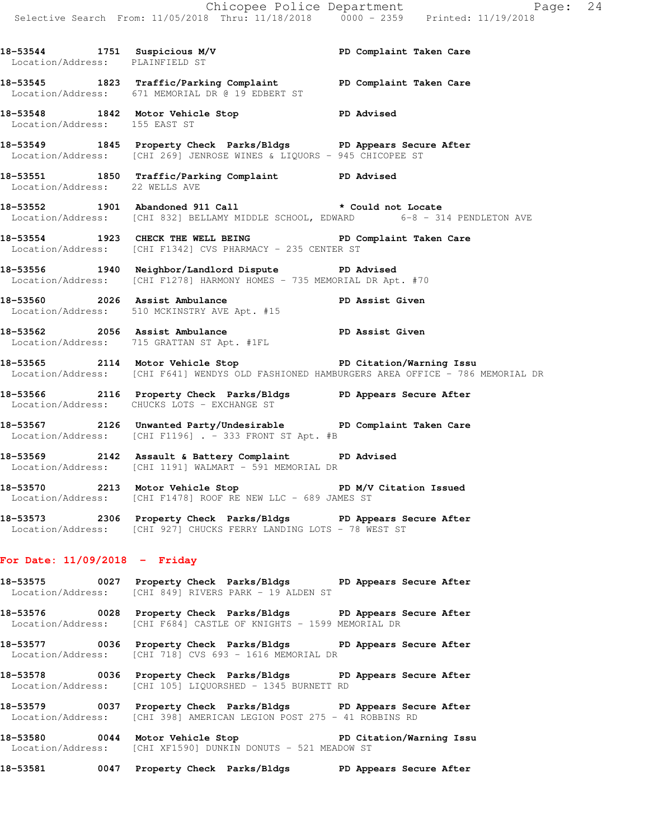Chicopee Police Department Page: 24 Selective Search From: 11/05/2018 Thru: 11/18/2018 0000 - 2359 Printed: 11/19/2018

18-53544 1751 Suspicious M/V **PD Complaint Taken Care** 

 Location/Address: PLAINFIELD ST **18-53545 1823 Traffic/Parking Complaint PD Complaint Taken Care**  Location/Address: 671 MEMORIAL DR @ 19 EDBERT ST **18-53548 1842 Motor Vehicle Stop PD Advised**  Location/Address: 155 EAST ST **18-53549 1845 Property Check Parks/Bldgs PD Appears Secure After**  Location/Address: [CHI 269] JENROSE WINES & LIQUORS - 945 CHICOPEE ST **18-53551 1850 Traffic/Parking Complaint PD Advised**  Location/Address: 22 WELLS AVE **18-53552 1901 Abandoned 911 Call \* Could not Locate**<br>
Location/Address: [CHI 832] BELLAMY MIDDLE SCHOOL, EDWARD 6-8 - 314 PENDLETON AVE Location/Address: [CHI 832] BELLAMY MIDDLE SCHOOL, EDWARD **18-53554 1923 CHECK THE WELL BEING PD Complaint Taken Care**  Location/Address: [CHI F1342] CVS PHARMACY - 235 CENTER ST **18-53556 1940 Neighbor/Landlord Dispute PD Advised**  Location/Address: [CHI F1278] HARMONY HOMES - 735 MEMORIAL DR Apt. #70 **18-53560 2026 Assist Ambulance PD Assist Given**  Location/Address: 510 MCKINSTRY AVE Apt. #15 **18-53562 2056 Assist Ambulance PD Assist Given**  Location/Address: 715 GRATTAN ST Apt. #1FL **18-53565 2114 Motor Vehicle Stop PD Citation/Warning Issu**  Location/Address: [CHI F641] WENDYS OLD FASHIONED HAMBURGERS AREA OFFICE - 786 MEMORIAL DR **18-53566 2116 Property Check Parks/Bldgs PD Appears Secure After**  Location/Address: CHUCKS LOTS - EXCHANGE ST **18-53567 2126 Unwanted Party/Undesirable PD Complaint Taken Care**  Location/Address:  $[CHI F1196]$  . - 333 FRONT ST Apt. #B **18-53569 2142 Assault & Battery Complaint PD Advised**  Location/Address: [CHI 1191] WALMART - 591 MEMORIAL DR **18-53570 2213 Motor Vehicle Stop PD M/V Citation Issued**  Location/Address: [CHI F1478] ROOF RE NEW LLC - 689 JAMES ST **18-53573 2306 Property Check Parks/Bldgs PD Appears Secure After** 

### **For Date: 11/09/2018 - Friday**

**18-53575 0027 Property Check Parks/Bldgs PD Appears Secure After**  Location/Address: [CHI 849] RIVERS PARK - 19 ALDEN ST

Location/Address: [CHI 927] CHUCKS FERRY LANDING LOTS - 78 WEST ST

**18-53576 0028 Property Check Parks/Bldgs PD Appears Secure After**  Location/Address: [CHI F684] CASTLE OF KNIGHTS - 1599 MEMORIAL DR

**18-53577 0036 Property Check Parks/Bldgs PD Appears Secure After**  Location/Address: [CHI 718] CVS 693 - 1616 MEMORIAL DR

**18-53578 0036 Property Check Parks/Bldgs PD Appears Secure After**  Location/Address: [CHI 105] LIQUORSHED - 1345 BURNETT RD

**18-53579 0037 Property Check Parks/Bldgs PD Appears Secure After**  Location/Address: [CHI 398] AMERICAN LEGION POST 275 - 41 ROBBINS RD

**18-53580 0044 Motor Vehicle Stop PD Citation/Warning Issu**  Location/Address: [CHI XF1590] DUNKIN DONUTS - 521 MEADOW ST

**18-53581 0047 Property Check Parks/Bldgs PD Appears Secure After**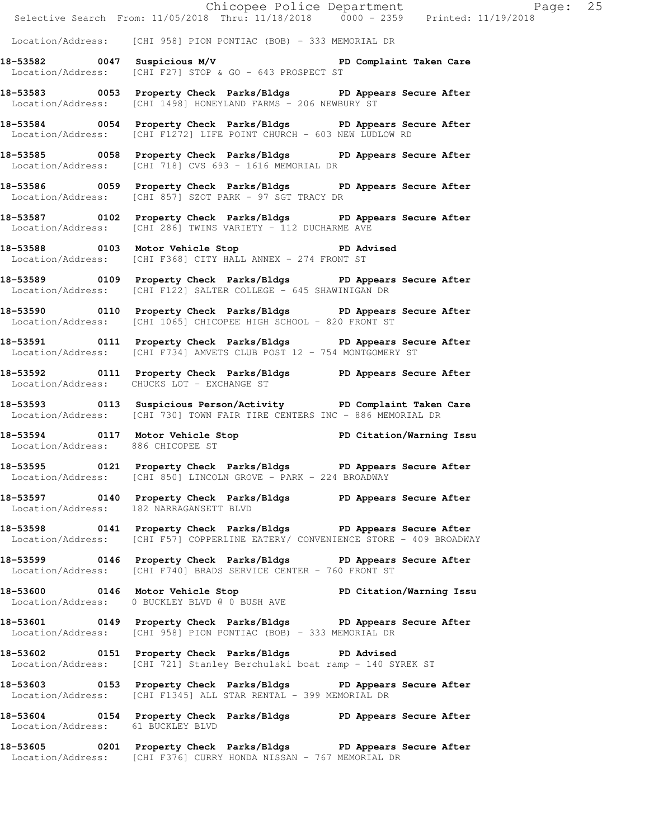|                                   |                                                                                                                                                     | Chicopee Police Department<br>Selective Search From: 11/05/2018 Thru: 11/18/2018 0000 - 2359 Printed: 11/19/2018 |
|-----------------------------------|-----------------------------------------------------------------------------------------------------------------------------------------------------|------------------------------------------------------------------------------------------------------------------|
|                                   | Location/Address: [CHI 958] PION PONTIAC (BOB) - 333 MEMORIAL DR                                                                                    |                                                                                                                  |
|                                   | 18-53582 0047 Suspicious M/V PD Complaint Taken Care<br>Location/Address: [CHI F27] STOP & GO - 643 PROSPECT ST                                     |                                                                                                                  |
|                                   | 18-53583 0053 Property Check Parks/Bldgs PD Appears Secure After<br>Location/Address: [CHI 1498] HONEYLAND FARMS - 206 NEWBURY ST                   |                                                                                                                  |
|                                   | 18-53584 0054 Property Check Parks/Bldgs PD Appears Secure After<br>Location/Address: [CHI F1272] LIFE POINT CHURCH - 603 NEW LUDLOW RD             |                                                                                                                  |
|                                   | 18-53585 0058 Property Check Parks/Bldgs PD Appears Secure After<br>Location/Address: [CHI 718] CVS 693 - 1616 MEMORIAL DR                          |                                                                                                                  |
|                                   | 18-53586 0059 Property Check Parks/Bldgs PD Appears Secure After<br>Location/Address: [CHI 857] SZOT PARK - 97 SGT TRACY DR                         |                                                                                                                  |
|                                   | 18-53587 0102 Property Check Parks/Bldgs PD Appears Secure After<br>Location/Address: [CHI 286] TWINS VARIETY - 112 DUCHARME AVE                    |                                                                                                                  |
|                                   | 18-53588 0103 Motor Vehicle Stop 50 PD Advised<br>Location/Address: [CHI F368] CITY HALL ANNEX - 274 FRONT ST                                       |                                                                                                                  |
|                                   | 18-53589 0109 Property Check Parks/Bldgs PD Appears Secure After<br>Location/Address: [CHI F122] SALTER COLLEGE - 645 SHAWINIGAN DR                 |                                                                                                                  |
|                                   | 18-53590 0110 Property Check Parks/Bldgs PD Appears Secure After<br>Location/Address: [CHI 1065] CHICOPEE HIGH SCHOOL - 820 FRONT ST                |                                                                                                                  |
|                                   | 18-53591 0111 Property Check Parks/Bldgs PD Appears Secure After<br>Location/Address: [CHI F734] AMVETS CLUB POST 12 - 754 MONTGOMERY ST            |                                                                                                                  |
|                                   | 18-53592 0111 Property Check Parks/Bldgs PD Appears Secure After<br>Location/Address: CHUCKS LOT - EXCHANGE ST                                      |                                                                                                                  |
|                                   | 18-53593 0113 Suspicious Person/Activity PD Complaint Taken Care<br>  Location/Address: [CHI 730] TOWN FAIR TIRE CENTERS INC - 886 MEMORIAL DR      |                                                                                                                  |
| Location/Address: 886 CHICOPEE ST | 18-53594 0117 Motor Vehicle Stop North PD Citation/Warning Issu                                                                                     |                                                                                                                  |
|                                   | 18-53595 0121 Property Check Parks/Bldgs PD Appears Secure After<br>Location/Address: [CHI 850] LINCOLN GROVE - PARK - 224 BROADWAY                 |                                                                                                                  |
|                                   | 18-53597 0140 Property Check Parks/Bldgs PD Appears Secure After<br>Location/Address: 182 NARRAGANSETT BLVD                                         |                                                                                                                  |
|                                   | 18-53598 0141 Property Check Parks/Bldgs PD Appears Secure After<br>Location/Address: [CHI F57] COPPERLINE EATERY/ CONVENIENCE STORE - 409 BROADWAY |                                                                                                                  |
|                                   | 18-53599 0146 Property Check Parks/Bldgs PD Appears Secure After<br>Location/Address: [CHI F740] BRADS SERVICE CENTER - 760 FRONT ST                |                                                                                                                  |
|                                   | 18-53600 0146 Motor Vehicle Stop PD Citation/Warning Issu<br>Location/Address: 0 BUCKLEY BLVD @ 0 BUSH AVE                                          |                                                                                                                  |
|                                   | 18-53601 0149 Property Check Parks/Bldgs PD Appears Secure After<br>Location/Address: [CHI 958] PION PONTIAC (BOB) - 333 MEMORIAL DR                |                                                                                                                  |
|                                   | 18-53602 0151 Property Check Parks/Bldgs PD Advised<br>Location/Address: [CHI 721] Stanley Berchulski boat ramp - 140 SYREK ST                      |                                                                                                                  |
|                                   | 18-53603 0153 Property Check Parks/Bldgs PD Appears Secure After<br>Location/Address: [CHI F1345] ALL STAR RENTAL - 399 MEMORIAL DR                 |                                                                                                                  |
| Location/Address: 61 BUCKLEY BLVD | 18-53604 0154 Property Check Parks/Bldgs PD Appears Secure After                                                                                    |                                                                                                                  |
|                                   | 18-53605 0201 Property Check Parks/Bldgs PD Appears Secure After<br>Location/Address: [CHI F376] CURRY HONDA NISSAN - 767 MEMORIAL DR               |                                                                                                                  |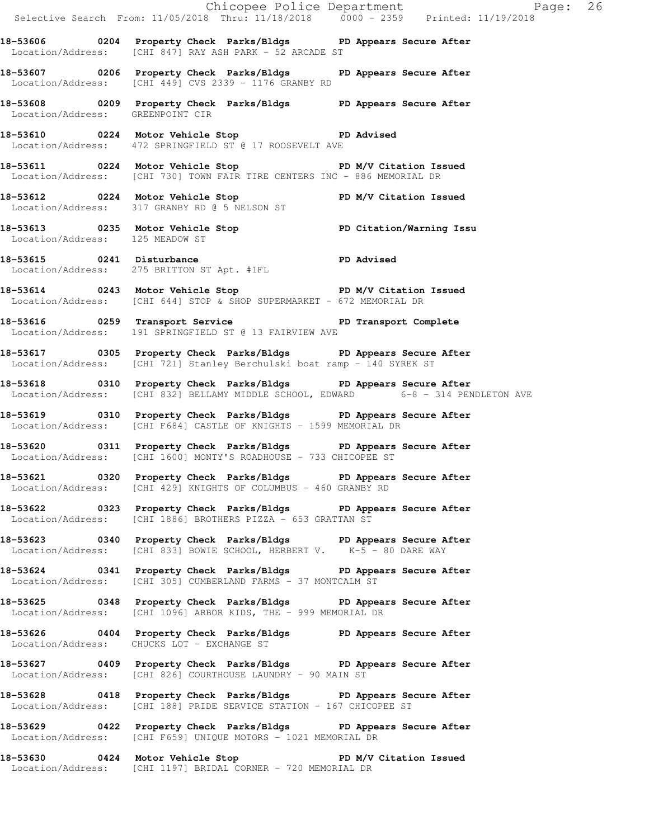Selective Search From: 11/05/2018 Thru: 11/18/2018 0000 - 2359 Printed: 11/19/2018 **18-53606 0204 Property Check Parks/Bldgs PD Appears Secure After**  Location/Address: [CHI 847] RAY ASH PARK - 52 ARCADE ST **18-53607 0206 Property Check Parks/Bldgs PD Appears Secure After**  Location/Address: [CHI 449] CVS 2339 - 1176 GRANBY RD **18-53608 0209 Property Check Parks/Bldgs PD Appears Secure After**  Location/Address: GREENPOINT CIR **18-53610 0224 Motor Vehicle Stop PD Advised**  Location/Address: 472 SPRINGFIELD ST @ 17 ROOSEVELT AVE **18-53611 0224 Motor Vehicle Stop PD M/V Citation Issued**  Location/Address: [CHI 730] TOWN FAIR TIRE CENTERS INC - 886 MEMORIAL DR 18-53612 **0224** Motor Vehicle Stop **PD M/V Citation Issued**  Location/Address: 317 GRANBY RD @ 5 NELSON ST **18-53613 0235 Motor Vehicle Stop PD Citation/Warning Issu**  Location/Address: 125 MEADOW ST **18-53615 0241 Disturbance PD Advised**  Location/Address: 275 BRITTON ST Apt. #1FL **18-53614 0243 Motor Vehicle Stop PD M/V Citation Issued**  Location/Address: [CHI 644] STOP & SHOP SUPERMARKET - 672 MEMORIAL DR **18-53616 0259 Transport Service PD Transport Complete**  Location/Address: 191 SPRINGFIELD ST @ 13 FAIRVIEW AVE **18-53617 0305 Property Check Parks/Bldgs PD Appears Secure After**  Location/Address: [CHI 721] Stanley Berchulski boat ramp - 140 SYREK ST **18-53618 0310 Property Check Parks/Bldgs PD Appears Secure After**  Location/Address: [CHI 832] BELLAMY MIDDLE SCHOOL, EDWARD 6-8 - 314 PENDLETON AVE **18-53619 0310 Property Check Parks/Bldgs PD Appears Secure After**  Location/Address: [CHI F684] CASTLE OF KNIGHTS - 1599 MEMORIAL DR **18-53620 0311 Property Check Parks/Bldgs PD Appears Secure After**  Location/Address: [CHI 1600] MONTY'S ROADHOUSE - 733 CHICOPEE ST **18-53621 0320 Property Check Parks/Bldgs PD Appears Secure After**  Location/Address: [CHI 429] KNIGHTS OF COLUMBUS - 460 GRANBY RD **18-53622 0323 Property Check Parks/Bldgs PD Appears Secure After**  Location/Address: [CHI 1886] BROTHERS PIZZA - 653 GRATTAN ST **18-53623 0340 Property Check Parks/Bldgs PD Appears Secure After**  Location/Address: [CHI 833] BOWIE SCHOOL, HERBERT V. K-5 - 80 DARE WAY **18-53624 0341 Property Check Parks/Bldgs PD Appears Secure After**  Location/Address: [CHI 305] CUMBERLAND FARMS - 37 MONTCALM ST **18-53625 0348 Property Check Parks/Bldgs PD Appears Secure After**  Location/Address: [CHI 1096] ARBOR KIDS, THE - 999 MEMORIAL DR **18-53626 0404 Property Check Parks/Bldgs PD Appears Secure After**  Location/Address: CHUCKS LOT - EXCHANGE ST **18-53627 0409 Property Check Parks/Bldgs PD Appears Secure After**  Location/Address: [CHI 826] COURTHOUSE LAUNDRY - 90 MAIN ST **18-53628 0418 Property Check Parks/Bldgs PD Appears Secure After**  Location/Address: [CHI 188] PRIDE SERVICE STATION - 167 CHICOPEE ST **18-53629 0422 Property Check Parks/Bldgs PD Appears Secure After**  Location/Address: [CHI F659] UNIQUE MOTORS - 1021 MEMORIAL DR **18-53630 0424 Motor Vehicle Stop PD M/V Citation Issued**  Location/Address: [CHI 1197] BRIDAL CORNER - 720 MEMORIAL DR

Chicopee Police Department Page: 26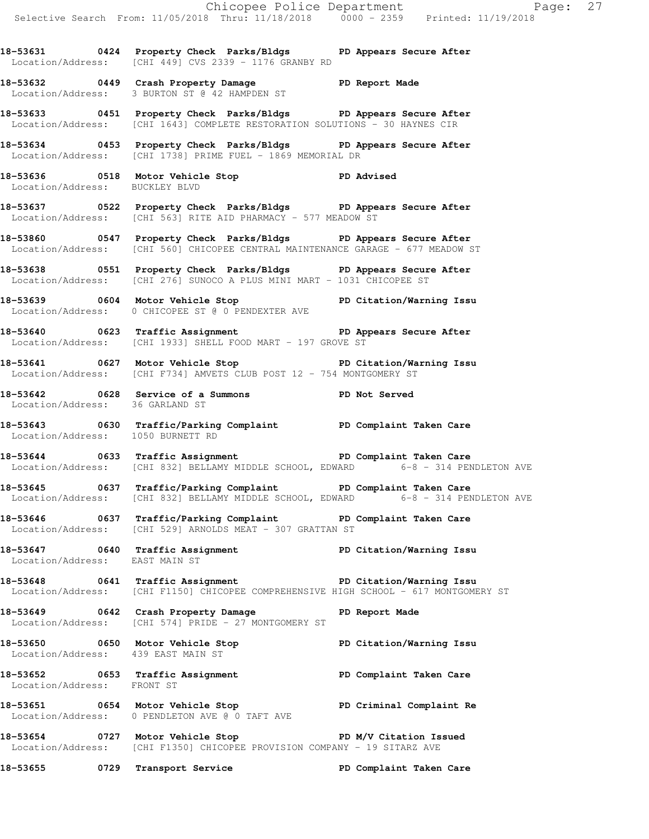Chicopee Police Department Page: 27 Selective Search From: 11/05/2018 Thru: 11/18/2018 0000 - 2359 Printed: 11/19/2018 **18-53631 0424 Property Check Parks/Bldgs PD Appears Secure After**  Location/Address: [CHI 449] CVS 2339 - 1176 GRANBY RD **18-53632 0449 Crash Property Damage PD Report Made**  Location/Address: 3 BURTON ST @ 42 HAMPDEN ST **18-53633 0451 Property Check Parks/Bldgs PD Appears Secure After**  Location/Address: [CHI 1643] COMPLETE RESTORATION SOLUTIONS - 30 HAYNES CIR **18-53634 0453 Property Check Parks/Bldgs PD Appears Secure After**  Location/Address: [CHI 1738] PRIME FUEL - 1869 MEMORIAL DR **18-53636 0518 Motor Vehicle Stop PD Advised**  Location/Address: BUCKLEY BLVD **18-53637 0522 Property Check Parks/Bldgs PD Appears Secure After**  Location/Address: [CHI 563] RITE AID PHARMACY - 577 MEADOW ST **18-53860 0547 Property Check Parks/Bldgs PD Appears Secure After**  Location/Address: [CHI 560] CHICOPEE CENTRAL MAINTENANCE GARAGE - 677 MEADOW ST **18-53638 0551 Property Check Parks/Bldgs PD Appears Secure After**  Location/Address: [CHI 276] SUNOCO A PLUS MINI MART - 1031 CHICOPEE ST **18-53639 0604 Motor Vehicle Stop PD Citation/Warning Issu**  Location/Address: 0 CHICOPEE ST @ 0 PENDEXTER AVE **18-53640 0623 Traffic Assignment PD Appears Secure After**  Location/Address: [CHI 1933] SHELL FOOD MART - 197 GROVE ST **18-53641 0627 Motor Vehicle Stop PD Citation/Warning Issu**  Location/Address: [CHI F734] AMVETS CLUB POST 12 - 754 MONTGOMERY ST **18-53642 0628 Service of a Summons PD Not Served**  Location/Address: 36 GARLAND ST **18-53643 0630 Traffic/Parking Complaint PD Complaint Taken Care**  Location/Address: 1050 BURNETT RD **18-53644 0633 Traffic Assignment PD Complaint Taken Care**  Location/Address: [CHI 832] BELLAMY MIDDLE SCHOOL, EDWARD 6-8 - 314 PENDLETON AVE **18-53645 0637 Traffic/Parking Complaint PD Complaint Taken Care**  Location/Address: [CHI 832] BELLAMY MIDDLE SCHOOL, EDWARD 6-8 - 314 PENDLETON AVE **18-53646 0637 Traffic/Parking Complaint PD Complaint Taken Care**  Location/Address: [CHI 529] ARNOLDS MEAT - 307 GRATTAN ST **18-53647 0640 Traffic Assignment PD Citation/Warning Issu**  Location/Address: EAST MAIN ST **18-53648 0641 Traffic Assignment PD Citation/Warning Issu**  Location/Address: [CHI F1150] CHICOPEE COMPREHENSIVE HIGH SCHOOL - 617 MONTGOMERY ST **18-53649 0642 Crash Property Damage PD Report Made**  Location/Address: [CHI 574] PRIDE - 27 MONTGOMERY ST **18-53650 0650 Motor Vehicle Stop PD Citation/Warning Issu**  Location/Address: 439 EAST MAIN ST **18-53652 0653 Traffic Assignment PD Complaint Taken Care**  Location/Address: FRONT ST **18-53651 0654 Motor Vehicle Stop PD Criminal Complaint Re**  Location/Address: 0 PENDLETON AVE @ 0 TAFT AVE 18-53654 **0727** Motor Vehicle Stop **PD M/V Citation Issued** Location/Address: [CHI F1350] CHICOPEE PROVISION COMPANY - 19 SITARZ AVE **18-53655 0729 Transport Service PD Complaint Taken Care**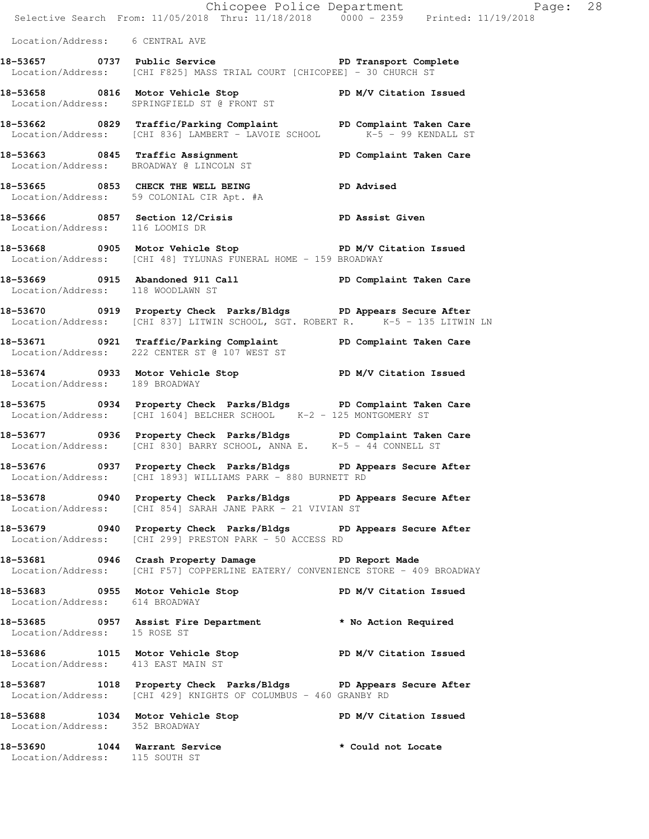|                                                                 | E<br>Chicopee Police Department<br>Selective Search From: 11/05/2018 Thru: 11/18/2018 0000 - 2359 Printed: 11/19/2018                                            | Page: 28           |
|-----------------------------------------------------------------|------------------------------------------------------------------------------------------------------------------------------------------------------------------|--------------------|
| Location/Address: 6 CENTRAL AVE                                 |                                                                                                                                                                  |                    |
|                                                                 | 18-53657 0737 Public Service 20 PD Transport Complete<br>Location/Address: [CHI F825] MASS TRIAL COURT [CHICOPEE] - 30 CHURCH ST                                 |                    |
|                                                                 | 18-53658 0816 Motor Vehicle Stop 5 PD M/V Citation Issued<br>Location/Address: SPRINGFIELD ST @ FRONT ST                                                         |                    |
|                                                                 | 18-53662 0829 Traffic/Parking Complaint PD Complaint Taken Care<br>Location/Address: [CHI 836] LAMBERT - LAVOIE SCHOOL K-5 - 99 KENDALL ST                       |                    |
|                                                                 | 18-53663 0845 Traffic Assignment New PD Complaint Taken Care<br>Location/Address: BROADWAY @ LINCOLN ST                                                          |                    |
|                                                                 | 18-53665 0853 CHECK THE WELL BEING PD Advised<br>Location/Address: 59 COLONIAL CIR Apt. #A                                                                       |                    |
| Location/Address: 116 LOOMIS DR                                 | 18-53666 0857 Section 12/Crisis The PD Assist Given                                                                                                              |                    |
|                                                                 | 18-53668 0905 Motor Vehicle Stop North PD M/V Citation Issued<br>Location/Address: [CHI 48] TYLUNAS FUNERAL HOME - 159 BROADWAY                                  |                    |
| Location/Address: 118 WOODLAWN ST                               | 18-53669 0915 Abandoned 911 Call New PD Complaint Taken Care                                                                                                     |                    |
|                                                                 | 18-53670 0919 Property Check Parks/Bldgs PD Appears Secure After<br>Location/Address: [CHI 837] LITWIN SCHOOL, SGT. ROBERT R. $\overline{C}$ K-5 - 135 LITWIN LN |                    |
|                                                                 | 18-53671 0921 Traffic/Parking Complaint PD Complaint Taken Care<br>Location/Address: 222 CENTER ST @ 107 WEST ST                                                 |                    |
| Location/Address: 189 BROADWAY                                  | 18-53674 0933 Motor Vehicle Stop N/V Citation Issued                                                                                                             |                    |
|                                                                 | 18-53675 0934 Property Check Parks/Bldgs PD Complaint Taken Care<br>Location/Address: [CHI 1604] BELCHER SCHOOL K-2 - 125 MONTGOMERY ST                          |                    |
|                                                                 | 18-53677 0936 Property Check Parks/Bldgs PD Complaint Taken Care<br>Location/Address: [CHI 830] BARRY SCHOOL, ANNA E. K-5 - 44 CONNELL ST                        |                    |
|                                                                 | 18-53676 0937 Property Check Parks/Bldgs PD Appears Secure After<br>Location/Address: [CHI 1893] WILLIAMS PARK - 880 BURNETT RD                                  |                    |
|                                                                 | 18-53678 0940 Property Check Parks/Bldgs PD Appears Secure After<br>Location/Address: [CHI 854] SARAH JANE PARK - 21 VIVIAN ST                                   |                    |
|                                                                 | 18-53679 0940 Property Check Parks/Bldgs PD Appears Secure After<br>Location/Address: [CHI 299] PRESTON PARK - 50 ACCESS RD                                      |                    |
|                                                                 | 18-53681 0946 Crash Property Damage The PD Report Made<br>Location/Address: [CHI F57] COPPERLINE EATERY/ CONVENIENCE STORE - 409 BROADWAY                        |                    |
|                                                                 | 18-53683 0955 Motor Vehicle Stop PD M/V Citation Issued<br>Location/Address: 614 BROADWAY                                                                        |                    |
| Location/Address: 15 ROSE ST                                    | 18-53685 0957 Assist Fire Department * No Action Required                                                                                                        |                    |
| Location/Address: 413 EAST MAIN ST                              | 18-53686 1015 Motor Vehicle Stop PD M/V Citation Issued                                                                                                          |                    |
|                                                                 | 18-53687 1018 Property Check Parks/Bldgs PD Appears Secure After<br>Location/Address: [CHI 429] KNIGHTS OF COLUMBUS - 460 GRANBY RD                              |                    |
| Location/Address: 352 BROADWAY                                  | 18-53688 1034 Motor Vehicle Stop New Yorkitation Issued                                                                                                          |                    |
| 18-53690 1044 Warrant Service<br>Location/Address: 115 SOUTH ST |                                                                                                                                                                  | * Could not Locate |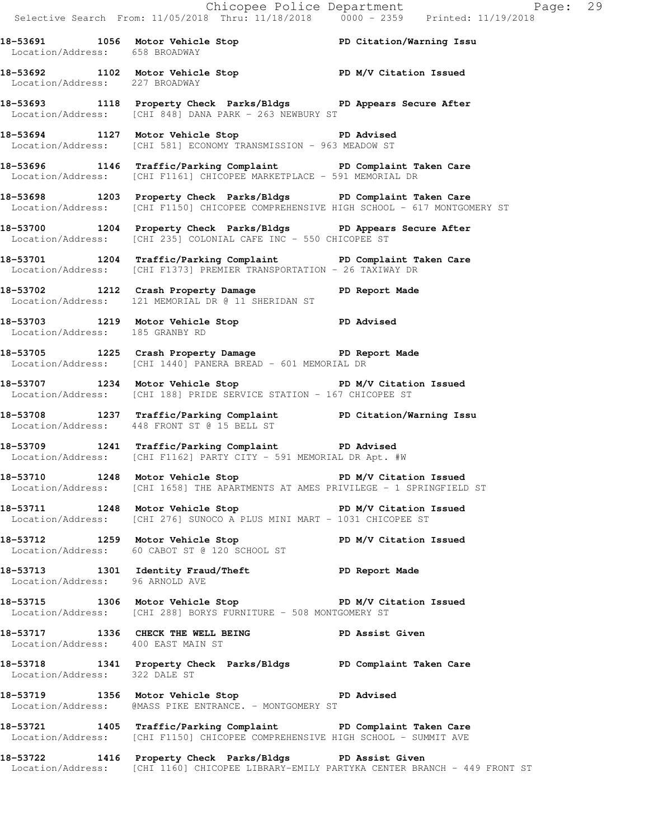Chicopee Police Department Fage: 29 Selective Search From: 11/05/2018 Thru: 11/18/2018 0000 - 2359 Printed: 11/19/2018 **18-53691 1056 Motor Vehicle Stop PD Citation/Warning Issu**  Location/Address: 658 BROADWAY **18-53692 1102 Motor Vehicle Stop PD M/V Citation Issued**  Location/Address: 227 BROADWAY **18-53693 1118 Property Check Parks/Bldgs PD Appears Secure After**  Location/Address: [CHI 848] DANA PARK - 263 NEWBURY ST **18-53694 1127 Motor Vehicle Stop PD Advised**  Location/Address: [CHI 581] ECONOMY TRANSMISSION - 963 MEADOW ST **18-53696 1146 Traffic/Parking Complaint PD Complaint Taken Care**  Location/Address: [CHI F1161] CHICOPEE MARKETPLACE - 591 MEMORIAL DR **18-53698 1203 Property Check Parks/Bldgs PD Complaint Taken Care**  Location/Address: [CHI F1150] CHICOPEE COMPREHENSIVE HIGH SCHOOL - 617 MONTGOMERY ST **18-53700 1204 Property Check Parks/Bldgs PD Appears Secure After**  Location/Address: [CHI 235] COLONIAL CAFE INC - 550 CHICOPEE ST **18-53701 1204 Traffic/Parking Complaint PD Complaint Taken Care**  Location/Address: [CHI F1373] PREMIER TRANSPORTATION - 26 TAXIWAY DR **18-53702 1212 Crash Property Damage PD Report Made**  Location/Address: 121 MEMORIAL DR @ 11 SHERIDAN ST **18-53703 1219 Motor Vehicle Stop PD Advised**  Location/Address: 185 GRANBY RD **18-53705 1225 Crash Property Damage PD Report Made**  Location/Address: [CHI 1440] PANERA BREAD - 601 MEMORIAL DR **18-53707 1234 Motor Vehicle Stop PD M/V Citation Issued**  Location/Address: [CHI 188] PRIDE SERVICE STATION - 167 CHICOPEE ST **18-53708 1237 Traffic/Parking Complaint PD Citation/Warning Issu**  Location/Address: 448 FRONT ST @ 15 BELL ST **18-53709 1241 Traffic/Parking Complaint PD Advised**  Location/Address: [CHI F1162] PARTY CITY - 591 MEMORIAL DR Apt. #W 18-53710 1248 Motor Vehicle Stop **PD M/V Citation Issued** Location/Address: [CHI 1658] THE APARTMENTS AT AMES PRIVILEGE - 1 SPRINGFIELD ST 18-53711 1248 Motor Vehicle Stop **PD M/V Citation Issued** Location/Address: [CHI 276] SUNOCO A PLUS MINI MART - 1031 CHICOPEE ST **18-53712 1259 Motor Vehicle Stop PD M/V Citation Issued**  Location/Address: 60 CABOT ST @ 120 SCHOOL ST **18-53713 1301 Identity Fraud/Theft PD Report Made**  Location/Address: 96 ARNOLD AVE **18-53715 1306 Motor Vehicle Stop PD M/V Citation Issued**  Location/Address: [CHI 288] BORYS FURNITURE - 508 MONTGOMERY ST 18-53717 1336 CHECK THE WELL BEING PD Assist Given Location/Address: 400 EAST MAIN ST **18-53718 1341 Property Check Parks/Bldgs PD Complaint Taken Care**  Location/Address: 322 DALE ST **18-53719 1356 Motor Vehicle Stop PD Advised**  Location/Address: @MASS PIKE ENTRANCE. - MONTGOMERY ST **18-53721 1405 Traffic/Parking Complaint PD Complaint Taken Care**  Location/Address: [CHI F1150] CHICOPEE COMPREHENSIVE HIGH SCHOOL - SUMMIT AVE **18-53722 1416 Property Check Parks/Bldgs PD Assist Given** 

Location/Address: [CHI 1160] CHICOPEE LIBRARY-EMILY PARTYKA CENTER BRANCH - 449 FRONT ST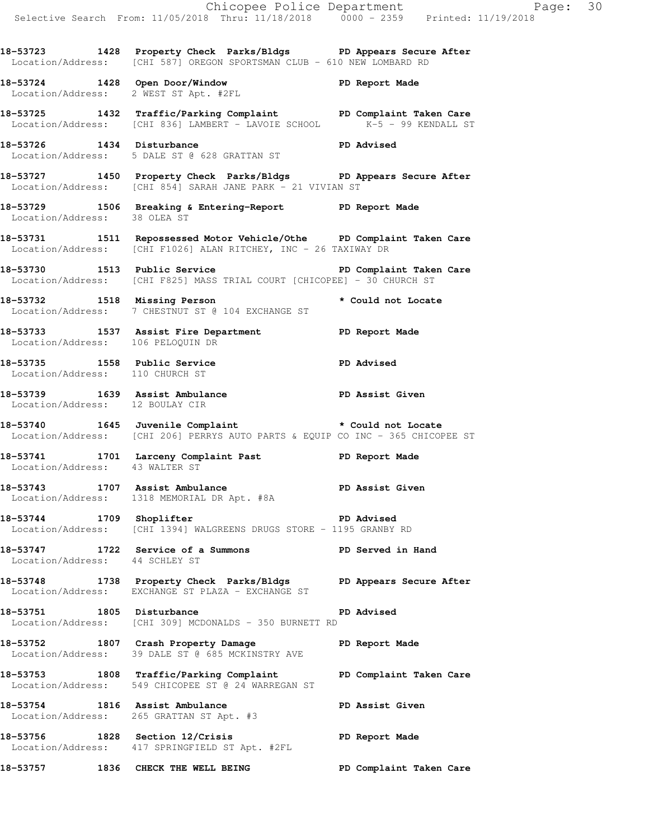Chicopee Police Department Page: 30 Selective Search From: 11/05/2018 Thru: 11/18/2018 0000 - 2359 Printed: 11/19/2018 **18-53723 1428 Property Check Parks/Bldgs PD Appears Secure After**  Location/Address: [CHI 587] OREGON SPORTSMAN CLUB - 610 NEW LOMBARD RD **18-53724 1428 Open Door/Window PD Report Made**  Location/Address: 2 WEST ST Apt. #2FL **18-53725 1432 Traffic/Parking Complaint PD Complaint Taken Care Location/Address:** [CHI 836] LAMBERT - LAVOIE SCHOOL **K-5 - 99 KENDALL ST** Location/Address: [CHI 836] LAMBERT - LAVOIE SCHOOL **18-53726 1434 Disturbance PD Advised**  Location/Address: 5 DALE ST @ 628 GRATTAN ST **18-53727 1450 Property Check Parks/Bldgs PD Appears Secure After**  Location/Address: [CHI 854] SARAH JANE PARK - 21 VIVIAN ST **18-53729 1506 Breaking & Entering-Report PD Report Made**  Location/Address: 38 OLEA ST **18-53731 1511 Repossessed Motor Vehicle/Othe PD Complaint Taken Care**  Location/Address: [CHI F1026] ALAN RITCHEY, INC - 26 TAXIWAY DR **18-53730 1513 Public Service PD Complaint Taken Care**  Location/Address: [CHI F825] MASS TRIAL COURT [CHICOPEE] - 30 CHURCH ST **18-53732 1518 Missing Person \* Could not Locate**  Location/Address: 7 CHESTNUT ST @ 104 EXCHANGE ST **18-53733 1537 Assist Fire Department PD Report Made**  Location/Address: 106 PELOQUIN DR **18-53735 1558 Public Service PD Advised**  Location/Address: 110 CHURCH ST **18-53739 1639 Assist Ambulance PD Assist Given**  Location/Address: 12 BOULAY CIR **18-53740 1645 Juvenile Complaint \* Could not Locate**  Location/Address: [CHI 206] PERRYS AUTO PARTS & EQUIP CO INC - 365 CHICOPEE ST **18-53741 1701 Larceny Complaint Past PD Report Made**  Location/Address: 43 WALTER ST **18-53743 1707 Assist Ambulance PD Assist Given**  Location/Address: 1318 MEMORIAL DR Apt. #8A **18-53744 1709 Shoplifter PD Advised**  Location/Address: [CHI 1394] WALGREENS DRUGS STORE - 1195 GRANBY RD **18-53747 1722 Service of a Summons PD Served in Hand**  Location/Address: 44 SCHLEY ST **18-53748 1738 Property Check Parks/Bldgs PD Appears Secure After**  Location/Address: EXCHANGE ST PLAZA - EXCHANGE ST **18-53751 1805 Disturbance PD Advised**  Location/Address: [CHI 309] MCDONALDS - 350 BURNETT RD **18-53752 1807 Crash Property Damage PD Report Made**  Location/Address: 39 DALE ST @ 685 MCKINSTRY AVE **18-53753 1808 Traffic/Parking Complaint PD Complaint Taken Care**  Location/Address: 549 CHICOPEE ST @ 24 WARREGAN ST **18-53754 1816 Assist Ambulance PD Assist Given**  Location/Address: 265 GRATTAN ST Apt. #3 **18-53756 1828 Section 12/Crisis PD Report Made**  Location/Address: 417 SPRINGFIELD ST Apt. #2FL **18-53757 1836 CHECK THE WELL BEING PD Complaint Taken Care**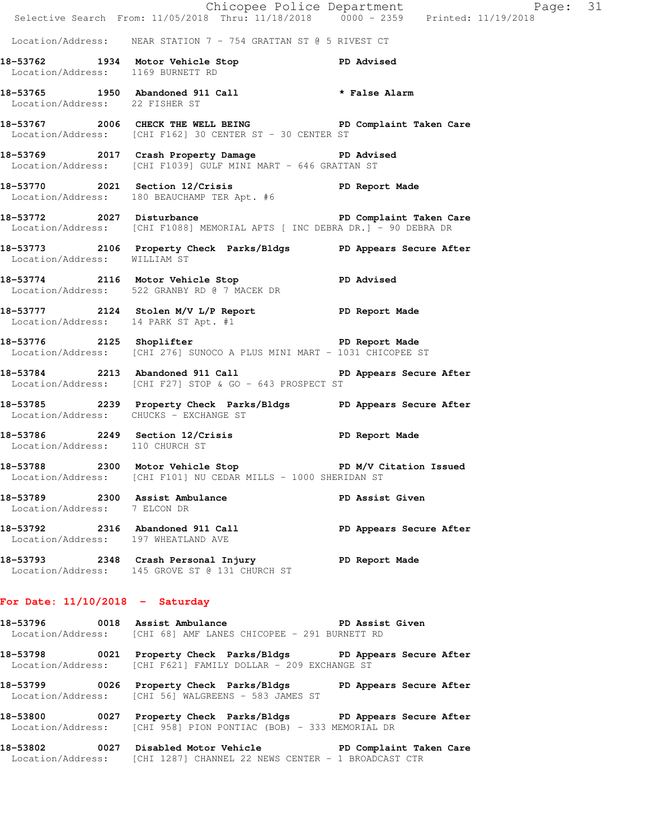|                                        | Chicopee Police Department<br>Selective Search From: 11/05/2018 Thru: 11/18/2018 0000 - 2359 Printed: 11/19/2018                     | Page: 31   |
|----------------------------------------|--------------------------------------------------------------------------------------------------------------------------------------|------------|
|                                        |                                                                                                                                      |            |
|                                        | Location/Address: NEAR STATION $7 - 754$ GRATTAN ST @ 5 RIVEST CT                                                                    |            |
| Location/Address: 1169 BURNETT RD      | 18-53762 1934 Motor Vehicle Stop North PD Advised                                                                                    |            |
| Location/Address: 22 FISHER ST         | 18-53765 1950 Abandoned 911 Call <b>*</b> False Alarm                                                                                |            |
|                                        | 18-53767 2006 CHECK THE WELL BEING PD Complaint Taken Care<br>Location/Address: [CHI F162] 30 CENTER ST - 30 CENTER ST               |            |
|                                        | 18-53769 2017 Crash Property Damage PD Advised<br>Location/Address: [CHI F1039] GULF MINI MART - 646 GRATTAN ST                      |            |
|                                        | 18-53770 2021 Section 12/Crisis 2001 PD Report Made<br>Location/Address: 180 BEAUCHAMP TER Apt. #6                                   |            |
|                                        | 18-53772 2027 Disturbance PD Complaint Taken Care<br>Location/Address: [CHI F1088] MEMORIAL APTS [ INC DEBRA DR.] - 90 DEBRA DR      |            |
| Location/Address: WILLIAM ST           | 18-53773 2106 Property Check Parks/Bldgs PD Appears Secure After                                                                     |            |
|                                        | 18-53774 2116 Motor Vehicle Stop<br>Location/Address: 522 GRANBY RD @ 7 MACEK DR                                                     | PD Advised |
| Location/Address: 14 PARK ST Apt. #1   | 18-53777 2124 Stolen M/V L/P Report 18-53777                                                                                         |            |
|                                        | 18-53776 2125 Shoplifter 2008 PD Report Made<br>Location/Address: [CHI 276] SUNOCO A PLUS MINI MART - 1031 CHICOPEE ST               |            |
|                                        | 18-53784 2213 Abandoned 911 Call PD Appears Secure After<br>Location/Address: [CHI F27] STOP & GO - 643 PROSPECT ST                  |            |
| Location/Address: CHUCKS - EXCHANGE ST | 18-53785 2239 Property Check Parks/Bldgs PD Appears Secure After                                                                     |            |
| Location/Address: 110 CHURCH ST        | 18-53786 2249 Section 12/Crisis PD Report Made                                                                                       |            |
|                                        | 18-53788 2300 Motor Vehicle Stop 50 PD M/V Citation Issued<br>Location/Address: [CHI F101] NU CEDAR MILLS - 1000 SHERIDAN ST         |            |
| Location/Address: 7 ELCON DR           | 18-53789 2300 Assist Ambulance No PD Assist Given                                                                                    |            |
| Location/Address: 197 WHEATLAND AVE    | 18-53792 2316 Abandoned 911 Call PD Appears Secure After                                                                             |            |
|                                        | 18-53793 2348 Crash Personal Injury 18-53793 PD Report Made<br>Location/Address: 145 GROVE ST @ 131 CHURCH ST                        |            |
| For Date: $11/10/2018$ - Saturday      |                                                                                                                                      |            |
|                                        | 18-53796 0018 Assist Ambulance No PD Assist Given<br>Location/Address: [CHI 68] AMF LANES CHICOPEE - 291 BURNETT RD                  |            |
|                                        | 18-53798 0021 Property Check Parks/Bldgs PD Appears Secure After<br>Location/Address: [CHI F621] FAMILY DOLLAR - 209 EXCHANGE ST     |            |
|                                        | 18-53799 0026 Property Check Parks/Bldgs PD Appears Secure After<br>Location/Address: [CHI 56] WALGREENS - 583 JAMES ST              |            |
|                                        | 18-53800 0027 Property Check Parks/Bldgs PD Appears Secure After<br>Location/Address: [CHI 958] PION PONTIAC (BOB) - 333 MEMORIAL DR |            |
|                                        | 18-53802 0027 Disabled Motor Vehicle North PD Complaint Taken Care                                                                   |            |

Location/Address: [CHI 1287] CHANNEL 22 NEWS CENTER - 1 BROADCAST CTR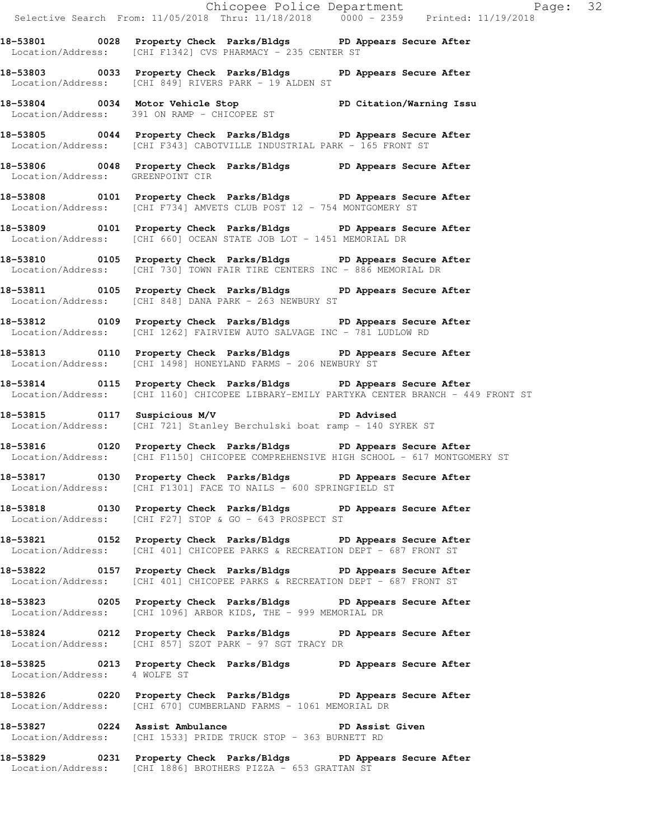**18-53801 0028 Property Check Parks/Bldgs PD Appears Secure After**  Location/Address: [CHI F1342] CVS PHARMACY - 235 CENTER ST

**18-53803 0033 Property Check Parks/Bldgs PD Appears Secure After**  Location/Address: [CHI 849] RIVERS PARK - 19 ALDEN ST

**18-53804 0034 Motor Vehicle Stop PD Citation/Warning Issu**  Location/Address: 391 ON RAMP - CHICOPEE ST

**18-53805 0044 Property Check Parks/Bldgs PD Appears Secure After**  Location/Address: [CHI F343] CABOTVILLE INDUSTRIAL PARK - 165 FRONT ST

18-53806 0048 Property Check Parks/Bldgs PD Appears Secure After Location/Address: GREENPOINT CIR Location/Address:

**18-53808 0101 Property Check Parks/Bldgs PD Appears Secure After**  Location/Address: [CHI F734] AMVETS CLUB POST 12 - 754 MONTGOMERY ST

**18-53809 0101 Property Check Parks/Bldgs PD Appears Secure After**  Location/Address: [CHI 660] OCEAN STATE JOB LOT - 1451 MEMORIAL DR

**18-53810 0105 Property Check Parks/Bldgs PD Appears Secure After**  Location/Address: [CHI 730] TOWN FAIR TIRE CENTERS INC - 886 MEMORIAL DR

**18-53811 0105 Property Check Parks/Bldgs PD Appears Secure After**  Location/Address: [CHI 848] DANA PARK - 263 NEWBURY ST

**18-53812 0109 Property Check Parks/Bldgs PD Appears Secure After**  Location/Address: [CHI 1262] FAIRVIEW AUTO SALVAGE INC - 781 LUDLOW RD

**18-53814 0115 Property Check Parks/Bldgs PD Appears Secure After** 

Location/Address: [CHI 721] Stanley Berchulski boat ramp - 140 SYREK ST

**18-53816 0120 Property Check Parks/Bldgs PD Appears Secure After**  Location/Address: [CHI F1150] CHICOPEE COMPREHENSIVE HIGH SCHOOL - 617 MONTGOMERY ST

**18-53817 0130 Property Check Parks/Bldgs PD Appears Secure After**  Location/Address: [CHI F1301] FACE TO NAILS - 600 SPRINGFIELD ST

**18-53818 0130 Property Check Parks/Bldgs PD Appears Secure After**  Location/Address: [CHI F27] STOP & GO - 643 PROSPECT ST

**18-53821 0152 Property Check Parks/Bldgs PD Appears Secure After**  Location/Address: [CHI 401] CHICOPEE PARKS & RECREATION DEPT - 687 FRONT ST

**18-53822 0157 Property Check Parks/Bldgs PD Appears Secure After**  Location/Address: [CHI 401] CHICOPEE PARKS & RECREATION DEPT - 687 FRONT ST

**18-53823 0205 Property Check Parks/Bldgs PD Appears Secure After**  Location/Address: [CHI 1096] ARBOR KIDS, THE - 999 MEMORIAL DR

**18-53824 0212 Property Check Parks/Bldgs PD Appears Secure After**  Location/Address: [CHI 857] SZOT PARK - 97 SGT TRACY DR

**18-53825 0213 Property Check Parks/Bldgs PD Appears Secure After**  Location/Address: 4 WOLFE ST

**18-53826 0220 Property Check Parks/Bldgs PD Appears Secure After**  Location/Address: [CHI 670] CUMBERLAND FARMS - 1061 MEMORIAL DR

**18-53827 0224 Assist Ambulance PD Assist Given**  Location/Address: [CHI 1533] PRIDE TRUCK STOP - 363 BURNETT RD

**18-53829 0231 Property Check Parks/Bldgs PD Appears Secure After**  Location/Address: [CHI 1886] BROTHERS PIZZA - 653 GRATTAN ST

**18-53813 0110 Property Check Parks/Bldgs PD Appears Secure After**  Location/Address: [CHI 1498] HONEYLAND FARMS - 206 NEWBURY ST

Location/Address: [CHI 1160] CHICOPEE LIBRARY-EMILY PARTYKA CENTER BRANCH - 449 FRONT ST

**18-53815 0117 Suspicious M/V PD Advised**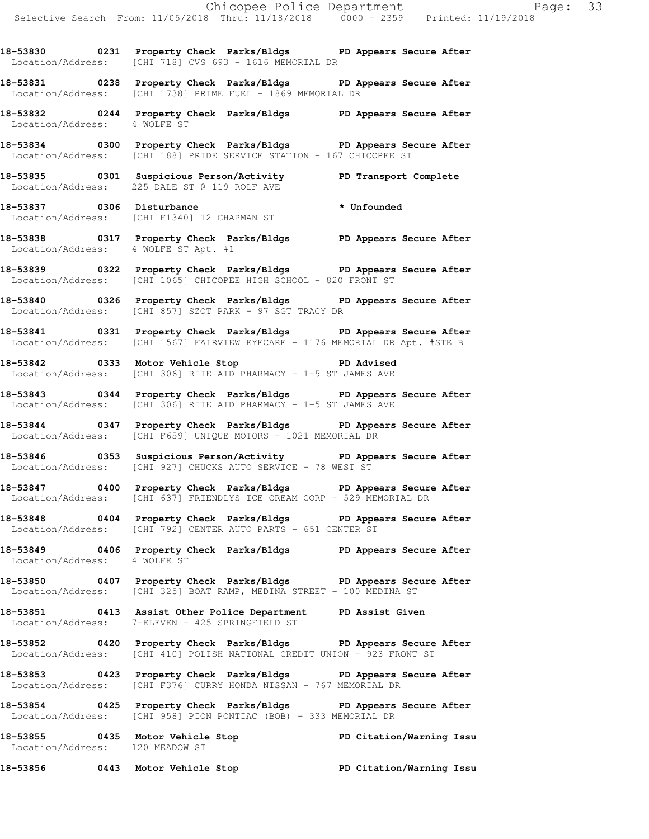**18-53830 0231 Property Check Parks/Bldgs PD Appears Secure After**  Location/Address: [CHI 718] CVS 693 - 1616 MEMORIAL DR

**18-53831 0238 Property Check Parks/Bldgs PD Appears Secure After**  Location/Address: [CHI 1738] PRIME FUEL - 1869 MEMORIAL DR

**18-53832 0244 Property Check Parks/Bldgs PD Appears Secure After**  Location/Address: 4 WOLFE ST

**18-53834 0300 Property Check Parks/Bldgs PD Appears Secure After**  Location/Address: [CHI 188] PRIDE SERVICE STATION - 167 CHICOPEE ST

**18-53835 0301 Suspicious Person/Activity PD Transport Complete**  Location/Address: 225 DALE ST @ 119 ROLF AVE

18-53837 0306 Disturbance **\*** Unfounded Location/Address: [CHI F1340] 12 CHAPMAN ST

**18-53838 0317 Property Check Parks/Bldgs PD Appears Secure After**  Location/Address: 4 WOLFE ST Apt. #1

**18-53839 0322 Property Check Parks/Bldgs PD Appears Secure After**  Location/Address: [CHI 1065] CHICOPEE HIGH SCHOOL - 820 FRONT ST

**18-53840 0326 Property Check Parks/Bldgs PD Appears Secure After**  Location/Address: [CHI 857] SZOT PARK - 97 SGT TRACY DR

**18-53841 0331 Property Check Parks/Bldgs PD Appears Secure After**  Location/Address: [CHI 1567] FAIRVIEW EYECARE - 1176 MEMORIAL DR Apt. #STE B

**18-53842 0333 Motor Vehicle Stop PD Advised**  Location/Address: [CHI 306] RITE AID PHARMACY - 1-5 ST JAMES AVE

**18-53843 0344 Property Check Parks/Bldgs PD Appears Secure After**  Location/Address: [CHI 306] RITE AID PHARMACY - 1-5 ST JAMES AVE

**18-53844 0347 Property Check Parks/Bldgs PD Appears Secure After**  Location/Address: [CHI F659] UNIQUE MOTORS - 1021 MEMORIAL DR

**18-53846 0353 Suspicious Person/Activity PD Appears Secure After**  Location/Address: [CHI 927] CHUCKS AUTO SERVICE - 78 WEST ST

**18-53847 0400 Property Check Parks/Bldgs PD Appears Secure After**  Location/Address: [CHI 637] FRIENDLYS ICE CREAM CORP - 529 MEMORIAL DR

**18-53848 0404 Property Check Parks/Bldgs PD Appears Secure After**  Location/Address: [CHI 792] CENTER AUTO PARTS - 651 CENTER ST

**18-53849 0406 Property Check Parks/Bldgs PD Appears Secure After**  Location/Address: 4 WOLFE ST

**18-53850 0407 Property Check Parks/Bldgs PD Appears Secure After**  Location/Address: [CHI 325] BOAT RAMP, MEDINA STREET - 100 MEDINA ST

**18-53851 0413 Assist Other Police Department PD Assist Given**  Location/Address: 7-ELEVEN - 425 SPRINGFIELD ST

**18-53852 0420 Property Check Parks/Bldgs PD Appears Secure After**  Location/Address: [CHI 410] POLISH NATIONAL CREDIT UNION - 923 FRONT ST

**18-53853 0423 Property Check Parks/Bldgs PD Appears Secure After**  Location/Address: [CHI F376] CURRY HONDA NISSAN - 767 MEMORIAL DR

**18-53854 0425 Property Check Parks/Bldgs PD Appears Secure After**  Location/Address: [CHI 958] PION PONTIAC (BOB) - 333 MEMORIAL DR

**18-53855 0435 Motor Vehicle Stop PD Citation/Warning Issu**  Location/Address: 120 MEADOW ST

**18-53856 0443 Motor Vehicle Stop PD Citation/Warning Issu**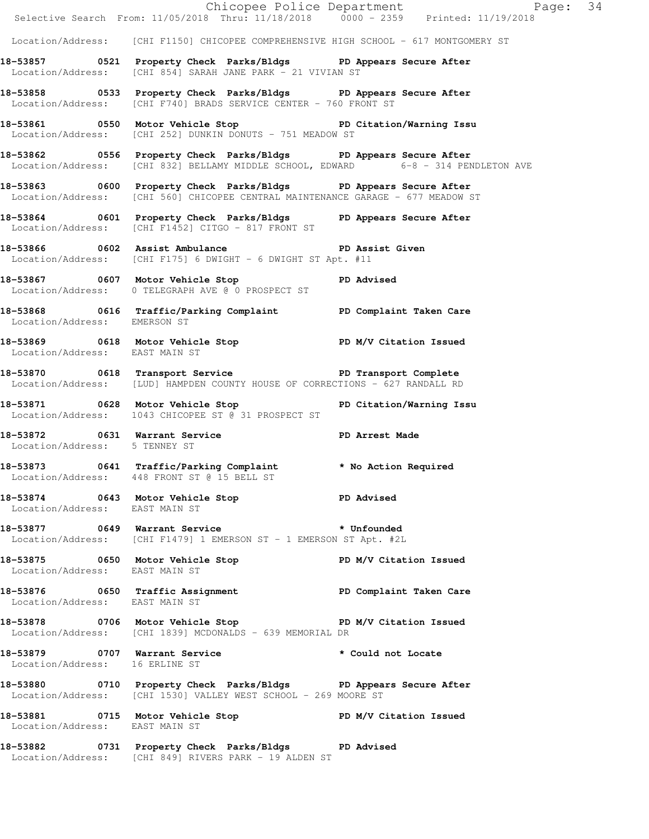|                                | Selective Search From: 11/05/2018 Thru: 11/18/2018 0000 - 2359 Printed: 11/19/2018                                                                          | Chicopee Police Department Page: 34 |  |
|--------------------------------|-------------------------------------------------------------------------------------------------------------------------------------------------------------|-------------------------------------|--|
|                                | Location/Address: [CHI F1150] CHICOPEE COMPREHENSIVE HIGH SCHOOL - 617 MONTGOMERY ST                                                                        |                                     |  |
|                                | 18-53857 0521 Property Check Parks/Bldgs PD Appears Secure After<br>Location/Address: [CHI 854] SARAH JANE PARK - 21 VIVIAN ST                              |                                     |  |
|                                | 18-53858 		 0533 Property Check Parks/Bldgs 		 PD Appears Secure After<br>Location/Address: [CHI F740] BRADS SERVICE CENTER - 760 FRONT ST                  |                                     |  |
|                                | 18-53861 0550 Motor Vehicle Stop Notor PD Citation/Warning Issu<br>Location/Address: [CHI 252] DUNKIN DONUTS - 751 MEADOW ST                                |                                     |  |
|                                | 18-53862 		 0556 Property Check Parks/Bldgs 		 PD Appears Secure After<br>Location/Address: [CHI 832] BELLAMY MIDDLE SCHOOL, EDWARD 6-8 - 314 PENDLETON AVE |                                     |  |
|                                | 18-53863 0600 Property Check Parks/Bldgs PD Appears Secure After<br>Location/Address: [CHI 560] CHICOPEE CENTRAL MAINTENANCE GARAGE - 677 MEADOW ST         |                                     |  |
|                                | 18-53864 0601 Property Check Parks/Bldgs PD Appears Secure After<br>Location/Address: [CHI F1452] CITGO - 817 FRONT ST                                      |                                     |  |
|                                | 18-53866 0602 Assist Ambulance New PD Assist Given<br>Location/Address: [CHI F175] 6 DWIGHT - 6 DWIGHT ST Apt. #11                                          |                                     |  |
|                                | 18-53867 0607 Motor Vehicle Stop PD Advised<br>Location/Address: 0 TELEGRAPH AVE @ 0 PROSPECT ST                                                            |                                     |  |
| Location/Address: EMERSON ST   | 18-53868 0616 Traffic/Parking Complaint PD Complaint Taken Care                                                                                             |                                     |  |
| Location/Address: EAST MAIN ST | 18-53869 0618 Motor Vehicle Stop N/V Citation Issued                                                                                                        |                                     |  |
|                                | Location/Address: [LUD] HAMPDEN COUNTY HOUSE OF CORRECTIONS - 627 RANDALL RD                                                                                |                                     |  |
|                                | 18-53871 0628 Motor Vehicle Stop 50 PD Citation/Warning Issu<br>Location/Address: 1043 CHICOPEE ST @ 31 PROSPECT ST                                         |                                     |  |
| Location/Address: 5 TENNEY ST  | 18-53872 0631 Warrant Service <b>18-18 PD</b> Arrest Made                                                                                                   |                                     |  |
|                                | 18-53873 0641 Traffic/Parking Complaint * No Action Required<br>Location/Address: 448 FRONT ST @ 15 BELL ST                                                 |                                     |  |
| Location/Address: EAST MAIN ST | 18-53874 0643 Motor Vehicle Stop North PD Advised                                                                                                           |                                     |  |
|                                | 18-53877 0649 Warrant Service 2008 * Unfounded<br>Location/Address: [CHI F1479] 1 EMERSON ST - 1 EMERSON ST Apt. #2L                                        |                                     |  |
| Location/Address: EAST MAIN ST | 18-53875 0650 Motor Vehicle Stop N/V Citation Issued                                                                                                        |                                     |  |
| Location/Address: EAST MAIN ST | 18-53876 		 0650 Traffic Assignment 		 PD Complaint Taken Care                                                                                              |                                     |  |
|                                | 18-53878 0706 Motor Vehicle Stop N/V Citation Issued<br>Location/Address: [CHI 1839] MCDONALDS - 639 MEMORIAL DR                                            |                                     |  |
| Location/Address: 16 ERLINE ST | 18-53879 		 0707 Warrant Service 		 * Could not Locate                                                                                                      |                                     |  |
|                                | 18-53880 0710 Property Check Parks/Bldgs PD Appears Secure After<br>Location/Address: [CHI 1530] VALLEY WEST SCHOOL - 269 MOORE ST                          |                                     |  |
| Location/Address: EAST MAIN ST | 18-53881 0715 Motor Vehicle Stop N/V Citation Issued                                                                                                        |                                     |  |
|                                | 18-53882 0731 Property Check Parks/Bldgs PD Advised<br>Location/Address: [CHI 849] RIVERS PARK - 19 ALDEN ST                                                |                                     |  |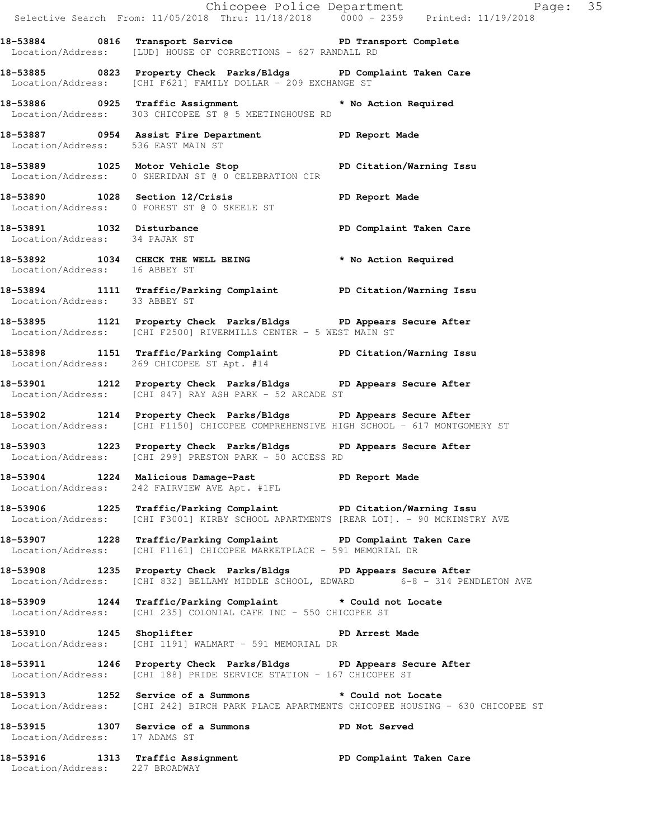|                               |                                                                                                                                                          | Chicopee Police Department<br>Selective Search From: 11/05/2018 Thru: 11/18/2018 0000 - 2359 Printed: 11/19/2018 |  |
|-------------------------------|----------------------------------------------------------------------------------------------------------------------------------------------------------|------------------------------------------------------------------------------------------------------------------|--|
|                               | 18-53884 0816 Transport Service New PD Transport Complete<br>Location/Address: [LUD] HOUSE OF CORRECTIONS - 627 RANDALL RD                               |                                                                                                                  |  |
|                               | 18-53885 0823 Property Check Parks/Bldgs PD Complaint Taken Care<br>Location/Address: [CHI F621] FAMILY DOLLAR - 209 EXCHANGE ST                         |                                                                                                                  |  |
|                               | 18-53886 0925 Traffic Assignment * No Action Required<br>Location/Address: 303 CHICOPEE ST @ 5 MEETINGHOUSE RD                                           |                                                                                                                  |  |
|                               | 18-53887 0954 Assist Fire Department PD Report Made<br>Location/Address: 536 EAST MAIN ST                                                                |                                                                                                                  |  |
|                               | 18-53889 1025 Motor Vehicle Stop PD Citation/Warning Issu<br>Location/Address: 0 SHERIDAN ST @ 0 CELEBRATION CIR                                         |                                                                                                                  |  |
|                               | 18-53890 1028 Section 12/Crisis PD Report Made<br>Location/Address: 0 FOREST ST @ 0 SKEELE ST                                                            |                                                                                                                  |  |
| Location/Address: 34 PAJAK ST | 18-53891 1032 Disturbance PD Complaint Taken Care                                                                                                        |                                                                                                                  |  |
| Location/Address: 16 ABBEY ST | 18-53892 1034 CHECK THE WELL BEING * No Action Required                                                                                                  |                                                                                                                  |  |
| Location/Address: 33 ABBEY ST | 18-53894 1111 Traffic/Parking Complaint PD Citation/Warning Issu                                                                                         |                                                                                                                  |  |
|                               | 18-53895 1121 Property Check Parks/Bldgs PD Appears Secure After<br>Location/Address: [CHI F2500] RIVERMILLS CENTER - 5 WEST MAIN ST                     |                                                                                                                  |  |
|                               | 18-53898 1151 Traffic/Parking Complaint PD Citation/Warning Issu<br>Location/Address: 269 CHICOPEE ST Apt. #14                                           |                                                                                                                  |  |
|                               | 18-53901 1212 Property Check Parks/Bldgs PD Appears Secure After<br>Location/Address: [CHI 847] RAY ASH PARK - 52 ARCADE ST                              |                                                                                                                  |  |
|                               | 18-53902 1214 Property Check Parks/Bldgs PD Appears Secure After<br>Location/Address: [CHI F1150] CHICOPEE COMPREHENSIVE HIGH SCHOOL - 617 MONTGOMERY ST |                                                                                                                  |  |
|                               | 18-53903 1223 Property Check Parks/Bldgs PD Appears Secure After<br>Location/Address: [CHI 299] PRESTON PARK - 50 ACCESS RD                              |                                                                                                                  |  |
|                               | 18-53904 1224 Malicious Damage-Past PD Report Made<br>Location/Address: 242 FAIRVIEW AVE Apt. #1FL                                                       |                                                                                                                  |  |
|                               | 18-53906 1225 Traffic/Parking Complaint PD Citation/Warning Issu<br>Location/Address: [CHI F3001] KIRBY SCHOOL APARTMENTS [REAR LOT]. - 90 MCKINSTRY AVE |                                                                                                                  |  |
|                               | 18-53907 1228 Traffic/Parking Complaint PD Complaint Taken Care<br>Location/Address: [CHI F1161] CHICOPEE MARKETPLACE - 591 MEMORIAL DR                  |                                                                                                                  |  |
|                               | 18-53908 1235 Property Check Parks/Bldgs PD Appears Secure After<br>Location/Address: [CHI 832] BELLAMY MIDDLE SCHOOL, EDWARD 6-8 - 314 PENDLETON AVE    |                                                                                                                  |  |
|                               | 18-53909 1244 Traffic/Parking Complaint * Could not Locate<br>Location/Address: [CHI 235] COLONIAL CAFE INC - 550 CHICOPEE ST                            |                                                                                                                  |  |
|                               | 18-53910 1245 Shoplifter and the PD Arrest Made<br>Location/Address: [CHI 1191] WALMART - 591 MEMORIAL DR                                                |                                                                                                                  |  |
|                               | 18-53911 1246 Property Check Parks/Bldgs PD Appears Secure After<br>Location/Address: [CHI 188] PRIDE SERVICE STATION - 167 CHICOPEE ST                  |                                                                                                                  |  |
|                               | 18-53913 1252 Service of a Summons * Could not Locate                                                                                                    | Location/Address: [CHI 242] BIRCH PARK PLACE APARTMENTS CHICOPEE HOUSING - 630 CHICOPEE ST                       |  |
| Location/Address: 17 ADAMS ST | 18-53915 1307 Service of a Summons PD Not Served                                                                                                         |                                                                                                                  |  |
|                               | 18-53916 1313 Traffic Assignment New PD Complaint Taken Care                                                                                             |                                                                                                                  |  |

Location/Address: 227 BROADWAY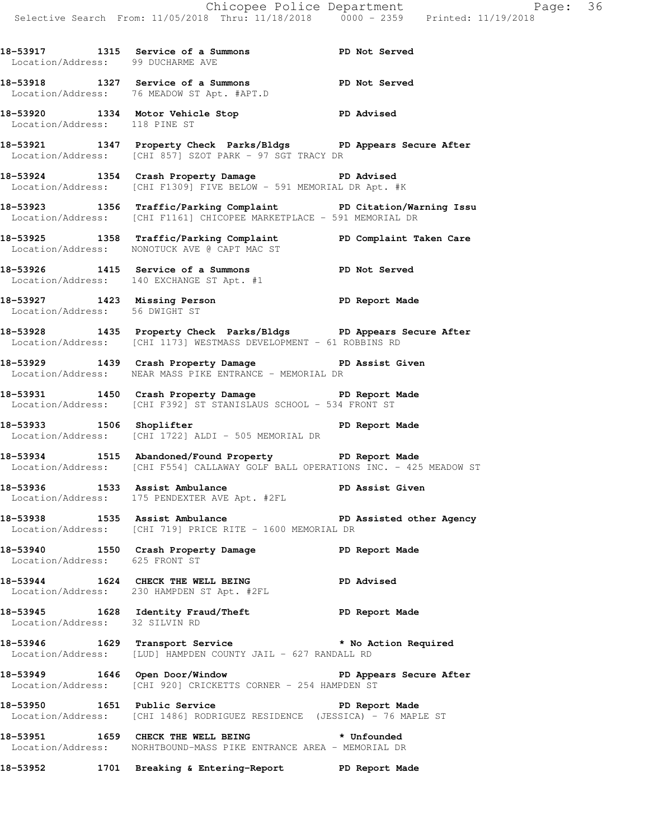**18-53917 1315 Service of a Summons PD Not Served**  Location/Address: 99 DUCHARME AVE **18-53918 1327 Service of a Summons PD Not Served**  Location/Address: 76 MEADOW ST Apt. #APT.D **18-53920 1334 Motor Vehicle Stop PD Advised**  Location/Address: 118 PINE ST **18-53921 1347 Property Check Parks/Bldgs PD Appears Secure After**  Location/Address: [CHI 857] SZOT PARK - 97 SGT TRACY DR **18-53924 1354 Crash Property Damage PD Advised**  Location/Address: [CHI F1309] FIVE BELOW - 591 MEMORIAL DR Apt. #K **18-53923 1356 Traffic/Parking Complaint PD Citation/Warning Issu**  Location/Address: [CHI F1161] CHICOPEE MARKETPLACE - 591 MEMORIAL DR **18-53925 1358 Traffic/Parking Complaint PD Complaint Taken Care**  Location/Address: NONOTUCK AVE @ CAPT MAC ST **18-53926 1415 Service of a Summons PD Not Served**  Location/Address: 140 EXCHANGE ST Apt. #1 **18-53927 1423 Missing Person PD Report Made**  Location/Address: 56 DWIGHT ST **18-53928 1435 Property Check Parks/Bldgs PD Appears Secure After**  Location/Address: [CHI 1173] WESTMASS DEVELOPMENT - 61 ROBBINS RD **18-53929 1439 Crash Property Damage PD Assist Given**  Location/Address: NEAR MASS PIKE ENTRANCE - MEMORIAL DR **18-53931 1450 Crash Property Damage PD Report Made**  Location/Address: [CHI F392] ST STANISLAUS SCHOOL - 534 FRONT ST **18-53933 1506 Shoplifter PD Report Made**  Location/Address: [CHI 1722] ALDI - 505 MEMORIAL DR **18-53934 1515 Abandoned/Found Property PD Report Made**  Location/Address: [CHI F554] CALLAWAY GOLF BALL OPERATIONS INC. - 425 MEADOW ST **18-53936 1533 Assist Ambulance PD Assist Given**  Location/Address: 175 PENDEXTER AVE Apt. #2FL **18-53938 1535 Assist Ambulance PD Assisted other Agency**  Location/Address: [CHI 719] PRICE RITE - 1600 MEMORIAL DR **18-53940 1550 Crash Property Damage PD Report Made**  Location/Address: 625 FRONT ST **18-53944 1624 CHECK THE WELL BEING PD Advised**  Location/Address: 230 HAMPDEN ST Apt. #2FL **18-53945 1628 Identity Fraud/Theft PD Report Made**  Location/Address: 32 SILVIN RD **18-53946 1629 Transport Service \* No Action Required**  Location/Address: [LUD] HAMPDEN COUNTY JAIL - 627 RANDALL RD **18-53949 1646 Open Door/Window PD Appears Secure After**  Location/Address: [CHI 920] CRICKETTS CORNER - 254 HAMPDEN ST **18-53950 1651 Public Service PD Report Made**  Location/Address: [CHI 1486] RODRIGUEZ RESIDENCE (JESSICA) - 76 MAPLE ST **18-53951 1659 CHECK THE WELL BEING \* Unfounded**  Location/Address: NORHTBOUND-MASS PIKE ENTRANCE AREA - MEMORIAL DR **18-53952 1701 Breaking & Entering-Report PD Report Made**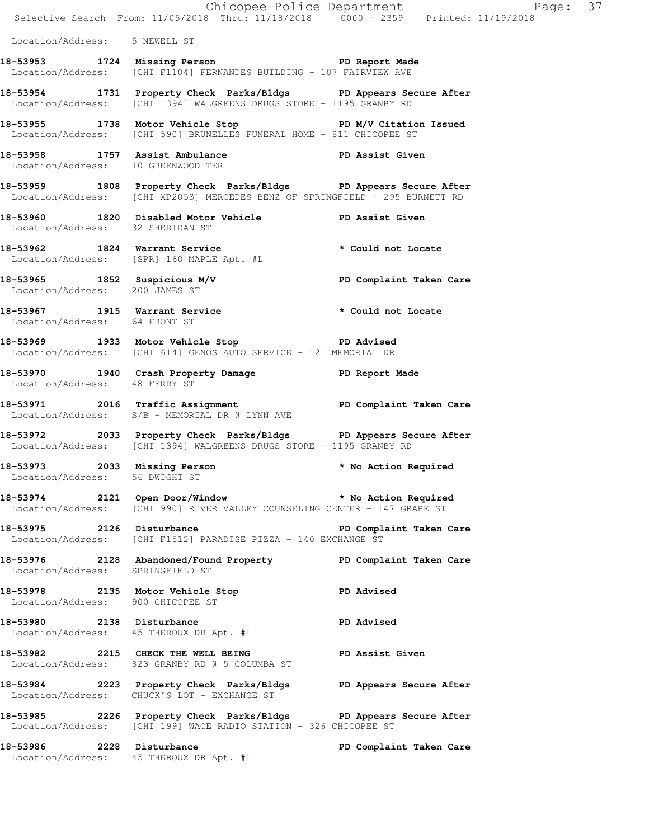|                                                                |                                                                                                                                                  | Chicopee Police Department<br>Selective Search From: 11/05/2018 Thru: 11/18/2018 0000 - 2359 Printed: 11/19/2018 | Page: 37 |
|----------------------------------------------------------------|--------------------------------------------------------------------------------------------------------------------------------------------------|------------------------------------------------------------------------------------------------------------------|----------|
| Location/Address: 5 NEWELL ST                                  |                                                                                                                                                  |                                                                                                                  |          |
|                                                                | 18-53953 1724 Missing Person 1997 PD Report Made<br>Location/Address: [CHI F1104] FERNANDES BUILDING - 187 FAIRVIEW AVE                          |                                                                                                                  |          |
|                                                                | 18-53954 1731 Property Check Parks/Bldgs PD Appears Secure After<br>Location/Address: [CHI 1394] WALGREENS DRUGS STORE - 1195 GRANBY RD          |                                                                                                                  |          |
|                                                                | 18-53955 1738 Motor Vehicle Stop N/V Citation Issued<br>Location/Address: [CHI 590] BRUNELLES FUNERAL HOME - 811 CHICOPEE ST                     |                                                                                                                  |          |
| Location/Address: 10 GREENWOOD TER                             | 18-53958 1757 Assist Ambulance National PD Assist Given                                                                                          |                                                                                                                  |          |
|                                                                | 18-53959 1808 Property Check Parks/Bldgs PD Appears Secure After<br>Location/Address: [CHI XP2053] MERCEDES-BENZ OF SPRINGFIELD - 295 BURNETT RD |                                                                                                                  |          |
|                                                                | 18-53960 1820 Disabled Motor Vehicle PD Assist Given<br>Location/Address: 32 SHERIDAN ST                                                         |                                                                                                                  |          |
|                                                                | 18-53962 1824 Warrant Service * * Could not Locate<br>Location/Address: [SPR] 160 MAPLE Apt. #L                                                  |                                                                                                                  |          |
| Location/Address: 200 JAMES ST                                 | 18-53965 1852 Suspicious M/V PD Complaint Taken Care                                                                                             |                                                                                                                  |          |
| Location/Address: 64 FRONT ST                                  | 18-53967 1915 Warrant Service * * Could not Locate                                                                                               |                                                                                                                  |          |
|                                                                | 18-53969 1933 Motor Vehicle Stop 51 PD Advised<br>Location/Address: [CHI 614] GENOS AUTO SERVICE - 121 MEMORIAL DR                               |                                                                                                                  |          |
| Location/Address: 48 FERRY ST                                  | 18-53970 1940 Crash Property Damage Name PD Report Made                                                                                          |                                                                                                                  |          |
|                                                                | 18-53971 2016 Traffic Assignment New PD Complaint Taken Care<br>Location/Address: S/B - MEMORIAL DR @ LYNN AVE                                   |                                                                                                                  |          |
|                                                                | 18-53972 2033 Property Check Parks/Bldgs PD Appears Secure After<br>Location/Address: [CHI 1394] WALGREENS DRUGS STORE - 1195 GRANBY RD          |                                                                                                                  |          |
| 18-53973 2033 Missing Person<br>Location/Address: 56 DWIGHT ST |                                                                                                                                                  | * No Action Required                                                                                             |          |
|                                                                | 18-53974 2121 Open Door/Window * No Action Required<br>Location/Address: [CHI 990] RIVER VALLEY COUNSELING CENTER - 147 GRAPE ST                 |                                                                                                                  |          |
|                                                                | 18-53975 2126 Disturbance<br>Location/Address: [CHI F1512] PARADISE PIZZA - 140 EXCHANGE ST                                                      | PD Complaint Taken Care                                                                                          |          |
| Location/Address: SPRINGFIELD ST                               | 18-53976 2128 Abandoned/Found Property PD Complaint Taken Care                                                                                   |                                                                                                                  |          |
| Location/Address: 900 CHICOPEE ST                              | 18-53978 2135 Motor Vehicle Stop                                                                                                                 | <b>PD Advised</b>                                                                                                |          |
|                                                                | 18-53980 2138 Disturbance<br>Location/Address: 45 THEROUX DR Apt. #L                                                                             | <b>PD Advised</b>                                                                                                |          |
|                                                                | 18-53982 2215 CHECK THE WELL BEING PD Assist Given<br>Location/Address: 823 GRANBY RD @ 5 COLUMBA ST                                             |                                                                                                                  |          |
|                                                                | 18-53984 2223 Property Check Parks/Bldgs PD Appears Secure After<br>Location/Address: CHUCK'S LOT - EXCHANGE ST                                  |                                                                                                                  |          |
|                                                                | 18-53985 2226 Property Check Parks/Bldgs PD Appears Secure After<br>Location/Address: [CHI 199] WACE RADIO STATION - 326 CHICOPEE ST             |                                                                                                                  |          |
| 18-53986 2228 Disturbance                                      | Location/Address: 45 THEROUX DR Apt. #L                                                                                                          | PD Complaint Taken Care                                                                                          |          |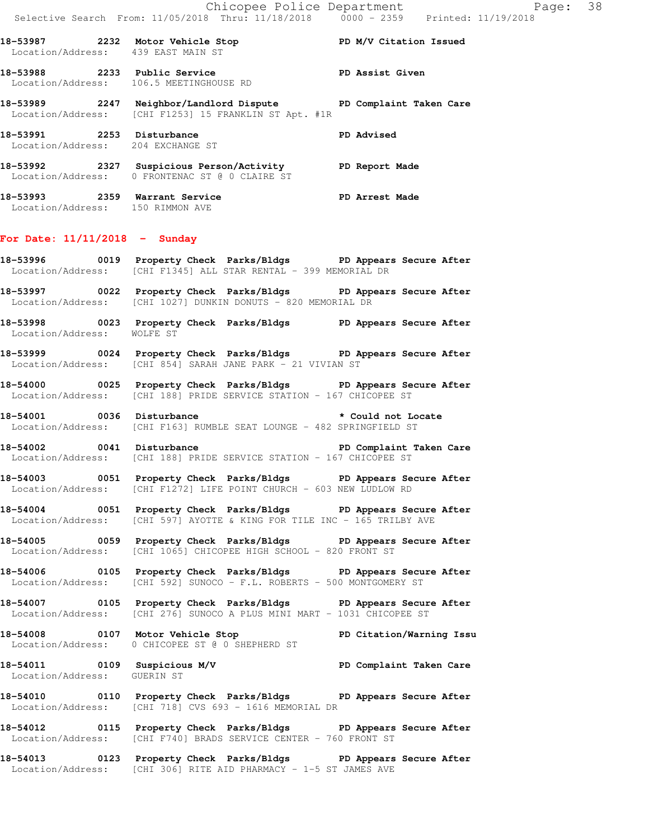|                                                             | 18-53987 2232 Motor Vehicle Stop N/V Citation Issued<br>Location/Address: 439 EAST MAIN ST                                                  |                          |
|-------------------------------------------------------------|---------------------------------------------------------------------------------------------------------------------------------------------|--------------------------|
|                                                             | 18-53988 2233 Public Service<br>Location/Address: 106.5 MEETINGHOUSE RD                                                                     |                          |
|                                                             | 18-53989 2247 Neighbor/Landlord Dispute PD Complaint Taken Care<br>Location/Address: [CHI F1253] 15 FRANKLIN ST Apt. #1R                    |                          |
| 18-53991 2253 Disturbance                                   | Location/Address: 204 EXCHANGE ST                                                                                                           | <b>PD Advised</b>        |
|                                                             | 18-53992 2327 Suspicious Person/Activity PD Report Made<br>Location/Address: 0 FRONTENAC ST @ 0 CLAIRE ST                                   |                          |
|                                                             | 18-53993 2359 Warrant Service PD Arrest Made<br>Location/Address: 150 RIMMON AVE                                                            |                          |
| For Date: $11/11/2018$ - Sunday                             |                                                                                                                                             |                          |
|                                                             | 18-53996 0019 Property Check Parks/Bldgs PD Appears Secure After<br>Location/Address: [CHI F1345] ALL STAR RENTAL - 399 MEMORIAL DR         |                          |
|                                                             | 18-53997 0022 Property Check Parks/Bldgs PD Appears Secure After<br>Location/Address: [CHI 1027] DUNKIN DONUTS - 820 MEMORIAL DR            |                          |
| Location/Address: WOLFE ST                                  | 18-53998 0023 Property Check Parks/Bldgs PD Appears Secure After                                                                            |                          |
|                                                             | 18-53999 0024 Property Check Parks/Bldgs PD Appears Secure After<br>Location/Address: [CHI 854] SARAH JANE PARK - 21 VIVIAN ST              |                          |
|                                                             | 18-54000 0025 Property Check Parks/Bldgs PD Appears Secure After<br>Location/Address: [CHI 188] PRIDE SERVICE STATION - 167 CHICOPEE ST     |                          |
|                                                             | 18-54001 0036 Disturbance the total of Locate<br>Location/Address: [CHI F163] RUMBLE SEAT LOUNGE - 482 SPRINGFIELD ST                       |                          |
|                                                             | -<br>18-54002 18-0041 Disturbance 1990 PD Complaint Taken Care<br>Location/Address: [CHI 188] PRIDE SERVICE STATION - 167 CHICOPEE ST       |                          |
|                                                             | 18-54003 0051 Property Check Parks/Bldgs PD Appears Secure After<br>Location/Address: [CHI F1272] LIFE POINT CHURCH - 603 NEW LUDLOW RD     |                          |
|                                                             | 18-54004 0051 Property Check Parks/Bldgs PD Appears Secure After<br>Location/Address: [CHI 597] AYOTTE & KING FOR TILE INC - 165 TRILBY AVE |                          |
|                                                             | 18-54005 0059 Property Check Parks/Bldgs PD Appears Secure After<br>Location/Address: [CHI 1065] CHICOPEE HIGH SCHOOL - 820 FRONT ST        |                          |
|                                                             | 18-54006 0105 Property Check Parks/Bldgs PD Appears Secure After<br>Location/Address: [CHI 592] SUNOCO - F.L. ROBERTS - 500 MONTGOMERY ST   |                          |
|                                                             | 18-54007 0105 Property Check Parks/Bldgs PD Appears Secure After<br>Location/Address: [CHI 276] SUNOCO A PLUS MINI MART - 1031 CHICOPEE ST  |                          |
| 18-54008 0107 Motor Vehicle Stop                            | Location/Address: 0 CHICOPEE ST @ 0 SHEPHERD ST                                                                                             | PD Citation/Warning Issu |
| 18-54011 0109 Suspicious M/V<br>Location/Address: GUERIN ST |                                                                                                                                             | PD Complaint Taken Care  |
|                                                             | 18-54010 0110 Property Check Parks/Bldgs PD Appears Secure After<br>Location/Address: [CHI 718] CVS 693 - 1616 MEMORIAL DR                  |                          |
|                                                             | 18-54012 		 0115 Property Check Parks/Bldgs 		 PD Appears Secure After<br>Location/Address: [CHI F740] BRADS SERVICE CENTER - 760 FRONT ST  |                          |
|                                                             | 18-54013 0123 Property Check Parks/Bldgs PD Appears Secure After<br>Location/Address: [CHI 306] RITE AID PHARMACY - 1-5 ST JAMES AVE        |                          |
|                                                             |                                                                                                                                             |                          |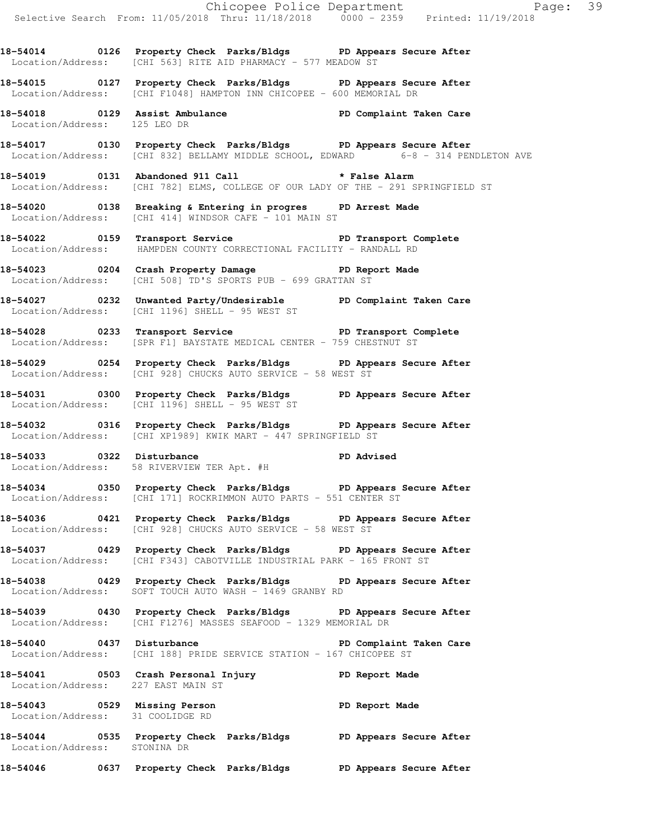**18-54014 0126 Property Check Parks/Bldgs PD Appears Secure After**  Location/Address: [CHI 563] RITE AID PHARMACY - 577 MEADOW ST

**18-54015 0127 Property Check Parks/Bldgs PD Appears Secure After**  Location/Address: [CHI F1048] HAMPTON INN CHICOPEE - 600 MEMORIAL DR

**18-54018 0129 Assist Ambulance PD Complaint Taken Care**  Location/Address: 125 LEO DR

**18-54017 0130 Property Check Parks/Bldgs PD Appears Secure After**  Location/Address: [CHI 832] BELLAMY MIDDLE SCHOOL, EDWARD 6-8 - 314 PENDLETON AVE

**18-54019 0131 Abandoned 911 Call \* False Alarm**  Location/Address: [CHI 782] ELMS, COLLEGE OF OUR LADY OF THE - 291 SPRINGFIELD ST

**18-54020 0138 Breaking & Entering in progres PD Arrest Made**  Location/Address: [CHI 414] WINDSOR CAFE - 101 MAIN ST

18-54022 **18-54022** 0159 Transport Service **PL PL Transport Complete** Location/Address: HAMPDEN COUNTY CORRECTIONAL FACILITY - RANDALL RD

**18-54023 0204 Crash Property Damage PD Report Made**  Location/Address: [CHI 508] TD'S SPORTS PUB - 699 GRATTAN ST

**18-54027 0232 Unwanted Party/Undesirable PD Complaint Taken Care**  Location/Address: [CHI 1196] SHELL - 95 WEST ST

**18-54028 0233 Transport Service PD Transport Complete**  Location/Address: [SPR F1] BAYSTATE MEDICAL CENTER - 759 CHESTNUT ST

**18-54029 0254 Property Check Parks/Bldgs PD Appears Secure After**  Location/Address: [CHI 928] CHUCKS AUTO SERVICE - 58 WEST ST

**18-54031 0300 Property Check Parks/Bldgs PD Appears Secure After**  Location/Address: [CHI 1196] SHELL - 95 WEST ST

**18-54032 0316 Property Check Parks/Bldgs PD Appears Secure After**  Location/Address: [CHI XP1989] KWIK MART - 447 SPRINGFIELD ST

**18-54033 0322 Disturbance PD Advised**  Location/Address: 58 RIVERVIEW TER Apt. #H

**18-54034 0350 Property Check Parks/Bldgs PD Appears Secure After**  Location/Address: [CHI 171] ROCKRIMMON AUTO PARTS - 551 CENTER ST

**18-54036 0421 Property Check Parks/Bldgs PD Appears Secure After**  Location/Address: [CHI 928] CHUCKS AUTO SERVICE - 58 WEST ST

**18-54037 0429 Property Check Parks/Bldgs PD Appears Secure After**  Location/Address: [CHI F343] CABOTVILLE INDUSTRIAL PARK - 165 FRONT ST

**18-54038 0429 Property Check Parks/Bldgs PD Appears Secure After**  Location/Address: SOFT TOUCH AUTO WASH - 1469 GRANBY RD

**18-54039 0430 Property Check Parks/Bldgs PD Appears Secure After**  Location/Address: [CHI F1276] MASSES SEAFOOD - 1329 MEMORIAL DR

**18-54040 0437 Disturbance PD Complaint Taken Care**  Location/Address: [CHI 188] PRIDE SERVICE STATION - 167 CHICOPEE ST

**18-54041 0503 Crash Personal Injury PD Report Made**  Location/Address: 227 EAST MAIN ST

**18-54043 0529 Missing Person PD Report Made**  Location/Address: 31 COOLIDGE RD

**18-54044 0535 Property Check Parks/Bldgs PD Appears Secure After**  Location/Address: STONINA DR

**18-54046 0637 Property Check Parks/Bldgs PD Appears Secure After**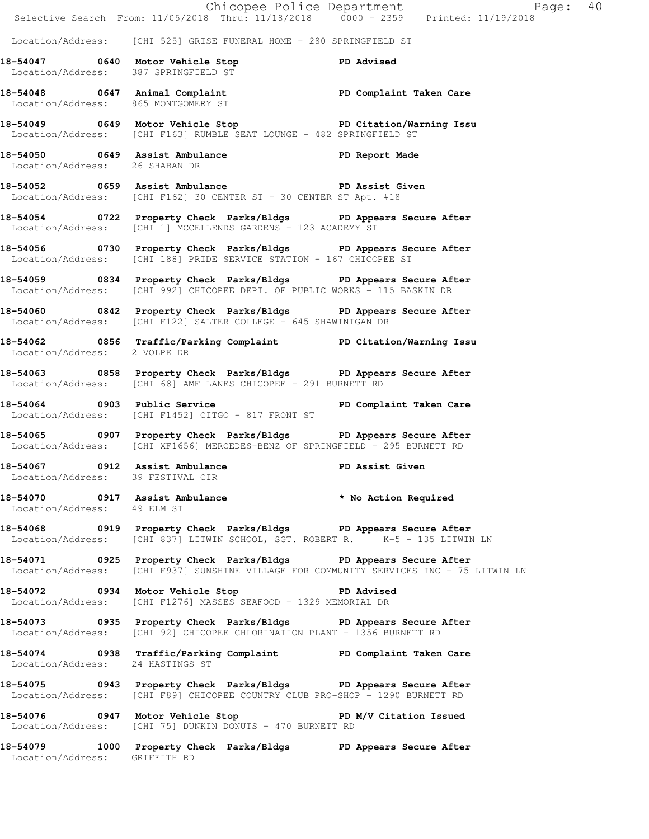|                                     |                                                                                                                                                                | Page: 40        |  |
|-------------------------------------|----------------------------------------------------------------------------------------------------------------------------------------------------------------|-----------------|--|
|                                     | Chicopee Police Department<br>Selective Search From: 11/05/2018 Thru: 11/18/2018 0000 - 2359 Printed: 11/19/2018                                               |                 |  |
|                                     | Location/Address: [CHI 525] GRISE FUNERAL HOME - 280 SPRINGFIELD ST                                                                                            |                 |  |
|                                     | 18-54047 0640 Motor Vehicle Stop PD Advised<br>Location/Address: 387 SPRINGFIELD ST                                                                            |                 |  |
| Location/Address: 865 MONTGOMERY ST | 18-54048 0647 Animal Complaint 18-54048 PD Complaint Taken Care                                                                                                |                 |  |
|                                     | 18-54049 0649 Motor Vehicle Stop Notor PD Citation/Warning Issu<br>Location/Address: [CHI F163] RUMBLE SEAT LOUNGE - 482 SPRINGFIELD ST                        |                 |  |
| Location/Address: 26 SHABAN DR      | 18-54050 0649 Assist Ambulance 3 PD Report Made                                                                                                                |                 |  |
|                                     | 18-54052 0659 Assist Ambulance New PD Assist Given<br>Location/Address: [CHI F162] 30 CENTER ST - 30 CENTER ST Apt. #18                                        |                 |  |
|                                     | 18-54054 0722 Property Check Parks/Bldgs PD Appears Secure After<br>Location/Address: [CHI 1] MCCELLENDS GARDENS - 123 ACADEMY ST                              |                 |  |
|                                     | 18-54056 0730 Property Check Parks/Bldgs PD Appears Secure After<br>Location/Address: [CHI 188] PRIDE SERVICE STATION - 167 CHICOPEE ST                        |                 |  |
|                                     | 18-54059 0834 Property Check Parks/Bldgs PD Appears Secure After<br>Location/Address: [CHI 992] CHICOPEE DEPT. OF PUBLIC WORKS - 115 BASKIN DR                 |                 |  |
|                                     | 18-54060 0842 Property Check Parks/Bldgs PD Appears Secure After<br>Location/Address: [CHI F122] SALTER COLLEGE - 645 SHAWINIGAN DR                            |                 |  |
| Location/Address: 2 VOLPE DR        | 18-54062 0856 Traffic/Parking Complaint PD Citation/Warning Issu                                                                                               |                 |  |
|                                     | 18-54063 0858 Property Check Parks/Bldgs PD Appears Secure After<br>Location/Address: [CHI 68] AMF LANES CHICOPEE - 291 BURNETT RD                             |                 |  |
|                                     | 18-54064 0903 Public Service New PD Complaint Taken Care<br>Location/Address: [CHI F1452] CITGO - 817 FRONT ST                                                 |                 |  |
|                                     | 18-54065 0907 Property Check Parks/Bldgs PD Appears Secure After<br>  Location/Address: [CHI XF1656] MERCEDES-BENZ OF SPRINGFIELD - 295 BURNETT RD             |                 |  |
| Location/Address: 39 FESTIVAL CIR   | 18-54067 0912 Assist Ambulance                                                                                                                                 | PD Assist Given |  |
| Location/Address: 49 ELM ST         | 18-54070 0917 Assist Ambulance * No Action Required                                                                                                            |                 |  |
|                                     | 18-54068 0919 Property Check Parks/Bldgs PD Appears Secure After<br>Location/Address: [CHI 837] LITWIN SCHOOL, SGT. ROBERT R. <sup>7</sup> K-5 - 135 LITWIN LN |                 |  |
|                                     | 18-54071 0925 Property Check Parks/Bldgs PD Appears Secure After<br>Location/Address: [CHI F937] SUNSHINE VILLAGE FOR COMMUNITY SERVICES INC - 75 LITWIN LN    |                 |  |
|                                     | 18-54072 0934 Motor Vehicle Stop PD Advised<br>Location/Address: [CHI F1276] MASSES SEAFOOD - 1329 MEMORIAL DR                                                 |                 |  |
|                                     | 18-54073 0935 Property Check Parks/Bldgs PD Appears Secure After<br>Location/Address: [CHI 92] CHICOPEE CHLORINATION PLANT - 1356 BURNETT RD                   |                 |  |
| Location/Address: 24 HASTINGS ST    | 18-54074 0938 Traffic/Parking Complaint PD Complaint Taken Care                                                                                                |                 |  |
|                                     | 18-54075 0943 Property Check Parks/Bldgs PD Appears Secure After<br>Location/Address: [CHI F89] CHICOPEE COUNTRY CLUB PRO-SHOP - 1290 BURNETT RD               |                 |  |
|                                     | 18-54076 0947 Motor Vehicle Stop N/V Citation Issued<br>Location/Address: [CHI 75] DUNKIN DONUTS - 470 BURNETT RD                                              |                 |  |
| Location/Address: GRIFFITH RD       | 18-54079 1000 Property Check Parks/Bldgs PD Appears Secure After                                                                                               |                 |  |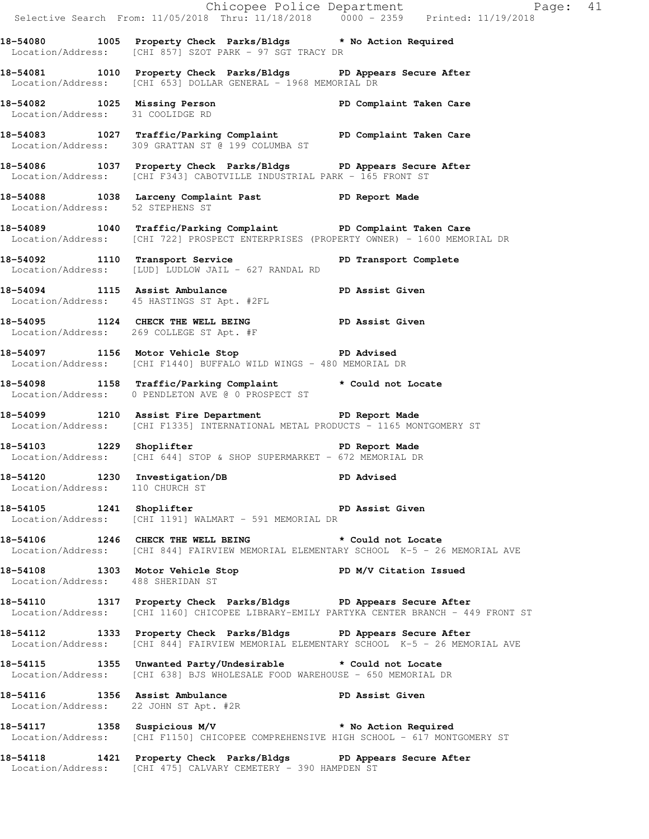|                                                                   |                                                                                                                                                              | Chicopee Police Department<br>Selective Search From: 11/05/2018 Thru: 11/18/2018 0000 - 2359 Printed: 11/19/2018 |  |
|-------------------------------------------------------------------|--------------------------------------------------------------------------------------------------------------------------------------------------------------|------------------------------------------------------------------------------------------------------------------|--|
|                                                                   | 18-54080 1005 Property Check Parks/Bldgs * No Action Required<br>Location/Address: [CHI 857] SZOT PARK - 97 SGT TRACY DR                                     |                                                                                                                  |  |
|                                                                   | 18-54081 1010 Property Check Parks/Bldgs PD Appears Secure After<br>Location/Address: [CHI 653] DOLLAR GENERAL - 1968 MEMORIAL DR                            |                                                                                                                  |  |
|                                                                   | 18-54082 1025 Missing Person PD Complaint Taken Care<br>Location/Address: 31 COOLIDGE RD                                                                     |                                                                                                                  |  |
|                                                                   | 18-54083 1027 Traffic/Parking Complaint PD Complaint Taken Care<br>Location/Address: 309 GRATTAN ST @ 199 COLUMBA ST                                         |                                                                                                                  |  |
|                                                                   | 18-54086 1037 Property Check Parks/Bldgs PD Appears Secure After<br>Location/Address: [CHI F343] CABOTVILLE INDUSTRIAL PARK - 165 FRONT ST                   |                                                                                                                  |  |
|                                                                   | 18-54088 1038 Larceny Complaint Past PD Report Made<br>Location/Address: 52 STEPHENS ST                                                                      |                                                                                                                  |  |
|                                                                   | 18-54089 1040 Traffic/Parking Complaint PD Complaint Taken Care<br>Location/Address: [CHI 722] PROSPECT ENTERPRISES (PROPERTY OWNER) - 1600 MEMORIAL DR      |                                                                                                                  |  |
|                                                                   | 18-54092 1110 Transport Service 20 PD Transport Complete<br>Location/Address: [LUD] LUDLOW JAIL - 627 RANDAL RD                                              |                                                                                                                  |  |
|                                                                   | 18-54094 1115 Assist Ambulance PD Assist Given<br>Location/Address: 45 HASTINGS ST Apt. #2FL                                                                 |                                                                                                                  |  |
|                                                                   | 18-54095 1124 CHECK THE WELL BEING PD Assist Given<br>Location/Address: 269 COLLEGE ST Apt. #F                                                               |                                                                                                                  |  |
|                                                                   | 18-54097 1156 Motor Vehicle Stop North PD Advised<br>Location/Address: [CHI F1440] BUFFALO WILD WINGS - 480 MEMORIAL DR                                      |                                                                                                                  |  |
|                                                                   | 18-54098 1158 Traffic/Parking Complaint * Could not Locate<br>Location/Address: 0 PENDLETON AVE @ 0 PROSPECT ST                                              |                                                                                                                  |  |
|                                                                   | 18-54099 1210 Assist Fire Department PD Report Made<br>Location/Address: [CHI F1335] INTERNATIONAL METAL PRODUCTS - 1165 MONTGOMERY ST                       |                                                                                                                  |  |
|                                                                   | 18-54103 1229 Shoplifter<br>Location/Address: [CHI 644] STOP & SHOP SUPERMARKET - 672 MEMORIAL DR                                                            |                                                                                                                  |  |
| 18-54120 1230 Investigation/DB<br>Location/Address: 110 CHURCH ST | PD Advised                                                                                                                                                   |                                                                                                                  |  |
|                                                                   | 18-54105 1241 Shoplifter <b>18-54105</b> PD Assist Given<br>Location/Address: [CHI 1191] WALMART - 591 MEMORIAL DR                                           |                                                                                                                  |  |
|                                                                   | 18-54106 1246 CHECK THE WELL BEING * Could not Locate<br>Location/Address: [CHI 844] FAIRVIEW MEMORIAL ELEMENTARY SCHOOL K-5 - 26 MEMORIAL AVE               |                                                                                                                  |  |
| Location/Address: 488 SHERIDAN ST                                 | 18-54108 1303 Motor Vehicle Stop N/V Citation Issued                                                                                                         |                                                                                                                  |  |
|                                                                   | 18-54110 1317 Property Check Parks/Bldgs PD Appears Secure After<br>Location/Address: [CHI 1160] CHICOPEE LIBRARY-EMILY PARTYKA CENTER BRANCH - 449 FRONT ST |                                                                                                                  |  |
|                                                                   | 18-54112 1333 Property Check Parks/Bldgs PD Appears Secure After<br>Location/Address: [CHI 844] FAIRVIEW MEMORIAL ELEMENTARY SCHOOL K-5 - 26 MEMORIAL AVE    |                                                                                                                  |  |
|                                                                   | 18-54115 1355 Unwanted Party/Undesirable * Could not Locate<br>Location/Address: [CHI 638] BJS WHOLESALE FOOD WAREHOUSE - 650 MEMORIAL DR                    |                                                                                                                  |  |
| Location/Address: 22 JOHN ST Apt. #2R                             | 18-54116 1356 Assist Ambulance New PD Assist Given                                                                                                           |                                                                                                                  |  |
|                                                                   | 18-54117 1358 Suspicious M/V * No Action Required<br>Location/Address: [CHI F1150] CHICOPEE COMPREHENSIVE HIGH SCHOOL - 617 MONTGOMERY ST                    |                                                                                                                  |  |
|                                                                   | 18-54118 1421 Property Check Parks/Bldgs PD Appears Secure After<br>Location/Address: [CHI 475] CALVARY CEMETERY - 390 HAMPDEN ST                            |                                                                                                                  |  |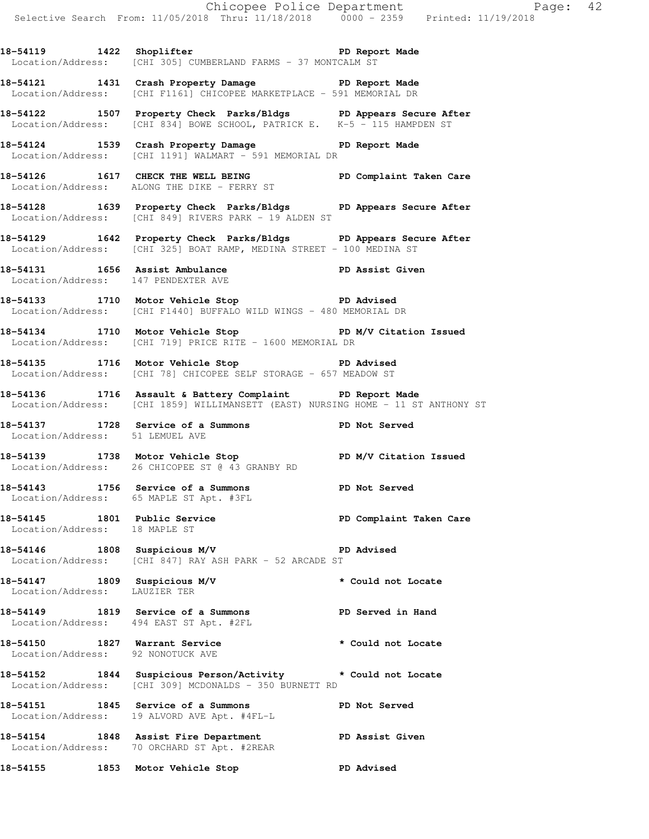18-54119 1422 Shoplifter **PD** Report Made Location/Address: [CHI 305] CUMBERLAND FARMS - 37 MONTCALM ST

**18-54121 1431 Crash Property Damage PD Report Made**  Location/Address: [CHI F1161] CHICOPEE MARKETPLACE - 591 MEMORIAL DR

**18-54122 1507 Property Check Parks/Bldgs PD Appears Secure After**  Location/Address: [CHI 834] BOWE SCHOOL, PATRICK E. K-5 - 115 HAMPDEN ST

**18-54124 1539 Crash Property Damage PD Report Made**  Location/Address: [CHI 1191] WALMART - 591 MEMORIAL DR

**18-54126 1617 CHECK THE WELL BEING PD Complaint Taken Care**  Location/Address: ALONG THE DIKE - FERRY ST

**18-54128 1639 Property Check Parks/Bldgs PD Appears Secure After**  Location/Address: [CHI 849] RIVERS PARK - 19 ALDEN ST

**18-54129 1642 Property Check Parks/Bldgs PD Appears Secure After**  Location/Address: [CHI 325] BOAT RAMP, MEDINA STREET - 100 MEDINA ST

**18-54131 1656 Assist Ambulance PD Assist Given**  Location/Address: 147 PENDEXTER AVE

**18-54133 1710 Motor Vehicle Stop PD Advised**  Location/Address: [CHI F1440] BUFFALO WILD WINGS - 480 MEMORIAL DR

**18-54134 1710 Motor Vehicle Stop PD M/V Citation Issued**  Location/Address: [CHI 719] PRICE RITE - 1600 MEMORIAL DR

**18-54135 1716 Motor Vehicle Stop PD Advised**  Location/Address: [CHI 78] CHICOPEE SELF STORAGE - 657 MEADOW ST

**18-54136 1716 Assault & Battery Complaint PD Report Made**  Location/Address: [CHI 1859] WILLIMANSETT (EAST) NURSING HOME - 11 ST ANTHONY ST

**18-54137 1728 Service of a Summons PD Not Served**  Location/Address: 51 LEMUEL AVE

18-54139 1738 Motor Vehicle Stop **PD M/V Citation Issued** Location/Address: 26 CHICOPEE ST @ 43 GRANBY RD

**18-54143 1756 Service of a Summons PD Not Served**  Location/Address: 65 MAPLE ST Apt. #3FL

18-54145 1801 Public Service **1801 Public Service PD Complaint Taken Care** Location/Address: 18 MAPLE ST

**18-54146 1808 Suspicious M/V PD Advised**  Location/Address: [CHI 847] RAY ASH PARK - 52 ARCADE ST

**18-54147 1809 Suspicious M/V \* Could not Locate**  Location/Address: LAUZIER TER

**18-54149 1819 Service of a Summons PD Served in Hand**  Location/Address: 494 EAST ST Apt. #2FL

**18-54150 1827 Warrant Service \* Could not Locate**  Location/Address: 92 NONOTUCK AVE

**18-54152 1844 Suspicious Person/Activity \* Could not Locate**  Location/Address: [CHI 309] MCDONALDS - 350 BURNETT RD

**18-54151 1845 Service of a Summons PD Not Served**  Location/Address: 19 ALVORD AVE Apt. #4FL-L **18-54154 1848 Assist Fire Department PD Assist Given** 

Location/Address: 70 ORCHARD ST Apt. #2REAR

**18-54155 1853 Motor Vehicle Stop PD Advised**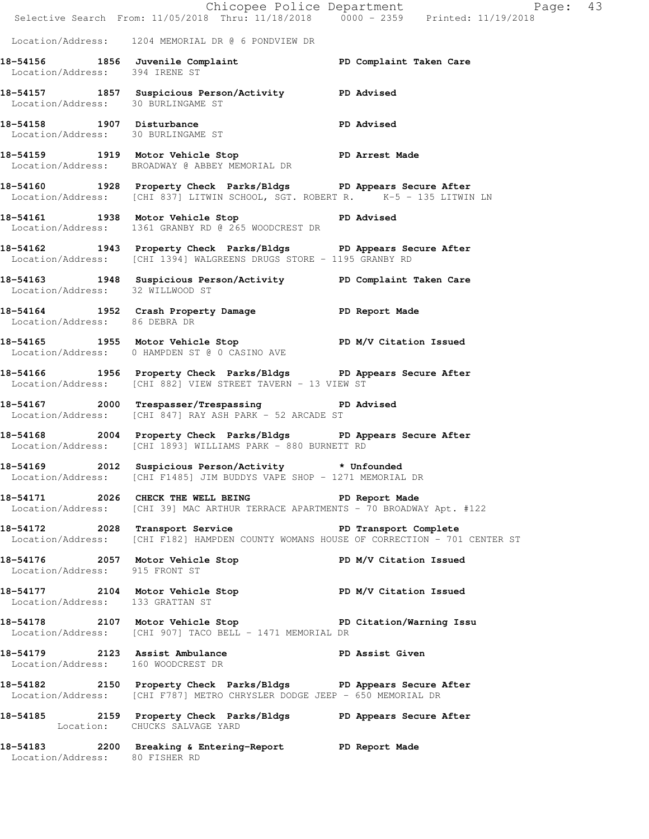|                                    |                                                                                                                                                   | Chicopee Police Department<br>Selective Search From: 11/05/2018 Thru: 11/18/2018 0000 - 2359 Printed: 11/19/2018 |
|------------------------------------|---------------------------------------------------------------------------------------------------------------------------------------------------|------------------------------------------------------------------------------------------------------------------|
|                                    | Location/Address: 1204 MEMORIAL DR @ 6 PONDVIEW DR                                                                                                |                                                                                                                  |
| Location/Address: 394 IRENE ST     | 18-54156 1856 Juvenile Complaint 18-54156 PD Complaint Taken Care                                                                                 |                                                                                                                  |
| Location/Address: 30 BURLINGAME ST | 18-54157 1857 Suspicious Person/Activity PD Advised                                                                                               |                                                                                                                  |
| Location/Address: 30 BURLINGAME ST | 18-54158 1907 Disturbance<br>Location/Address: 30 RIBITNCAME ST                                                                                   |                                                                                                                  |
|                                    | 18-54159 1919 Motor Vehicle Stop Norman PD Arrest Made<br>Location/Address: BROADWAY @ ABBEY MEMORIAL DR                                          |                                                                                                                  |
|                                    | 18-54160 1928 Property Check Parks/Bldgs PD Appears Secure After<br>Location/Address: [CHI 837] LITWIN SCHOOL, SGT. ROBERT R. K-5 - 135 LITWIN LN |                                                                                                                  |
|                                    | 18-54161 1938 Motor Vehicle Stop PD Advised<br>Location/Address: 1361 GRANBY RD @ 265 WOODCREST DR                                                |                                                                                                                  |
|                                    | 18-54162 1943 Property Check Parks/Bldgs PD Appears Secure After<br>Location/Address: [CHI 1394] WALGREENS DRUGS STORE - 1195 GRANBY RD           |                                                                                                                  |
| Location/Address: 32 WILLWOOD ST   | 18-54163 1948 Suspicious Person/Activity PD Complaint Taken Care                                                                                  |                                                                                                                  |
| Location/Address: 86 DEBRA DR      | 18-54164 1952 Crash Property Damage PD Report Made                                                                                                |                                                                                                                  |
|                                    | 18-54165 1955 Motor Vehicle Stop N/V Citation Issued<br>Location/Address: 0 HAMPDEN ST @ 0 CASINO AVE                                             |                                                                                                                  |
|                                    | 18-54166 1956 Property Check Parks/Bldgs PD Appears Secure After<br>Location/Address: [CHI 882] VIEW STREET TAVERN - 13 VIEW ST                   |                                                                                                                  |
|                                    | 18-54167 2000 Trespasser/Trespassing PD Advised<br>Location/Address: [CHI 847] RAY ASH PARK - 52 ARCADE ST                                        |                                                                                                                  |
|                                    | 18-54168 2004 Property Check Parks/Bldgs PD Appears Secure After<br>Location/Address: [CHI 1893] WILLIAMS PARK - 880 BURNETT RD                   |                                                                                                                  |
|                                    | 18-54169 2012 Suspicious Person/Activity * Unfounded<br>Location/Address: [CHI F1485] JIM BUDDYS VAPE SHOP - 1271 MEMORIAL DR                     |                                                                                                                  |
|                                    | 18-54171 2026 CHECK THE WELL BEING PD Report Made<br>Location/Address: [CHI 39] MAC ARTHUR TERRACE APARTMENTS - 70 BROADWAY Apt. #122             |                                                                                                                  |
|                                    | 18-54172 2028 Transport Service PD Transport Complete<br>Location/Address: [CHI F182] HAMPDEN COUNTY WOMANS HOUSE OF CORRECTION - 701 CENTER ST   |                                                                                                                  |
| Location/Address: 915 FRONT ST     | 18-54176 2057 Motor Vehicle Stop N/V Citation Issued                                                                                              |                                                                                                                  |
| Location/Address: 133 GRATTAN ST   | 18-54177 2104 Motor Vehicle Stop PD M/V Citation Issued                                                                                           |                                                                                                                  |
|                                    | 18-54178 2107 Motor Vehicle Stop North PD Citation/Warning Issu<br>Location/Address: [CHI 907] TACO BELL - 1471 MEMORIAL DR                       |                                                                                                                  |
|                                    | 18-54179 2123 Assist Ambulance<br>Location/Address: 160 WOODCREST DR                                                                              |                                                                                                                  |
|                                    | 18-54182 2150 Property Check Parks/Bldgs PD Appears Secure After<br>Location/Address: [CHI F787] METRO CHRYSLER DODGE JEEP - 650 MEMORIAL DR      |                                                                                                                  |
|                                    | 18-54185 2159 Property Check Parks/Bldgs PD Appears Secure After<br>Location: CHUCKS SALVAGE YARD                                                 |                                                                                                                  |
| Location/Address: 80 FISHER RD     | 18-54183 2200 Breaking & Entering-Report PD Report Made                                                                                           |                                                                                                                  |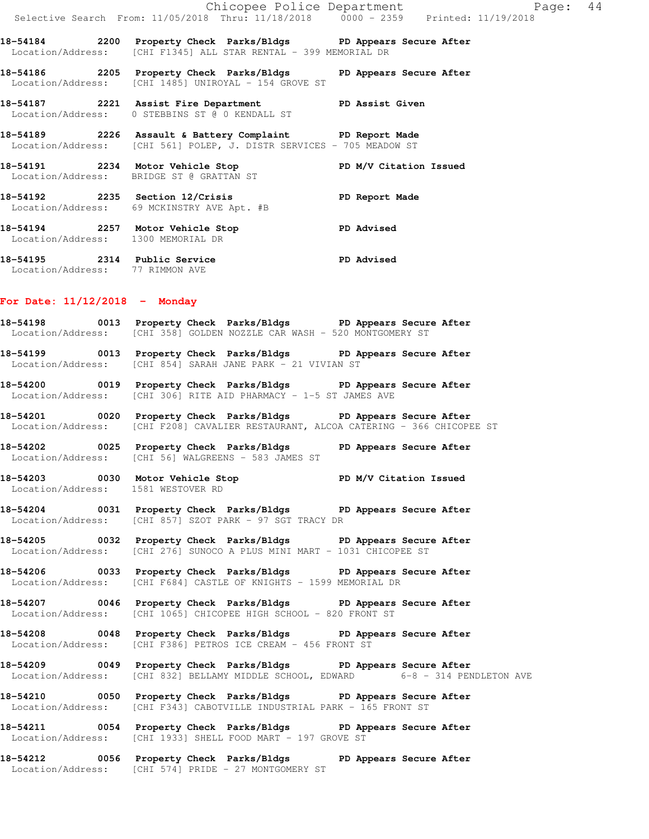|  | Chicopee Police Department                                                                                                          |                        | Page: | 44 |
|--|-------------------------------------------------------------------------------------------------------------------------------------|------------------------|-------|----|
|  | Selective Search From: 11/05/2018 Thru: 11/18/2018 0000 - 2359 Printed: 11/19/2018                                                  |                        |       |    |
|  | 18-54184 2200 Property Check Parks/Bldgs PD Appears Secure After<br>Location/Address: [CHI F1345] ALL STAR RENTAL - 399 MEMORIAL DR |                        |       |    |
|  | 18-54186 2205 Property Check Parks/Bldgs PD Appears Secure After<br>Location/Address: [CHI 1485] UNIROYAL - 154 GROVE ST            |                        |       |    |
|  | 18-54187 18221 Assist Fire Department 1918 PD Assist Given<br>  Location/Address: 0 STEBBINS ST @ 0 KENDALL ST                      |                        |       |    |
|  | 18-54189 2226 Assault & Battery Complaint PD Report Made<br>Location/Address: [CHI 561] POLEP, J. DISTR SERVICES - 705 MEADOW ST    |                        |       |    |
|  | Location/Address: BRIDGE ST @ GRATTAN ST                                                                                            | PD M/V Citation Issued |       |    |
|  | Location/Address: 69 MCKINSTRY AVE Apt. #B                                                                                          | PD Report Made         |       |    |
|  | 18-54194 2257 Motor Vehicle Stop<br>Location/Address: 1300 MEMORIAL DR                                                              | <b>PD Advised</b>      |       |    |
|  |                                                                                                                                     |                        |       |    |

**18-54195 2314 Public Service PD Advised**  Location/Address: 77 RIMMON AVE

### **For Date: 11/12/2018 - Monday**

**18-54198 0013 Property Check Parks/Bldgs PD Appears Secure After**  Location/Address: [CHI 358] GOLDEN NOZZLE CAR WASH - 520 MONTGOMERY ST

**18-54199 0013 Property Check Parks/Bldgs PD Appears Secure After**  Location/Address: [CHI 854] SARAH JANE PARK - 21 VIVIAN ST

**18-54200 0019 Property Check Parks/Bldgs PD Appears Secure After**  Location/Address: [CHI 306] RITE AID PHARMACY - 1-5 ST JAMES AVE

**18-54201 0020 Property Check Parks/Bldgs PD Appears Secure After**  Location/Address: [CHI F208] CAVALIER RESTAURANT, ALCOA CATERING - 366 CHICOPEE ST

**18-54202 0025 Property Check Parks/Bldgs PD Appears Secure After**  Location/Address: [CHI 56] WALGREENS - 583 JAMES ST

**18-54203 0030 Motor Vehicle Stop PD M/V Citation Issued**  Location/Address: 1581 WESTOVER RD

**18-54204 0031 Property Check Parks/Bldgs PD Appears Secure After**  Location/Address: [CHI 857] SZOT PARK - 97 SGT TRACY DR

**18-54205 0032 Property Check Parks/Bldgs PD Appears Secure After**  Location/Address: [CHI 276] SUNOCO A PLUS MINI MART - 1031 CHICOPEE ST

**18-54206 0033 Property Check Parks/Bldgs PD Appears Secure After**  Location/Address: [CHI F684] CASTLE OF KNIGHTS - 1599 MEMORIAL DR

**18-54207 0046 Property Check Parks/Bldgs PD Appears Secure After**  Location/Address: [CHI 1065] CHICOPEE HIGH SCHOOL - 820 FRONT ST

**18-54208 0048 Property Check Parks/Bldgs PD Appears Secure After**  Location/Address: [CHI F386] PETROS ICE CREAM - 456 FRONT ST

**18-54209 0049 Property Check Parks/Bldgs PD Appears Secure After**  Location/Address: [CHI 832] BELLAMY MIDDLE SCHOOL, EDWARD 6-8 - 314 PENDLETON AVE

**18-54210 0050 Property Check Parks/Bldgs PD Appears Secure After**  Location/Address: [CHI F343] CABOTVILLE INDUSTRIAL PARK - 165 FRONT ST

**18-54211 0054 Property Check Parks/Bldgs PD Appears Secure After**  Location/Address: [CHI 1933] SHELL FOOD MART - 197 GROVE ST

**18-54212 0056 Property Check Parks/Bldgs PD Appears Secure After**  Location/Address: [CHI 574] PRIDE - 27 MONTGOMERY ST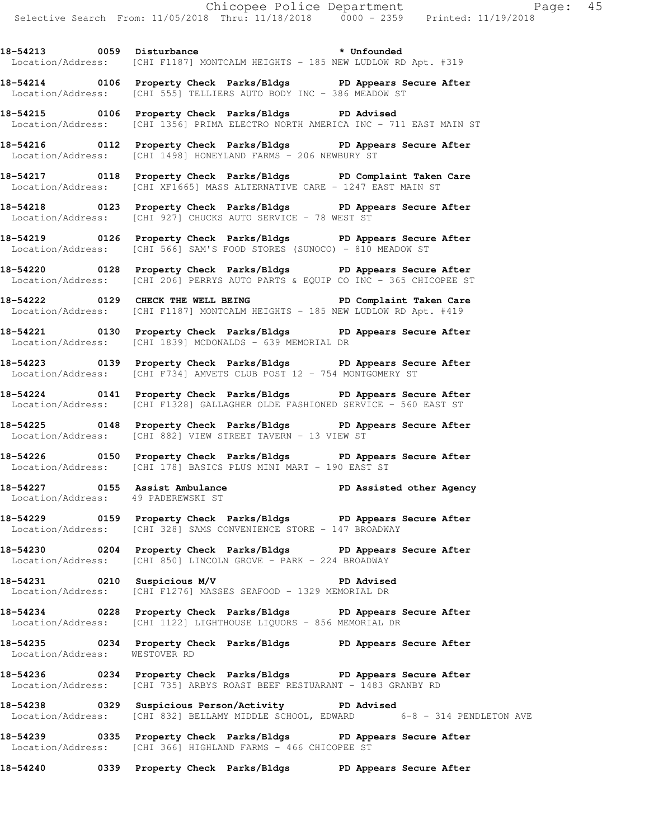18-54213 0059 Disturbance **\*** Unfounded Location/Address: [CHI F1187] MONTCALM HEIGHTS - 185 NEW LUDLOW RD Apt. #319

**18-54214 0106 Property Check Parks/Bldgs PD Appears Secure After**  Location/Address: [CHI 555] TELLIERS AUTO BODY INC - 386 MEADOW ST

**18-54215 0106 Property Check Parks/Bldgs PD Advised**  Location/Address: [CHI 1356] PRIMA ELECTRO NORTH AMERICA INC - 711 EAST MAIN ST

**18-54216 0112 Property Check Parks/Bldgs PD Appears Secure After**  Location/Address: [CHI 1498] HONEYLAND FARMS - 206 NEWBURY ST

**18-54217 0118 Property Check Parks/Bldgs PD Complaint Taken Care**  Location/Address: [CHI XF1665] MASS ALTERNATIVE CARE - 1247 EAST MAIN ST

**18-54218 0123 Property Check Parks/Bldgs PD Appears Secure After**  Location/Address: [CHI 927] CHUCKS AUTO SERVICE - 78 WEST ST

**18-54219 0126 Property Check Parks/Bldgs PD Appears Secure After**  Location/Address: [CHI 566] SAM'S FOOD STORES (SUNOCO) - 810 MEADOW ST

**18-54220 0128 Property Check Parks/Bldgs PD Appears Secure After**  Location/Address: [CHI 206] PERRYS AUTO PARTS & EQUIP CO INC - 365 CHICOPEE ST

**18-54222 0129 CHECK THE WELL BEING PD Complaint Taken Care**  Location/Address: [CHI F1187] MONTCALM HEIGHTS - 185 NEW LUDLOW RD Apt. #419

**18-54221 0130 Property Check Parks/Bldgs PD Appears Secure After**  Location/Address: [CHI 1839] MCDONALDS - 639 MEMORIAL DR

**18-54223 0139 Property Check Parks/Bldgs PD Appears Secure After**  Location/Address: [CHI F734] AMVETS CLUB POST 12 - 754 MONTGOMERY ST

**18-54224 0141 Property Check Parks/Bldgs PD Appears Secure After**  Location/Address: [CHI F1328] GALLAGHER OLDE FASHIONED SERVICE - 560 EAST ST

**18-54225 0148 Property Check Parks/Bldgs PD Appears Secure After**  Location/Address: [CHI 882] VIEW STREET TAVERN - 13 VIEW ST

**18-54226 0150 Property Check Parks/Bldgs PD Appears Secure After**  Location/Address: [CHI 178] BASICS PLUS MINI MART - 190 EAST ST

18-54227 **18-54227** 0155 Assist Ambulance **PD Assisted other Agency** Location/Address: 49 PADEREWSKI ST

**18-54229 0159 Property Check Parks/Bldgs PD Appears Secure After**  Location/Address: [CHI 328] SAMS CONVENIENCE STORE - 147 BROADWAY

**18-54230 0204 Property Check Parks/Bldgs PD Appears Secure After**  Location/Address: [CHI 850] LINCOLN GROVE - PARK - 224 BROADWAY

**18-54231 0210 Suspicious M/V PD Advised**  Location/Address: [CHI F1276] MASSES SEAFOOD - 1329 MEMORIAL DR

**18-54234 0228 Property Check Parks/Bldgs PD Appears Secure After**  Location/Address: [CHI 1122] LIGHTHOUSE LIQUORS - 856 MEMORIAL DR

**18-54235 0234 Property Check Parks/Bldgs PD Appears Secure After**  Location/Address: WESTOVER RD

**18-54236 0234 Property Check Parks/Bldgs PD Appears Secure After**  Location/Address: [CHI 735] ARBYS ROAST BEEF RESTUARANT - 1483 GRANBY RD

**18-54238 0329 Suspicious Person/Activity PD Advised**  Location/Address: [CHI 832] BELLAMY MIDDLE SCHOOL, EDWARD 6-8 - 314 PENDLETON AVE

**18-54239 0335 Property Check Parks/Bldgs PD Appears Secure After**  Location/Address: [CHI 366] HIGHLAND FARMS - 466 CHICOPEE ST

**18-54240 0339 Property Check Parks/Bldgs PD Appears Secure After**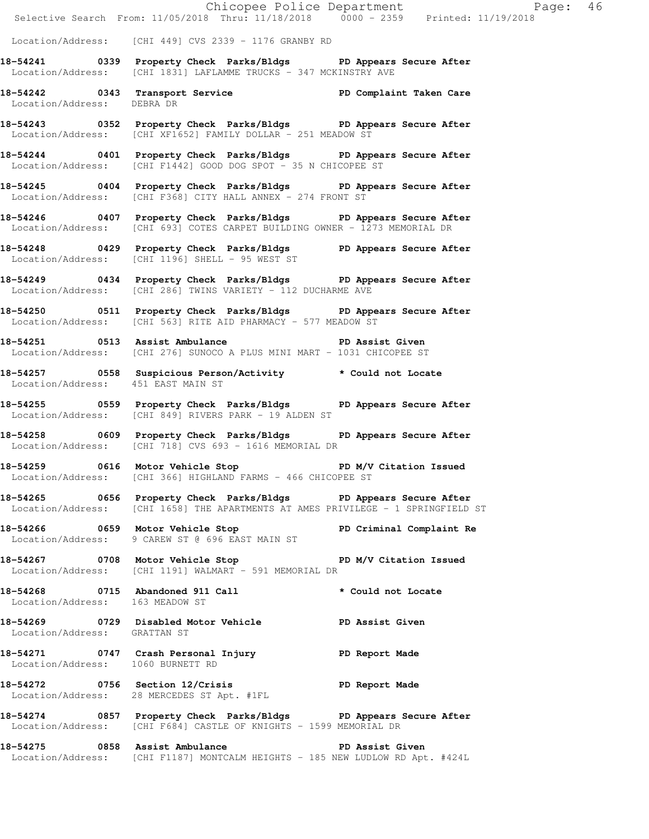|                                    |                                                                                                                                                      | Chicopee Police Department<br>Selective Search From: 11/05/2018 Thru: 11/18/2018 0000 - 2359 Printed: 11/19/2018 |
|------------------------------------|------------------------------------------------------------------------------------------------------------------------------------------------------|------------------------------------------------------------------------------------------------------------------|
|                                    | Location/Address: [CHI 449] CVS 2339 - 1176 GRANBY RD                                                                                                |                                                                                                                  |
|                                    | 18-54241 0339 Property Check Parks/Bldgs PD Appears Secure After<br>Location/Address: [CHI 1831] LAFLAMME TRUCKS - 347 MCKINSTRY AVE                 |                                                                                                                  |
| Location/Address: DEBRA DR         | 18-54242 		 0343 Transport Service 		 PD Complaint Taken Care                                                                                        |                                                                                                                  |
|                                    | 18-54243 0352 Property Check Parks/Bldgs PD Appears Secure After<br>Location/Address: [CHI XF1652] FAMILY DOLLAR - 251 MEADOW ST                     |                                                                                                                  |
|                                    | 18-54244 0401 Property Check Parks/Bldgs PD Appears Secure After<br>Location/Address: [CHI F1442] GOOD DOG SPOT - 35 N CHICOPEE ST                   |                                                                                                                  |
|                                    | 18-54245 0404 Property Check Parks/Bldgs PD Appears Secure After<br>Location/Address: [CHI F368] CITY HALL ANNEX - 274 FRONT ST                      |                                                                                                                  |
|                                    | 18-54246 0407 Property Check Parks/Bldgs PD Appears Secure After<br>Location/Address: [CHI 693] COTES CARPET BUILDING OWNER - 1273 MEMORIAL DR       |                                                                                                                  |
|                                    | 18-54248 0429 Property Check Parks/Bldgs PD Appears Secure After<br>Location/Address: [CHI 1196] SHELL - 95 WEST ST                                  |                                                                                                                  |
|                                    | 18-54249 0434 Property Check Parks/Bldgs PD Appears Secure After<br>Location/Address: [CHI 286] TWINS VARIETY - 112 DUCHARME AVE                     |                                                                                                                  |
|                                    | 18-54250 0511 Property Check Parks/Bldgs PD Appears Secure After<br>Location/Address: [CHI 563] RITE AID PHARMACY - 577 MEADOW ST                    |                                                                                                                  |
|                                    | 18-54251 0513 Assist Ambulance No PD Assist Given<br>Location/Address: [CHI 276] SUNOCO A PLUS MINI MART - 1031 CHICOPEE ST                          |                                                                                                                  |
| Location/Address: 451 EAST MAIN ST | 18-54257 0558 Suspicious Person/Activity * Could not Locate                                                                                          |                                                                                                                  |
|                                    | 18-54255 0559 Property Check Parks/Bldgs PD Appears Secure After<br>Location/Address: [CHI 849] RIVERS PARK - 19 ALDEN ST                            |                                                                                                                  |
|                                    | 18-54258 0609 Property Check Parks/Bldgs PD Appears Secure After<br>Location/Address: [CHI 718] CVS 693 - 1616 MEMORIAL DR                           |                                                                                                                  |
|                                    | 18-54259 0616 Motor Vehicle Stop N/V Citation Issued<br>Location/Address: [CHI 366] HIGHLAND FARMS - 466 CHICOPEE ST                                 |                                                                                                                  |
|                                    | 18-54265 0656 Property Check Parks/Bldgs PD Appears Secure After<br>Location/Address: [CHI 1658] THE APARTMENTS AT AMES PRIVILEGE - 1 SPRINGFIELD ST |                                                                                                                  |
|                                    | 18-54266 0659 Motor Vehicle Stop PD Criminal Complaint Re<br>Location/Address: 9 CAREW ST @ 696 EAST MAIN ST                                         |                                                                                                                  |
|                                    | 18-54267 0708 Motor Vehicle Stop PD M/V Citation Issued<br>Location/Address: [CHI 1191] WALMART - 591 MEMORIAL DR                                    |                                                                                                                  |
| Location/Address: 163 MEADOW ST    | 18-54268 0715 Abandoned 911 Call the total to the Locate                                                                                             |                                                                                                                  |
| Location/Address: GRATTAN ST       | 18-54269 0729 Disabled Motor Vehicle PD Assist Given                                                                                                 |                                                                                                                  |
| Location/Address: 1060 BURNETT RD  | 18-54271 0747 Crash Personal Injury 18-54271                                                                                                         |                                                                                                                  |
|                                    | 18-54272 0756 Section 12/Crisis The PD Report Made<br>Location/Address: 28 MERCEDES ST Apt. #1FL                                                     |                                                                                                                  |
|                                    | 18-54274 0857 Property Check Parks/Bldgs PD Appears Secure After<br>Location/Address: [CHI F684] CASTLE OF KNIGHTS - 1599 MEMORIAL DR                |                                                                                                                  |
|                                    | 18-54275 0858 Assist Ambulance New PD Assist Given<br>Location/Address: [CHI F1187] MONTCALM HEIGHTS - 185 NEW LUDLOW RD Apt. #424L                  |                                                                                                                  |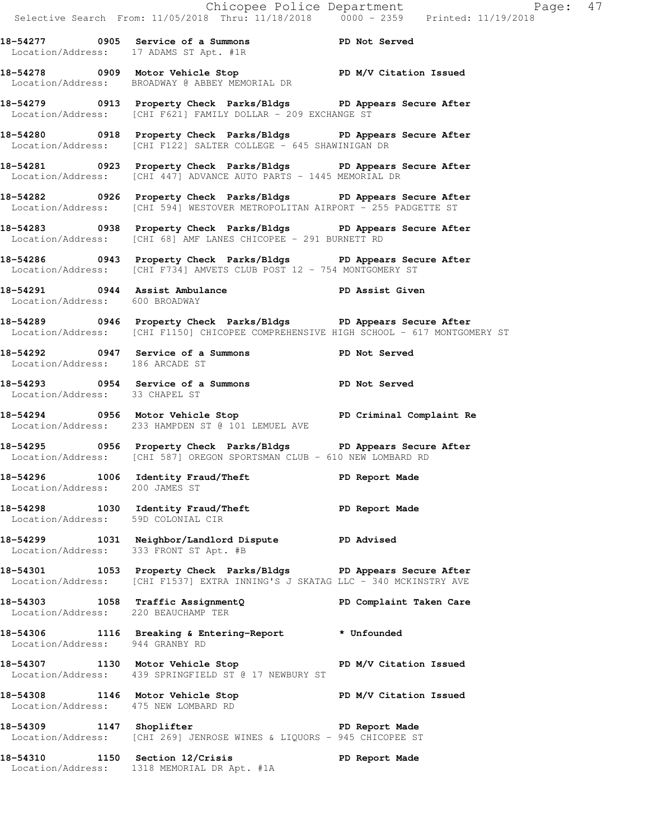|                                        |                                                                                                                                                          | Chicopee Police Department<br>Selective Search From: 11/05/2018 Thru: 11/18/2018 0000 - 2359 Printed: 11/19/2018 |  |
|----------------------------------------|----------------------------------------------------------------------------------------------------------------------------------------------------------|------------------------------------------------------------------------------------------------------------------|--|
|                                        | 18-54277 0905 Service of a Summons TPD Not Served<br>Location/Address: 17 ADAMS ST Apt. #1R                                                              |                                                                                                                  |  |
|                                        | 18-54278 0909 Motor Vehicle Stop PD M/V Citation Issued<br>Location/Address: BROADWAY @ ABBEY MEMORIAL DR                                                |                                                                                                                  |  |
|                                        | 18-54279 0913 Property Check Parks/Bldgs PD Appears Secure After<br>Location/Address: [CHI F621] FAMILY DOLLAR - 209 EXCHANGE ST                         |                                                                                                                  |  |
|                                        | 18-54280 0918 Property Check Parks/Bldgs PD Appears Secure After<br>Location/Address: [CHI F122] SALTER COLLEGE - 645 SHAWINIGAN DR                      |                                                                                                                  |  |
|                                        | 18-54281 0923 Property Check Parks/Bldgs PD Appears Secure After<br>Location/Address: [CHI 447] ADVANCE AUTO PARTS - 1445 MEMORIAL DR                    |                                                                                                                  |  |
|                                        | 18-54282 0926 Property Check Parks/Bldgs PD Appears Secure After<br>Location/Address: [CHI 594] WESTOVER METROPOLITAN AIRPORT - 255 PADGETTE ST          |                                                                                                                  |  |
|                                        | 18-54283 0938 Property Check Parks/Bldgs PD Appears Secure After<br>Location/Address: [CHI 68] AMF LANES CHICOPEE - 291 BURNETT RD                       |                                                                                                                  |  |
|                                        | 18-54286 0943 Property Check Parks/Bldgs PD Appears Secure After<br>Location/Address: [CHI F734] AMVETS CLUB POST 12 - 754 MONTGOMERY ST                 |                                                                                                                  |  |
| Location/Address: 600 BROADWAY         | 18-54291 0944 Assist Ambulance New PD Assist Given                                                                                                       |                                                                                                                  |  |
|                                        | 18-54289 0946 Property Check Parks/Bldgs PD Appears Secure After<br>Location/Address: [CHI F1150] CHICOPEE COMPREHENSIVE HIGH SCHOOL - 617 MONTGOMERY ST |                                                                                                                  |  |
| Location/Address: 186 ARCADE ST        | 18-54292 0947 Service of a Summons TPD Not Served                                                                                                        |                                                                                                                  |  |
| Location/Address: 33 CHAPEL ST         | 18-54293 0954 Service of a Summons TPD Not Served                                                                                                        |                                                                                                                  |  |
|                                        | -<br>18-54294 18-0956 Motor Vehicle Stop 1997 PD Criminal Complaint Re<br>Location/Address: 233 HAMPDEN ST @ 101 LEMUEL AVE                              |                                                                                                                  |  |
|                                        | 18-54295 0956 Property Check Parks/Bldgs PD Appears Secure After<br>Location/Address: [CHI 587] OREGON SPORTSMAN CLUB - 610 NEW LOMBARD RD               |                                                                                                                  |  |
| Location/Address: 200 JAMES ST         | 18-54296 1006 Identity Fraud/Theft Nade PD Report Made                                                                                                   |                                                                                                                  |  |
| Location/Address: 59D COLONIAL CIR     | 18-54298 1030 Identity Fraud/Theft PD Report Made                                                                                                        |                                                                                                                  |  |
| Location/Address: 333 FRONT ST Apt. #B | 18-54299 1031 Neighbor/Landlord Dispute PD Advised                                                                                                       |                                                                                                                  |  |
|                                        | 18-54301 1053 Property Check Parks/Bldgs PD Appears Secure After<br>Location/Address: [CHI F1537] EXTRA INNING'S J SKATAG LLC - 340 MCKINSTRY AVE        |                                                                                                                  |  |
|                                        | 18-54303 1058 Traffic AssignmentQ<br>Location/Address: 220 BEAUCHAMP TER                                                                                 | PD Complaint Taken Care                                                                                          |  |
| Location/Address: 944 GRANBY RD        | 18-54306 1116 Breaking & Entering-Report * Unfounded                                                                                                     |                                                                                                                  |  |
|                                        | 18-54307 1130 Motor Vehicle Stop N/V Citation Issued<br>Location/Address: 439 SPRINGFIELD ST @ 17 NEWBURY ST                                             |                                                                                                                  |  |
| Location/Address: 475 NEW LOMBARD RD   | 18-54308 1146 Motor Vehicle Stop N/V Citation Issued                                                                                                     |                                                                                                                  |  |
| 18-54309 1147 Shoplifter               | Location/Address: [CHI 269] JENROSE WINES & LIQUORS - 945 CHICOPEE ST                                                                                    | PD Report Made                                                                                                   |  |
|                                        | 18-54310 1150 Section 12/Crisis 1999 PD Report Made                                                                                                      |                                                                                                                  |  |

Location/Address: 1318 MEMORIAL DR Apt. #1A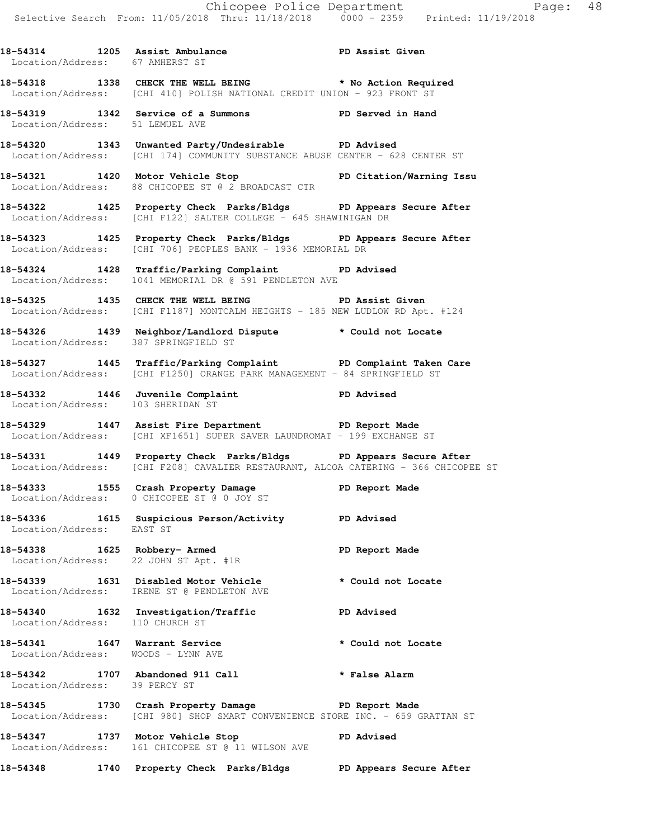18-54314 1205 Assist Ambulance **PD Assist Given**  Location/Address: 67 AMHERST ST **18-54318 1338 CHECK THE WELL BEING \* No Action Required**  Location/Address: [CHI 410] POLISH NATIONAL CREDIT UNION - 923 FRONT ST **18-54319 1342 Service of a Summons PD Served in Hand**  Location/Address: 51 LEMUEL AVE **18-54320 1343 Unwanted Party/Undesirable PD Advised**  Location/Address: [CHI 174] COMMUNITY SUBSTANCE ABUSE CENTER - 628 CENTER ST **18-54321 1420 Motor Vehicle Stop PD Citation/Warning Issu**  Location/Address: 88 CHICOPEE ST @ 2 BROADCAST CTR **18-54322 1425 Property Check Parks/Bldgs PD Appears Secure After**  Location/Address: [CHI F122] SALTER COLLEGE - 645 SHAWINIGAN DR **18-54323 1425 Property Check Parks/Bldgs PD Appears Secure After**  Location/Address: [CHI 706] PEOPLES BANK - 1936 MEMORIAL DR **18-54324 1428 Traffic/Parking Complaint PD Advised**  Location/Address: 1041 MEMORIAL DR @ 591 PENDLETON AVE **18-54325 1435 CHECK THE WELL BEING PD Assist Given**  Location/Address: [CHI F1187] MONTCALM HEIGHTS - 185 NEW LUDLOW RD Apt. #124 **18-54326 1439 Neighbor/Landlord Dispute \* Could not Locate**  Location/Address: 387 SPRINGFIELD ST **18-54327 1445 Traffic/Parking Complaint PD Complaint Taken Care**  Location/Address: [CHI F1250] ORANGE PARK MANAGEMENT - 84 SPRINGFIELD ST **18-54332 1446 Juvenile Complaint PD Advised**  Location/Address: 103 SHERIDAN ST **18-54329 1447 Assist Fire Department PD Report Made**  Location/Address: [CHI XF1651] SUPER SAVER LAUNDROMAT - 199 EXCHANGE ST **18-54331 1449 Property Check Parks/Bldgs PD Appears Secure After**  Location/Address: [CHI F208] CAVALIER RESTAURANT, ALCOA CATERING - 366 CHICOPEE ST **18-54333 1555 Crash Property Damage PD Report Made**  Location/Address: 0 CHICOPEE ST @ 0 JOY ST **18-54336 1615 Suspicious Person/Activity PD Advised**  Location/Address: EAST ST **18-54338 1625 Robbery- Armed PD Report Made**  Location/Address: 22 JOHN ST Apt. #1R **18-54339 1631 Disabled Motor Vehicle \* Could not Locate**  Location/Address: IRENE ST @ PENDLETON AVE **18-54340 1632 Investigation/Traffic PD Advised**  Location/Address: 110 CHURCH ST **18-54341 1647 Warrant Service \* Could not Locate**  Location/Address: WOODS - LYNN AVE **18-54342 1707 Abandoned 911 Call \* False Alarm**  Location/Address: 39 PERCY ST **18-54345 1730 Crash Property Damage PD Report Made**  Location/Address: [CHI 980] SHOP SMART CONVENIENCE STORE INC. - 659 GRATTAN ST **18-54347 1737 Motor Vehicle Stop PD Advised**  Location/Address: 161 CHICOPEE ST @ 11 WILSON AVE **18-54348 1740 Property Check Parks/Bldgs PD Appears Secure After**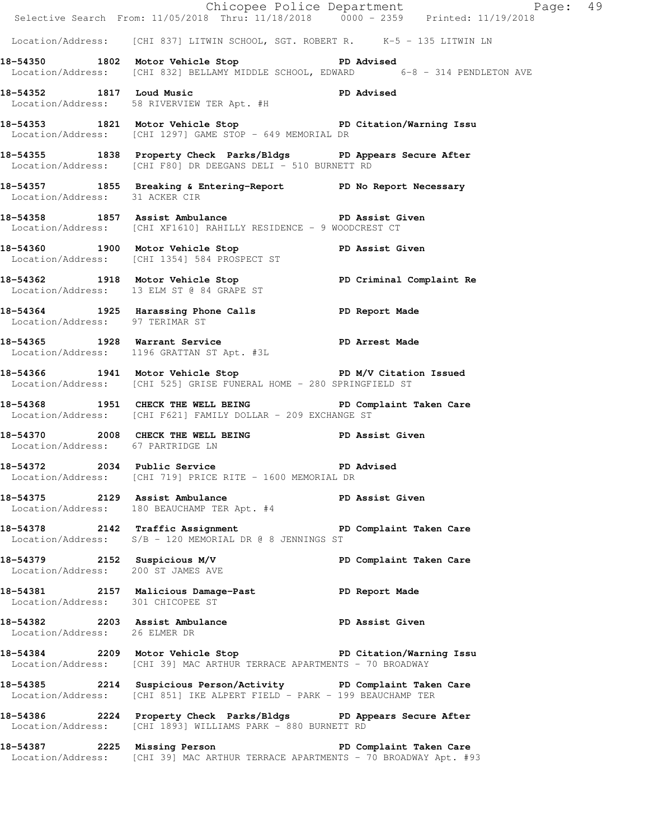|                                    |                                                                                                                                             | Chicopee Police Department<br>Selective Search From: 11/05/2018 Thru: 11/18/2018 0000 - 2359 Printed: 11/19/2018 |
|------------------------------------|---------------------------------------------------------------------------------------------------------------------------------------------|------------------------------------------------------------------------------------------------------------------|
|                                    | Location/Address: [CHI 837] LITWIN SCHOOL, SGT. ROBERT R. K-5 - 135 LITWIN LN                                                               |                                                                                                                  |
|                                    | 18-54350 1802 Motor Vehicle Stop 30 PD Advised<br>Location/Address: [CHI 832] BELLAMY MIDDLE SCHOOL, EDWARD 6-8 - 314 PENDLETON AVE         |                                                                                                                  |
|                                    | 18-54352 1817 Loud Music Number 2016 2016<br>Location/Address: 58 RIVERVIEW TER Apt. #H                                                     |                                                                                                                  |
|                                    | 18-54353 1821 Motor Vehicle Stop North PD Citation/Warning Issu<br>Location/Address: [CHI 1297] GAME STOP - 649 MEMORIAL DR                 |                                                                                                                  |
|                                    | 18-54355 1838 Property Check Parks/Bldgs PD Appears Secure After<br>Location/Address: [CHI F80] DR DEEGANS DELI - 510 BURNETT RD            |                                                                                                                  |
|                                    | 18-54357 1855 Breaking & Entering-Report PD No Report Necessary<br>Location/Address: 31 ACKER CIR                                           |                                                                                                                  |
|                                    | 18-54358 1857 Assist Ambulance PD Assist Given<br>Location/Address: [CHI XF1610] RAHILLY RESIDENCE - 9 WOODCREST CT                         |                                                                                                                  |
|                                    | 18-54360 1900 Motor Vehicle Stop PD Assist Given<br>Location/Address: [CHI 1354] 584 PROSPECT ST                                            |                                                                                                                  |
|                                    | 18-54362 1918 Motor Vehicle Stop PD Criminal Complaint Re<br>Location/Address: 13 ELM ST @ 84 GRAPE ST                                      |                                                                                                                  |
| Location/Address: 97 TERIMAR ST    | 18-54364 1925 Harassing Phone Calls 50 PD Report Made                                                                                       |                                                                                                                  |
|                                    | 18-54365 1928 Warrant Service PD Arrest Made<br>Location/Address: 1196 GRATTAN ST Apt. #3L                                                  |                                                                                                                  |
|                                    | 18-54366 1941 Motor Vehicle Stop N/V Citation Issued<br>Location/Address: [CHI 525] GRISE FUNERAL HOME - 280 SPRINGFIELD ST                 |                                                                                                                  |
|                                    | 18-54368 1951 CHECK THE WELL BEING PD Complaint Taken Care<br>Location/Address: [CHI F621] FAMILY DOLLAR - 209 EXCHANGE ST                  |                                                                                                                  |
| Location/Address: 67 PARTRIDGE LN  | 18-54370 2008 CHECK THE WELL BEING PD Assist Given                                                                                          |                                                                                                                  |
|                                    | PD Advised<br>18-54372 2034 Public Service<br>Location/Address: [CHI 719] PRICE RITE - 1600 MEMORIAL DR                                     |                                                                                                                  |
| 18-54375 2129 Assist Ambulance     | Location/Address: 180 BEAUCHAMP TER Apt. #4                                                                                                 | PD Assist Given                                                                                                  |
|                                    | 18-54378 2142 Traffic Assignment PD Complaint Taken Care<br>Location/Address: $S/B - 120$ MEMORIAL DR @ 8 JENNINGS ST                       |                                                                                                                  |
| Location/Address: 200 ST JAMES AVE | 18-54379 2152 Suspicious M/V                                                                                                                | PD Complaint Taken Care                                                                                          |
| Location/Address: 301 CHICOPEE ST  | 18-54381 2157 Malicious Damage-Past 1990 PD Report Made                                                                                     |                                                                                                                  |
| Location/Address: 26 ELMER DR      | 18-54382 2203 Assist Ambulance New PD Assist Given                                                                                          |                                                                                                                  |
|                                    | 18-54384 2209 Motor Vehicle Stop 5 PD Citation/Warning Issu<br>Location/Address: [CHI 39] MAC ARTHUR TERRACE APARTMENTS - 70 BROADWAY       |                                                                                                                  |
|                                    | 18-54385 2214 Suspicious Person/Activity PD Complaint Taken Care<br>Location/Address: [CHI 851] IKE ALPERT FIELD - PARK - 199 BEAUCHAMP TER |                                                                                                                  |
|                                    | 18-54386 2224 Property Check Parks/Bldgs PD Appears Secure After<br>Location/Address: [CHI 1893] WILLIAMS PARK - 880 BURNETT RD             |                                                                                                                  |
|                                    | 18-54387 2225 Missing Person New PD Complaint Taken Care<br>Location/Address: [CHI 39] MAC ARTHUR TERRACE APARTMENTS - 70 BROADWAY Apt. #93 |                                                                                                                  |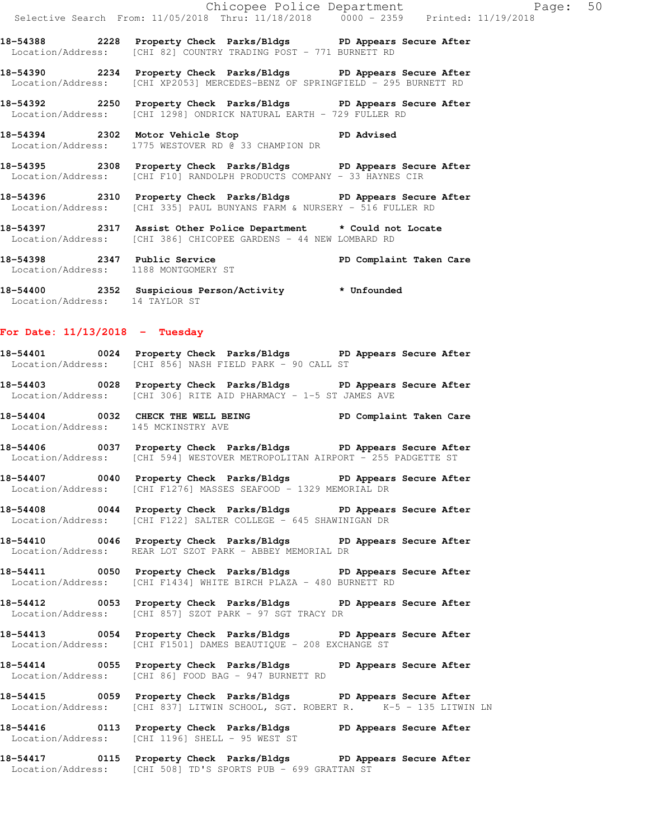**18-54388 2228 Property Check Parks/Bldgs PD Appears Secure After**  Location/Address: [CHI 82] COUNTRY TRADING POST - 771 BURNETT RD

**18-54390 2234 Property Check Parks/Bldgs PD Appears Secure After**  Location/Address: [CHI XP2053] MERCEDES-BENZ OF SPRINGFIELD - 295 BURNETT RD

**18-54392 2250 Property Check Parks/Bldgs PD Appears Secure After**  Location/Address: [CHI 1298] ONDRICK NATURAL EARTH - 729 FULLER RD

**18-54394 2302 Motor Vehicle Stop PD Advised**  Location/Address: 1775 WESTOVER RD @ 33 CHAMPION DR

**18-54395 2308 Property Check Parks/Bldgs PD Appears Secure After**  Location/Address: [CHI F10] RANDOLPH PRODUCTS COMPANY - 33 HAYNES CIR

**18-54396 2310 Property Check Parks/Bldgs PD Appears Secure After**  Location/Address: [CHI 335] PAUL BUNYANS FARM & NURSERY - 516 FULLER RD

**18-54397 2317 Assist Other Police Department \* Could not Locate**  Location/Address: [CHI 386] CHICOPEE GARDENS - 44 NEW LOMBARD RD

**18-54398 2347 Public Service PD Complaint Taken Care**  Location/Address: 1188 MONTGOMERY ST

**18-54400 2352 Suspicious Person/Activity \* Unfounded**  Location/Address: 14 TAYLOR ST

### **For Date: 11/13/2018 - Tuesday**

**18-54401 0024 Property Check Parks/Bldgs PD Appears Secure After**  Location/Address: [CHI 856] NASH FIELD PARK - 90 CALL ST

**18-54403 0028 Property Check Parks/Bldgs PD Appears Secure After**  Location/Address: [CHI 306] RITE AID PHARMACY - 1-5 ST JAMES AVE

**18-54404 0032 CHECK THE WELL BEING PD Complaint Taken Care**  Location/Address: 145 MCKINSTRY AVE

**18-54406 0037 Property Check Parks/Bldgs PD Appears Secure After**  Location/Address: [CHI 594] WESTOVER METROPOLITAN AIRPORT - 255 PADGETTE ST

**18-54407 0040 Property Check Parks/Bldgs PD Appears Secure After**  Location/Address: [CHI F1276] MASSES SEAFOOD - 1329 MEMORIAL DR

**18-54408 0044 Property Check Parks/Bldgs PD Appears Secure After**  Location/Address: [CHI F122] SALTER COLLEGE - 645 SHAWINIGAN DR

**18-54410 0046 Property Check Parks/Bldgs PD Appears Secure After**  Location/Address: REAR LOT SZOT PARK - ABBEY MEMORIAL DR

**18-54411 0050 Property Check Parks/Bldgs PD Appears Secure After**  Location/Address: [CHI F1434] WHITE BIRCH PLAZA - 480 BURNETT RD

**18-54412 0053 Property Check Parks/Bldgs PD Appears Secure After**  Location/Address: [CHI 857] SZOT PARK - 97 SGT TRACY DR

**18-54413 0054 Property Check Parks/Bldgs PD Appears Secure After**  Location/Address: [CHI F1501] DAMES BEAUTIQUE - 208 EXCHANGE ST

**18-54414 0055 Property Check Parks/Bldgs PD Appears Secure After**  Location/Address: [CHI 86] FOOD BAG - 947 BURNETT RD

**18-54415 0059 Property Check Parks/Bldgs PD Appears Secure After**  Location/Address: [CHI 837] LITWIN SCHOOL, SGT. ROBERT R. K-5 - 135 LITWIN LN

**18-54416 0113 Property Check Parks/Bldgs PD Appears Secure After**  Location/Address: [CHI 1196] SHELL - 95 WEST ST

**18-54417 0115 Property Check Parks/Bldgs PD Appears Secure After**  Location/Address: [CHI 508] TD'S SPORTS PUB - 699 GRATTAN ST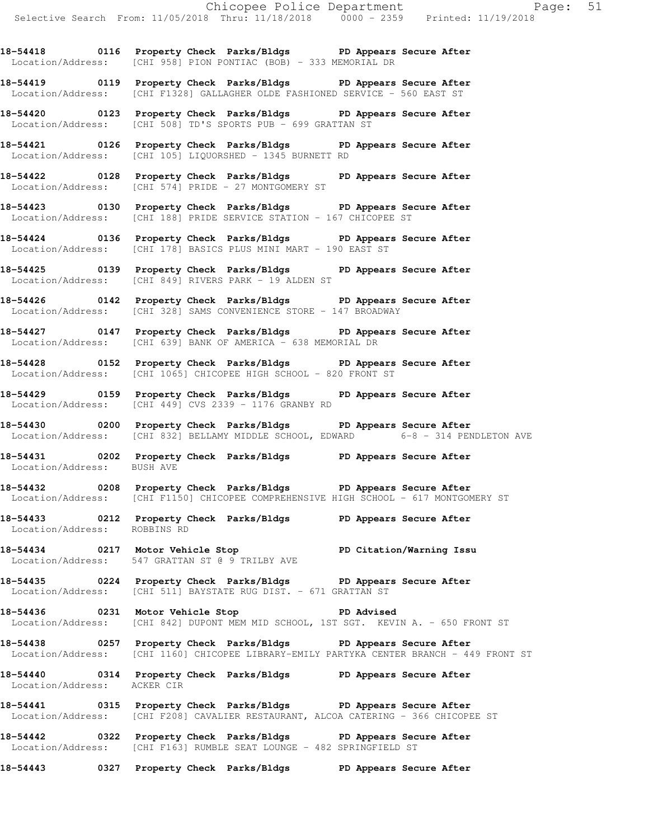**18-54418 0116 Property Check Parks/Bldgs PD Appears Secure After**  Location/Address: [CHI 958] PION PONTIAC (BOB) - 333 MEMORIAL DR

**18-54419 0119 Property Check Parks/Bldgs PD Appears Secure After**  Location/Address: [CHI F1328] GALLAGHER OLDE FASHIONED SERVICE - 560 EAST ST

**18-54420 0123 Property Check Parks/Bldgs PD Appears Secure After**  Location/Address: [CHI 508] TD'S SPORTS PUB - 699 GRATTAN ST

**18-54421 0126 Property Check Parks/Bldgs PD Appears Secure After**  Location/Address: [CHI 105] LIQUORSHED - 1345 BURNETT RD

**18-54422 0128 Property Check Parks/Bldgs PD Appears Secure After**  Location/Address: [CHI 574] PRIDE - 27 MONTGOMERY ST

**18-54423 0130 Property Check Parks/Bldgs PD Appears Secure After**  Location/Address: [CHI 188] PRIDE SERVICE STATION - 167 CHICOPEE ST

**18-54424 0136 Property Check Parks/Bldgs PD Appears Secure After**  Location/Address: [CHI 178] BASICS PLUS MINI MART - 190 EAST ST

**18-54425 0139 Property Check Parks/Bldgs PD Appears Secure After**  Location/Address: [CHI 849] RIVERS PARK - 19 ALDEN ST

**18-54426 0142 Property Check Parks/Bldgs PD Appears Secure After**  Location/Address: [CHI 328] SAMS CONVENIENCE STORE - 147 BROADWAY

**18-54427 0147 Property Check Parks/Bldgs PD Appears Secure After**  Location/Address: [CHI 639] BANK OF AMERICA - 638 MEMORIAL DR

**18-54428 0152 Property Check Parks/Bldgs PD Appears Secure After**  Location/Address: [CHI 1065] CHICOPEE HIGH SCHOOL - 820 FRONT ST

**18-54429 0159 Property Check Parks/Bldgs PD Appears Secure After**  Location/Address: [CHI 449] CVS 2339 - 1176 GRANBY RD

**18-54430 0200 Property Check Parks/Bldgs PD Appears Secure After**  Location/Address: [CHI 832] BELLAMY MIDDLE SCHOOL, EDWARD 6-8 - 314 PENDLETON AVE

**18-54431 0202 Property Check Parks/Bldgs PD Appears Secure After**  Location/Address: BUSH AVE

**18-54432 0208 Property Check Parks/Bldgs PD Appears Secure After**  Location/Address: [CHI F1150] CHICOPEE COMPREHENSIVE HIGH SCHOOL - 617 MONTGOMERY ST

**18-54433 0212 Property Check Parks/Bldgs PD Appears Secure After**  Location/Address: ROBBINS RD

**18-54434 0217 Motor Vehicle Stop PD Citation/Warning Issu**  Location/Address: 547 GRATTAN ST @ 9 TRILBY AVE

**18-54435 0224 Property Check Parks/Bldgs PD Appears Secure After**  Location/Address: [CHI 511] BAYSTATE RUG DIST. - 671 GRATTAN ST

**18-54436 0231 Motor Vehicle Stop PD Advised**  Location/Address: [CHI 842] DUPONT MEM MID SCHOOL, 1ST SGT. KEVIN A. - 650 FRONT ST

**18-54438 0257 Property Check Parks/Bldgs PD Appears Secure After**  Location/Address: [CHI 1160] CHICOPEE LIBRARY-EMILY PARTYKA CENTER BRANCH - 449 FRONT ST

**18-54440 0314 Property Check Parks/Bldgs PD Appears Secure After**  Location/Address: ACKER CIR

**18-54441 0315 Property Check Parks/Bldgs PD Appears Secure After**  Location/Address: [CHI F208] CAVALIER RESTAURANT, ALCOA CATERING - 366 CHICOPEE ST

**18-54442 0322 Property Check Parks/Bldgs PD Appears Secure After**  Location/Address: [CHI F163] RUMBLE SEAT LOUNGE - 482 SPRINGFIELD ST

**18-54443 0327 Property Check Parks/Bldgs PD Appears Secure After**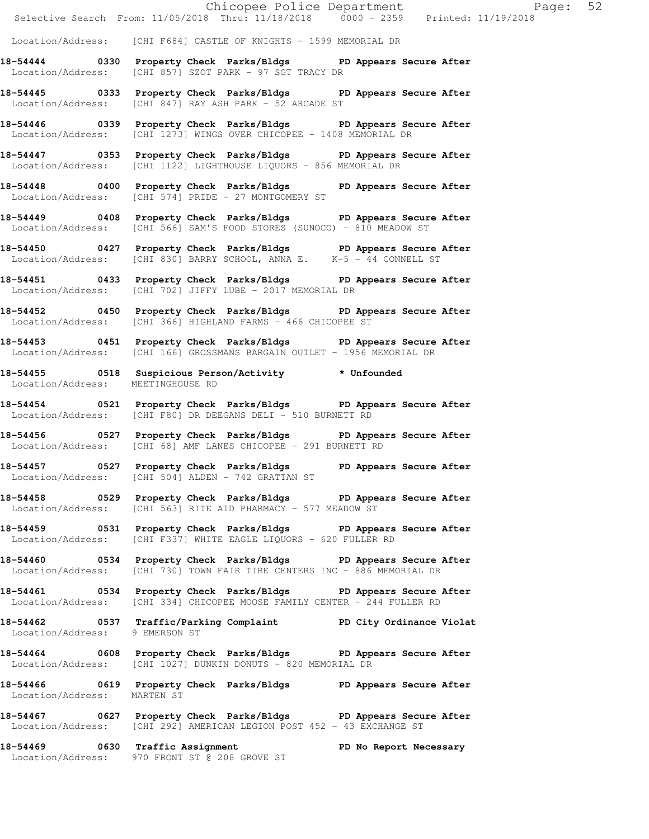|                                   | E Chicopee Police Department<br>Selective Search From: 11/05/2018 Thru: 11/18/2018 0000 - 2359 Printed: 11/19/2018<br>Page: 52               |  |
|-----------------------------------|----------------------------------------------------------------------------------------------------------------------------------------------|--|
|                                   | Location/Address: [CHI F684] CASTLE OF KNIGHTS - 1599 MEMORIAL DR                                                                            |  |
|                                   | 18-54444 0330 Property Check Parks/Bldgs PD Appears Secure After<br>Location/Address: [CHI 857] SZOT PARK - 97 SGT TRACY DR                  |  |
|                                   | 18-54445 0333 Property Check Parks/Bldgs PD Appears Secure After<br>Location/Address: [CHI 847] RAY ASH PARK - 52 ARCADE ST                  |  |
|                                   | 18-54446 0339 Property Check Parks/Bldgs PD Appears Secure After<br>Location/Address: [CHI 1273] WINGS OVER CHICOPEE - 1408 MEMORIAL DR      |  |
|                                   | 18-54447 0353 Property Check Parks/Bldgs PD Appears Secure After<br>Location/Address: [CHI 1122] LIGHTHOUSE LIQUORS - 856 MEMORIAL DR        |  |
|                                   | 18-54448 0400 Property Check Parks/Bldgs PD Appears Secure After<br>Location/Address: [CHI 574] PRIDE - 27 MONTGOMERY ST                     |  |
|                                   | 18-54449 0408 Property Check Parks/Bldgs PD Appears Secure After<br>Location/Address: [CHI 566] SAM'S FOOD STORES (SUNOCO) - 810 MEADOW ST   |  |
|                                   | 18-54450 0427 Property Check Parks/Bldgs PD Appears Secure After<br>Location/Address: [CHI 830] BARRY SCHOOL, ANNA E. K-5 - 44 CONNELL ST    |  |
|                                   | 18-54451 0433 Property Check Parks/Bldgs PD Appears Secure After<br>Location/Address: [CHI 702] JIFFY LUBE - 2017 MEMORIAL DR                |  |
|                                   | 18-54452 0450 Property Check Parks/Bldgs PD Appears Secure After<br>Location/Address: [CHI 366] HIGHLAND FARMS - 466 CHICOPEE ST             |  |
|                                   | 18-54453 0451 Property Check Parks/Bldgs PD Appears Secure After<br>Location/Address: [CHI 166] GROSSMANS BARGAIN OUTLET - 1956 MEMORIAL DR  |  |
| Location/Address: MEETINGHOUSE RD | 18-54455 0518 Suspicious Person/Activity * Unfounded                                                                                         |  |
|                                   | 18-54454 		 0521 Property Check Parks/Bldgs 		 PD Appears Secure After<br>Location/Address: [CHI F80] DR DEEGANS DELI - 510 BURNETT RD       |  |
|                                   | 18-54456 0527 Property Check Parks/Bldgs PD Appears Secure After<br>Location/Address: [CHI 68] AMF LANES CHICOPEE - 291 BURNETT RD           |  |
|                                   | 18-54457 		 0527 Property Check Parks/Bldgs 		 PD Appears Secure After<br>Location/Address: [CHI 504] ALDEN - 742 GRATTAN ST                 |  |
|                                   | 18-54458 0529 Property Check Parks/Bldgs PD Appears Secure After<br>Location/Address: [CHI 563] RITE AID PHARMACY - 577 MEADOW ST            |  |
|                                   | 18-54459 0531 Property Check Parks/Bldgs PD Appears Secure After<br>Location/Address: [CHI F337] WHITE EAGLE LIQUORS - 620 FULLER RD         |  |
|                                   | 18-54460 0534 Property Check Parks/Bldgs PD Appears Secure After<br>Location/Address: [CHI 730] TOWN FAIR TIRE CENTERS INC - 886 MEMORIAL DR |  |
|                                   | 18-54461 0534 Property Check Parks/Bldgs PD Appears Secure After<br>Location/Address: [CHI 334] CHICOPEE MOOSE FAMILY CENTER - 244 FULLER RD |  |
| Location/Address: 9 EMERSON ST    | 18-54462 0537 Traffic/Parking Complaint PD City Ordinance Violat                                                                             |  |
|                                   | 18-54464 0608 Property Check Parks/Bldgs PD Appears Secure After<br>Location/Address: [CHI 1027] DUNKIN DONUTS - 820 MEMORIAL DR             |  |
| Location/Address: MARTEN ST       | 18-54466 0619 Property Check Parks/Bldgs PD Appears Secure After                                                                             |  |
|                                   | 18-54467 0627 Property Check Parks/Bldgs PD Appears Secure After<br>Location/Address: [CHI 292] AMERICAN LEGION POST 452 - 43 EXCHANGE ST    |  |
|                                   | 18-54469 0630 Traffic Assignment<br>PD No Report Necessary<br>Location/Address: 970 FRONT ST @ 208 GROVE ST                                  |  |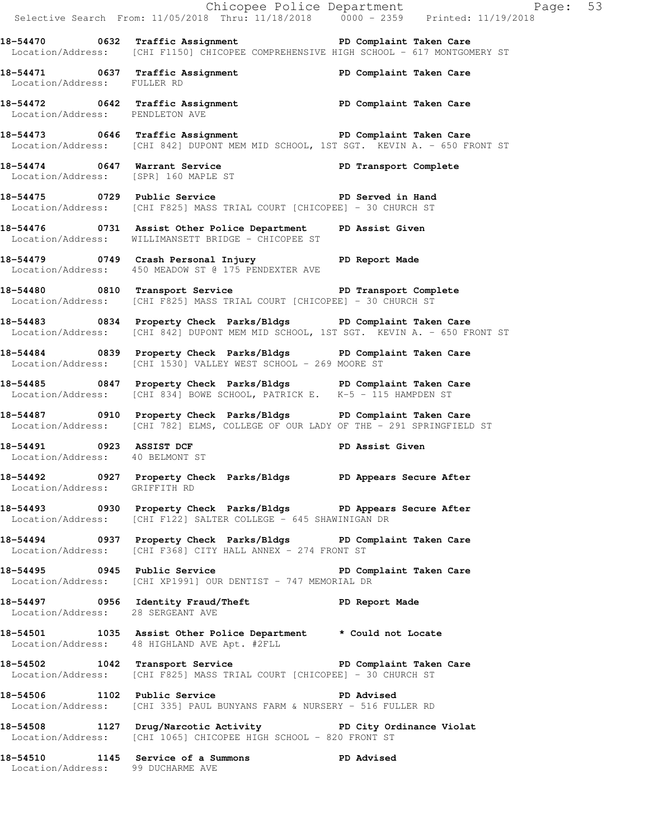Chicopee Police Department Fage: 53 Selective Search From: 11/05/2018 Thru: 11/18/2018 0000 - 2359 Printed: 11/19/2018 **18-54470 0632 Traffic Assignment PD Complaint Taken Care**  Location/Address: [CHI F1150] CHICOPEE COMPREHENSIVE HIGH SCHOOL - 617 MONTGOMERY ST **18-54471 0637 Traffic Assignment PD Complaint Taken Care**  Location/Address: FULLER RD **18-54472 0642 Traffic Assignment PD Complaint Taken Care**  Location/Address: PENDLETON AVE **18-54473 0646 Traffic Assignment PD Complaint Taken Care**  Location/Address: [CHI 842] DUPONT MEM MID SCHOOL, 1ST SGT. KEVIN A. - 650 FRONT ST 18-54474 0647 Warrant Service **PD Transport Complete** Location/Address: [SPR] 160 MAPLE ST 18-54475 **0729** Public Service **PLAN EXECUTE:** PD Served in Hand Location/Address: [CHI F825] MASS TRIAL COURT [CHICOPEE] - 30 CHURCH ST **18-54476 0731 Assist Other Police Department PD Assist Given**  Location/Address: WILLIMANSETT BRIDGE - CHICOPEE ST **18-54479 0749 Crash Personal Injury PD Report Made**  Location/Address: 450 MEADOW ST @ 175 PENDEXTER AVE **18-54480 0810 Transport Service PD Transport Complete**  Location/Address: [CHI F825] MASS TRIAL COURT [CHICOPEE] - 30 CHURCH ST **18-54483 0834 Property Check Parks/Bldgs PD Complaint Taken Care**  Location/Address: [CHI 842] DUPONT MEM MID SCHOOL, 1ST SGT. KEVIN A. - 650 FRONT ST **18-54484 0839 Property Check Parks/Bldgs PD Complaint Taken Care**  Location/Address: [CHI 1530] VALLEY WEST SCHOOL - 269 MOORE ST **18-54485 0847 Property Check Parks/Bldgs PD Complaint Taken Care**  Location/Address: [CHI 834] BOWE SCHOOL, PATRICK E. K-5 - 115 HAMPDEN ST **18-54487 0910 Property Check Parks/Bldgs PD Complaint Taken Care**  Location/Address: [CHI 782] ELMS, COLLEGE OF OUR LADY OF THE - 291 SPRINGFIELD ST **18-54491 0923 ASSIST DCF PD Assist Given**  Location/Address: 40 BELMONT ST **18-54492 0927 Property Check Parks/Bldgs PD Appears Secure After**  Location/Address: GRIFFITH RD **18-54493 0930 Property Check Parks/Bldgs PD Appears Secure After**  Location/Address: [CHI F122] SALTER COLLEGE - 645 SHAWINIGAN DR **18-54494 0937 Property Check Parks/Bldgs PD Complaint Taken Care**  Location/Address: [CHI F368] CITY HALL ANNEX - 274 FRONT ST **18-54495 0945 Public Service PD Complaint Taken Care**  Location/Address: [CHI XP1991] OUR DENTIST - 747 MEMORIAL DR **18-54497 0956 Identity Fraud/Theft PD Report Made**  Location/Address: 28 SERGEANT AVE **18-54501 1035 Assist Other Police Department \* Could not Locate**  Location/Address: 48 HIGHLAND AVE Apt. #2FLL **18-54502 1042 Transport Service PD Complaint Taken Care**  Location/Address: [CHI F825] MASS TRIAL COURT [CHICOPEE] - 30 CHURCH ST **18-54506 1102 Public Service PD Advised**  Location/Address: [CHI 335] PAUL BUNYANS FARM & NURSERY - 516 FULLER RD **18-54508 1127 Drug/Narcotic Activity PD City Ordinance Violat**  Location/Address: [CHI 1065] CHICOPEE HIGH SCHOOL - 820 FRONT ST **18-54510 1145 Service of a Summons PD Advised**  Location/Address: 99 DUCHARME AVE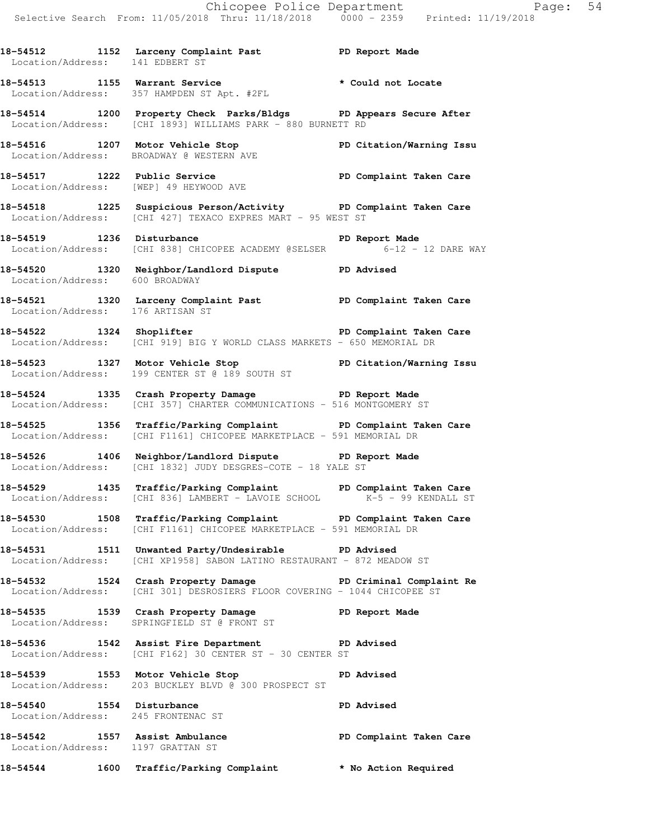18-54512 1152 Larceny Complaint Past PD Report Made Location/Address: 141 EDBERT ST

**18-54513 1155 Warrant Service \* Could not Locate**  Location/Address: 357 HAMPDEN ST Apt. #2FL

**18-54514 1200 Property Check Parks/Bldgs PD Appears Secure After**  Location/Address: [CHI 1893] WILLIAMS PARK - 880 BURNETT RD

**18-54516 1207 Motor Vehicle Stop PD Citation/Warning Issu**  Location/Address: BROADWAY @ WESTERN AVE

**18-54517 1222 Public Service PD Complaint Taken Care**  Location/Address: [WEP] 49 HEYWOOD AVE

**18-54518 1225 Suspicious Person/Activity PD Complaint Taken Care**  Location/Address: [CHI 427] TEXACO EXPRES MART - 95 WEST ST

**18-54519 1236 Disturbance PD Report Made**  Location/Address: [CHI 838] CHICOPEE ACADEMY @SELSER 6-12 - 12 DARE WAY

**18-54520 1320 Neighbor/Landlord Dispute PD Advised**  Location/Address: 600 BROADWAY

**18-54521 1320 Larceny Complaint Past PD Complaint Taken Care**  Location/Address: 176 ARTISAN ST

**18-54522 1324 Shoplifter PD Complaint Taken Care**  Location/Address: [CHI 919] BIG Y WORLD CLASS MARKETS - 650 MEMORIAL DR

**18-54523 1327 Motor Vehicle Stop PD Citation/Warning Issu**  Location/Address: 199 CENTER ST @ 189 SOUTH ST

**18-54524 1335 Crash Property Damage PD Report Made**  Location/Address: [CHI 357] CHARTER COMMUNICATIONS - 516 MONTGOMERY ST

**18-54525 1356 Traffic/Parking Complaint PD Complaint Taken Care**  Location/Address: [CHI F1161] CHICOPEE MARKETPLACE - 591 MEMORIAL DR

**18-54526 1406 Neighbor/Landlord Dispute PD Report Made**  Location/Address: [CHI 1832] JUDY DESGRES-COTE - 18 YALE ST

**18-54529 1435 Traffic/Parking Complaint PD Complaint Taken Care**  Location/Address: [CHI 836] LAMBERT - LAVOIE SCHOOL K-5 - 99 KENDALL ST

**18-54530 1508 Traffic/Parking Complaint PD Complaint Taken Care**  Location/Address: [CHI F1161] CHICOPEE MARKETPLACE - 591 MEMORIAL DR

**18-54531 1511 Unwanted Party/Undesirable PD Advised**  Location/Address: [CHI XP1958] SABON LATINO RESTAURANT - 872 MEADOW ST

**18-54532 1524 Crash Property Damage PD Criminal Complaint Re**  Location/Address: [CHI 301] DESROSIERS FLOOR COVERING - 1044 CHICOPEE ST

**18-54535 1539 Crash Property Damage PD Report Made**  Location/Address: SPRINGFIELD ST @ FRONT ST

**18-54536 1542 Assist Fire Department PD Advised**  Location/Address: [CHI F162] 30 CENTER ST - 30 CENTER ST

**18-54539 1553 Motor Vehicle Stop PD Advised**  Location/Address: 203 BUCKLEY BLVD @ 300 PROSPECT ST

18-54540 1554 Disturbance **PD** Advised Location/Address: 245 FRONTENAC ST

18-54542 1557 Assist Ambulance **18-54542** PD Complaint Taken Care Location/Address: 1197 GRATTAN ST

**18-54544 1600 Traffic/Parking Complaint \* No Action Required**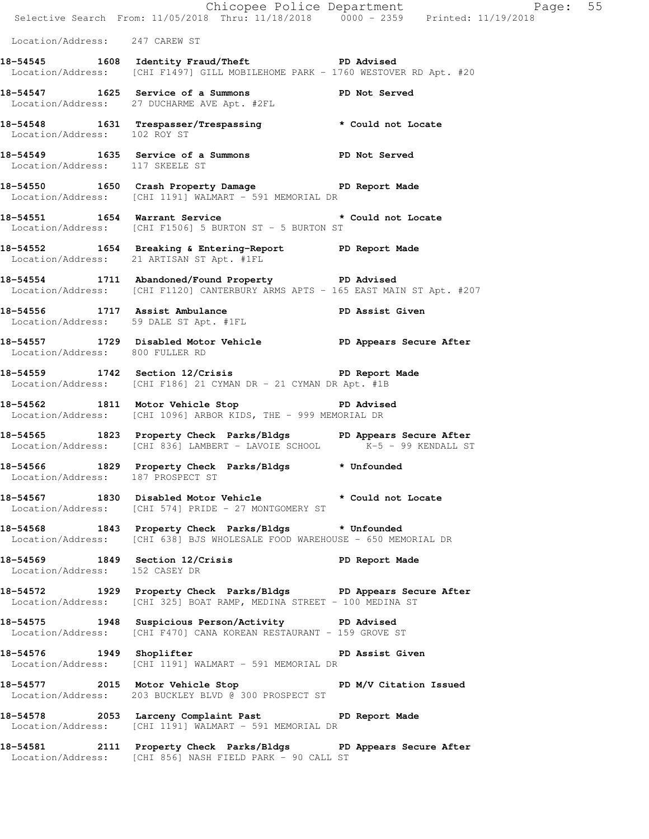|                                   |                                                                                                                                             | Chicopee Police Department<br>Selective Search From: 11/05/2018 Thru: 11/18/2018 0000 - 2359 Printed: 11/19/2018 |  |
|-----------------------------------|---------------------------------------------------------------------------------------------------------------------------------------------|------------------------------------------------------------------------------------------------------------------|--|
| Location/Address: 247 CAREW ST    |                                                                                                                                             |                                                                                                                  |  |
|                                   | 18-54545 1608 Identity Fraud/Theft PD Advised<br>Location/Address: [CHI F1497] GILL MOBILEHOME PARK - 1760 WESTOVER RD Apt. #20             |                                                                                                                  |  |
|                                   | 18-54547 1625 Service of a Summons PD Not Served<br>Location/Address: 27 DUCHARME AVE Apt. #2FL                                             |                                                                                                                  |  |
| Location/Address: 102 ROY ST      | 18-54548 1631 Trespasser/Trespassing * Could not Locate                                                                                     |                                                                                                                  |  |
| Location/Address: 117 SKEELE ST   | 18-54549 1635 Service of a Summons PD Not Served                                                                                            |                                                                                                                  |  |
|                                   | 18-54550 1650 Crash Property Damage Name PD Report Made<br>Location/Address: [CHI 1191] WALMART - 591 MEMORIAL DR                           |                                                                                                                  |  |
|                                   | 18-54551 1654 Warrant Service 2008 * Could not Locate<br>Location/Address: [CHI F1506] 5 BURTON ST - 5 BURTON ST                            |                                                                                                                  |  |
|                                   | 18-54552 1654 Breaking & Entering-Report PD Report Made<br>Location/Address: 21 ARTISAN ST Apt. #1FL                                        |                                                                                                                  |  |
|                                   | 18-54554 1711 Abandoned/Found Property PD Advised<br>Location/Address: [CHI F1120] CANTERBURY ARMS APTS - 165 EAST MAIN ST Apt. #207        |                                                                                                                  |  |
|                                   | 18-54556 1717 Assist Ambulance New PD Assist Given<br>Location/Address: 59 DALE ST Apt. #1FL                                                |                                                                                                                  |  |
| Location/Address: 800 FULLER RD   | 18-54557 1729 Disabled Motor Vehicle PD Appears Secure After                                                                                |                                                                                                                  |  |
|                                   | 18-54559 1742 Section 12/Crisis PD Report Made<br>Location/Address: [CHI F186] 21 CYMAN DR - 21 CYMAN DR Apt. #1B                           |                                                                                                                  |  |
|                                   | 18-54562 1811 Motor Vehicle Stop North PD Advised<br>Location/Address: [CHI 1096] ARBOR KIDS, THE - 999 MEMORIAL DR                         |                                                                                                                  |  |
|                                   | 18-54565 1823 Property Check Parks/Bldgs PD Appears Secure After<br>Location/Address: [CHI 836] LAMBERT - LAVOIE SCHOOL K-5 - 99 KENDALL ST |                                                                                                                  |  |
| Location/Address: 187 PROSPECT ST | 18-54566 1829 Property Check Parks/Bldgs * Unfounded                                                                                        |                                                                                                                  |  |
|                                   | 18-54567 1830 Disabled Motor Vehicle * Could not Locate<br>Location/Address: [CHI 574] PRIDE - 27 MONTGOMERY ST                             |                                                                                                                  |  |
|                                   | 18-54568 1843 Property Check Parks/Bldgs * Unfounded<br>Location/Address: [CHI 638] BJS WHOLESALE FOOD WAREHOUSE - 650 MEMORIAL DR          |                                                                                                                  |  |
| Location/Address: 152 CASEY DR    | 18-54569 1849 Section 12/Crisis TD Report Made                                                                                              |                                                                                                                  |  |
|                                   | 18-54572 1929 Property Check Parks/Bldgs PD Appears Secure After<br>Location/Address: [CHI 325] BOAT RAMP, MEDINA STREET - 100 MEDINA ST    |                                                                                                                  |  |
|                                   | 18-54575 1948 Suspicious Person/Activity PD Advised<br>Location/Address: [CHI F470] CANA KOREAN RESTAURANT - 159 GROVE ST                   |                                                                                                                  |  |
| 18-54576 1949 Shoplifter          | Location/Address: [CHI 1191] WALMART - 591 MEMORIAL DR                                                                                      | PD Assist Given                                                                                                  |  |
|                                   | 18-54577 2015 Motor Vehicle Stop PD M/V Citation Issued<br>Location/Address: 203 BUCKLEY BLVD @ 300 PROSPECT ST                             |                                                                                                                  |  |
|                                   | 18-54578 2053 Larceny Complaint Past PD Report Made<br>Location/Address: [CHI 1191] WALMART - 591 MEMORIAL DR                               |                                                                                                                  |  |
|                                   | 18-54581 2111 Property Check Parks/Bldgs PD Appears Secure After<br>Location/Address: [CHI 856] NASH FIELD PARK - 90 CALL ST                |                                                                                                                  |  |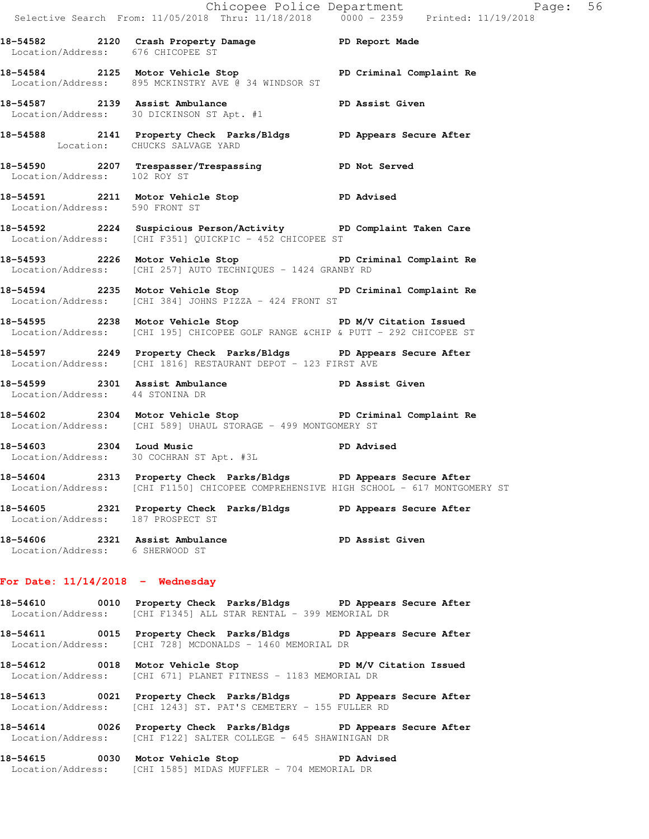Chicopee Police Department Page: 56 Selective Search From: 11/05/2018 Thru: 11/18/2018 0000 - 2359 Printed: 11/19/2018 **18-54582 2120 Crash Property Damage PD Report Made**  Location/Address: 676 CHICOPEE ST **18-54584 2125 Motor Vehicle Stop PD Criminal Complaint Re**  Location/Address: 895 MCKINSTRY AVE @ 34 WINDSOR ST **18-54587 2139 Assist Ambulance PD Assist Given**  Location/Address: 30 DICKINSON ST Apt. #1 **18-54588 2141 Property Check Parks/Bldgs PD Appears Secure After**  Location: CHUCKS SALVAGE YARD **18-54590 2207 Trespasser/Trespassing PD Not Served**  Location/Address: 102 ROY ST **18-54591 2211 Motor Vehicle Stop PD Advised**  Location/Address: 590 FRONT ST **18-54592 2224 Suspicious Person/Activity PD Complaint Taken Care**  Location/Address: [CHI F351] QUICKPIC - 452 CHICOPEE ST **18-54593 2226 Motor Vehicle Stop PD Criminal Complaint Re**  Location/Address: [CHI 257] AUTO TECHNIQUES - 1424 GRANBY RD **18-54594 2235 Motor Vehicle Stop PD Criminal Complaint Re**  Location/Address: [CHI 384] JOHNS PIZZA - 424 FRONT ST **18-54595 2238 Motor Vehicle Stop PD M/V Citation Issued**  Location/Address: [CHI 195] CHICOPEE GOLF RANGE &CHIP & PUTT - 292 CHICOPEE ST **18-54597 2249 Property Check Parks/Bldgs PD Appears Secure After**  Location/Address: [CHI 1816] RESTAURANT DEPOT - 123 FIRST AVE **18-54599 2301 Assist Ambulance PD Assist Given**  Location/Address: 44 STONINA DR **18-54602 2304 Motor Vehicle Stop PD Criminal Complaint Re**  Location/Address: [CHI 589] UHAUL STORAGE - 499 MONTGOMERY ST **18-54603 2304 Loud Music PD Advised**  Location/Address: 30 COCHRAN ST Apt. #3L **18-54604 2313 Property Check Parks/Bldgs PD Appears Secure After**  Location/Address: [CHI F1150] CHICOPEE COMPREHENSIVE HIGH SCHOOL - 617 MONTGOMERY ST **18-54605 2321 Property Check Parks/Bldgs PD Appears Secure After**  Location/Address: 187 PROSPECT ST **18-54606 2321 Assist Ambulance PD Assist Given**  Location/Address: 6 SHERWOOD ST

### **For Date: 11/14/2018 - Wednesday**

**18-54610 0010 Property Check Parks/Bldgs PD Appears Secure After**  Location/Address: [CHI F1345] ALL STAR RENTAL - 399 MEMORIAL DR

**18-54611 0015 Property Check Parks/Bldgs PD Appears Secure After**  Location/Address: [CHI 728] MCDONALDS - 1460 MEMORIAL DR

18-54612 0018 Motor Vehicle Stop **PD M/V Citation Issued** Location/Address: [CHI 671] PLANET FITNESS - 1183 MEMORIAL DR

**18-54613 0021 Property Check Parks/Bldgs PD Appears Secure After**  Location/Address: [CHI 1243] ST. PAT'S CEMETERY - 155 FULLER RD

**18-54614 0026 Property Check Parks/Bldgs PD Appears Secure After**  Location/Address: [CHI F122] SALTER COLLEGE - 645 SHAWINIGAN DR

**18-54615 0030 Motor Vehicle Stop PD Advised**  Location/Address: [CHI 1585] MIDAS MUFFLER - 704 MEMORIAL DR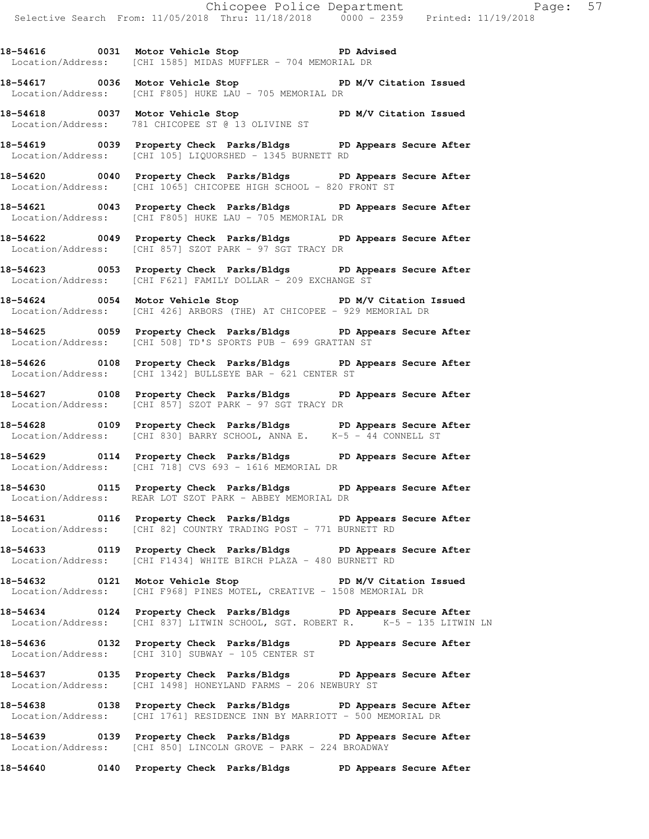**18-54616 0031 Motor Vehicle Stop PD Advised**  Location/Address: [CHI 1585] MIDAS MUFFLER - 704 MEMORIAL DR

**18-54617 0036 Motor Vehicle Stop PD M/V Citation Issued**  Location/Address: [CHI F805] HUKE LAU - 705 MEMORIAL DR

**18-54618 0037 Motor Vehicle Stop PD M/V Citation Issued**  Location/Address: 781 CHICOPEE ST @ 13 OLIVINE ST

**18-54619 0039 Property Check Parks/Bldgs PD Appears Secure After**  Location/Address: [CHI 105] LIQUORSHED - 1345 BURNETT RD

**18-54620 0040 Property Check Parks/Bldgs PD Appears Secure After**  Location/Address: [CHI 1065] CHICOPEE HIGH SCHOOL - 820 FRONT ST

**18-54621 0043 Property Check Parks/Bldgs PD Appears Secure After**  Location/Address: [CHI F805] HUKE LAU - 705 MEMORIAL DR

**18-54622 0049 Property Check Parks/Bldgs PD Appears Secure After**  Location/Address: [CHI 857] SZOT PARK - 97 SGT TRACY DR

**18-54623 0053 Property Check Parks/Bldgs PD Appears Secure After**  Location/Address: [CHI F621] FAMILY DOLLAR - 209 EXCHANGE ST

**18-54624 0054 Motor Vehicle Stop PD M/V Citation Issued**  Location/Address: [CHI 426] ARBORS (THE) AT CHICOPEE - 929 MEMORIAL DR

**18-54625 0059 Property Check Parks/Bldgs PD Appears Secure After**  Location/Address: [CHI 508] TD'S SPORTS PUB - 699 GRATTAN ST

**18-54626 0108 Property Check Parks/Bldgs PD Appears Secure After**  Location/Address: [CHI 1342] BULLSEYE BAR - 621 CENTER ST

**18-54627 0108 Property Check Parks/Bldgs PD Appears Secure After**  Location/Address: [CHI 857] SZOT PARK - 97 SGT TRACY DR

**18-54628 0109 Property Check Parks/Bldgs PD Appears Secure After**  Location/Address: [CHI 830] BARRY SCHOOL, ANNA E. K-5 - 44 CONNELL ST

**18-54629 0114 Property Check Parks/Bldgs PD Appears Secure After**  Location/Address: [CHI 718] CVS 693 - 1616 MEMORIAL DR

**18-54630 0115 Property Check Parks/Bldgs PD Appears Secure After**  Location/Address: REAR LOT SZOT PARK - ABBEY MEMORIAL DR

**18-54631 0116 Property Check Parks/Bldgs PD Appears Secure After**  Location/Address: [CHI 82] COUNTRY TRADING POST - 771 BURNETT RD

**18-54633 0119 Property Check Parks/Bldgs PD Appears Secure After**  Location/Address: [CHI F1434] WHITE BIRCH PLAZA - 480 BURNETT RD

**18-54632 0121 Motor Vehicle Stop PD M/V Citation Issued**  Location/Address: [CHI F968] PINES MOTEL, CREATIVE - 1508 MEMORIAL DR

**18-54634 0124 Property Check Parks/Bldgs PD Appears Secure After**  Location/Address: [CHI 837] LITWIN SCHOOL, SGT. ROBERT R. K-5 - 135 LITWIN LN

**18-54636 0132 Property Check Parks/Bldgs PD Appears Secure After**  Location/Address: [CHI 310] SUBWAY - 105 CENTER ST

**18-54637 0135 Property Check Parks/Bldgs PD Appears Secure After**  Location/Address: [CHI 1498] HONEYLAND FARMS - 206 NEWBURY ST

**18-54638 0138 Property Check Parks/Bldgs PD Appears Secure After**  Location/Address: [CHI 1761] RESIDENCE INN BY MARRIOTT - 500 MEMORIAL DR

**18-54639 0139 Property Check Parks/Bldgs PD Appears Secure After**  Location/Address: [CHI 850] LINCOLN GROVE - PARK - 224 BROADWAY

**18-54640 0140 Property Check Parks/Bldgs PD Appears Secure After**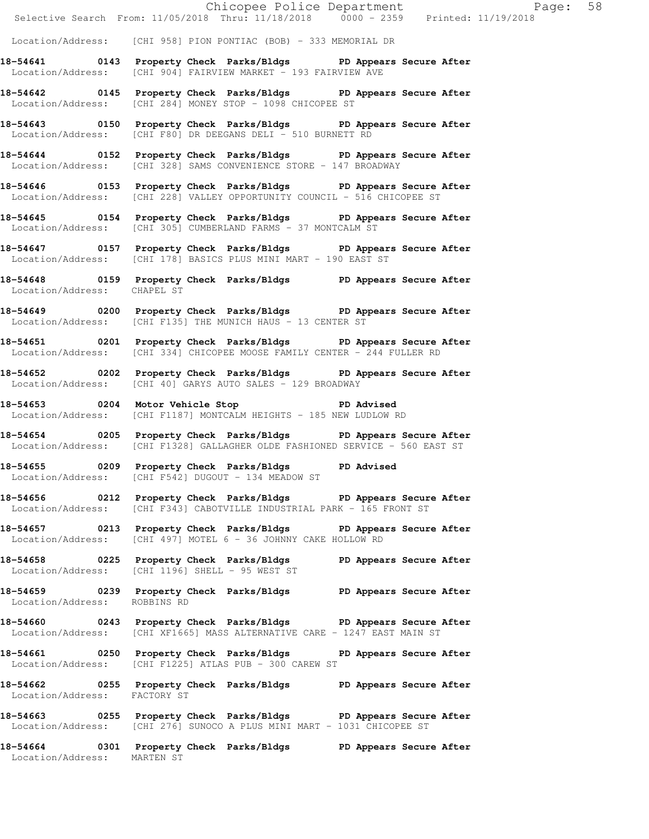|                              | Chicopee Police Department<br>Selective Search From: 11/05/2018 Thru: 11/18/2018 0000 - 2359 Printed: 11/19/2018                                 |  |
|------------------------------|--------------------------------------------------------------------------------------------------------------------------------------------------|--|
|                              |                                                                                                                                                  |  |
|                              | Location/Address: [CHI 958] PION PONTIAC (BOB) - 333 MEMORIAL DR                                                                                 |  |
|                              | 18-54641 0143 Property Check Parks/Bldgs PD Appears Secure After<br>Location/Address: [CHI 904] FAIRVIEW MARKET - 193 FAIRVIEW AVE               |  |
|                              | 18-54642 0145 Property Check Parks/Bldgs PD Appears Secure After<br>Location/Address: [CHI 284] MONEY STOP - 1098 CHICOPEE ST                    |  |
|                              | 18-54643 0150 Property Check Parks/Bldgs PD Appears Secure After<br>Location/Address: [CHI F80] DR DEEGANS DELI - 510 BURNETT RD                 |  |
|                              | 18-54644 0152 Property Check Parks/Bldgs PD Appears Secure After<br>Location/Address: [CHI 328] SAMS CONVENIENCE STORE - 147 BROADWAY            |  |
|                              | 18-54646 0153 Property Check Parks/Bldgs PD Appears Secure After<br>Location/Address: [CHI 228] VALLEY OPPORTUNITY COUNCIL - 516 CHICOPEE ST     |  |
|                              | 18-54645 0154 Property Check Parks/Bldgs PD Appears Secure After<br>Location/Address: [CHI 305] CUMBERLAND FARMS - 37 MONTCALM ST                |  |
|                              | 18-54647 0157 Property Check Parks/Bldgs PD Appears Secure After<br>Location/Address: [CHI 178] BASICS PLUS MINI MART - 190 EAST ST              |  |
| Location/Address: CHAPEL ST  | 18-54648 0159 Property Check Parks/Bldgs PD Appears Secure After                                                                                 |  |
|                              | 18-54649 0200 Property Check Parks/Bldgs PD Appears Secure After<br>Location/Address: [CHI F135] THE MUNICH HAUS - 13 CENTER ST                  |  |
|                              | 18-54651 0201 Property Check Parks/Bldgs PD Appears Secure After<br>Location/Address: [CHI 334] CHICOPEE MOOSE FAMILY CENTER - 244 FULLER RD     |  |
|                              | 18-54652 0202 Property Check Parks/Bldgs PD Appears Secure After<br>Location/Address: [CHI 40] GARYS AUTO SALES - 129 BROADWAY                   |  |
|                              | 18-54653 0204 Motor Vehicle Stop 30 PD Advised<br>Location/Address: [CHI F1187] MONTCALM HEIGHTS - 185 NEW LUDLOW RD                             |  |
|                              | 18-54654 0205 Property Check Parks/Bldgs PD Appears Secure After<br>Location/Address: [CHI F1328] GALLAGHER OLDE FASHIONED SERVICE - 560 EAST ST |  |
|                              | 18-54655 0209 Property Check Parks/Bldgs PD Advised<br>Location/Address: [CHI F542] DUGOUT - 134 MEADOW ST                                       |  |
|                              | 18-54656 0212 Property Check Parks/Bldgs PD Appears Secure After<br>Location/Address: [CHI F343] CABOTVILLE INDUSTRIAL PARK - 165 FRONT ST       |  |
|                              | 18-54657 0213 Property Check Parks/Bldgs PD Appears Secure After<br>Location/Address: [CHI 497] MOTEL 6 - 36 JOHNNY CAKE HOLLOW RD               |  |
|                              | 18-54658 0225 Property Check Parks/Bldgs PD Appears Secure After<br>Location/Address: [CHI 1196] SHELL - 95 WEST ST                              |  |
| Location/Address: ROBBINS RD | 18-54659 0239 Property Check Parks/Bldgs PD Appears Secure After                                                                                 |  |
|                              | 18-54660 0243 Property Check Parks/Bldgs PD Appears Secure After<br>Location/Address: [CHI XF1665] MASS ALTERNATIVE CARE - 1247 EAST MAIN ST     |  |
|                              | 18-54661 0250 Property Check Parks/Bldgs PD Appears Secure After<br>Location/Address: [CHI F1225] ATLAS PUB - 300 CAREW ST                       |  |
| Location/Address: FACTORY ST | 18-54662 0255 Property Check Parks/Bldgs PD Appears Secure After                                                                                 |  |
|                              | 18-54663 0255 Property Check Parks/Bldgs PD Appears Secure After<br>Location/Address: [CHI 276] SUNOCO A PLUS MINI MART - 1031 CHICOPEE ST       |  |

**18-54664 0301 Property Check Parks/Bldgs PD Appears Secure After**  Location/Address: MARTEN ST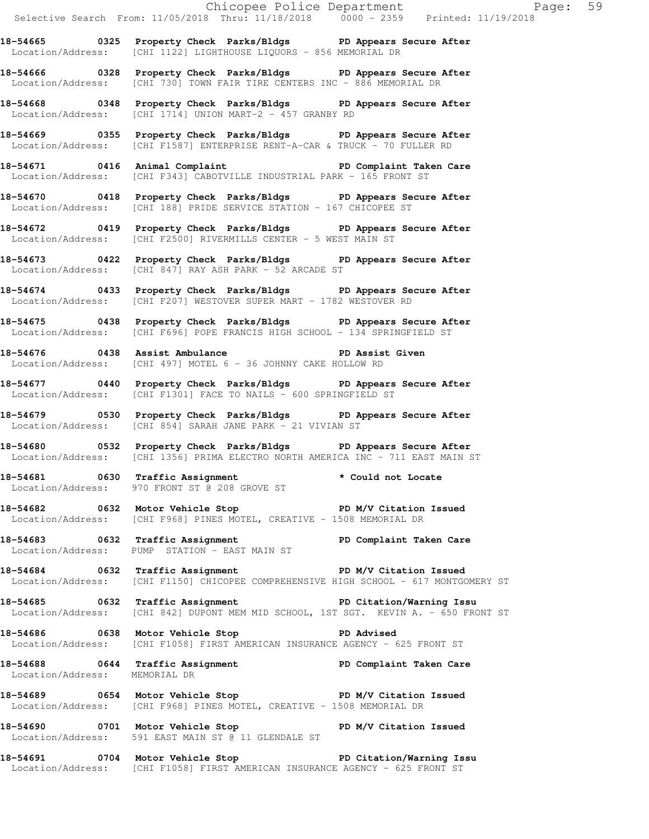**18-54665 0325 Property Check Parks/Bldgs PD Appears Secure After**  Location/Address: [CHI 1122] LIGHTHOUSE LIQUORS - 856 MEMORIAL DR

**18-54666 0328 Property Check Parks/Bldgs PD Appears Secure After**  Location/Address: [CHI 730] TOWN FAIR TIRE CENTERS INC - 886 MEMORIAL DR

**18-54668 0348 Property Check Parks/Bldgs PD Appears Secure After**  Location/Address: [CHI 1714] UNION MART-2 - 457 GRANBY RD

**18-54669 0355 Property Check Parks/Bldgs PD Appears Secure After**  Location/Address: [CHI F1587] ENTERPRISE RENT-A-CAR & TRUCK - 70 FULLER RD

**18-54671 0416 Animal Complaint PD Complaint Taken Care**  Location/Address: [CHI F343] CABOTVILLE INDUSTRIAL PARK - 165 FRONT ST

**18-54670 0418 Property Check Parks/Bldgs PD Appears Secure After**  Location/Address: [CHI 188] PRIDE SERVICE STATION - 167 CHICOPEE ST

**18-54672 0419 Property Check Parks/Bldgs PD Appears Secure After**  Location/Address: [CHI F2500] RIVERMILLS CENTER - 5 WEST MAIN ST

**18-54673 0422 Property Check Parks/Bldgs PD Appears Secure After**  Location/Address: [CHI 847] RAY ASH PARK - 52 ARCADE ST

**18-54674 0433 Property Check Parks/Bldgs PD Appears Secure After**  Location/Address: [CHI F207] WESTOVER SUPER MART - 1782 WESTOVER RD

**18-54675 0438 Property Check Parks/Bldgs PD Appears Secure After**  Location/Address: [CHI F696] POPE FRANCIS HIGH SCHOOL - 134 SPRINGFIELD ST

18-54676 **0438** Assist Ambulance **PD Assist Given** Location/Address: [CHI 497] MOTEL 6 - 36 JOHNNY CAKE HOLLOW RD

**18-54677 0440 Property Check Parks/Bldgs PD Appears Secure After**  Location/Address: [CHI F1301] FACE TO NAILS - 600 SPRINGFIELD ST

**18-54679 0530 Property Check Parks/Bldgs PD Appears Secure After**  Location/Address: [CHI 854] SARAH JANE PARK - 21 VIVIAN ST

**18-54680 0532 Property Check Parks/Bldgs PD Appears Secure After**  Location/Address: [CHI 1356] PRIMA ELECTRO NORTH AMERICA INC - 711 EAST MAIN ST

**18-54681 0630 Traffic Assignment \* Could not Locate**  Location/Address: 970 FRONT ST @ 208 GROVE ST

18-54682 **0632** Motor Vehicle Stop **PD M/V Citation Issued** Location/Address: [CHI F968] PINES MOTEL, CREATIVE - 1508 MEMORIAL DR

**18-54683 0632 Traffic Assignment PD Complaint Taken Care**  Location/Address: PUMP STATION - EAST MAIN ST

**18-54684 0632 Traffic Assignment PD M/V Citation Issued**  Location/Address: [CHI F1150] CHICOPEE COMPREHENSIVE HIGH SCHOOL - 617 MONTGOMERY ST

**18-54685 0632 Traffic Assignment PD Citation/Warning Issu**  Location/Address: [CHI 842] DUPONT MEM MID SCHOOL, 1ST SGT. KEVIN A. - 650 FRONT ST

**18-54686 0638 Motor Vehicle Stop PD Advised**  Location/Address: [CHI F1058] FIRST AMERICAN INSURANCE AGENCY - 625 FRONT ST

**18-54688 0644 Traffic Assignment PD Complaint Taken Care**  Location/Address: MEMORIAL DR

18-54689 **0654** Motor Vehicle Stop **PD M/V Citation Issued** Location/Address: [CHI F968] PINES MOTEL, CREATIVE - 1508 MEMORIAL DR

**18-54690 0701 Motor Vehicle Stop PD M/V Citation Issued**  Location/Address: 591 EAST MAIN ST @ 11 GLENDALE ST

**18-54691 0704 Motor Vehicle Stop PD Citation/Warning Issu**  Location/Address: [CHI F1058] FIRST AMERICAN INSURANCE AGENCY - 625 FRONT ST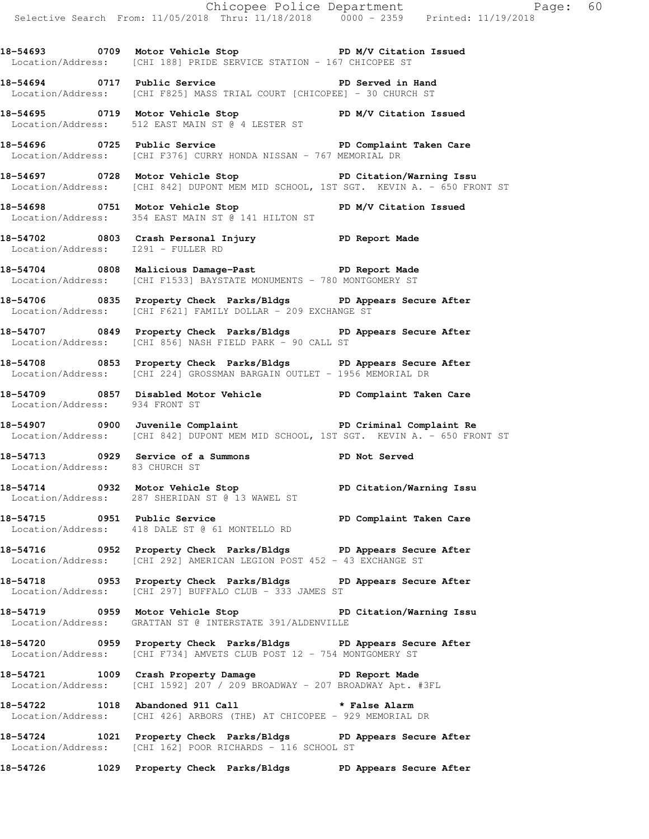18-54693 **0709** Motor Vehicle Stop **PD M/V Citation Issued** Location/Address: [CHI 188] PRIDE SERVICE STATION - 167 CHICOPEE ST

**18-54694 0717 Public Service PD Served in Hand**  Location/Address: [CHI F825] MASS TRIAL COURT [CHICOPEE] - 30 CHURCH ST

**18-54695 0719 Motor Vehicle Stop PD M/V Citation Issued**  Location/Address: 512 EAST MAIN ST @ 4 LESTER ST

**18-54696 0725 Public Service PD Complaint Taken Care**  Location/Address: [CHI F376] CURRY HONDA NISSAN - 767 MEMORIAL DR

**18-54697 0728 Motor Vehicle Stop PD Citation/Warning Issu**  Location/Address: [CHI 842] DUPONT MEM MID SCHOOL, 1ST SGT. KEVIN A. - 650 FRONT ST

**18-54698 0751 Motor Vehicle Stop PD M/V Citation Issued**  Location/Address: 354 EAST MAIN ST @ 141 HILTON ST

**18-54702 0803 Crash Personal Injury PD Report Made**  Location/Address: I291 - FULLER RD

**18-54704 0808 Malicious Damage-Past PD Report Made**  Location/Address: [CHI F1533] BAYSTATE MONUMENTS - 780 MONTGOMERY ST

**18-54706 0835 Property Check Parks/Bldgs PD Appears Secure After**  Location/Address: [CHI F621] FAMILY DOLLAR - 209 EXCHANGE ST

**18-54707 0849 Property Check Parks/Bldgs PD Appears Secure After**  Location/Address: [CHI 856] NASH FIELD PARK - 90 CALL ST

**18-54708 0853 Property Check Parks/Bldgs PD Appears Secure After**  Location/Address: [CHI 224] GROSSMAN BARGAIN OUTLET - 1956 MEMORIAL DR

**18-54709 0857 Disabled Motor Vehicle PD Complaint Taken Care**  Location/Address: 934 FRONT ST

**18-54907 0900 Juvenile Complaint PD Criminal Complaint Re**  Location/Address: [CHI 842] DUPONT MEM MID SCHOOL, 1ST SGT. KEVIN A. - 650 FRONT ST

**18-54713 0929 Service of a Summons PD Not Served**  Location/Address: 83 CHURCH ST

**18-54714 0932 Motor Vehicle Stop PD Citation/Warning Issu**  Location/Address: 287 SHERIDAN ST @ 13 WAWEL ST

**18-54715 0951 Public Service PD Complaint Taken Care**  Location/Address: 418 DALE ST @ 61 MONTELLO RD

**18-54716 0952 Property Check Parks/Bldgs PD Appears Secure After**  Location/Address: [CHI 292] AMERICAN LEGION POST 452 - 43 EXCHANGE ST

**18-54718 0953 Property Check Parks/Bldgs PD Appears Secure After**  Location/Address: [CHI 297] BUFFALO CLUB - 333 JAMES ST

**18-54719 0959 Motor Vehicle Stop PD Citation/Warning Issu**  Location/Address: GRATTAN ST @ INTERSTATE 391/ALDENVILLE

**18-54720 0959 Property Check Parks/Bldgs PD Appears Secure After**  Location/Address: [CHI F734] AMVETS CLUB POST 12 - 754 MONTGOMERY ST

**18-54721 1009 Crash Property Damage PD Report Made**  Location/Address: [CHI 1592] 207 / 209 BROADWAY - 207 BROADWAY Apt. #3FL

**18-54722 1018 Abandoned 911 Call \* False Alarm**  Location/Address: [CHI 426] ARBORS (THE) AT CHICOPEE - 929 MEMORIAL DR

**18-54724 1021 Property Check Parks/Bldgs PD Appears Secure After**  Location/Address: [CHI 162] POOR RICHARDS - 116 SCHOOL ST

**18-54726 1029 Property Check Parks/Bldgs PD Appears Secure After**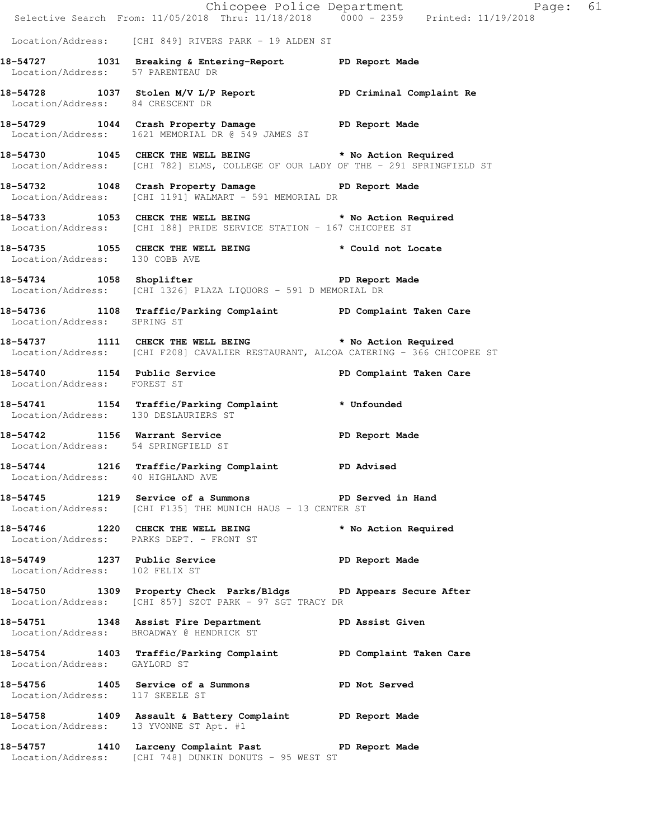|                                                                | E Chicopee Police Department<br>Selective Search From: 11/05/2018 Thru: 11/18/2018 0000 - 2359 Printed: 11/19/2018                            | Page: 61                |
|----------------------------------------------------------------|-----------------------------------------------------------------------------------------------------------------------------------------------|-------------------------|
|                                                                |                                                                                                                                               |                         |
|                                                                | Location/Address: [CHI 849] RIVERS PARK - 19 ALDEN ST                                                                                         |                         |
| Location/Address: 57 PARENTEAU DR                              | 18-54727 1031 Breaking & Entering-Report PD Report Made                                                                                       |                         |
| Location/Address: 84 CRESCENT DR                               | 18-54728 1037 Stolen M/V L/P Report PD Criminal Complaint Re                                                                                  |                         |
|                                                                | 18-54729 1044 Crash Property Damage PD Report Made<br>Location/Address: 1621 MEMORIAL DR @ 549 JAMES ST                                       |                         |
|                                                                | 18-54730 1045 CHECK THE WELL BEING * No Action Required<br>Location/Address: [CHI 782] ELMS, COLLEGE OF OUR LADY OF THE - 291 SPRINGFIELD ST  |                         |
|                                                                | 18-54732 1048 Crash Property Damage PD Report Made<br>Location/Address: [CHI 1191] WALMART - 591 MEMORIAL DR                                  |                         |
|                                                                | 18-54733 1053 CHECK THE WELL BEING * No Action Required<br>Location/Address: [CHI 188] PRIDE SERVICE STATION - 167 CHICOPEE ST                |                         |
| Location/Address: 130 COBB AVE                                 | 18-54735 1055 CHECK THE WELL BEING * Could not Locate                                                                                         |                         |
|                                                                | 18-54734 1058 Shoplifter <b>18-54734</b> PD Report Made<br>Location/Address: [CHI 1326] PLAZA LIQUORS - 591 D MEMORIAL DR                     |                         |
| Location/Address: SPRING ST                                    | 18-54736 1108 Traffic/Parking Complaint PD Complaint Taken Care                                                                               |                         |
|                                                                | 18-54737 1111 CHECK THE WELL BEING * No Action Required<br>Location/Address: [CHI F208] CAVALIER RESTAURANT, ALCOA CATERING - 366 CHICOPEE ST |                         |
| Location/Address: FOREST ST                                    | 18-54740 1154 Public Service                                                                                                                  | PD Complaint Taken Care |
| Location/Address: 130 DESLAURIERS ST                           | 18-54741 1154 Traffic/Parking Complaint * Unfounded                                                                                           |                         |
| Location/Address: 54 SPRINGFIELD ST                            | 18-54742 1156 Warrant Service New PD Report Made                                                                                              |                         |
| Location/Address: 40 HIGHLAND AVE                              | 18-54744 1216 Traffic/Parking Complaint PD Advised                                                                                            |                         |
|                                                                | 18-54745 1219 Service of a Summons PD Served in Hand<br>Location/Address: [CHI F135] THE MUNICH HAUS - 13 CENTER ST                           |                         |
|                                                                | 18-54746 1220 CHECK THE WELL BEING<br>Location/Address: PARKS DEPT. - FRONT ST                                                                | * No Action Required    |
| 18-54749 1237 Public Service<br>Location/Address: 102 FELIX ST | PD Report Made                                                                                                                                |                         |
|                                                                | 18-54750 1309 Property Check Parks/Bldgs PD Appears Secure After<br>Location/Address: [CHI 857] SZOT PARK - 97 SGT TRACY DR                   |                         |
|                                                                | 18-54751 1348 Assist Fire Department PD Assist Given<br>Location/Address: BROADWAY @ HENDRICK ST                                              |                         |
| Location/Address: GAYLORD ST                                   | 18-54754 1403 Traffic/Parking Complaint PD Complaint Taken Care                                                                               |                         |
| Location/Address: 117 SKEELE ST                                | 18-54756 1405 Service of a Summons PD Not Served                                                                                              |                         |
| Location/Address: 13 YVONNE ST Apt. #1                         | 18-54758 1409 Assault & Battery Complaint PD Report Made                                                                                      |                         |
|                                                                | 18-54757 1410 Larceny Complaint Past PD Report Made<br>Location/Address: [CHI 748] DUNKIN DONUTS - 95 WEST ST                                 |                         |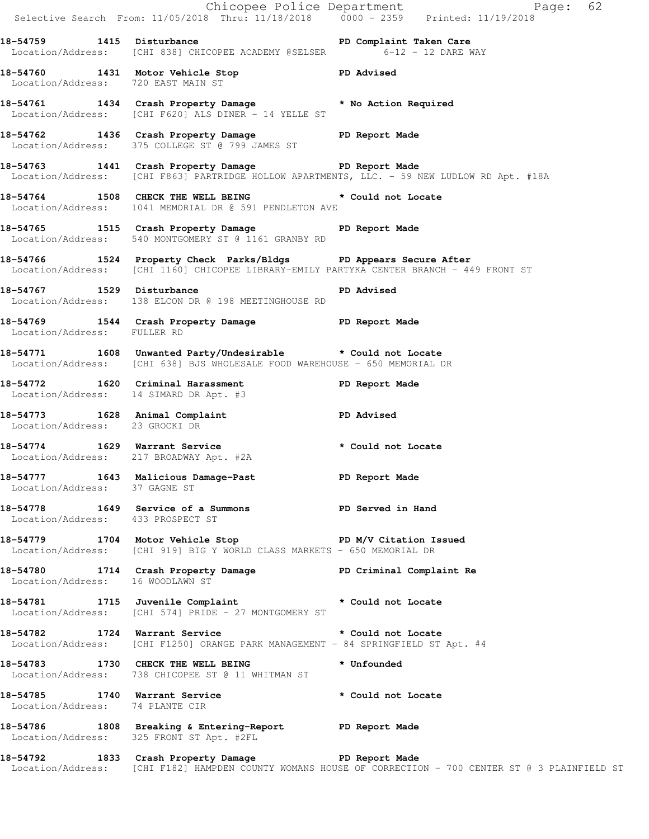|                                 |                                                                                                                                                              | Chicopee Police Department<br>Selective Search From: 11/05/2018 Thru: 11/18/2018 0000 - 2359 Printed: 11/19/2018 |
|---------------------------------|--------------------------------------------------------------------------------------------------------------------------------------------------------------|------------------------------------------------------------------------------------------------------------------|
|                                 | 18-54759 1415 Disturbance<br>Location/Address: [CHI 838] CHICOPEE ACADEMY @SELSER 6-12 - 12 DARE WAY                                                         |                                                                                                                  |
|                                 | 18-54760 1431 Motor Vehicle Stop November 20 PD Advised<br>Location/Address: 720 EAST MAIN ST                                                                |                                                                                                                  |
|                                 | 18-54761 1434 Crash Property Damage * No Action Required<br>Location/Address: [CHI F620] ALS DINER - 14 YELLE ST                                             |                                                                                                                  |
|                                 | 18-54762 1436 Crash Property Damage PD Report Made<br>Location/Address: 375 COLLEGE ST @ 799 JAMES ST                                                        |                                                                                                                  |
|                                 | 18-54763 1441 Crash Property Damage PD Report Made                                                                                                           | Location/Address: [CHI F863] PARTRIDGE HOLLOW APARTMENTS, LLC. - 59 NEW LUDLOW RD Apt. #18A                      |
|                                 | 18-54764 1508 CHECK THE WELL BEING * Could not Locate<br>Location/Address: 1041 MEMORIAL DR @ 591 PENDLETON AVE                                              |                                                                                                                  |
|                                 | 18-54765 1515 Crash Property Damage PD Report Made<br>Location/Address: 540 MONTGOMERY ST @ 1161 GRANBY RD                                                   |                                                                                                                  |
|                                 | 18-54766 1524 Property Check Parks/Bldgs PD Appears Secure After<br>Location/Address: [CHI 1160] CHICOPEE LIBRARY-EMILY PARTYKA CENTER BRANCH - 449 FRONT ST |                                                                                                                  |
|                                 | 18-54767 1529 Disturbance<br>Location/Address: 138 ELCON DR @ 198 MEETINGHOUSE RD                                                                            | <b>PD Advised</b>                                                                                                |
| Location/Address: FULLER RD     | 18-54769 1544 Crash Property Damage PD Report Made                                                                                                           |                                                                                                                  |
|                                 | 18-54771 1608 Unwanted Party/Undesirable * Could not Locate<br>Location/Address: [CHI 638] BJS WHOLESALE FOOD WAREHOUSE - 650 MEMORIAL DR                    |                                                                                                                  |
|                                 | 18-54772 1620 Criminal Harassment The PD Report Made<br>Location/Address: 14 SIMARD DR Apt. #3                                                               |                                                                                                                  |
| Location/Address: 23 GROCKI DR  | 18-54773 1628 Animal Complaint PD Advised                                                                                                                    |                                                                                                                  |
|                                 | 18-54774 1629 Warrant Service * Could not Locate<br>Location/Address: 217 BROADWAY Apt. #2A                                                                  |                                                                                                                  |
| Location/Address: 37 GAGNE ST   | 18-54777 1643 Malicious Damage-Past PD Report Made                                                                                                           |                                                                                                                  |
|                                 | 18-54778 1649 Service of a Summons PD Served in Hand<br>Location/Address: 433 PROSPECT ST                                                                    |                                                                                                                  |
|                                 | 18-54779 1704 Motor Vehicle Stop N/V Citation Issued<br>Location/Address: [CHI 919] BIG Y WORLD CLASS MARKETS - 650 MEMORIAL DR                              |                                                                                                                  |
|                                 | 18-54780 1714 Crash Property Damage PD Criminal Complaint Re<br>Location/Address: 16 WOODLAWN ST                                                             |                                                                                                                  |
|                                 | 18-54781 1715 Juvenile Complaint * Could not Locate<br>Location/Address: [CHI 574] PRIDE - 27 MONTGOMERY ST                                                  |                                                                                                                  |
|                                 | 18-54782 1724 Warrant Service * Could not Locate<br>Location/Address: [CHI F1250] ORANGE PARK MANAGEMENT - 84 SPRINGFIELD ST Apt. #4                         |                                                                                                                  |
|                                 | 18-54783 1730 CHECK THE WELL BEING<br>Location/Address: 738 CHICOPEE ST @ 11 WHITMAN ST                                                                      | * Unfounded                                                                                                      |
| Location/Address: 74 PLANTE CIR | 18-54785 1740 Warrant Service 20 * Could not Locate                                                                                                          |                                                                                                                  |
|                                 | 18-54786 1808 Breaking & Entering-Report PD Report Made<br>Location/Address: 325 FRONT ST Apt. #2FL                                                          |                                                                                                                  |
|                                 | 18-54792 1833 Crash Property Damage PD Report Made                                                                                                           | Location/Address: [CHI F182] HAMPDEN COUNTY WOMANS HOUSE OF CORRECTION - 700 CENTER ST @ 3 PLAINFIELD ST         |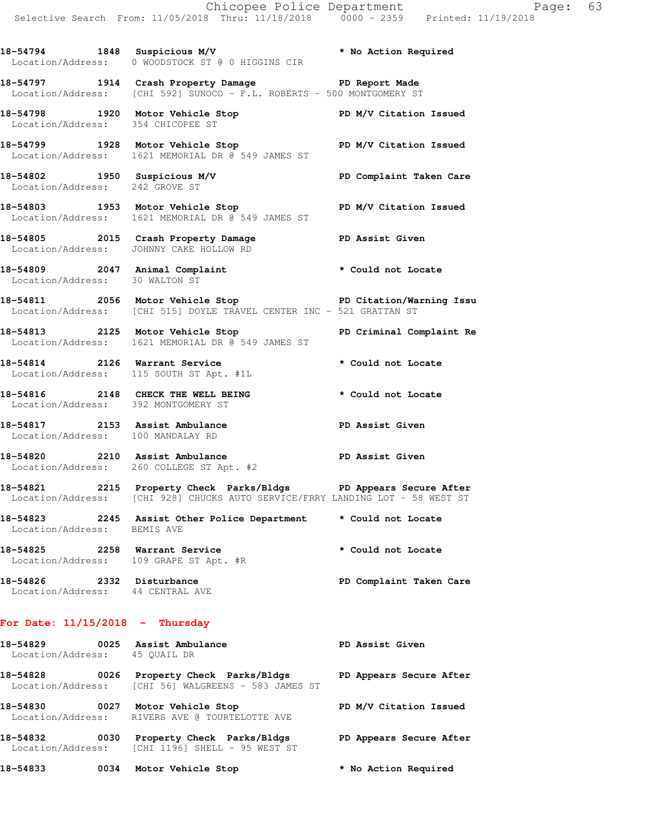**18-54794 1848 Suspicious M/V \* No Action Required**  Location/Address: 0 WOODSTOCK ST @ 0 HIGGINS CIR

**18-54797 1914 Crash Property Damage PD Report Made**  Location/Address: [CHI 592] SUNOCO - F.L. ROBERTS - 500 MONTGOMERY ST

**18-54798 1920 Motor Vehicle Stop PD M/V Citation Issued**  Location/Address: 354 CHICOPEE ST **18-54799 1928 Motor Vehicle Stop PD M/V Citation Issued** 

Location/Address: 1621 MEMORIAL DR @ 549 JAMES ST

**18-54802 1950 Suspicious M/V PD Complaint Taken Care**  Location/Address: 242 GROVE ST

**18-54803 1953 Motor Vehicle Stop PD M/V Citation Issued**  Location/Address: 1621 MEMORIAL DR @ 549 JAMES ST

18-54805 **2015** Crash Property Damage **PD Assist Given** Location/Address: JOHNNY CAKE HOLLOW RD

**18-54809 2047 Animal Complaint \* Could not Locate**  Location/Address: 30 WALTON ST

**18-54811 2056 Motor Vehicle Stop PD Citation/Warning Issu**  Location/Address: [CHI 515] DOYLE TRAVEL CENTER INC - 521 GRATTAN ST

**18-54813 2125 Motor Vehicle Stop PD Criminal Complaint Re**  Location/Address: 1621 MEMORIAL DR @ 549 JAMES ST

**18-54814 2126 Warrant Service \* Could not Locate**  Location/Address: 115 SOUTH ST Apt. #1L

**18-54816 2148 CHECK THE WELL BEING \* Could not Locate**  Location/Address: 392 MONTGOMERY ST

18-54817 **2153** Assist Ambulance **PD Assist Given** Location/Address: 100 MANDALAY RD

**18-54820 2210 Assist Ambulance PD Assist Given**  Location/Address: 260 COLLEGE ST Apt. #2

**18-54821 2215 Property Check Parks/Bldgs PD Appears Secure After**  Location/Address: [CHI 928] CHUCKS AUTO SERVICE/FRRY LANDING LOT - 58 WEST ST

**18-54823 2245 Assist Other Police Department \* Could not Locate**  Location/Address: BEMIS AVE

**18-54825 2258 Warrant Service \* Could not Locate**  Location/Address: 109 GRAPE ST Apt. #R **18-54826 2332 Disturbance PD Complaint Taken Care** 

Location/Address: 44 CENTRAL AVE

## **For Date: 11/15/2018 - Thursday**

18-54829 0025 Assist Ambulance **PD Assist Given**  Location/Address: 45 QUAIL DR **18-54828 0026 Property Check Parks/Bldgs PD Appears Secure After**  Location/Address: [CHI 56] WALGREENS - 583 JAMES ST **18-54830 0027 Motor Vehicle Stop PD M/V Citation Issued**  Location/Address: RIVERS AVE @ TOURTELOTTE AVE **18-54832 0030 Property Check Parks/Bldgs PD Appears Secure After**  Location/Address: [CHI 1196] SHELL - 95 WEST ST

**18-54833 0034 Motor Vehicle Stop \* No Action Required**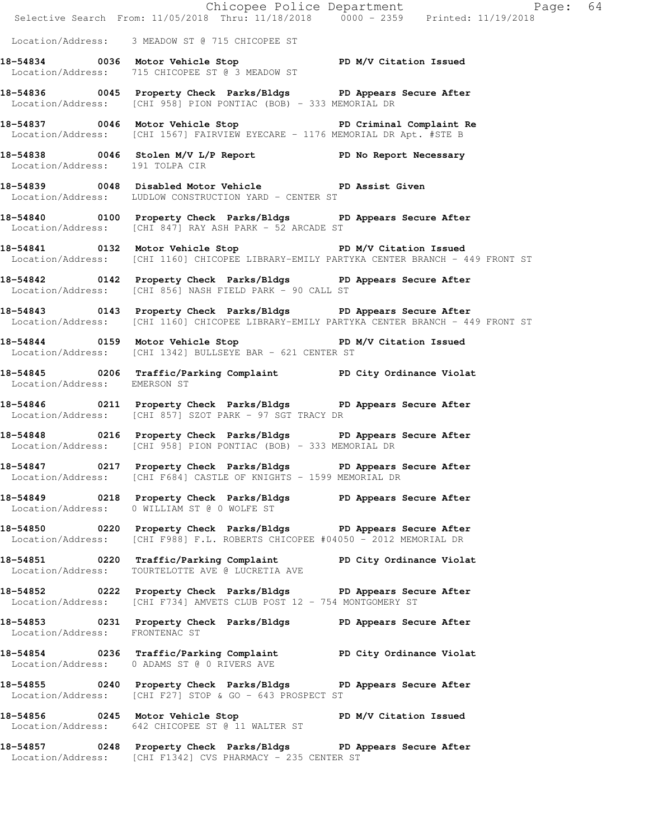|                                 | Chicopee Police Department<br>Selective Search From: 11/05/2018 Thru: 11/18/2018 0000 - 2359 Printed: 11/19/2018                                             |
|---------------------------------|--------------------------------------------------------------------------------------------------------------------------------------------------------------|
|                                 | Location/Address: 3 MEADOW ST @ 715 CHICOPEE ST                                                                                                              |
|                                 | 18-54834 0036 Motor Vehicle Stop 50 PD M/V Citation Issued<br>Location/Address: 715 CHICOPEE ST @ 3 MEADOW ST                                                |
|                                 | 18-54836 0045 Property Check Parks/Bldgs PD Appears Secure After<br>Location/Address: [CHI 958] PION PONTIAC (BOB) - 333 MEMORIAL DR                         |
|                                 | 18-54837 0046 Motor Vehicle Stop PD Criminal Complaint Re<br>Location/Address: [CHI 1567] FAIRVIEW EYECARE - 1176 MEMORIAL DR Apt. #STE B                    |
| Location/Address: 191 TOLPA CIR | 18-54838 0046 Stolen M/V L/P Report PD No Report Necessary                                                                                                   |
|                                 | 18-54839 0048 Disabled Motor Vehicle PD Assist Given<br>Location/Address: LUDLOW CONSTRUCTION YARD - CENTER ST                                               |
|                                 | 18-54840 0100 Property Check Parks/Bldgs PD Appears Secure After<br>Location/Address: [CHI 847] RAY ASH PARK - 52 ARCADE ST                                  |
|                                 | 18-54841 0132 Motor Vehicle Stop PD M/V Citation Issued<br>Location/Address: [CHI 1160] CHICOPEE LIBRARY-EMILY PARTYKA CENTER BRANCH - 449 FRONT ST          |
|                                 | 18-54842 0142 Property Check Parks/Bldgs PD Appears Secure After<br>Location/Address: [CHI 856] NASH FIELD PARK - 90 CALL ST                                 |
|                                 | 18-54843 0143 Property Check Parks/Bldgs PD Appears Secure After<br>Location/Address: [CHI 1160] CHICOPEE LIBRARY-EMILY PARTYKA CENTER BRANCH - 449 FRONT ST |
|                                 | 18-54844 0159 Motor Vehicle Stop North PD M/V Citation Issued<br>Location/Address: [CHI 1342] BULLSEYE BAR - 621 CENTER ST                                   |
| Location/Address: EMERSON ST    | 18-54845 0206 Traffic/Parking Complaint PD City Ordinance Violat                                                                                             |
|                                 | 18-54846 0211 Property Check Parks/Bldgs PD Appears Secure After<br>Location/Address: [CHI 857] SZOT PARK - 97 SGT TRACY DR                                  |
|                                 | 18-54848 0216 Property Check Parks/Bldgs PD Appears Secure After<br>Location/Address: [CHI 958] PION PONTIAC (BOB) - 333 MEMORIAL DR                         |
|                                 | 18-54847 0217 Property Check Parks/Bldgs PD Appears Secure After<br>Location/Address: [CHI F684] CASTLE OF KNIGHTS - 1599 MEMORIAL DR                        |
|                                 | 18-54849 0218 Property Check Parks/Bldgs PD Appears Secure After<br>Location/Address: 0 WILLIAM ST @ 0 WOLFE ST                                              |
|                                 | 18-54850 0220 Property Check Parks/Bldgs PD Appears Secure After<br>Location/Address: [CHI F988] F.L. ROBERTS CHICOPEE #04050 - 2012 MEMORIAL DR             |
| Location/Address:               | 18-54851 0220 Traffic/Parking Complaint PD City Ordinance Violat<br>TOURTELOTTE AVE @ LUCRETIA AVE                                                           |
|                                 | 18-54852 		 0222 Property Check Parks/Bldgs 		 PD Appears Secure After<br>Location/Address: [CHI F734] AMVETS CLUB POST 12 - 754 MONTGOMERY ST               |
| Location/Address: FRONTENAC ST  | 18-54853 0231 Property Check Parks/Bldgs PD Appears Secure After                                                                                             |
|                                 | 18-54854 0236 Traffic/Parking Complaint PD City Ordinance Violat<br>Location/Address: 0 ADAMS ST @ 0 RIVERS AVE                                              |
|                                 | 18-54855 0240 Property Check Parks/Bldgs PD Appears Secure After<br>Location/Address: [CHI F27] STOP & GO - 643 PROSPECT ST                                  |
|                                 | 18-54856 0245 Motor Vehicle Stop PD M/V Citation Issued<br>Location/Address: 642 CHICOPEE ST @ 11 WALTER ST                                                  |
|                                 | 18-54857 0248 Property Check Parks/Bldgs PD Appears Secure After<br>Location/Address: [CHI F1342] CVS PHARMACY - 235 CENTER ST                               |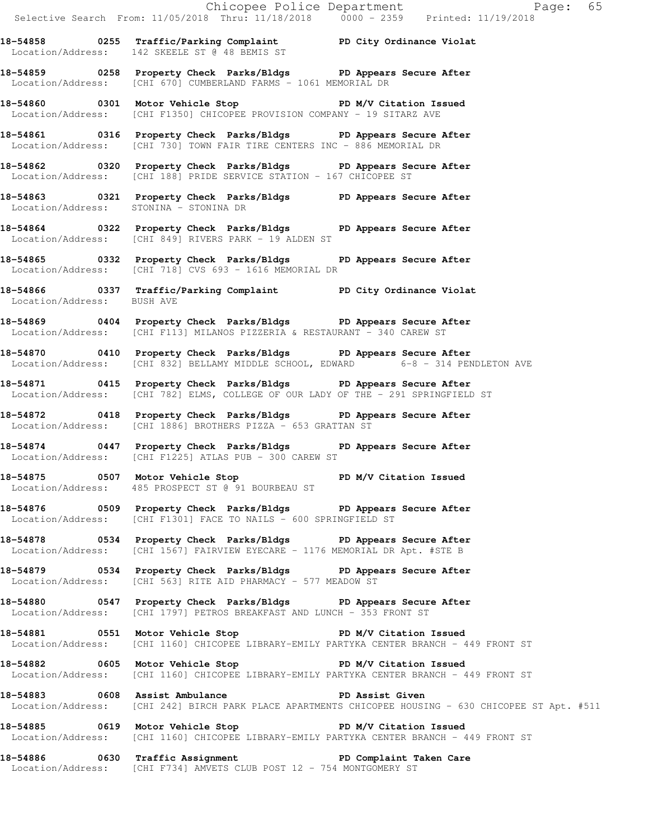|                            | Selective Search From: 11/05/2018 Thru: 11/18/2018 0000 - 2359 Printed: 11/19/2018                                                                        |
|----------------------------|-----------------------------------------------------------------------------------------------------------------------------------------------------------|
|                            | 18-54858 0255 Traffic/Parking Complaint PD City Ordinance Violat<br>Location/Address: 142 SKEELE ST @ 48 BEMIS ST                                         |
|                            | 18-54859 0258 Property Check Parks/Bldgs PD Appears Secure After<br>Location/Address: [CHI 670] CUMBERLAND FARMS - 1061 MEMORIAL DR                       |
|                            | 18-54860 0301 Motor Vehicle Stop PD M/V Citation Issued<br>Location/Address: [CHI F1350] CHICOPEE PROVISION COMPANY - 19 SITARZ AVE                       |
|                            | 18-54861 0316 Property Check Parks/Bldgs PD Appears Secure After<br>Location/Address: [CHI 730] TOWN FAIR TIRE CENTERS INC - 886 MEMORIAL DR              |
|                            | 18-54862 0320 Property Check Parks/Bldgs PD Appears Secure After<br>Location/Address: [CHI 188] PRIDE SERVICE STATION - 167 CHICOPEE ST                   |
|                            | 18-54863 0321 Property Check Parks/Bldgs PD Appears Secure After<br>Location/Address: STONINA - STONINA DR                                                |
|                            | 18-54864 0322 Property Check Parks/Bldgs PD Appears Secure After<br>Location/Address: [CHI 849] RIVERS PARK - 19 ALDEN ST                                 |
|                            | 18-54865 0332 Property Check Parks/Bldgs PD Appears Secure After<br>Location/Address: [CHI 718] CVS 693 - 1616 MEMORIAL DR                                |
| Location/Address: BUSH AVE | 18-54866 0337 Traffic/Parking Complaint PD City Ordinance Violat                                                                                          |
|                            | 18-54869 0404 Property Check Parks/Bldgs PD Appears Secure After<br>Location/Address: [CHI F113] MILANOS PIZZERIA & RESTAURANT - 340 CAREW ST             |
|                            | 18-54870 0410 Property Check Parks/Bldgs PD Appears Secure After<br>Location/Address: [CHI 832] BELLAMY MIDDLE SCHOOL, EDWARD 6-8 - 314 PENDLETON AVE     |
|                            | 18-54871 0415 Property Check Parks/Bldgs PD Appears Secure After<br>Location/Address: [CHI 782] ELMS, COLLEGE OF OUR LADY OF THE - 291 SPRINGFIELD ST     |
|                            | 18-54872 0418 Property Check Parks/Bldgs PD Appears Secure After<br>Location/Address: [CHI 1886] BROTHERS PIZZA - 653 GRATTAN ST                          |
|                            | 18-54874 0447 Property Check Parks/Bldgs PD Appears Secure After<br>Location/Address: [CHI F1225] ATLAS PUB - 300 CAREW ST                                |
|                            | 18-54875 0507 Motor Vehicle Stop N/V Citation Issued<br>Location/Address: 485 PROSPECT ST @ 91 BOURBEAU ST                                                |
|                            | 18-54876 0509 Property Check Parks/Bldgs PD Appears Secure After<br>Location/Address: [CHI F1301] FACE TO NAILS - 600 SPRINGFIELD ST                      |
|                            | 18-54878 		 0534 Property Check Parks/Bldgs 		 PD Appears Secure After<br>Location/Address: [CHI 1567] FAIRVIEW EYECARE - 1176 MEMORIAL DR Apt. #STE B    |
|                            | 18-54879 0534 Property Check Parks/Bldgs PD Appears Secure After<br>Location/Address: [CHI 563] RITE AID PHARMACY - 577 MEADOW ST                         |
|                            | 18-54880 0547 Property Check Parks/Bldgs PD Appears Secure After<br>Location/Address: [CHI 1797] PETROS BREAKFAST AND LUNCH - 353 FRONT ST                |
|                            | 18-54881 0551 Motor Vehicle Stop PD M/V Citation Issued<br>Location/Address: [CHI 1160] CHICOPEE LIBRARY-EMILY PARTYKA CENTER BRANCH - 449 FRONT ST       |
|                            | 18-54882 0605 Motor Vehicle Stop 50 PD M/V Citation Issued<br>Location/Address: [CHI 1160] CHICOPEE LIBRARY-EMILY PARTYKA CENTER BRANCH - 449 FRONT ST    |
|                            | 18-54883 0608 Assist Ambulance No PD Assist Given<br>Location/Address: [CHI 242] BIRCH PARK PLACE APARTMENTS CHICOPEE HOUSING - 630 CHICOPEE ST Apt. #511 |
|                            | 18-54885 0619 Motor Vehicle Stop 50 PD M/V Citation Issued<br>Location/Address: [CHI 1160] CHICOPEE LIBRARY-EMILY PARTYKA CENTER BRANCH - 449 FRONT ST    |
|                            | 18-54886 0630 Traffic Assignment 18-54886 PD Complaint Taken Care<br>Location/Address: [CHI F734] AMVETS CLUB POST 12 - 754 MONTGOMERY ST                 |
|                            |                                                                                                                                                           |

Chicopee Police Department The Page: 65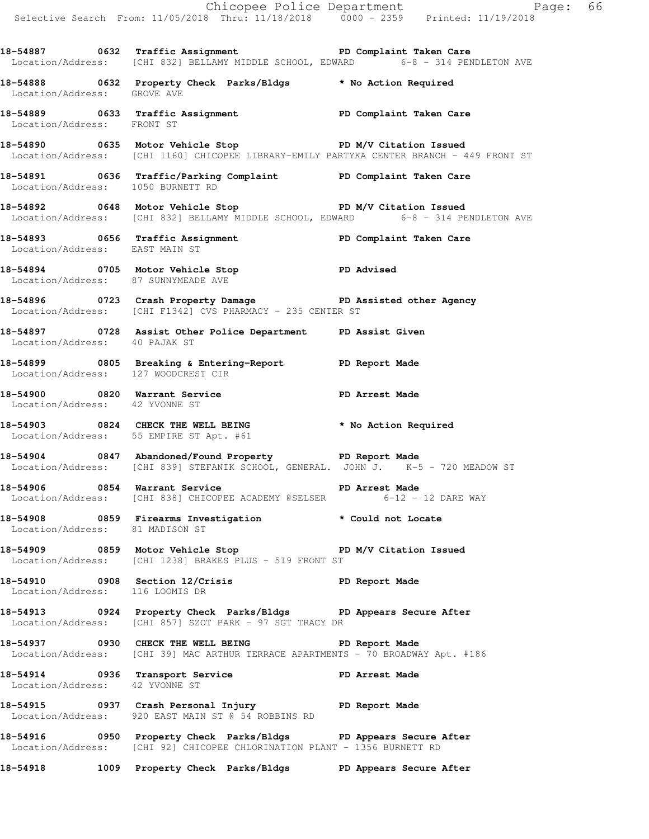Chicopee Police Department Page: 66 Selective Search From: 11/05/2018 Thru: 11/18/2018 0000 - 2359 Printed: 11/19/2018 18-54887 **18-54887** 0632 Traffic Assignment **PD Complaint Taken Care** Location/Address: [CHI 832] BELLAMY MIDDLE SCHOOL, EDWARD 6-8 - 314 PENDLETON AVE **18-54888 0632 Property Check Parks/Bldgs \* No Action Required**  Location/Address: GROVE AVE **18-54889 0633 Traffic Assignment PD Complaint Taken Care**  Location/Address: FRONT ST **18-54890 0635 Motor Vehicle Stop PD M/V Citation Issued**  Location/Address: [CHI 1160] CHICOPEE LIBRARY-EMILY PARTYKA CENTER BRANCH - 449 FRONT ST **18-54891 0636 Traffic/Parking Complaint PD Complaint Taken Care**  Location/Address: 1050 BURNETT RD 18-54892 0648 Motor Vehicle Stop **PD M/V Citation Issued** Location/Address: [CHI 832] BELLAMY MIDDLE SCHOOL, EDWARD 6-8 - 314 PENDLETON AVE **18-54893 0656 Traffic Assignment PD Complaint Taken Care**  Location/Address: EAST MAIN ST **18-54894 0705 Motor Vehicle Stop PD Advised**  Location/Address: 87 SUNNYMEADE AVE **18-54896 0723 Crash Property Damage PD Assisted other Agency**  Location/Address: [CHI F1342] CVS PHARMACY - 235 CENTER ST **18-54897 0728 Assist Other Police Department PD Assist Given**  Location/Address: 40 PAJAK ST **18-54899 0805 Breaking & Entering-Report PD Report Made**  Location/Address: 127 WOODCREST CIR **18-54900 0820 Warrant Service PD Arrest Made**  Location/Address: 42 YVONNE ST **18-54903 0824 CHECK THE WELL BEING \* No Action Required**  Location/Address: 55 EMPIRE ST Apt. #61 **18-54904 0847 Abandoned/Found Property PD Report Made**  Location/Address: [CHI 839] STEFANIK SCHOOL, GENERAL. JOHN J. K-5 - 720 MEADOW ST **18-54906 0854 Warrant Service PD Arrest Made**  Location/Address: [CHI 838] CHICOPEE ACADEMY @SELSER 6-12 - 12 DARE WAY **18-54908 0859 Firearms Investigation \* Could not Locate**  Location/Address: 81 MADISON ST **18-54909 0859 Motor Vehicle Stop PD M/V Citation Issued**  Location/Address: [CHI 1238] BRAKES PLUS - 519 FRONT ST **18-54910 0908 Section 12/Crisis PD Report Made**  Location/Address: 116 LOOMIS DR **18-54913 0924 Property Check Parks/Bldgs PD Appears Secure After**  Location/Address: [CHI 857] SZOT PARK - 97 SGT TRACY DR **18-54937 0930 CHECK THE WELL BEING PD Report Made**  Location/Address: [CHI 39] MAC ARTHUR TERRACE APARTMENTS - 70 BROADWAY Apt. #186 **18-54914 0936 Transport Service PD Arrest Made**  Location/Address: 42 YVONNE ST **18-54915 0937 Crash Personal Injury PD Report Made**  Location/Address: 920 EAST MAIN ST @ 54 ROBBINS RD **18-54916 0950 Property Check Parks/Bldgs PD Appears Secure After**  Location/Address: [CHI 92] CHICOPEE CHLORINATION PLANT - 1356 BURNETT RD **18-54918 1009 Property Check Parks/Bldgs PD Appears Secure After**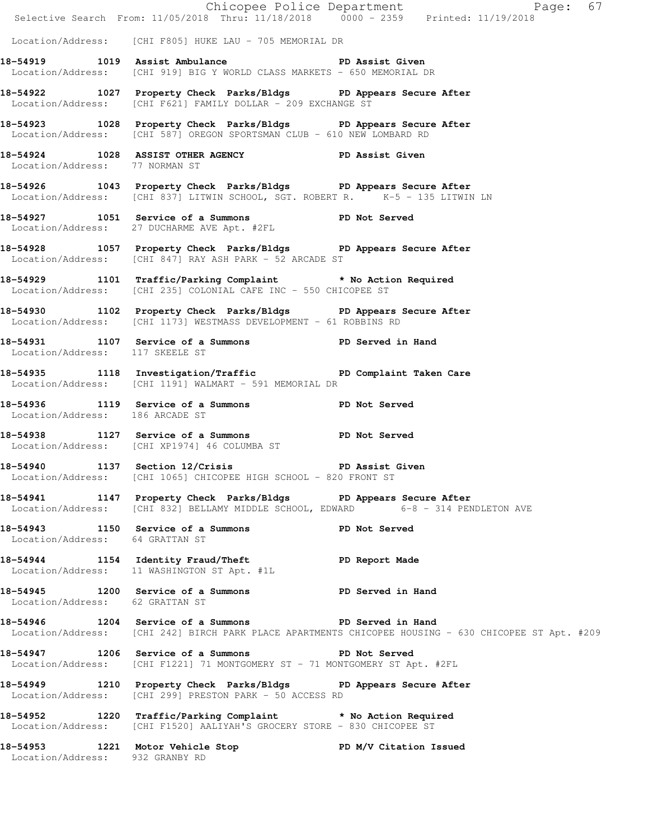|                                 |                                                                                                                                                                | Chicopee Police Department<br>Selective Search From: 11/05/2018 Thru: 11/18/2018 0000 - 2359 Printed: 11/19/2018 |
|---------------------------------|----------------------------------------------------------------------------------------------------------------------------------------------------------------|------------------------------------------------------------------------------------------------------------------|
|                                 |                                                                                                                                                                |                                                                                                                  |
|                                 | Location/Address: [CHI F805] HUKE LAU - 705 MEMORIAL DR                                                                                                        |                                                                                                                  |
|                                 | 18-54919 1019 Assist Ambulance New PD Assist Given<br>Location/Address: [CHI 919] BIG Y WORLD CLASS MARKETS - 650 MEMORIAL DR                                  |                                                                                                                  |
|                                 | 18-54922 1027 Property Check Parks/Bldgs PD Appears Secure After<br>Location/Address: [CHI F621] FAMILY DOLLAR - 209 EXCHANGE ST                               |                                                                                                                  |
|                                 | 18-54923 1028 Property Check Parks/Bldgs PD Appears Secure After<br>Location/Address: [CHI 587] OREGON SPORTSMAN CLUB - 610 NEW LOMBARD RD                     |                                                                                                                  |
| Location/Address: 77 NORMAN ST  | 18-54924 1028 ASSIST OTHER AGENCY PD Assist Given                                                                                                              |                                                                                                                  |
|                                 | 18-54926 1043 Property Check Parks/Bldgs PD Appears Secure After<br>Location/Address: [CHI 837] LITWIN SCHOOL, SGT. ROBERT R. <sup>1</sup> K-5 - 135 LITWIN LN |                                                                                                                  |
|                                 | 18-54927 1051 Service of a Summons PD Not Served<br>Location/Address: 27 DUCHARME AVE Apt. #2FL                                                                |                                                                                                                  |
|                                 | 18-54928 1057 Property Check Parks/Bldgs PD Appears Secure After<br>Location/Address: [CHI 847] RAY ASH PARK - 52 ARCADE ST                                    |                                                                                                                  |
|                                 | 18-54929 1101 Traffic/Parking Complaint * No Action Required<br>Location/Address: [CHI 235] COLONIAL CAFE INC - 550 CHICOPEE ST                                |                                                                                                                  |
|                                 | 18-54930 1102 Property Check Parks/Bldgs PD Appears Secure After<br>Location/Address: [CHI 1173] WESTMASS DEVELOPMENT - 61 ROBBINS RD                          |                                                                                                                  |
| Location/Address: 117 SKEELE ST | 18-54931 1107 Service of a Summons PD Served in Hand                                                                                                           |                                                                                                                  |
|                                 | 18-54935 1118 Investigation/Traffic PD Complaint Taken Care<br>Location/Address: [CHI 1191] WALMART - 591 MEMORIAL DR                                          |                                                                                                                  |
| Location/Address: 186 ARCADE ST | 18-54936 1119 Service of a Summons PD Not Served                                                                                                               |                                                                                                                  |
|                                 | 18-54938 1127 Service of a Summons PD Not Served<br>Location/Address: [CHI XP1974] 46 COLUMBA ST                                                               |                                                                                                                  |
|                                 | 18-54940 1137 Section 12/Crisis PD Assist Given<br>Location/Address: [CHI 1065] CHICOPEE HIGH SCHOOL - 820 FRONT ST                                            |                                                                                                                  |
|                                 | 18-54941 1147 Property Check Parks/Bldgs PD Appears Secure After<br>Location/Address: [CHI 832] BELLAMY MIDDLE SCHOOL, EDWARD 6-8 - 314 PENDLETON AVE          |                                                                                                                  |
|                                 | 18-54943   1150   Service of a Summons   PD Not Served Location/Address: 64   GRATTAN ST                                                                       |                                                                                                                  |
|                                 | 18-54944 1154 Identity Fraud/Theft The PD Report Made<br>Location/Address: 11 WASHINGTON ST Apt. #1L                                                           |                                                                                                                  |
| Location/Address: 62 GRATTAN ST | 18-54945 1200 Service of a Summons TPD Served in Hand                                                                                                          |                                                                                                                  |
|                                 | 18-54946 1204 Service of a Summons PD Served in Hand                                                                                                           | Location/Address: [CHI 242] BIRCH PARK PLACE APARTMENTS CHICOPEE HOUSING - 630 CHICOPEE ST Apt. #209             |
|                                 | 18-54947 1206 Service of a Summons PD Not Served<br>Location/Address: [CHI F1221] 71 MONTGOMERY ST - 71 MONTGOMERY ST Apt. #2FL                                |                                                                                                                  |
|                                 | 18-54949 1210 Property Check Parks/Bldgs PD Appears Secure After<br>Location/Address: [CHI 299] PRESTON PARK - 50 ACCESS RD                                    |                                                                                                                  |
|                                 | 18-54952 1220 Traffic/Parking Complaint * No Action Required<br>Location/Address: [CHI F1520] AALIYAH'S GROCERY STORE - 830 CHICOPEE ST                        |                                                                                                                  |
| Location/Address: 932 GRANBY RD | 18-54953 1221 Motor Vehicle Stop 50 PD M/V Citation Issued                                                                                                     |                                                                                                                  |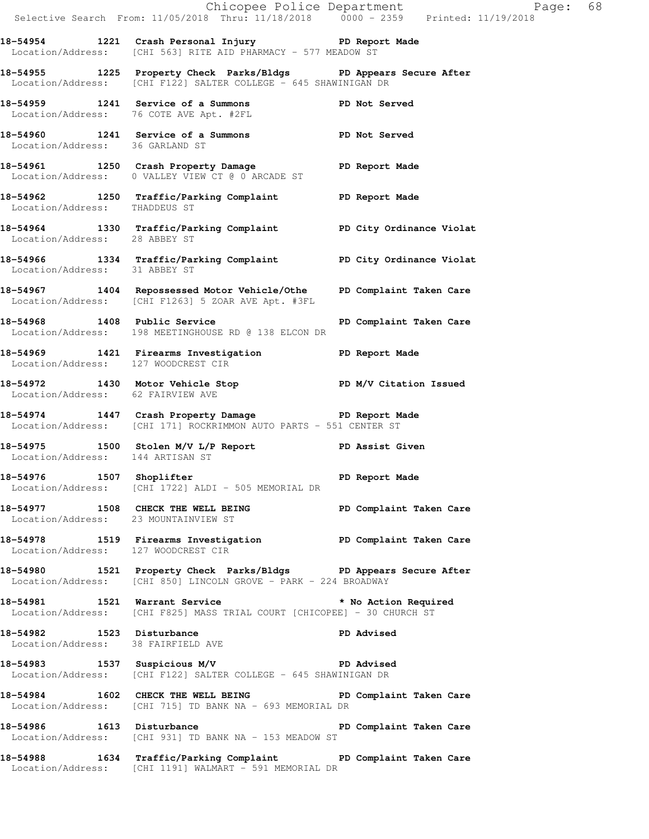|                                      | E Chicopee Police Department<br>Selective Search From: 11/05/2018 Thru: 11/18/2018 0000 - 2359 Printed: 11/19/2018                  | Page: 68                |  |
|--------------------------------------|-------------------------------------------------------------------------------------------------------------------------------------|-------------------------|--|
|                                      | 18-54954 1221 Crash Personal Injury PD Report Made<br>Location/Address: [CHI 563] RITE AID PHARMACY - 577 MEADOW ST                 |                         |  |
|                                      | 18-54955 1225 Property Check Parks/Bldgs PD Appears Secure After<br>Location/Address: [CHI F122] SALTER COLLEGE - 645 SHAWINIGAN DR |                         |  |
|                                      | 18-54959 1241 Service of a Summons<br>Location/Address: 76 COTE AVE Apt. #2FL                                                       | PD Not Served           |  |
| Location/Address: 36 GARLAND ST      | 18-54960 1241 Service of a Summons PD Not Served                                                                                    |                         |  |
|                                      | 18-54961 1250 Crash Property Damage PD Report Made<br>Location/Address: 0 VALLEY VIEW CT @ 0 ARCADE ST                              |                         |  |
| Location/Address: THADDEUS ST        | 18-54962 1250 Traffic/Parking Complaint PD Report Made                                                                              |                         |  |
| Location/Address: 28 ABBEY ST        | 18-54964 1330 Traffic/Parking Complaint PD City Ordinance Violat                                                                    |                         |  |
| Location/Address: 31 ABBEY ST        | 18-54966 1334 Traffic/Parking Complaint PD City Ordinance Violat                                                                    |                         |  |
|                                      | 18-54967 1404 Repossessed Motor Vehicle/Othe PD Complaint Taken Care<br>Location/Address: [CHI F1263] 5 ZOAR AVE Apt. #3FL          |                         |  |
|                                      | 18-54968 1408 Public Service<br>Location/Address: 198 MEETINGHOUSE RD @ 138 ELCON DR                                                | PD Complaint Taken Care |  |
| Location/Address: 127 WOODCREST CIR  | 18-54969 1421 Firearms Investigation PD Report Made                                                                                 |                         |  |
| Location/Address: 62 FAIRVIEW AVE    | 18-54972 1430 Motor Vehicle Stop N/V Citation Issued                                                                                |                         |  |
|                                      | 18-54974 1447 Crash Property Damage PD Report Made<br>Location/Address: [CHI 171] ROCKRIMMON AUTO PARTS - 551 CENTER ST             |                         |  |
|                                      | 18-54975 1500 Stolen M/V L/P Report PD Assist Given<br>Location/Address: 144 ARTISAN ST                                             |                         |  |
|                                      | 18-54976 1507 Shoplifter 2008 1507 PD Report Made<br>Location/Address: [CHI 1722] ALDI - 505 MEMORIAL DR                            |                         |  |
| Location/Address: 23 MOUNTAINVIEW ST | 18-54977 1508 CHECK THE WELL BEING                                                                                                  | PD Complaint Taken Care |  |
| Location/Address: 127 WOODCREST CIR  | 18-54978 1519 Firearms Investigation PD Complaint Taken Care                                                                        |                         |  |
|                                      | 18-54980 1521 Property Check Parks/Bldgs PD Appears Secure After<br>Location/Address: [CHI 850] LINCOLN GROVE - PARK - 224 BROADWAY |                         |  |
|                                      | 18-54981 1521 Warrant Service * * No Action Required<br>Location/Address: [CHI F825] MASS TRIAL COURT [CHICOPEE] - 30 CHURCH ST     |                         |  |
| Location/Address: 38 FAIRFIELD AVE   | 18-54982 1523 Disturbance                                                                                                           | PD Advised              |  |
|                                      | 18-54983 1537 Suspicious M/V PD Advised<br>Location/Address: [CHI F122] SALTER COLLEGE - 645 SHAWINIGAN DR                          |                         |  |
|                                      | 18-54984 1602 CHECK THE WELL BEING PD Complaint Taken Care<br>Location/Address: [CHI 715] TD BANK NA - 693 MEMORIAL DR              |                         |  |
| 18-54986 1613 Disturbance            | Location/Address: [CHI 931] TD BANK NA - 153 MEADOW ST                                                                              | PD Complaint Taken Care |  |
|                                      | 18-54988 1634 Traffic/Parking Complaint PD Complaint Taken Care<br>Location/Address: [CHI 1191] WALMART - 591 MEMORIAL DR           |                         |  |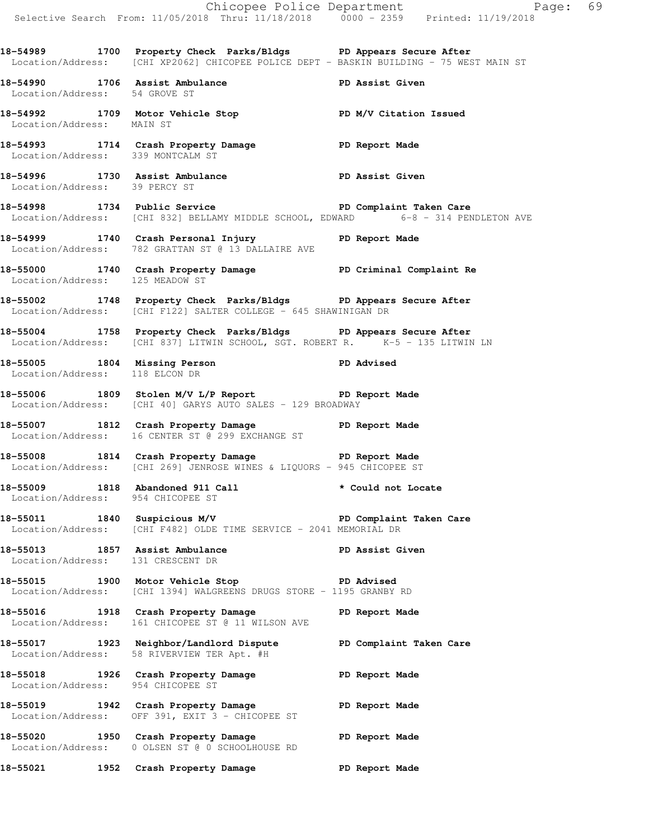**18-54989 1700 Property Check Parks/Bldgs PD Appears Secure After**  Location/Address: [CHI XP2062] CHICOPEE POLICE DEPT - BASKIN BUILDING - 75 WEST MAIN ST **18-54990 1706 Assist Ambulance PD Assist Given**  Location/Address: 54 GROVE ST **18-54992 1709 Motor Vehicle Stop PD M/V Citation Issued**  Location/Address: MAIN ST **18-54993 1714 Crash Property Damage PD Report Made**  Location/Address: 339 MONTCALM ST **18-54996 1730 Assist Ambulance PD Assist Given**  Location/Address: 39 PERCY ST **18-54998 1734 Public Service PD Complaint Taken Care 1734 Public Service** PD Complaint Taken Care **1784** ECHI 832] BELLAMY MIDDLE SCHOOL, EDWARD 6-8 - 314 PENDLETON AVE Location/Address: [CHI 832] BELLAMY MIDDLE SCHOOL, EDWARD **18-54999 1740 Crash Personal Injury PD Report Made**  Location/Address: 782 GRATTAN ST @ 13 DALLAIRE AVE **18-55000 1740 Crash Property Damage PD Criminal Complaint Re**  Location/Address: 125 MEADOW ST **18-55002 1748 Property Check Parks/Bldgs PD Appears Secure After**  Location/Address: [CHI F122] SALTER COLLEGE - 645 SHAWINIGAN DR **18-55004 1758 Property Check Parks/Bldgs PD Appears Secure After**  Location/Address: [CHI 837] LITWIN SCHOOL, SGT. ROBERT R. K-5 - 135 LITWIN LN **18-55005 1804 Missing Person PD Advised**  Location/Address: 118 ELCON DR **18-55006 1809 Stolen M/V L/P Report PD Report Made**  Location/Address: [CHI 40] GARYS AUTO SALES - 129 BROADWAY **18-55007 1812 Crash Property Damage PD Report Made**  Location/Address: 16 CENTER ST @ 299 EXCHANGE ST **18-55008 1814 Crash Property Damage PD Report Made**  Location/Address: [CHI 269] JENROSE WINES & LIQUORS - 945 CHICOPEE ST **18-55009 1818 Abandoned 911 Call \* Could not Locate**  Location/Address: 954 CHICOPEE ST 18-55011 1840 Suspicious M/V **PD Complaint Taken Care**  Location/Address: [CHI F482] OLDE TIME SERVICE - 2041 MEMORIAL DR 18-55013 1857 Assist Ambulance **PD Assist Given**  Location/Address: 131 CRESCENT DR **18-55015 1900 Motor Vehicle Stop PD Advised**  Location/Address: [CHI 1394] WALGREENS DRUGS STORE - 1195 GRANBY RD **18-55016 1918 Crash Property Damage PD Report Made**  Location/Address: 161 CHICOPEE ST @ 11 WILSON AVE **18-55017 1923 Neighbor/Landlord Dispute PD Complaint Taken Care**  Location/Address: 58 RIVERVIEW TER Apt. #H **18-55018 1926 Crash Property Damage PD Report Made**  Location/Address: 954 CHICOPEE ST **18-55019 1942 Crash Property Damage PD Report Made**  Location/Address: OFF 391, EXIT 3 - CHICOPEE ST **18-55020 1950 Crash Property Damage PD Report Made**  Location/Address: 0 OLSEN ST @ 0 SCHOOLHOUSE RD **18-55021 1952 Crash Property Damage PD Report Made**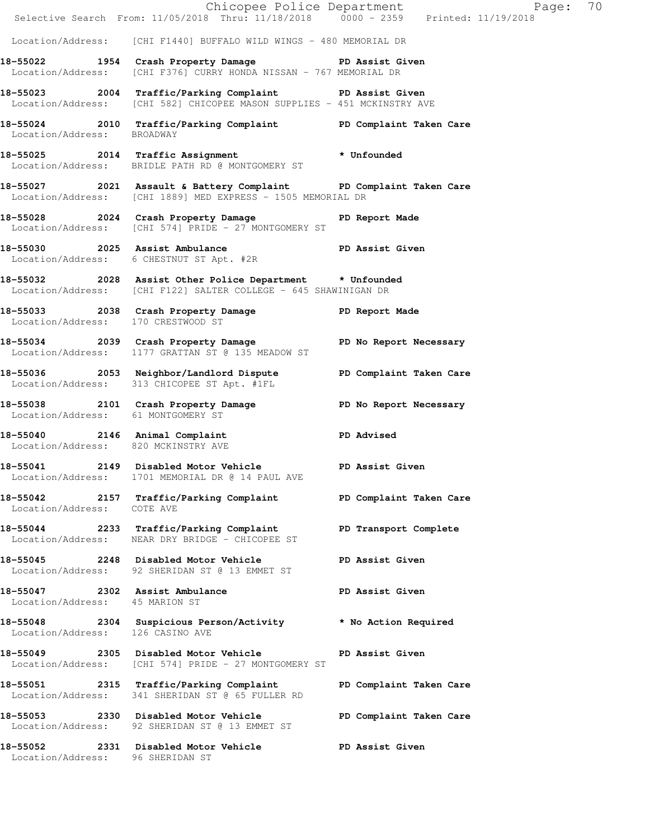|                                     | Selective Search From: 11/05/2018 Thru: 11/18/2018 0000 - 2359 Printed: 11/19/2018                                                 | Chicopee Police Department<br>70<br>Page: |
|-------------------------------------|------------------------------------------------------------------------------------------------------------------------------------|-------------------------------------------|
|                                     | Location/Address: [CHI F1440] BUFFALO WILD WINGS - 480 MEMORIAL DR                                                                 |                                           |
|                                     | 18-55022 1954 Crash Property Damage New PD Assist Given<br>Location/Address: [CHI F376] CURRY HONDA NISSAN - 767 MEMORIAL DR       |                                           |
|                                     | 18-55023 2004 Traffic/Parking Complaint PD Assist Given<br>Location/Address: [CHI 582] CHICOPEE MASON SUPPLIES - 451 MCKINSTRY AVE |                                           |
| Location/Address: BROADWAY          | 18-55024 2010 Traffic/Parking Complaint PD Complaint Taken Care                                                                    |                                           |
|                                     | 18-55025 2014 Traffic Assignment * Unfounded<br>Location/Address: BRIDLE PATH RD @ MONTGOMERY ST                                   |                                           |
|                                     | 18-55027 2021 Assault & Battery Complaint BD Complaint Taken Care<br>Location/Address: [CHI 1889] MED EXPRESS - 1505 MEMORIAL DR   |                                           |
|                                     | 18-55028 2024 Crash Property Damage<br>Location/Address: [CHI 574] PRIDE - 27 MONTGOMERY ST                                        | PD Report Made                            |
|                                     | 18-55030 2025 Assist Ambulance<br>Location/Address: 6 CHESTNUT ST Apt. #2R                                                         | PD Assist Given                           |
|                                     | 18-55032 2028 Assist Other Police Department * Unfounded<br>Location/Address: [CHI F122] SALTER COLLEGE - 645 SHAWINIGAN DR        |                                           |
| Location/Address: 170 CRESTWOOD ST  | 18-55033 2038 Crash Property Damage Name PD Report Made                                                                            |                                           |
|                                     | 18-55034 2039 Crash Property Damage No PD No Report Necessary<br>Location/Address: 1177 GRATTAN ST @ 135 MEADOW ST                 |                                           |
|                                     | 18-55036 2053 Neighbor/Landlord Dispute PD Complaint Taken Care<br>Location/Address: 313 CHICOPEE ST Apt. #1FL                     |                                           |
| Location/Address: 61 MONTGOMERY ST  | 18-55038 2101 Crash Property Damage No Report Necessary                                                                            |                                           |
| Location/Address: 820 MCKINSTRY AVE | 18-55040 2146 Animal Complaint Compression and PD Advised                                                                          |                                           |
| 18-55041<br>Location/Address:       | 2149 Disabled Motor Vehicle PD Assist Given<br>1701 MEMORIAL DR @ 14 PAUL AVE                                                      |                                           |
| Location/Address: COTE AVE          | 18-55042 2157 Traffic/Parking Complaint PD Complaint Taken Care                                                                    |                                           |
| Location/Address:                   | 18-55044 2233 Traffic/Parking Complaint<br>NEAR DRY BRIDGE - CHICOPEE ST                                                           | PD Transport Complete                     |
|                                     | 18-55045 2248 Disabled Motor Vehicle<br>Location/Address: 92 SHERIDAN ST @ 13 EMMET ST                                             | PD Assist Given                           |
| Location/Address: 45 MARION ST      | 18-55047 2302 Assist Ambulance                                                                                                     | PD Assist Given                           |
| Location/Address: 126 CASINO AVE    | 18-55048 2304 Suspicious Person/Activity the Action Required                                                                       |                                           |
|                                     | Location/Address: [CHI 574] PRIDE - 27 MONTGOMERY ST                                                                               | PD Assist Given                           |
|                                     | Location/Address: 341 SHERIDAN ST @ 65 FULLER RD                                                                                   | PD Complaint Taken Care                   |
|                                     | 18-55053 2330 Disabled Motor Vehicle<br>Location/Address: 92 SHERIDAN ST @ 13 EMMET ST                                             | PD Complaint Taken Care                   |
| Location/Address: 96 SHERIDAN ST    | 18-55052 2331 Disabled Motor Vehicle PD Assist Given                                                                               |                                           |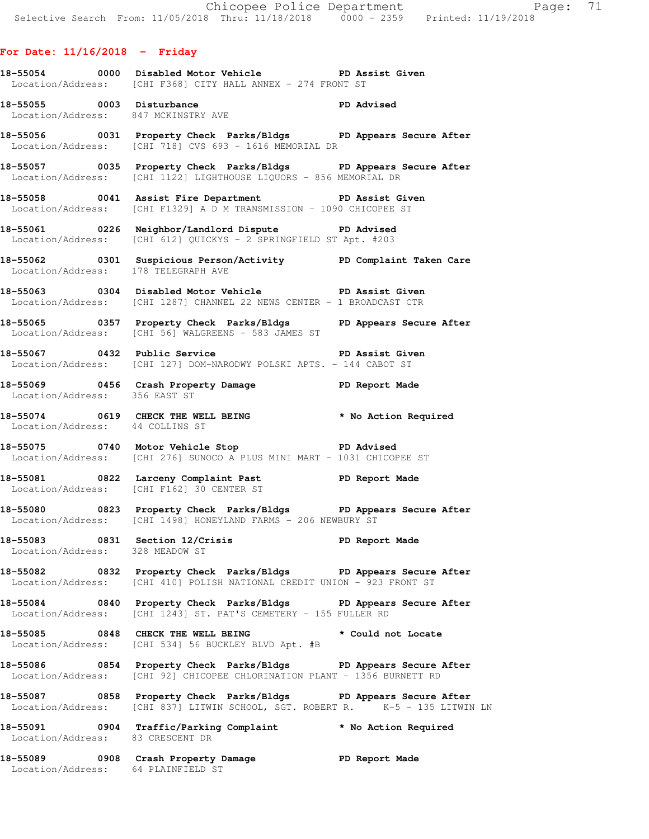# **For Date: 11/16/2018 - Friday**

- **18-55054 0000 Disabled Motor Vehicle PD Assist Given**  Location/Address: [CHI F368] CITY HALL ANNEX - 274 FRONT ST
- 18-55055 0003 Disturbance **PD** Advised Location/Address: 847 MCKINSTRY AVE
- **18-55056 0031 Property Check Parks/Bldgs PD Appears Secure After**  Location/Address: [CHI 718] CVS 693 - 1616 MEMORIAL DR
- **18-55057 0035 Property Check Parks/Bldgs PD Appears Secure After**  Location/Address: [CHI 1122] LIGHTHOUSE LIQUORS - 856 MEMORIAL DR
- **18-55058 0041 Assist Fire Department PD Assist Given**  Location/Address: [CHI F1329] A D M TRANSMISSION - 1090 CHICOPEE ST
- **18-55061 0226 Neighbor/Landlord Dispute PD Advised**  Location/Address: [CHI 612] QUICKYS - 2 SPRINGFIELD ST Apt. #203
- **18-55062 0301 Suspicious Person/Activity PD Complaint Taken Care**  Location/Address: 178 TELEGRAPH AVE
- **18-55063 0304 Disabled Motor Vehicle PD Assist Given**  Location/Address: [CHI 1287] CHANNEL 22 NEWS CENTER - 1 BROADCAST CTR
- **18-55065 0357 Property Check Parks/Bldgs PD Appears Secure After**  Location/Address: [CHI 56] WALGREENS - 583 JAMES ST
- **18-55067 0432 Public Service PD Assist Given**  Location/Address: [CHI 127] DOM-NARODWY POLSKI APTS. - 144 CABOT ST
- **18-55069 0456 Crash Property Damage PD Report Made**  Location/Address: 356 EAST ST
- **18-55074 0619 CHECK THE WELL BEING \* No Action Required**  Location/Address: 44 COLLINS ST
- **18-55075 0740 Motor Vehicle Stop PD Advised**  Location/Address: [CHI 276] SUNOCO A PLUS MINI MART - 1031 CHICOPEE ST
- **18-55081 0822 Larceny Complaint Past PD Report Made**  Location/Address: [CHI F162] 30 CENTER ST
- **18-55080 0823 Property Check Parks/Bldgs PD Appears Secure After**  Location/Address: [CHI 1498] HONEYLAND FARMS - 206 NEWBURY ST
- **18-55083 0831 Section 12/Crisis PD Report Made**  Location/Address: 328 MEADOW ST
- **18-55082 0832 Property Check Parks/Bldgs PD Appears Secure After**  Location/Address: [CHI 410] POLISH NATIONAL CREDIT UNION - 923 FRONT ST
- **18-55084 0840 Property Check Parks/Bldgs PD Appears Secure After**  Location/Address: [CHI 1243] ST. PAT'S CEMETERY - 155 FULLER RD
- 18-55085 0848 CHECK THE WELL BEING **\*** Could not Locate Location/Address: [CHI 534] 56 BUCKLEY BLVD Apt. #B
- **18-55086 0854 Property Check Parks/Bldgs PD Appears Secure After**  Location/Address: [CHI 92] CHICOPEE CHLORINATION PLANT - 1356 BURNETT RD
- **18-55087 0858 Property Check Parks/Bldgs PD Appears Secure After**  Location/Address: [CHI 837] LITWIN SCHOOL, SGT. ROBERT R. K-5 - 135 LITWIN LN
- **18-55091 0904 Traffic/Parking Complaint \* No Action Required**  Location/Address: 83 CRESCENT DR
- **18-55089 0908 Crash Property Damage PD Report Made**  Location/Address: 64 PLAINFIELD ST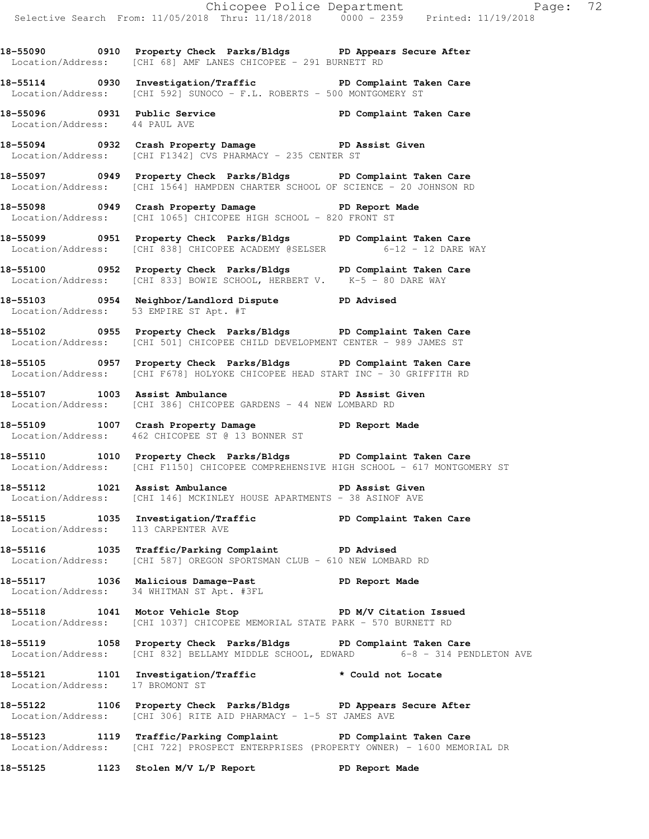**18-55090 0910 Property Check Parks/Bldgs PD Appears Secure After**  Location/Address: [CHI 68] AMF LANES CHICOPEE - 291 BURNETT RD

**18-55114 0930 Investigation/Traffic PD Complaint Taken Care**  Location/Address: [CHI 592] SUNOCO - F.L. ROBERTS - 500 MONTGOMERY ST

**18-55096 0931 Public Service PD Complaint Taken Care**  Location/Address: 44 PAUL AVE

**18-55094 0932 Crash Property Damage PD Assist Given**  Location/Address: [CHI F1342] CVS PHARMACY - 235 CENTER ST

**18-55097 0949 Property Check Parks/Bldgs PD Complaint Taken Care**  Location/Address: [CHI 1564] HAMPDEN CHARTER SCHOOL OF SCIENCE - 20 JOHNSON RD

**18-55098 0949 Crash Property Damage PD Report Made**  Location/Address: [CHI 1065] CHICOPEE HIGH SCHOOL - 820 FRONT ST

**18-55099 0951 Property Check Parks/Bldgs PD Complaint Taken Care**  Location/Address: [CHI 838] CHICOPEE ACADEMY @SELSER 6-12 - 12 DARE WAY

**18-55100 0952 Property Check Parks/Bldgs PD Complaint Taken Care**  Location/Address: [CHI 833] BOWIE SCHOOL, HERBERT V. K-5 - 80 DARE WAY

**18-55103 0954 Neighbor/Landlord Dispute PD Advised**  Location/Address: 53 EMPIRE ST Apt. #T

**18-55102 0955 Property Check Parks/Bldgs PD Complaint Taken Care**  Location/Address: [CHI 501] CHICOPEE CHILD DEVELOPMENT CENTER - 989 JAMES ST

**18-55105 0957 Property Check Parks/Bldgs PD Complaint Taken Care**  Location/Address: [CHI F678] HOLYOKE CHICOPEE HEAD START INC - 30 GRIFFITH RD

**18-55107 1003 Assist Ambulance PD Assist Given**  Location/Address: [CHI 386] CHICOPEE GARDENS - 44 NEW LOMBARD RD

**18-55109 1007 Crash Property Damage PD Report Made**  Location/Address: 462 CHICOPEE ST @ 13 BONNER ST

**18-55110 1010 Property Check Parks/Bldgs PD Complaint Taken Care**  Location/Address: [CHI F1150] CHICOPEE COMPREHENSIVE HIGH SCHOOL - 617 MONTGOMERY ST

**18-55112 1021 Assist Ambulance PD Assist Given**  Location/Address: [CHI 146] MCKINLEY HOUSE APARTMENTS - 38 ASINOF AVE

**18-55115 1035 Investigation/Traffic PD Complaint Taken Care**  Location/Address: 113 CARPENTER AVE

**18-55116 1035 Traffic/Parking Complaint PD Advised**  Location/Address: [CHI 587] OREGON SPORTSMAN CLUB - 610 NEW LOMBARD RD

**18-55117 1036 Malicious Damage-Past PD Report Made**  Location/Address: 34 WHITMAN ST Apt. #3FL

18-55118 1041 Motor Vehicle Stop **PD M/V Citation Issued** Location/Address: [CHI 1037] CHICOPEE MEMORIAL STATE PARK - 570 BURNETT RD

**18-55119 1058 Property Check Parks/Bldgs PD Complaint Taken Care**  Location/Address: [CHI 832] BELLAMY MIDDLE SCHOOL, EDWARD 6-8 - 314 PENDLETON AVE

18-55121 1101 Investigation/Traffic **\*** Could not Locate Location/Address: 17 BROMONT ST

**18-55122 1106 Property Check Parks/Bldgs PD Appears Secure After**  Location/Address: [CHI 306] RITE AID PHARMACY -  $1-5$  ST JAMES AVE

**18-55123 1119 Traffic/Parking Complaint PD Complaint Taken Care**  Location/Address: [CHI 722] PROSPECT ENTERPRISES (PROPERTY OWNER) - 1600 MEMORIAL DR

**18-55125 1123 Stolen M/V L/P Report PD Report Made**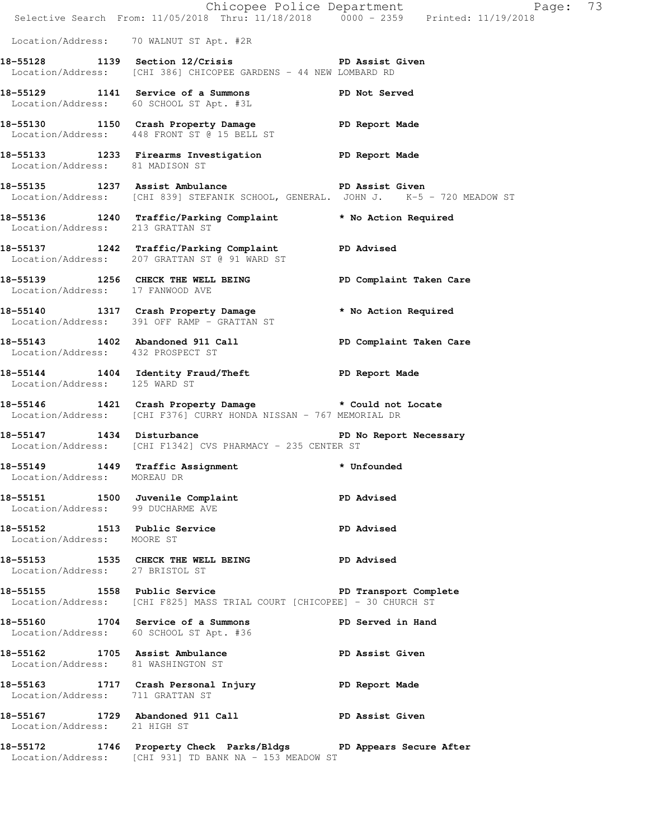|                                                            | Chicopee Police Department<br>Selective Search From: 11/05/2018 Thru: 11/18/2018 0000 - 2359 Printed: 11/19/2018                             | Page: 73          |  |
|------------------------------------------------------------|----------------------------------------------------------------------------------------------------------------------------------------------|-------------------|--|
|                                                            | Location/Address: 70 WALNUT ST Apt. #2R                                                                                                      |                   |  |
|                                                            | 18-55128 1139 Section 12/Crisis PD Assist Given<br>Location/Address: [CHI 386] CHICOPEE GARDENS - 44 NEW LOMBARD RD                          |                   |  |
|                                                            | 18-55129 1141 Service of a Summons PD Not Served<br>Location/Address: 60 SCHOOL ST Apt. #3L                                                  |                   |  |
|                                                            | 18-55130 1150 Crash Property Damage PD Report Made<br>Location/Address: 448 FRONT ST @ 15 BELL ST                                            |                   |  |
| Location/Address: 81 MADISON ST                            | 18-55133 1233 Firearms Investigation PD Report Made                                                                                          |                   |  |
|                                                            | 18-55135 1237 Assist Ambulance National PD Assist Given<br>Location/Address: [CHI 839] STEFANIK SCHOOL, GENERAL. JOHN J. K-5 - 720 MEADOW ST |                   |  |
|                                                            | 18-55136 1240 Traffic/Parking Complaint * No Action Required<br>Location/Address: 213 GRATTAN ST                                             |                   |  |
|                                                            | 18-55137 1242 Traffic/Parking Complaint PD Advised<br>Location/Address: 207 GRATTAN ST @ 91 WARD ST                                          |                   |  |
| Location/Address: 17 FANWOOD AVE                           | 18-55139 1256 CHECK THE WELL BEING PD Complaint Taken Care                                                                                   |                   |  |
|                                                            | 18-55140 1317 Crash Property Damage * No Action Required<br>Location/Address: 391 OFF RAMP - GRATTAN ST                                      |                   |  |
| Location/Address: 432 PROSPECT ST                          | 18-55143 1402 Abandoned 911 Call <a>&gt; PD Complaint Taken Care</a>                                                                         |                   |  |
| Location/Address: 125 WARD ST                              | 18-55144 1404 Identity Fraud/Theft The PD Report Made                                                                                        |                   |  |
|                                                            | 18-55146 1421 Crash Property Damage * Could not Locate<br>Location/Address: [CHI F376] CURRY HONDA NISSAN - 767 MEMORIAL DR                  |                   |  |
|                                                            | 18-55147 1434 Disturbance <b>18-55147</b> PD No Report Necessary<br>Location/Address: [CHI F1342] CVS PHARMACY - 235 CENTER ST               |                   |  |
| Location/Address: MOREAU DR                                | 18-55149 1449 Traffic Assignment                                                                                                             | * Unfounded       |  |
| Location/Address: 99 DUCHARME AVE                          | 18-55151 1500 Juvenile Complaint                                                                                                             | <b>PD Advised</b> |  |
| 18-55152 1513 Public Service<br>Location/Address: MOORE ST |                                                                                                                                              | <b>PD Advised</b> |  |
| Location/Address: 27 BRISTOL ST                            | 18-55153 1535 CHECK THE WELL BEING PD Advised                                                                                                |                   |  |
|                                                            | 18-55155 1558 Public Service 20 PD Transport Complete<br>Location/Address: [CHI F825] MASS TRIAL COURT [CHICOPEE] - 30 CHURCH ST             |                   |  |
|                                                            | 18-55160 1704 Service of a Summons PD Served in Hand<br>Location/Address: 60 SCHOOL ST Apt. #36                                              |                   |  |
| Location/Address: 81 WASHINGTON ST                         | 18-55162 1705 Assist Ambulance New PD Assist Given                                                                                           |                   |  |
| Location/Address: 711 GRATTAN ST                           | 18-55163 1717 Crash Personal Injury 10 PD Report Made                                                                                        |                   |  |
| Location/Address: 21 HIGH ST                               | 18-55167 1729 Abandoned 911 Call No PD Assist Given                                                                                          |                   |  |
|                                                            | 18-55172 1746 Property Check Parks/Bldgs PD Appears Secure After<br>Location/Address: [CHI 931] TD BANK NA - 153 MEADOW ST                   |                   |  |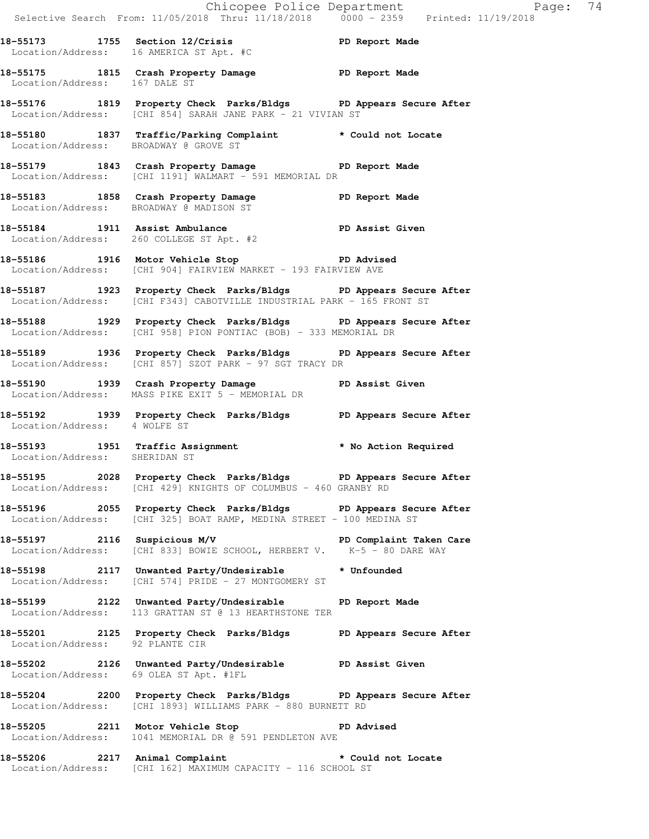|                                  |                                                                                                                                            | Exage: 74<br>Selective Search From: 11/05/2018 Thru: 11/18/2018 0000 - 2359 Printed: 11/19/2018 |  |
|----------------------------------|--------------------------------------------------------------------------------------------------------------------------------------------|-------------------------------------------------------------------------------------------------|--|
|                                  | 18-55173 1755 Section 12/Crisis 20 PD Report Made<br>Location/Address: 16 AMERICA ST Apt. #C                                               |                                                                                                 |  |
| Location/Address: 167 DALE ST    | 18-55175 1815 Crash Property Damage PD Report Made                                                                                         |                                                                                                 |  |
|                                  | 18-55176 1819 Property Check Parks/Bldgs PD Appears Secure After<br>Location/Address: [CHI 854] SARAH JANE PARK - 21 VIVIAN ST             |                                                                                                 |  |
|                                  | 18-55180 1837 Traffic/Parking Complaint * Could not Locate<br>Location/Address: BROADWAY @ GROVE ST                                        |                                                                                                 |  |
|                                  | 18-55179 1843 Crash Property Damage PD Report Made<br>Location/Address: [CHI 1191] WALMART - 591 MEMORIAL DR                               |                                                                                                 |  |
|                                  | 18-55183 1858 Crash Property Damage PD Report Made<br>Location/Address: BROADWAY @ MADISON ST                                              |                                                                                                 |  |
|                                  | 18-55184 1911 Assist Ambulance PD Assist Given<br>Location/Address: 260 COLLEGE ST Apt. #2                                                 |                                                                                                 |  |
|                                  | 18-55186 1916 Motor Vehicle Stop 30 PD Advised<br>Location/Address: [CHI 904] FAIRVIEW MARKET - 193 FAIRVIEW AVE                           |                                                                                                 |  |
|                                  | 18-55187 1923 Property Check Parks/Bldgs PD Appears Secure After<br>Location/Address: [CHI F343] CABOTVILLE INDUSTRIAL PARK - 165 FRONT ST |                                                                                                 |  |
|                                  | 18-55188 1929 Property Check Parks/Bldgs PD Appears Secure After<br>Location/Address: [CHI 958] PION PONTIAC (BOB) - 333 MEMORIAL DR       |                                                                                                 |  |
|                                  | 18-55189 1936 Property Check Parks/Bldgs PD Appears Secure After<br>Location/Address: [CHI 857] SZOT PARK - 97 SGT TRACY DR                |                                                                                                 |  |
|                                  | 18-55190 1939 Crash Property Damage PD Assist Given<br>Location/Address: MASS PIKE EXIT 5 - MEMORIAL DR                                    |                                                                                                 |  |
| Location/Address: 4 WOLFE ST     | 18-55192 1939 Property Check Parks/Bldgs PD Appears Secure After                                                                           |                                                                                                 |  |
|                                  | 18-55193 1951 Traffic Assignment * No Action Required<br>Location/Address: SHERIDAN ST                                                     |                                                                                                 |  |
|                                  | 18-55195 2028 Property Check Parks/Bldgs PD Appears Secure After<br>Location/Address: [CHI 429] KNIGHTS OF COLUMBUS - 460 GRANBY RD        |                                                                                                 |  |
|                                  | 18-55196 2055 Property Check Parks/Bldgs PD Appears Secure After<br>Location/Address: [CHI 325] BOAT RAMP, MEDINA STREET - 100 MEDINA ST   |                                                                                                 |  |
|                                  | 18-55197 2116 Suspicious M/V PD Complaint Taken Care<br>Location/Address: [CHI 833] BOWIE SCHOOL, HERBERT V. K-5 - 80 DARE WAY             |                                                                                                 |  |
|                                  | 18-55198 2117 Unwanted Party/Undesirable * Unfounded<br>Location/Address: [CHI 574] PRIDE - 27 MONTGOMERY ST                               |                                                                                                 |  |
|                                  | 18-55199 2122 Unwanted Party/Undesirable PD Report Made<br>Location/Address: 113 GRATTAN ST @ 13 HEARTHSTONE TER                           |                                                                                                 |  |
| Location/Address: 92 PLANTE CIR  | 18-55201 2125 Property Check Parks/Bldgs PD Appears Secure After                                                                           |                                                                                                 |  |
|                                  | 18-55202 2126 Unwanted Party/Undesirable PD Assist Given<br>Location/Address: 69 OLEA ST Apt. #1FL                                         |                                                                                                 |  |
|                                  | 18-55204 2200 Property Check Parks/Bldgs PD Appears Secure After<br>Location/Address: [CHI 1893] WILLIAMS PARK - 880 BURNETT RD            |                                                                                                 |  |
| 18-55205 2211 Motor Vehicle Stop | <b>PD</b> Advised<br>Location/Address: 1041 MEMORIAL DR @ 591 PENDLETON AVE                                                                |                                                                                                 |  |
|                                  | 18-55206 2217 Animal Complaint                                                                                                             | * Could not Locate                                                                              |  |

Location/Address: [CHI 162] MAXIMUM CAPACITY - 116 SCHOOL ST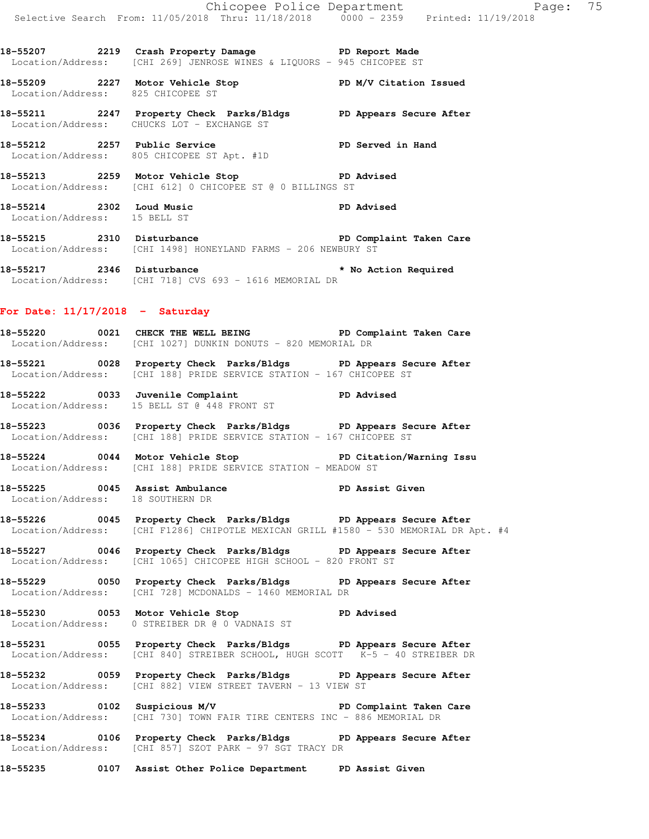**18-55207 2219 Crash Property Damage PD Report Made**  Location/Address: [CHI 269] JENROSE WINES & LIQUORS - 945 CHICOPEE ST

- **18-55209 2227 Motor Vehicle Stop PD M/V Citation Issued**  Location/Address: 825 CHICOPEE ST
- **18-55211 2247 Property Check Parks/Bldgs PD Appears Secure After**  Location/Address: CHUCKS LOT - EXCHANGE ST
- **18-55212 2257 Public Service PD Served in Hand**  Location/Address: 805 CHICOPEE ST Apt. #1D
- **18-55213 2259 Motor Vehicle Stop PD Advised**  Location/Address: [CHI 612] 0 CHICOPEE ST @ 0 BILLINGS ST
- **18-55214 2302 Loud Music PD Advised**  Location/Address: 15 BELL ST
- **18-55215 2310 Disturbance PD Complaint Taken Care**  Location/Address: [CHI 1498] HONEYLAND FARMS - 206 NEWBURY ST
- **18-55217 2346 Disturbance \* No Action Required**  Location/Address: [CHI 718] CVS 693 - 1616 MEMORIAL DR

## **For Date: 11/17/2018 - Saturday**

- **18-55220 0021 CHECK THE WELL BEING PD Complaint Taken Care**  Location/Address: [CHI 1027] DUNKIN DONUTS - 820 MEMORIAL DR
- **18-55221 0028 Property Check Parks/Bldgs PD Appears Secure After**  Location/Address: [CHI 188] PRIDE SERVICE STATION - 167 CHICOPEE ST
- **18-55222 0033 Juvenile Complaint PD Advised**  Location/Address: 15 BELL ST @ 448 FRONT ST
- **18-55223 0036 Property Check Parks/Bldgs PD Appears Secure After**  Location/Address: [CHI 188] PRIDE SERVICE STATION - 167 CHICOPEE ST
- **18-55224 0044 Motor Vehicle Stop PD Citation/Warning Issu**  Location/Address: [CHI 188] PRIDE SERVICE STATION - MEADOW ST
- **18-55225 0045 Assist Ambulance PD Assist Given**  Location/Address: 18 SOUTHERN DR
- **18-55226 0045 Property Check Parks/Bldgs PD Appears Secure After**  Location/Address: [CHI F1286] CHIPOTLE MEXICAN GRILL #1580 - 530 MEMORIAL DR Apt. #4
- **18-55227 0046 Property Check Parks/Bldgs PD Appears Secure After**  Location/Address: [CHI 1065] CHICOPEE HIGH SCHOOL - 820 FRONT ST
- **18-55229 0050 Property Check Parks/Bldgs PD Appears Secure After**  Location/Address: [CHI 728] MCDONALDS - 1460 MEMORIAL DR
- **18-55230 0053 Motor Vehicle Stop PD Advised**  Location/Address: 0 STREIBER DR @ 0 VADNAIS ST
- **18-55231 0055 Property Check Parks/Bldgs PD Appears Secure After**  Location/Address: [CHI 840] STREIBER SCHOOL, HUGH SCOTT K-5 - 40 STREIBER DR
- **18-55232 0059 Property Check Parks/Bldgs PD Appears Secure After**  Location/Address: [CHI 882] VIEW STREET TAVERN - 13 VIEW ST
- **18-55233 0102 Suspicious M/V PD Complaint Taken Care**  Location/Address: [CHI 730] TOWN FAIR TIRE CENTERS INC - 886 MEMORIAL DR
- **18-55234 0106 Property Check Parks/Bldgs PD Appears Secure After**  Location/Address: [CHI 857] SZOT PARK - 97 SGT TRACY DR
- **18-55235 0107 Assist Other Police Department PD Assist Given**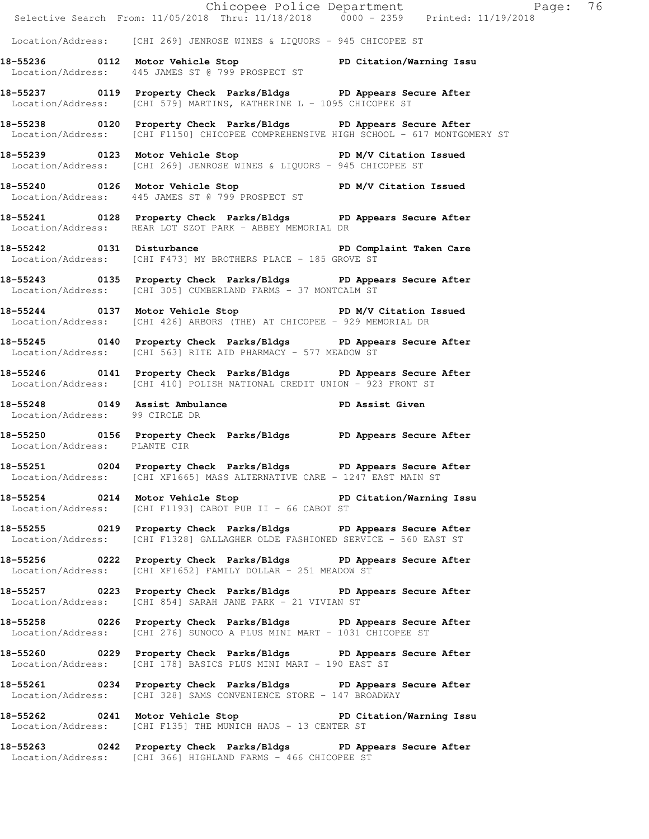|                                | Selective Search From: 11/05/2018 Thru: 11/18/2018 0000 - 2359 Printed: 11/19/2018                                                                       | Chicopee Police Department Page: 76 |  |
|--------------------------------|----------------------------------------------------------------------------------------------------------------------------------------------------------|-------------------------------------|--|
|                                | Location/Address: [CHI 269] JENROSE WINES & LIQUORS - 945 CHICOPEE ST                                                                                    |                                     |  |
|                                | 18-55236 0112 Motor Vehicle Stop PD Citation/Warning Issu<br>Location/Address: 445 JAMES ST @ 799 PROSPECT ST                                            |                                     |  |
|                                | 18-55237 0119 Property Check Parks/Bldgs PD Appears Secure After<br>Location/Address: [CHI 579] MARTINS, KATHERINE L - 1095 CHICOPEE ST                  |                                     |  |
|                                | 18-55238 0120 Property Check Parks/Bldgs PD Appears Secure After<br>Location/Address: [CHI F1150] CHICOPEE COMPREHENSIVE HIGH SCHOOL - 617 MONTGOMERY ST |                                     |  |
|                                | 18-55239 0123 Motor Vehicle Stop N/V Citation Issued<br>Location/Address: [CHI 269] JENROSE WINES & LIQUORS - 945 CHICOPEE ST                            |                                     |  |
|                                | 18-55240 0126 Motor Vehicle Stop N/V Citation Issued<br>Location/Address: 445 JAMES ST @ 799 PROSPECT ST                                                 |                                     |  |
|                                | 18-55241 0128 Property Check Parks/Bldgs PD Appears Secure After<br>Location/Address: REAR LOT SZOT PARK - ABBEY MEMORIAL DR                             |                                     |  |
|                                | 18-55242 0131 Disturbance <b>18-61-18 PD</b> Complaint Taken Care<br>Location/Address: [CHI F473] MY BROTHERS PLACE - 185 GROVE ST                       |                                     |  |
|                                | 18-55243 0135 Property Check Parks/Bldgs PD Appears Secure After<br>Location/Address: [CHI 305] CUMBERLAND FARMS - 37 MONTCALM ST                        |                                     |  |
|                                | 18-55244 0137 Motor Vehicle Stop N/V Citation Issued<br>Location/Address: [CHI 426] ARBORS (THE) AT CHICOPEE - 929 MEMORIAL DR                           |                                     |  |
|                                | 18-55245 0140 Property Check Parks/Bldgs PD Appears Secure After<br>Location/Address: [CHI 563] RITE AID PHARMACY - 577 MEADOW ST                        |                                     |  |
|                                | 18-55246 0141 Property Check Parks/Bldgs PD Appears Secure After<br>Location/Address: [CHI 410] POLISH NATIONAL CREDIT UNION - 923 FRONT ST              |                                     |  |
| Location/Address: 99 CIRCLE DR | 18-55248 0149 Assist Ambulance New PD Assist Given                                                                                                       |                                     |  |
| Location/Address: PLANTE CIR   | 18-55250 0156 Property Check Parks/Bldgs PD Appears Secure After                                                                                         |                                     |  |
|                                | 18-55251 0204 Property Check Parks/Bldgs PD Appears Secure After<br>Location/Address: [CHI XF1665] MASS ALTERNATIVE CARE - 1247 EAST MAIN ST             |                                     |  |
|                                | 18-55254 0214 Motor Vehicle Stop 50 PD Citation/Warning Issu<br>Location/Address: [CHI F1193] CABOT PUB II - 66 CABOT ST                                 |                                     |  |
|                                | 18-55255 0219 Property Check Parks/Bldgs PD Appears Secure After<br>Location/Address: [CHI F1328] GALLAGHER OLDE FASHIONED SERVICE - 560 EAST ST         |                                     |  |
|                                | 18-55256 0222 Property Check Parks/Bldgs PD Appears Secure After<br>Location/Address: [CHI XF1652] FAMILY DOLLAR - 251 MEADOW ST                         |                                     |  |
|                                | 18-55257 0223 Property Check Parks/Bldgs PD Appears Secure After<br>Location/Address: [CHI 854] SARAH JANE PARK - 21 VIVIAN ST                           |                                     |  |
|                                | 18-55258 0226 Property Check Parks/Bldgs PD Appears Secure After<br>Location/Address: [CHI 276] SUNOCO A PLUS MINI MART - 1031 CHICOPEE ST               |                                     |  |
|                                | 18-55260 0229 Property Check Parks/Bldgs PD Appears Secure After<br>Location/Address: [CHI 178] BASICS PLUS MINI MART - 190 EAST ST                      |                                     |  |
|                                | 18-55261 0234 Property Check Parks/Bldgs PD Appears Secure After<br>Location/Address: [CHI 328] SAMS CONVENIENCE STORE - 147 BROADWAY                    |                                     |  |
|                                | 18-55262 0241 Motor Vehicle Stop 50 PD Citation/Warning Issu<br>Location/Address: [CHI F135] THE MUNICH HAUS - 13 CENTER ST                              |                                     |  |
|                                | 18-55263 0242 Property Check Parks/Bldgs PD Appears Secure After<br>Location/Address: [CHI 366] HIGHLAND FARMS - 466 CHICOPEE ST                         |                                     |  |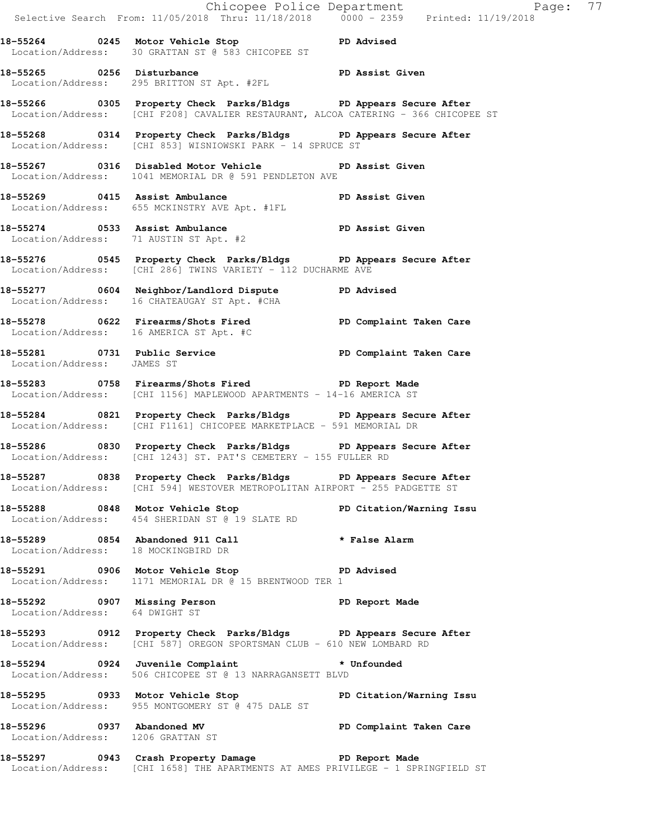|                                   | E<br>Chicopee Police Department<br>Selective Search From: 11/05/2018 Thru: 11/18/2018 0000 - 2359 Printed: 11/19/2018                                  | Page: 77 |  |
|-----------------------------------|--------------------------------------------------------------------------------------------------------------------------------------------------------|----------|--|
|                                   | 18-55264 0245 Motor Vehicle Stop 50 PD Advised<br>Location/Address: 30 GRATTAN ST @ 583 CHICOPEE ST                                                    |          |  |
|                                   | Location/Address: 295 BRITTON ST Apt. #2FL                                                                                                             |          |  |
|                                   | 18-55266 0305 Property Check Parks/Bldgs PD Appears Secure After<br>Location/Address: [CHI F208] CAVALIER RESTAURANT, ALCOA CATERING - 366 CHICOPEE ST |          |  |
|                                   | 18-55268 0314 Property Check Parks/Bldgs PD Appears Secure After<br>Location/Address: [CHI 853] WISNIOWSKI PARK - 14 SPRUCE ST                         |          |  |
|                                   | 18-55267 0316 Disabled Motor Vehicle PD Assist Given<br>Location/Address: 1041 MEMORIAL DR @ 591 PENDLETON AVE                                         |          |  |
|                                   | 18-55269 0415 Assist Ambulance PD Assist Given<br>Location/Address: 655 MCKINSTRY AVE Apt. #1FL                                                        |          |  |
|                                   | 18-55274 0533 Assist Ambulance PD Assist Given<br>Location/Address: 71 AUSTIN ST Apt. #2                                                               |          |  |
|                                   | 18-55276 0545 Property Check Parks/Bldgs PD Appears Secure After<br>Location/Address: [CHI 286] TWINS VARIETY - 112 DUCHARME AVE                       |          |  |
|                                   | 18-55277 0604 Neighbor/Landlord Dispute PD Advised<br>Location/Address: 16 CHATEAUGAY ST Apt. #CHA                                                     |          |  |
|                                   | 18-55278 		 0622 Firearms/Shots Fired 		 PD Complaint Taken Care<br>Location/Address: 16 AMERICA ST Apt. #C                                            |          |  |
| Location/Address: JAMES ST        | 18-55281 0731 Public Service <b>18-6 PD</b> Complaint Taken Care                                                                                       |          |  |
|                                   | 18-55283 0758 Firearms/Shots Fired TD Report Made<br>Location/Address: [CHI 1156] MAPLEWOOD APARTMENTS - 14-16 AMERICA ST                              |          |  |
|                                   | 18-55284 0821 Property Check Parks/Bldgs PD Appears Secure After<br>Location/Address: [CHI F1161] CHICOPEE MARKETPLACE - 591 MEMORIAL DR               |          |  |
|                                   | 18-55286 0830 Property Check Parks/Bldgs PD Appears Secure After<br>Location/Address: [CHI 1243] ST. PAT'S CEMETERY - 155 FULLER RD                    |          |  |
|                                   | 18-55287 0838 Property Check Parks/Bldgs PD Appears Secure After<br>Location/Address: [CHI 594] WESTOVER METROPOLITAN AIRPORT - 255 PADGETTE ST        |          |  |
|                                   | 18-55288 0848 Motor Vehicle Stop North PD Citation/Warning Issu<br>Location/Address: 454 SHERIDAN ST @ 19 SLATE RD                                     |          |  |
|                                   | 18-55289 0854 Abandoned 911 Call 2008 * False Alarm<br>Location/Address: 18 MOCKINGBIRD DR                                                             |          |  |
|                                   | 18-55291 0906 Motor Vehicle Stop 50 PD Advised<br>Location/Address: 1171 MEMORIAL DR @ 15 BRENTWOOD TER 1                                              |          |  |
| Location/Address: 64 DWIGHT ST    | 18-55292 0907 Missing Person Neport Made Tocation/Address: 64 DWIGHT ST                                                                                |          |  |
|                                   | 18-55293 0912 Property Check Parks/Bldgs PD Appears Secure After<br>Location/Address: [CHI 587] OREGON SPORTSMAN CLUB - 610 NEW LOMBARD RD             |          |  |
|                                   | 18-55294 0924 Juvenile Complaint * Unfounded<br>Location/Address: 506 CHICOPEE ST @ 13 NARRAGANSETT BLVD                                               |          |  |
|                                   | 18-55295 0933 Motor Vehicle Stop North PD Citation/Warning Issu<br>Location/Address: 955 MONTGOMERY ST @ 475 DALE ST                                   |          |  |
| Location/Address: 1206 GRATTAN ST | 18-55296 0937 Abandoned MV PD Complaint Taken Care                                                                                                     |          |  |
|                                   | 18-55297 0943 Crash Property Damage PD Report Made<br>Location/Address: [CHI 1658] THE APARTMENTS AT AMES PRIVILEGE - 1 SPRINGFIELD ST                 |          |  |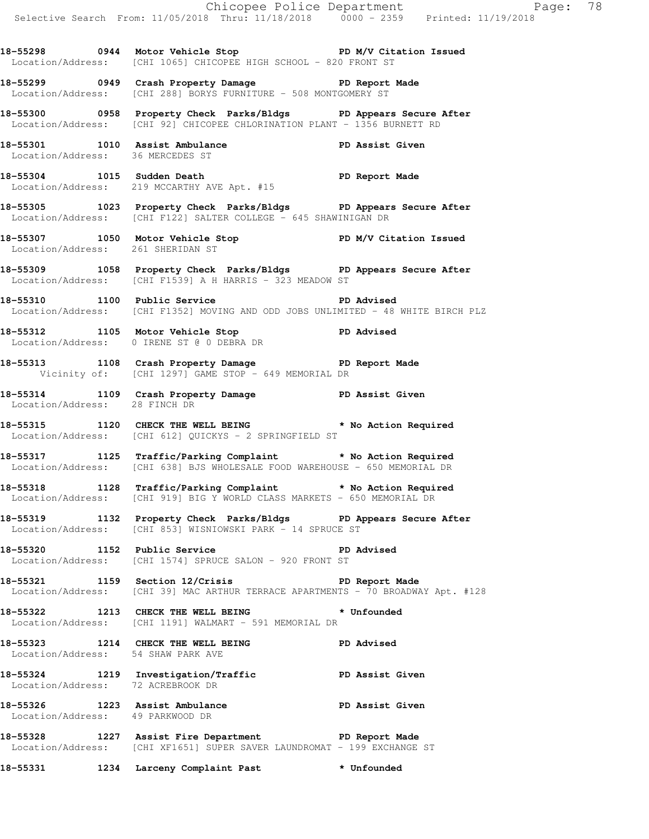|                                   |                                                                                                                                              | Chicopee Police Department<br>Selective Search From: 11/05/2018 Thru: 11/18/2018 0000 - 2359 Printed: 11/19/2018 |
|-----------------------------------|----------------------------------------------------------------------------------------------------------------------------------------------|------------------------------------------------------------------------------------------------------------------|
|                                   | 18-55298 0944 Motor Vehicle Stop N/V Citation Issued<br>Location/Address: [CHI 1065] CHICOPEE HIGH SCHOOL - 820 FRONT ST                     |                                                                                                                  |
|                                   | 18-55299 0949 Crash Property Damage Name PD Report Made<br>Location/Address: [CHI 288] BORYS FURNITURE - 508 MONTGOMERY ST                   |                                                                                                                  |
|                                   | 18-55300 0958 Property Check Parks/Bldgs PD Appears Secure After<br>Location/Address: [CHI 92] CHICOPEE CHLORINATION PLANT - 1356 BURNETT RD |                                                                                                                  |
| Location/Address: 36 MERCEDES ST  | 18-55301 1010 Assist Ambulance New PD Assist Given                                                                                           |                                                                                                                  |
|                                   | 18-55304 1015 Sudden Death<br>Location/Address: 219 MCCARTHY AVE Apt. #15                                                                    |                                                                                                                  |
|                                   | 18-55305 1023 Property Check Parks/Bldgs PD Appears Secure After<br>Location/Address: [CHI F122] SALTER COLLEGE - 645 SHAWINIGAN DR          |                                                                                                                  |
| Location/Address: 261 SHERIDAN ST | 18-55307 1050 Motor Vehicle Stop North PD M/V Citation Issued                                                                                |                                                                                                                  |
|                                   | 18-55309 1058 Property Check Parks/Bldgs PD Appears Secure After<br>Location/Address: [CHI F1539] A H HARRIS - 323 MEADOW ST                 |                                                                                                                  |
|                                   | 18-55310 1100 Public Service Natural PD Advised<br>Location/Address: [CHI F1352] MOVING AND ODD JOBS UNLIMITED - 48 WHITE BIRCH PLZ          |                                                                                                                  |
|                                   | 18-55312 1105 Motor Vehicle Stop PD Advised<br>Location/Address: 0 IRENE ST @ 0 DEBRA DR                                                     |                                                                                                                  |
|                                   | 18-55313 1108 Crash Property Damage PD Report Made<br>Vicinity of: [CHI 1297] GAME STOP - 649 MEMORIAL DR                                    |                                                                                                                  |
| Location/Address: 28 FINCH DR     | 18-55314 1109 Crash Property Damage PD Assist Given                                                                                          |                                                                                                                  |
|                                   | 18-55315 1120 CHECK THE WELL BEING * No Action Required<br>Location/Address: [CHI 612] QUICKYS - 2 SPRINGFIELD ST                            |                                                                                                                  |
|                                   | 18-55317 1125 Traffic/Parking Complaint * No Action Required<br>Location/Address: [CHI 638] BJS WHOLESALE FOOD WAREHOUSE - 650 MEMORIAL DR   |                                                                                                                  |
|                                   | 18-55318 1128 Traffic/Parking Complaint * No Action Required<br>Location/Address: [CHI 919] BIG Y WORLD CLASS MARKETS - 650 MEMORIAL DR      |                                                                                                                  |
|                                   | 18-55319 1132 Property Check Parks/Bldgs PD Appears Secure After<br>Location/Address: [CHI 853] WISNIOWSKI PARK - 14 SPRUCE ST               |                                                                                                                  |
| 18-55320 1152 Public Service      | Location/Address: [CHI 1574] SPRUCE SALON - 920 FRONT ST                                                                                     | PD Advised                                                                                                       |
|                                   | 18-55321 1159 Section 12/Crisis 20 PD Report Made<br>Location/Address: [CHI 39] MAC ARTHUR TERRACE APARTMENTS - 70 BROADWAY Apt. #128        |                                                                                                                  |
|                                   | 18-55322 1213 CHECK THE WELL BEING * Unfounded<br>Location/Address: [CHI 1191] WALMART - 591 MEMORIAL DR                                     |                                                                                                                  |
|                                   | 18-55323 1214 CHECK THE WELL BEING PD Advised<br>Location/Address: 54 SHAW PARK AVE                                                          |                                                                                                                  |
|                                   | 18-55324 1219 Investigation/Traffic PD Assist Given<br>Location/Address: 72 ACREBROOK DR                                                     |                                                                                                                  |
| Location/Address: 49 PARKWOOD DR  | 18-55326 1223 Assist Ambulance New PD Assist Given                                                                                           |                                                                                                                  |
|                                   | 18-55328 1227 Assist Fire Department PD Report Made<br>Location/Address: [CHI XF1651] SUPER SAVER LAUNDROMAT - 199 EXCHANGE ST               |                                                                                                                  |
|                                   | 18-55331 1234 Larceny Complaint Past * Unfounded                                                                                             |                                                                                                                  |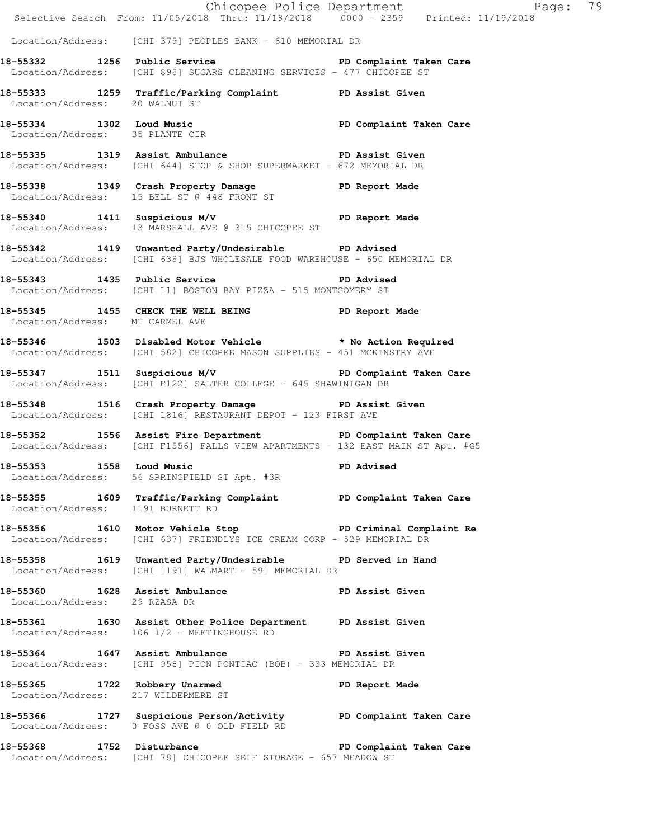|                                     |                                                                                                                                                 | Chicopee Police Department<br>Selective Search From: 11/05/2018 Thru: 11/18/2018 0000 - 2359 Printed: 11/19/2018 |  |
|-------------------------------------|-------------------------------------------------------------------------------------------------------------------------------------------------|------------------------------------------------------------------------------------------------------------------|--|
|                                     | Location/Address: [CHI 379] PEOPLES BANK - 610 MEMORIAL DR                                                                                      |                                                                                                                  |  |
|                                     | 18-55332 1256 Public Service New PD Complaint Taken Care<br>Location/Address: [CHI 898] SUGARS CLEANING SERVICES - 477 CHICOPEE ST              |                                                                                                                  |  |
| Location/Address: 20 WALNUT ST      | 18-55333 1259 Traffic/Parking Complaint PD Assist Given                                                                                         |                                                                                                                  |  |
| Location/Address: 35 PLANTE CIR     | 18-55334 1302 Loud Music PD Complaint Taken Care                                                                                                |                                                                                                                  |  |
|                                     | 18-55335 1319 Assist Ambulance New PD Assist Given<br>Location/Address: [CHI 644] STOP & SHOP SUPERMARKET - 672 MEMORIAL DR                     |                                                                                                                  |  |
|                                     | 18-55338 1349 Crash Property Damage PD Report Made<br>Location/Address: 15 BELL ST @ 448 FRONT ST                                               |                                                                                                                  |  |
|                                     | 18-55340 1411 Suspicious M/V PD Report Made<br>Location/Address: 13 MARSHALL AVE @ 315 CHICOPEE ST                                              |                                                                                                                  |  |
|                                     | 18-55342 1419 Unwanted Party/Undesirable PD Advised<br>Location/Address: [CHI 638] BJS WHOLESALE FOOD WAREHOUSE - 650 MEMORIAL DR               |                                                                                                                  |  |
|                                     | 18-55343 1435 Public Service 20 PD Advised<br>Location/Address: [CHI 11] BOSTON BAY PIZZA - 515 MONTGOMERY ST                                   |                                                                                                                  |  |
| Location/Address: MT CARMEL AVE     | 18-55345 1455 CHECK THE WELL BEING PD Report Made                                                                                               |                                                                                                                  |  |
|                                     | 18-55346 1503 Disabled Motor Vehicle * No Action Required<br>Location/Address: [CHI 582] CHICOPEE MASON SUPPLIES - 451 MCKINSTRY AVE            |                                                                                                                  |  |
|                                     | 18-55347 1511 Suspicious M/V 18-55347 PD Complaint Taken Care<br>Location/Address: [CHI F122] SALTER COLLEGE - 645 SHAWINIGAN DR                |                                                                                                                  |  |
|                                     | 18-55348 1516 Crash Property Damage PD Assist Given<br>Location/Address: [CHI 1816] RESTAURANT DEPOT - 123 FIRST AVE                            |                                                                                                                  |  |
|                                     | 18-55352 1556 Assist Fire Department PD Complaint Taken Care<br>Location/Address: [CHI F1556] FALLS VIEW APARTMENTS - 132 EAST MAIN ST Apt. #G5 |                                                                                                                  |  |
| 18-55353 1558 Loud Music            | Location/Address: 56 SPRINGFIELD ST Apt. #3R                                                                                                    | <b>PD Advised</b>                                                                                                |  |
| Location/Address: 1191 BURNETT RD   | 18-55355 1609 Traffic/Parking Complaint TD Complaint Taken Care                                                                                 |                                                                                                                  |  |
|                                     | 18-55356 1610 Motor Vehicle Stop 50 PD Criminal Complaint Re<br>Location/Address: [CHI 637] FRIENDLYS ICE CREAM CORP - 529 MEMORIAL DR          |                                                                                                                  |  |
|                                     | 18-55358 1619 Unwanted Party/Undesirable PD Served in Hand<br>Location/Address: [CHI 1191] WALMART - 591 MEMORIAL DR                            |                                                                                                                  |  |
| Location/Address: 29 RZASA DR       | 18-55360 1628 Assist Ambulance New PD Assist Given                                                                                              |                                                                                                                  |  |
|                                     | 18-55361 1630 Assist Other Police Department PD Assist Given<br>Location/Address: 106 1/2 - MEETINGHOUSE RD                                     |                                                                                                                  |  |
|                                     | 18-55364 1647 Assist Ambulance New PD Assist Given<br>Location/Address: [CHI 958] PION PONTIAC (BOB) - 333 MEMORIAL DR                          |                                                                                                                  |  |
| Location/Address: 217 WILDERMERE ST | 18-55365 1722 Robbery Unarmed The PD Report Made                                                                                                |                                                                                                                  |  |
|                                     | 18-55366 1727 Suspicious Person/Activity PD Complaint Taken Care<br>Location/Address: 0 FOSS AVE @ 0 OLD FIELD RD                               |                                                                                                                  |  |
| 18-55368 1752 Disturbance           | Location/Address: [CHI 78] CHICOPEE SELF STORAGE - 657 MEADOW ST                                                                                | PD Complaint Taken Care                                                                                          |  |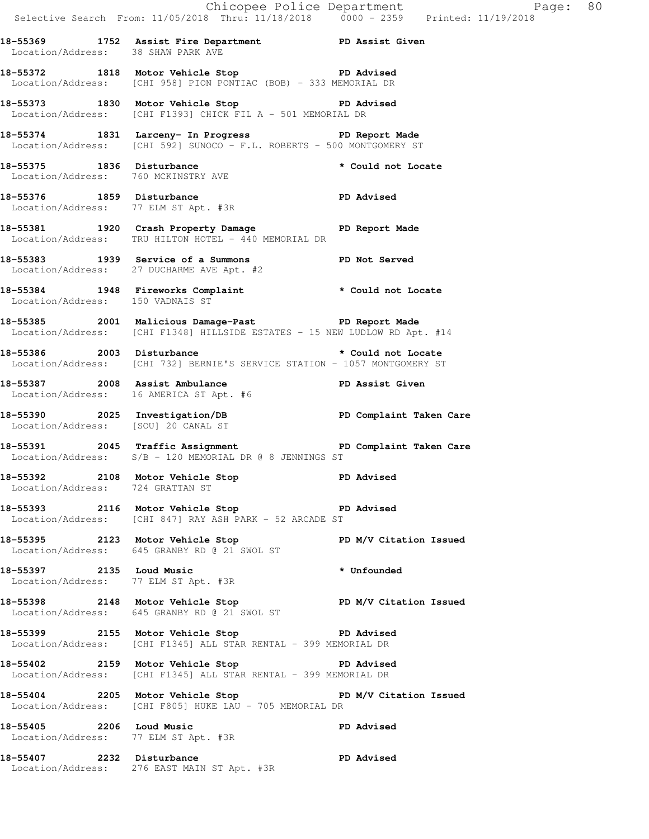Selective Search From: 11/05/2018 Thru: 11/18/2018 0000 - 2359 Printed: 11/19/2018 **18-55369 1752 Assist Fire Department PD Assist Given**  Location/Address: 38 SHAW PARK AVE **18-55372 1818 Motor Vehicle Stop PD Advised**  Location/Address: [CHI 958] PION PONTIAC (BOB) - 333 MEMORIAL DR **18-55373 1830 Motor Vehicle Stop PD Advised**  Location/Address: [CHI F1393] CHICK FIL A - 501 MEMORIAL DR **18-55374 1831 Larceny- In Progress PD Report Made**  Location/Address: [CHI 592] SUNOCO - F.L. ROBERTS - 500 MONTGOMERY ST 18-55375 1836 Disturbance **\*** Could not Locate Location/Address: 760 MCKINSTRY AVE 18-55376 1859 Disturbance **PD** Advised Location/Address: 77 ELM ST Apt. #3R **18-55381 1920 Crash Property Damage PD Report Made**  Location/Address: TRU HILTON HOTEL - 440 MEMORIAL DR **18-55383 1939 Service of a Summons PD Not Served**  Location/Address: 27 DUCHARME AVE Apt. #2 **18-55384 1948 Fireworks Complaint \* Could not Locate**  Location/Address: 150 VADNAIS ST **18-55385 2001 Malicious Damage-Past PD Report Made**  Location/Address: [CHI F1348] HILLSIDE ESTATES - 15 NEW LUDLOW RD Apt. #14 **18-55386 2003 Disturbance \* Could not Locate**  Location/Address: [CHI 732] BERNIE'S SERVICE STATION - 1057 MONTGOMERY ST **18-55387 2008 Assist Ambulance PD Assist Given**  Location/Address: 16 AMERICA ST Apt. #6 **18-55390 2025 Investigation/DB PD Complaint Taken Care**  Location/Address: [SOU] 20 CANAL ST **18-55391 2045 Traffic Assignment PD Complaint Taken Care**  Location/Address: S/B - 120 MEMORIAL DR @ 8 JENNINGS ST **18-55392 2108 Motor Vehicle Stop PD Advised**  Location/Address: 724 GRATTAN ST **18-55393 2116 Motor Vehicle Stop PD Advised**  Location/Address: [CHI 847] RAY ASH PARK - 52 ARCADE ST **18-55395 2123 Motor Vehicle Stop PD M/V Citation Issued**  Location/Address: 645 GRANBY RD @ 21 SWOL ST **18-55397 2135 Loud Music \* Unfounded**  Location/Address: 77 ELM ST Apt. #3R **18-55398 2148 Motor Vehicle Stop PD M/V Citation Issued**  Location/Address: 645 GRANBY RD @ 21 SWOL ST **18-55399 2155 Motor Vehicle Stop PD Advised**  Location/Address: [CHI F1345] ALL STAR RENTAL - 399 MEMORIAL DR **18-55402 2159 Motor Vehicle Stop PD Advised**  Location/Address: [CHI F1345] ALL STAR RENTAL - 399 MEMORIAL DR **18-55404 2205 Motor Vehicle Stop PD M/V Citation Issued**  Location/Address: [CHI F805] HUKE LAU - 705 MEMORIAL DR **18-55405 2206 Loud Music PD Advised**  Location/Address: 77 ELM ST Apt. #3R **18-55407 2232 Disturbance PD Advised**  Location/Address: 276 EAST MAIN ST Apt. #3R

Chicopee Police Department Page: 80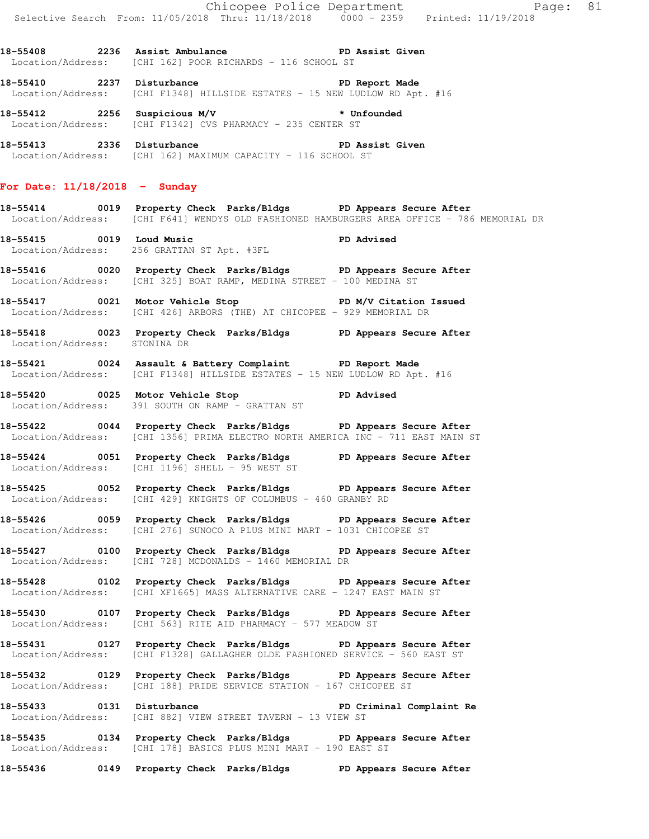18-55408 2236 Assist Ambulance **PD Assist Given** Location/Address: [CHI 162] POOR RICHARDS - 116 SCHOOL ST

**18-55410 2237 Disturbance PD Report Made**  Location/Address: [CHI F1348] HILLSIDE ESTATES - 15 NEW LUDLOW RD Apt. #16

**18-55412 2256 Suspicious M/V \* Unfounded**  Location/Address: [CHI F1342] CVS PHARMACY - 235 CENTER ST

18-55413 2336 Disturbance **PD Assist Given** Location/Address: [CHI 162] MAXIMUM CAPACITY - 116 SCHOOL ST

## **For Date: 11/18/2018 - Sunday**

**18-55414 0019 Property Check Parks/Bldgs PD Appears Secure After**  Location/Address: [CHI F641] WENDYS OLD FASHIONED HAMBURGERS AREA OFFICE - 786 MEMORIAL DR

**18-55415 0019 Loud Music PD Advised**  Location/Address: 256 GRATTAN ST Apt. #3FL

**18-55416 0020 Property Check Parks/Bldgs PD Appears Secure After**  Location/Address: [CHI 325] BOAT RAMP, MEDINA STREET - 100 MEDINA ST

**18-55417 0021 Motor Vehicle Stop PD M/V Citation Issued**  Location/Address: [CHI 426] ARBORS (THE) AT CHICOPEE - 929 MEMORIAL DR

**18-55418 0023 Property Check Parks/Bldgs PD Appears Secure After**  Location/Address: STONINA DR

**18-55421 0024 Assault & Battery Complaint PD Report Made**  Location/Address: [CHI F1348] HILLSIDE ESTATES - 15 NEW LUDLOW RD Apt. #16

**18-55420 0025 Motor Vehicle Stop PD Advised**  Location/Address: 391 SOUTH ON RAMP - GRATTAN ST

**18-55422 0044 Property Check Parks/Bldgs PD Appears Secure After**  Location/Address: [CHI 1356] PRIMA ELECTRO NORTH AMERICA INC - 711 EAST MAIN ST

**18-55424 0051 Property Check Parks/Bldgs PD Appears Secure After**  Location/Address: [CHI 1196] SHELL - 95 WEST ST

**18-55425 0052 Property Check Parks/Bldgs PD Appears Secure After**  Location/Address: [CHI 429] KNIGHTS OF COLUMBUS - 460 GRANBY RD

**18-55426 0059 Property Check Parks/Bldgs PD Appears Secure After**  Location/Address: [CHI 276] SUNOCO A PLUS MINI MART - 1031 CHICOPEE ST

**18-55427 0100 Property Check Parks/Bldgs PD Appears Secure After**  Location/Address: [CHI 728] MCDONALDS - 1460 MEMORIAL DR

**18-55428 0102 Property Check Parks/Bldgs PD Appears Secure After**  Location/Address: [CHI XF1665] MASS ALTERNATIVE CARE - 1247 EAST MAIN ST

**18-55430 0107 Property Check Parks/Bldgs PD Appears Secure After**  Location/Address: [CHI 563] RITE AID PHARMACY - 577 MEADOW ST

**18-55431 0127 Property Check Parks/Bldgs PD Appears Secure After**  Location/Address: [CHI F1328] GALLAGHER OLDE FASHIONED SERVICE - 560 EAST ST

**18-55432 0129 Property Check Parks/Bldgs PD Appears Secure After**  Location/Address: [CHI 188] PRIDE SERVICE STATION - 167 CHICOPEE ST

**18-55433 0131 Disturbance PD Criminal Complaint Re**  Location/Address: [CHI 882] VIEW STREET TAVERN - 13 VIEW ST

**18-55435 0134 Property Check Parks/Bldgs PD Appears Secure After**  Location/Address: [CHI 178] BASICS PLUS MINI MART - 190 EAST ST

**18-55436 0149 Property Check Parks/Bldgs PD Appears Secure After**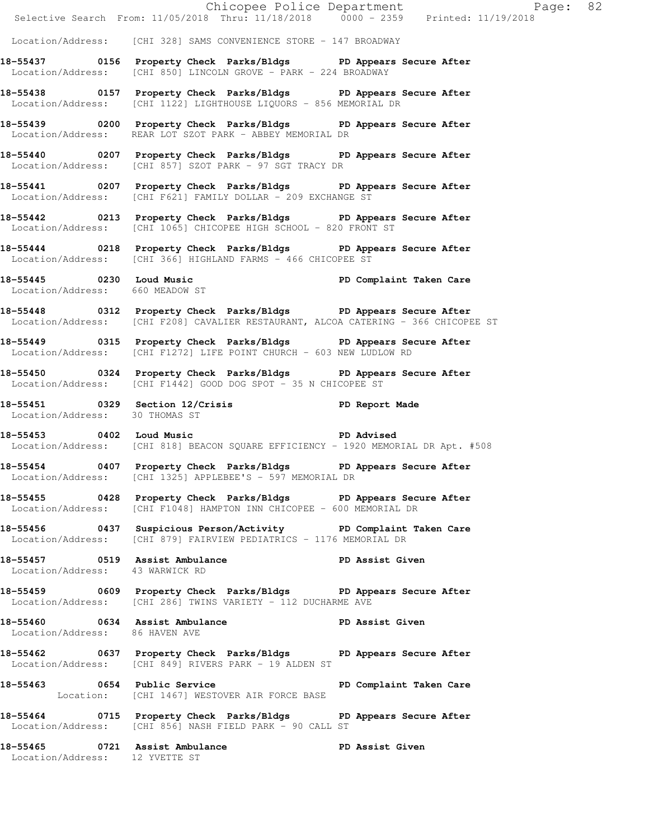|                                                                  |                                                                                                                                                        | Chicopee Police Department<br>Selective Search From: 11/05/2018 Thru: 11/18/2018 0000 - 2359 Printed: 11/19/2018 |  |
|------------------------------------------------------------------|--------------------------------------------------------------------------------------------------------------------------------------------------------|------------------------------------------------------------------------------------------------------------------|--|
|                                                                  | Location/Address: [CHI 328] SAMS CONVENIENCE STORE - 147 BROADWAY                                                                                      |                                                                                                                  |  |
|                                                                  | 18-55437 0156 Property Check Parks/Bldgs PD Appears Secure After<br>Location/Address: [CHI 850] LINCOLN GROVE - PARK - 224 BROADWAY                    |                                                                                                                  |  |
|                                                                  | 18-55438 0157 Property Check Parks/Bldgs PD Appears Secure After<br>Location/Address: [CHI 1122] LIGHTHOUSE LIQUORS - 856 MEMORIAL DR                  |                                                                                                                  |  |
|                                                                  | 18-55439 0200 Property Check Parks/Bldgs PD Appears Secure After<br>Location/Address: REAR LOT SZOT PARK - ABBEY MEMORIAL DR                           |                                                                                                                  |  |
|                                                                  | 18-55440 0207 Property Check Parks/Bldgs PD Appears Secure After<br>Location/Address: [CHI 857] SZOT PARK - 97 SGT TRACY DR                            |                                                                                                                  |  |
|                                                                  | 18-55441 0207 Property Check Parks/Bldgs PD Appears Secure After<br>Location/Address: [CHI F621] FAMILY DOLLAR - 209 EXCHANGE ST                       |                                                                                                                  |  |
|                                                                  | 18-55442 0213 Property Check Parks/Bldgs PD Appears Secure After<br>Location/Address: [CHI 1065] CHICOPEE HIGH SCHOOL - 820 FRONT ST                   |                                                                                                                  |  |
|                                                                  | 18-55444 0218 Property Check Parks/Bldgs PD Appears Secure After<br>Location/Address: [CHI 366] HIGHLAND FARMS - 466 CHICOPEE ST                       |                                                                                                                  |  |
|                                                                  | 18-55445 0230 Loud Music PD Complaint Taken Care<br>Location/Address: 660 MEADOW ST                                                                    |                                                                                                                  |  |
|                                                                  | 18-55448 0312 Property Check Parks/Bldgs PD Appears Secure After<br>Location/Address: [CHI F208] CAVALIER RESTAURANT, ALCOA CATERING - 366 CHICOPEE ST |                                                                                                                  |  |
|                                                                  | 18-55449 0315 Property Check Parks/Bldgs PD Appears Secure After<br>Location/Address: [CHI F1272] LIFE POINT CHURCH - 603 NEW LUDLOW RD                |                                                                                                                  |  |
|                                                                  | 18-55450 0324 Property Check Parks/Bldgs PD Appears Secure After<br>Location/Address: [CHI F1442] GOOD DOG SPOT - 35 N CHICOPEE ST                     |                                                                                                                  |  |
| Location/Address: 30 THOMAS ST                                   | 18-55451 0329 Section 12/Crisis 1997 PD Report Made                                                                                                    |                                                                                                                  |  |
|                                                                  | 18-55453 0402 Loud Music <b>PD</b> Advised<br>Location/Address: [CHI 818] BEACON SQUARE EFFICIENCY - 1920 MEMORIAL DR Apt. #508                        |                                                                                                                  |  |
|                                                                  | 18-55454 0407 Property Check Parks/Bldgs PD Appears Secure After<br>Location/Address: [CHI 1325] APPLEBEE'S - 597 MEMORIAL DR                          |                                                                                                                  |  |
|                                                                  | 18-55455 0428 Property Check Parks/Bldgs PD Appears Secure After<br>Location/Address: [CHI F1048] HAMPTON INN CHICOPEE - 600 MEMORIAL DR               |                                                                                                                  |  |
|                                                                  | 18-55456 0437 Suspicious Person/Activity PD Complaint Taken Care<br>Location/Address: [CHI 879] FAIRVIEW PEDIATRICS - 1176 MEMORIAL DR                 |                                                                                                                  |  |
| Location/Address: 43 WARWICK RD                                  | 18-55457 0519 Assist Ambulance No PD Assist Given                                                                                                      |                                                                                                                  |  |
|                                                                  | 18-55459 0609 Property Check Parks/Bldgs PD Appears Secure After<br>Location/Address: [CHI 286] TWINS VARIETY - 112 DUCHARME AVE                       |                                                                                                                  |  |
| Location/Address: 86 HAVEN AVE                                   | 18-55460 0634 Assist Ambulance No PD Assist Given                                                                                                      |                                                                                                                  |  |
|                                                                  | 18-55462 0637 Property Check Parks/Bldgs PD Appears Secure After<br>Location/Address: [CHI 849] RIVERS PARK - 19 ALDEN ST                              |                                                                                                                  |  |
|                                                                  | 18-55463 0654 Public Service<br>Location: [CHI 1467] WESTOVER AIR FORCE BASE                                                                           | PD Complaint Taken Care                                                                                          |  |
|                                                                  | 18-55464 0715 Property Check Parks/Bldgs PD Appears Secure After<br>Location/Address: [CHI 856] NASH FIELD PARK - 90 CALL ST                           |                                                                                                                  |  |
| 18-55465 0721 Assist Ambulance<br>Location/Address: 12 YVETTE ST |                                                                                                                                                        | PD Assist Given                                                                                                  |  |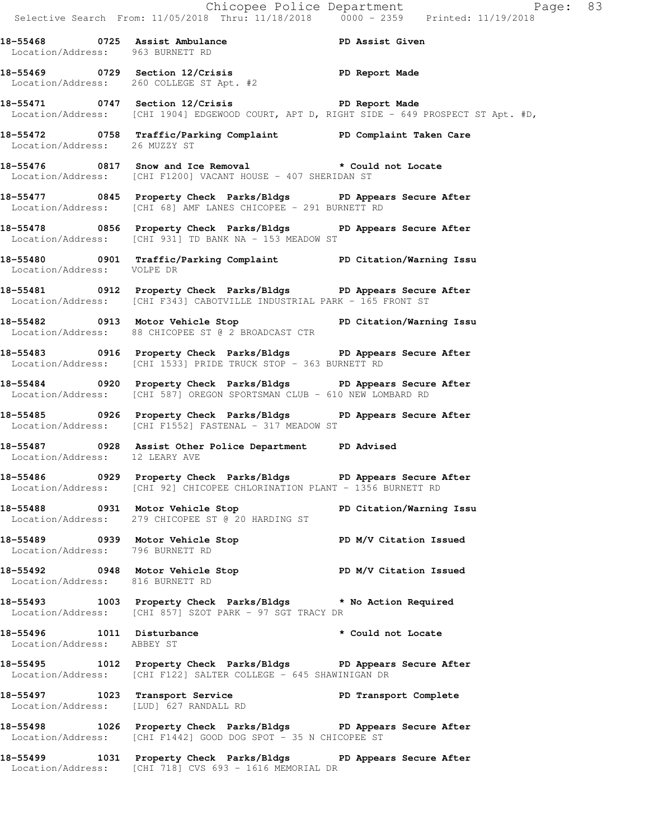|                            |                                                                                                                                              | Chicopee Police Department<br>Selective Search From: 11/05/2018 Thru: 11/18/2018 0000 - 2359 Printed: 11/19/2018 |  |
|----------------------------|----------------------------------------------------------------------------------------------------------------------------------------------|------------------------------------------------------------------------------------------------------------------|--|
|                            | 18-55468 0725 Assist Ambulance New PD Assist Given<br>Location/Address: 963 BURNETT RD                                                       |                                                                                                                  |  |
|                            | 18-55469 0729 Section 12/Crisis PD Report Made<br>Location/Address: 260 COLLEGE ST Apt. #2                                                   |                                                                                                                  |  |
|                            | 18-55471 0747 Section 12/Crisis The PD Report Made                                                                                           | Location/Address: [CHI 1904] EDGEWOOD COURT, APT D, RIGHT SIDE - 649 PROSPECT ST Apt. #D,                        |  |
|                            | 18-55472   0758   Traffic/Parking Complaint   PD Complaint Taken Care<br>Location/Address: 26   MUZZY ST                                     |                                                                                                                  |  |
|                            | 18-55476 0817 Snow and Ice Removal * Could not Locate<br>Location/Address: [CHI F1200] VACANT HOUSE - 407 SHERIDAN ST                        |                                                                                                                  |  |
|                            | 18-55477 0845 Property Check Parks/Bldgs PD Appears Secure After<br>$Location/Address:$ $[CHI 68]$ AMF LANES CHICOPEE - 291 BURNETT RD       |                                                                                                                  |  |
|                            | 18-55478 0856 Property Check Parks/Bldgs PD Appears Secure After<br>Location/Address: [CHI 931] TD BANK NA - 153 MEADOW ST                   |                                                                                                                  |  |
| Location/Address: VOLPE DR | 18-55480 0901 Traffic/Parking Complaint PD Citation/Warning Issu                                                                             |                                                                                                                  |  |
|                            | 18-55481 0912 Property Check Parks/Bldgs PD Appears Secure After<br>Location/Address: [CHI F343] CABOTVILLE INDUSTRIAL PARK - 165 FRONT ST   |                                                                                                                  |  |
|                            | 18-55482 0913 Motor Vehicle Stop North PD Citation/Warning Issu<br>Location/Address: 88 CHICOPEE ST @ 2 BROADCAST CTR                        |                                                                                                                  |  |
|                            | 18-55483 0916 Property Check Parks/Bldgs PD Appears Secure After<br>Location/Address: [CHI 1533] PRIDE TRUCK STOP - 363 BURNETT RD           |                                                                                                                  |  |
|                            | 18-55484 0920 Property Check Parks/Bldgs PD Appears Secure After<br>Location/Address: [CHI 587] OREGON SPORTSMAN CLUB - 610 NEW LOMBARD RD   |                                                                                                                  |  |
|                            | 18-55485 0926 Property Check Parks/Bldgs PD Appears Secure After<br>Location/Address: [CHI F1552] FASTENAL - 317 MEADOW ST                   |                                                                                                                  |  |
|                            | 18-55487 0928 Assist Other Police Department PD Advised<br>Location/Address: 12 LEARY AVE                                                    |                                                                                                                  |  |
|                            | 18-55486 0929 Property Check Parks/Bldgs PD Appears Secure After<br>Location/Address: [CHI 92] CHICOPEE CHLORINATION PLANT - 1356 BURNETT RD |                                                                                                                  |  |
|                            | 18-55488 0931 Motor Vehicle Stop 50 PD Citation/Warning Issu<br>Location/Address: 279 CHICOPEE ST @ 20 HARDING ST                            |                                                                                                                  |  |
|                            | 18-55489 0939 Motor Vehicle Stop<br>Location/Address: 796 BURNETT RD                                                                         | PD M/V Citation Issued                                                                                           |  |
|                            | 18-55492 0948 Motor Vehicle Stop N/V Citation Issued<br>Location/Address: 816 BURNETT RD                                                     |                                                                                                                  |  |
|                            | 18-55493 1003 Property Check Parks/Bldgs * No Action Required<br>Location/Address: [CHI 857] SZOT PARK - 97 SGT TRACY DR                     |                                                                                                                  |  |
| Location/Address: ABBEY ST | 18-55496 1011 Disturbance                                                                                                                    | * Could not Locate                                                                                               |  |
|                            | 18-55495 1012 Property Check Parks/Bldgs PD Appears Secure After<br>Location/Address: [CHI F122] SALTER COLLEGE - 645 SHAWINIGAN DR          |                                                                                                                  |  |
|                            | 18-55497 1023 Transport Service New PD Transport Complete<br>Location/Address: [LUD] 627 RANDALL RD                                          |                                                                                                                  |  |
|                            | 18-55498 1026 Property Check Parks/Bldgs PD Appears Secure After<br>Location/Address: [CHI F1442] GOOD DOG SPOT - 35 N CHICOPEE ST           |                                                                                                                  |  |
|                            | 18-55499 1031 Property Check Parks/Bldgs PD Appears Secure After                                                                             |                                                                                                                  |  |

Location/Address: [CHI 718] CVS 693 - 1616 MEMORIAL DR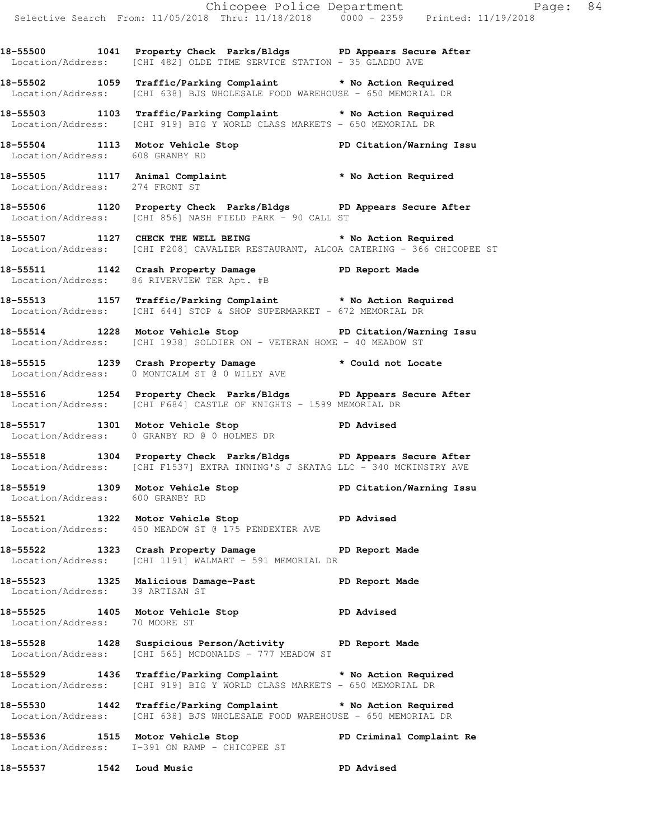**18-55500 1041 Property Check Parks/Bldgs PD Appears Secure After**  Location/Address: [CHI 482] OLDE TIME SERVICE STATION - 35 GLADDU AVE

**18-55502 1059 Traffic/Parking Complaint \* No Action Required**  Location/Address: [CHI 638] BJS WHOLESALE FOOD WAREHOUSE - 650 MEMORIAL DR

**18-55503 1103 Traffic/Parking Complaint \* No Action Required**  Location/Address: [CHI 919] BIG Y WORLD CLASS MARKETS - 650 MEMORIAL DR

**18-55504 1113 Motor Vehicle Stop PD Citation/Warning Issu**  Location/Address: 608 GRANBY RD

**18-55505 1117 Animal Complaint \* No Action Required**  Location/Address: 274 FRONT ST

**18-55506 1120 Property Check Parks/Bldgs PD Appears Secure After**  Location/Address: [CHI 856] NASH FIELD PARK - 90 CALL ST

**18-55507 1127 CHECK THE WELL BEING \* No Action Required**  Location/Address: [CHI F208] CAVALIER RESTAURANT, ALCOA CATERING - 366 CHICOPEE ST

**18-55511 1142 Crash Property Damage PD Report Made**  Location/Address: 86 RIVERVIEW TER Apt. #B

**18-55513 1157 Traffic/Parking Complaint \* No Action Required**  Location/Address: [CHI 644] STOP & SHOP SUPERMARKET - 672 MEMORIAL DR

**18-55514 1228 Motor Vehicle Stop PD Citation/Warning Issu**  Location/Address: [CHI 1938] SOLDIER ON - VETERAN HOME - 40 MEADOW ST

**18-55515 1239 Crash Property Damage \* Could not Locate**  Location/Address: 0 MONTCALM ST @ 0 WILEY AVE

**18-55516 1254 Property Check Parks/Bldgs PD Appears Secure After**  Location/Address: [CHI F684] CASTLE OF KNIGHTS - 1599 MEMORIAL DR

18-55517 1301 Motor Vehicle Stop **PD** Advised Location/Address: 0 GRANBY RD @ 0 HOLMES DR

**18-55518 1304 Property Check Parks/Bldgs PD Appears Secure After**  Location/Address: [CHI F1537] EXTRA INNING'S J SKATAG LLC - 340 MCKINSTRY AVE

**18-55519 1309 Motor Vehicle Stop PD Citation/Warning Issu**  Location/Address: 600 GRANBY RD

18-55521 1322 Motor Vehicle Stop **PD** Advised Location/Address: 450 MEADOW ST @ 175 PENDEXTER AVE

**18-55522 1323 Crash Property Damage PD Report Made**  Location/Address: [CHI 1191] WALMART - 591 MEMORIAL DR

**18-55523 1325 Malicious Damage-Past PD Report Made**  Location/Address: 39 ARTISAN ST

**18-55525 1405 Motor Vehicle Stop PD Advised**  Location/Address: 70 MOORE ST

**18-55528 1428 Suspicious Person/Activity PD Report Made**  Location/Address: [CHI 565] MCDONALDS - 777 MEADOW ST

**18-55529 1436 Traffic/Parking Complaint \* No Action Required**  Location/Address: [CHI 919] BIG Y WORLD CLASS MARKETS - 650 MEMORIAL DR

**18-55530 1442 Traffic/Parking Complaint \* No Action Required**  Location/Address: [CHI 638] BJS WHOLESALE FOOD WAREHOUSE - 650 MEMORIAL DR

**18-55536 1515 Motor Vehicle Stop PD Criminal Complaint Re**  Location/Address: I-391 ON RAMP - CHICOPEE ST

**18-55537 1542 Loud Music PD Advised**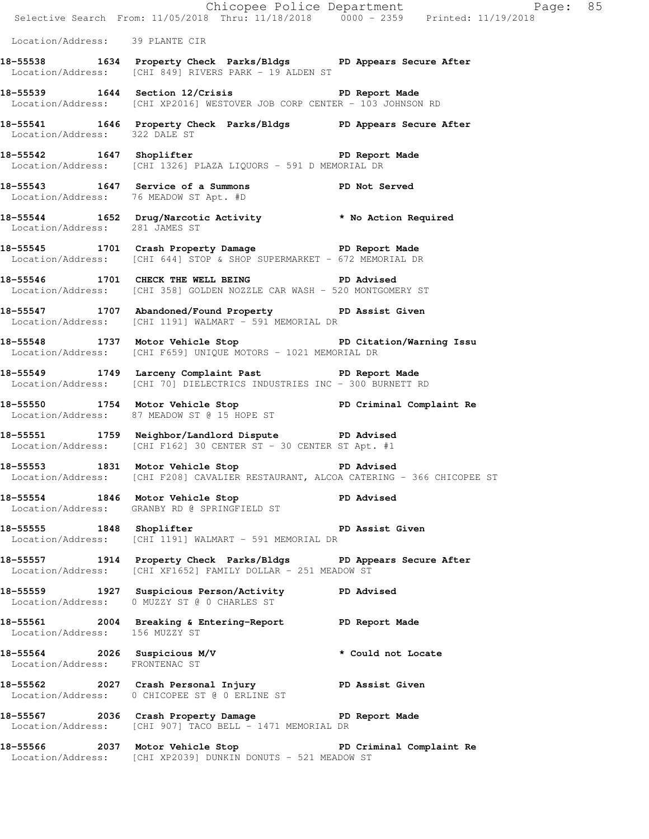|                                  |                                                                                                                                   | Chicopee Police Department<br>Selective Search From: 11/05/2018 Thru: 11/18/2018 0000 - 2359 Printed: 11/19/2018 |
|----------------------------------|-----------------------------------------------------------------------------------------------------------------------------------|------------------------------------------------------------------------------------------------------------------|
| Location/Address: 39 PLANTE CIR  |                                                                                                                                   |                                                                                                                  |
|                                  | 18-55538 1634 Property Check Parks/Bldgs PD Appears Secure After<br>Location/Address: [CHI 849] RIVERS PARK - 19 ALDEN ST         |                                                                                                                  |
|                                  | 18-55539 1644 Section 12/Crisis 20 PD Report Made<br>Location/Address: [CHI XP2016] WESTOVER JOB CORP CENTER - 103 JOHNSON RD     |                                                                                                                  |
| Location/Address: 322 DALE ST    | 18-55541 1646 Property Check Parks/Bldgs PD Appears Secure After                                                                  |                                                                                                                  |
|                                  | 18-55542 1647 Shoplifter 2008 2011 PD Report Made<br>Location/Address: [CHI 1326] PLAZA LIQUORS - 591 D MEMORIAL DR               |                                                                                                                  |
|                                  | 18-55543 1647 Service of a Summons PD Not Served<br>Location/Address: 76 MEADOW ST Apt. #D                                        |                                                                                                                  |
|                                  | 18-55544 1652 Drug/Narcotic Activity * No Action Required<br>Location/Address: 281 JAMES ST                                       |                                                                                                                  |
|                                  | 18-55545 1701 Crash Property Damage PD Report Made<br>Location/Address: [CHI 644] STOP & SHOP SUPERMARKET - 672 MEMORIAL DR       |                                                                                                                  |
|                                  | 18-55546 1701 CHECK THE WELL BEING PD Advised<br>Location/Address: [CHI 358] GOLDEN NOZZLE CAR WASH - 520 MONTGOMERY ST           |                                                                                                                  |
|                                  | 18-55547 1707 Abandoned/Found Property PD Assist Given<br>Location/Address: [CHI 1191] WALMART - 591 MEMORIAL DR                  |                                                                                                                  |
|                                  | 18-55548 1737 Motor Vehicle Stop North PD Citation/Warning Issu<br>Location/Address: [CHI F659] UNIQUE MOTORS - 1021 MEMORIAL DR  |                                                                                                                  |
|                                  | 18-55549 1749 Larceny Complaint Past PD Report Made<br>Location/Address: [CHI 70] DIELECTRICS INDUSTRIES INC - 300 BURNETT RD     |                                                                                                                  |
|                                  | 18-55550 1754 Motor Vehicle Stop PD Criminal Complaint Re<br>Location/Address: 87 MEADOW ST @ 15 HOPE ST                          |                                                                                                                  |
|                                  | 18-55551 1759 Neighbor/Landlord Dispute PD Advised<br>Location/Address: [CHI F162] 30 CENTER ST - 30 CENTER ST Apt. #1            |                                                                                                                  |
|                                  | 18-55553 1831 Motor Vehicle Stop PD Advised<br>Location/Address: [CHI F208] CAVALIER RESTAURANT, ALCOA CATERING - 366 CHICOPEE ST |                                                                                                                  |
| 18-55554 1846 Motor Vehicle Stop | PD Advised<br>Location/Address: GRANBY RD @ SPRINGFIELD ST                                                                        |                                                                                                                  |
| 18-55555 1848 Shoplifter         | Location/Address: [CHI 1191] WALMART - 591 MEMORIAL DR                                                                            | PD Assist Given                                                                                                  |
|                                  | 18-55557 1914 Property Check Parks/Bldgs PD Appears Secure After<br>Location/Address: [CHI XF1652] FAMILY DOLLAR - 251 MEADOW ST  |                                                                                                                  |
|                                  | 18-55559 1927 Suspicious Person/Activity PD Advised<br>Location/Address: 0 MUZZY ST @ 0 CHARLES ST                                |                                                                                                                  |
| Location/Address: 156 MUZZY ST   | 18-55561 2004 Breaking & Entering-Report PD Report Made                                                                           |                                                                                                                  |
| Location/Address: FRONTENAC ST   | 18-55564 2026 Suspicious M/V * Could not Locate                                                                                   |                                                                                                                  |
|                                  | 18-55562 2027 Crash Personal Injury PD Assist Given<br>Location/Address: 0 CHICOPEE ST @ 0 ERLINE ST                              |                                                                                                                  |
|                                  | 18-55567 2036 Crash Property Damage PD Report Made<br>Location/Address: [CHI 907] TACO BELL - 1471 MEMORIAL DR                    |                                                                                                                  |
|                                  | 18-55566 2037 Motor Vehicle Stop 50 PD Criminal Complaint Re<br>Location/Address: [CHI XP2039] DUNKIN DONUTS - 521 MEADOW ST      |                                                                                                                  |